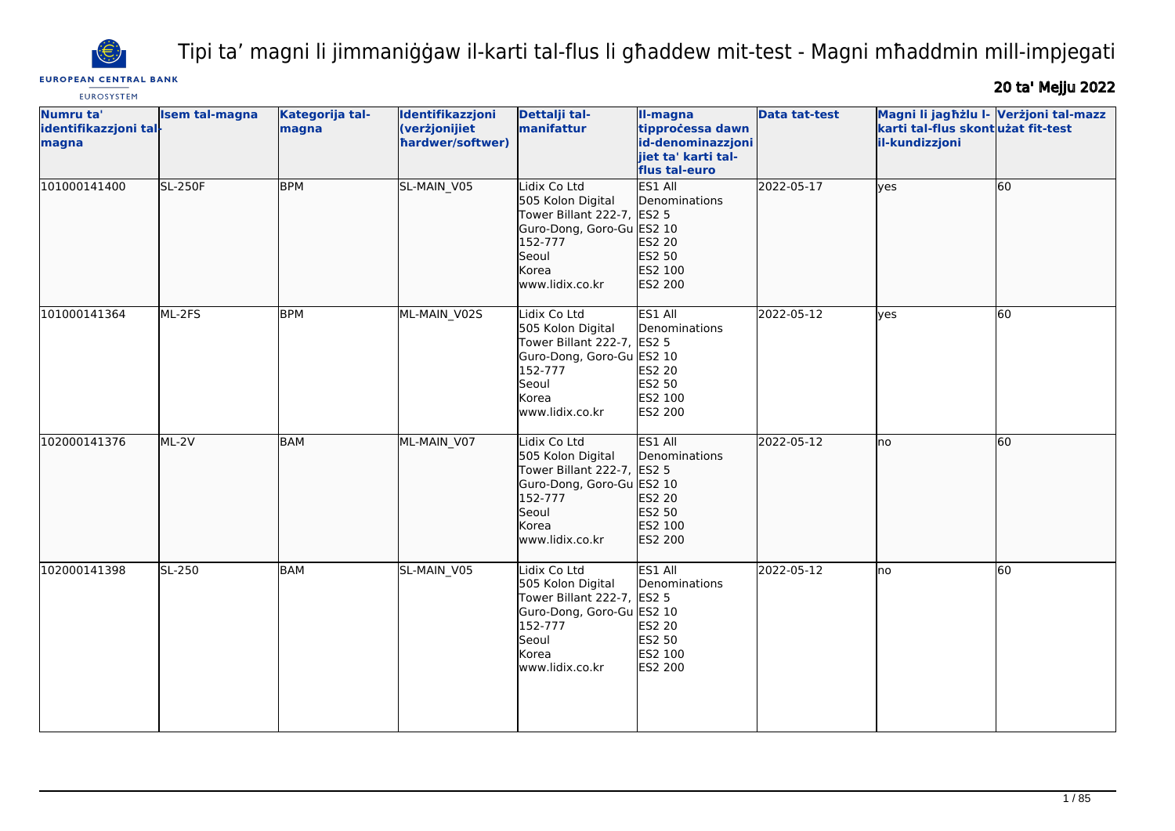

Tipi ta' magni li jimmaniġġaw il-karti tal-flus li għaddew mit-test - Magni mħaddmin mill-impjegati

# **EUROPEAN CENTRAL BANK EUROSYSTEM**

20 ta' Mejju 2022

| Numru ta'<br>identifikazzjoni tal-<br>magna | <b>Isem tal-magna</b> | Kategorija tal-<br>magna | Identifikazzjoni<br>(verżjonijiet<br>hardwer/softwer) | Dettalji tal-<br>manifattur                                                                                                                  | II-magna<br>tipprocessa dawn<br>id-denominazzjoni<br>jiet ta' karti tal-<br>flus tal-euro | <b>Data tat-test</b> | Magni li jagħżlu I- Verżjoni tal-mazz<br>karti tal-flus skont użat fit-test<br>il-kundizzjoni |    |
|---------------------------------------------|-----------------------|--------------------------|-------------------------------------------------------|----------------------------------------------------------------------------------------------------------------------------------------------|-------------------------------------------------------------------------------------------|----------------------|-----------------------------------------------------------------------------------------------|----|
| 101000141400                                | <b>SL-250F</b>        | <b>BPM</b>               | SL-MAIN_V05                                           | Lidix Co Ltd<br>505 Kolon Digital<br>Tower Billant 222-7, ES2 5<br>Guro-Dong, Goro-Gu ES2 10<br>152-777<br>Seoul<br>Korea<br>www.lidix.co.kr | ES1 All<br>Denominations<br>ES2 20<br>ES2 50<br>ES2 100<br>ES2 200                        | 2022-05-17           | lyes                                                                                          | 60 |
| 101000141364                                | ML-2FS                | <b>BPM</b>               | ML-MAIN V02S                                          | Lidix Co Ltd<br>505 Kolon Digital<br>Tower Billant 222-7, ES2 5<br>Guro-Dong, Goro-Gu ES2 10<br>152-777<br>Seoul<br>Korea<br>www.lidix.co.kr | ES1 All<br>Denominations<br>ES2 20<br>ES2 50<br>ES2 100<br>ES2 200                        | 2022-05-12           | <b>ves</b>                                                                                    | 60 |
| 102000141376                                | ML-2V                 | BAM                      | ML-MAIN_V07                                           | Lidix Co Ltd<br>505 Kolon Digital<br>Tower Billant 222-7, ES2 5<br>Guro-Dong, Goro-Gu ES2 10<br>152-777<br>Seoul<br>Korea<br>www.lidix.co.kr | ES1 All<br>Denominations<br>ES2 20<br>ES2 50<br>ES2 100<br>ES2 200                        | 2022-05-12           | lno                                                                                           | 60 |
| 102000141398                                | SL-250                | BAM                      | SL-MAIN V05                                           | Lidix Co Ltd<br>505 Kolon Digital<br>Tower Billant 222-7,<br>Guro-Dong, Goro-Gu ES2 10<br>152-777<br>Seoul<br>Korea<br>www.lidix.co.kr       | ES1 All<br>Denominations<br>ES2 5<br>ES2 20<br>ES2 50<br>ES2 100<br>ES2 200               | 2022-05-12           | lno                                                                                           | 60 |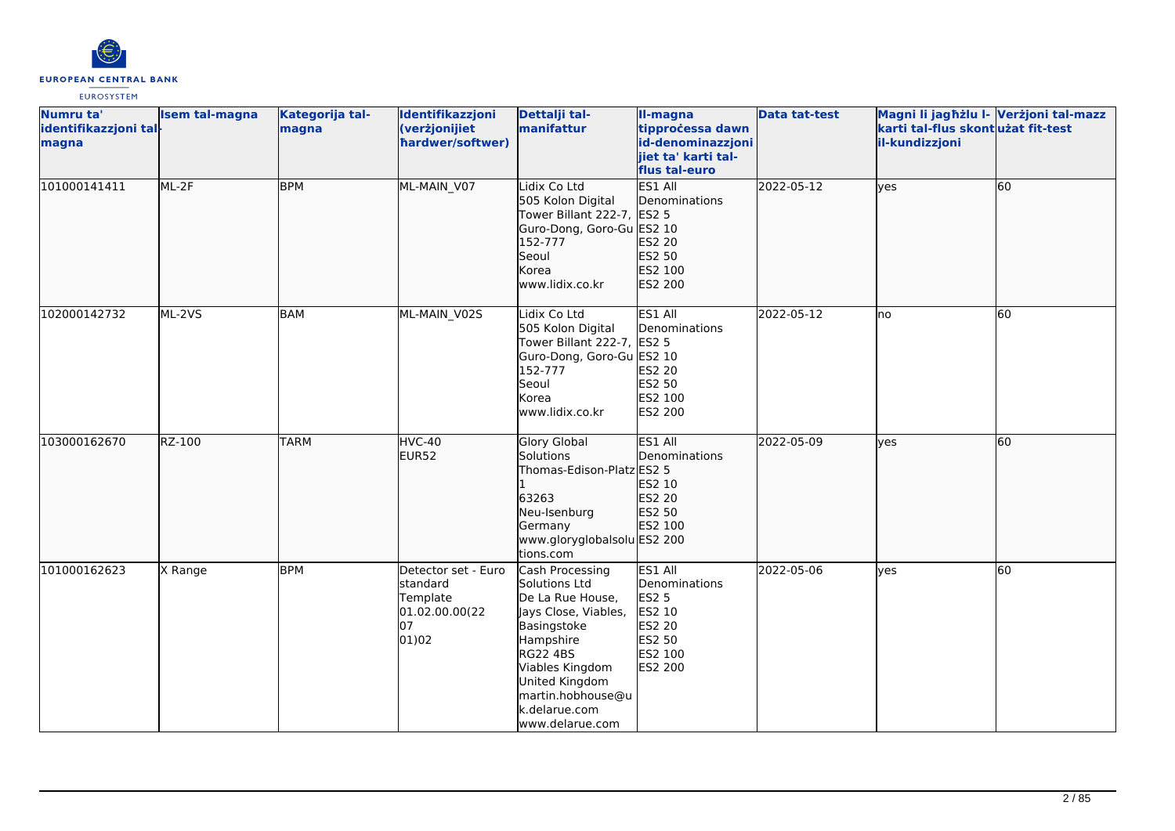

| Numru ta'<br>identifikazzjoni tal-<br>magna | <b>Isem tal-magna</b> | Kategorija tal-<br>magna | Identifikazzjoni<br>(verżjonijiet<br>hardwer/softwer)                        | Dettalji tal-<br>manifattur                                                                                                                                                                                               | II-magna<br>tipprocessa dawn<br>id-denominazzjoni<br>jiet ta' karti tal-<br>flus tal-euro    | <b>Data tat-test</b> | Magni li jagħżlu I- Verżjoni tal-mazz<br>karti tal-flus skontużat fit-test<br>il-kundizzjoni |           |
|---------------------------------------------|-----------------------|--------------------------|------------------------------------------------------------------------------|---------------------------------------------------------------------------------------------------------------------------------------------------------------------------------------------------------------------------|----------------------------------------------------------------------------------------------|----------------------|----------------------------------------------------------------------------------------------|-----------|
| 101000141411                                | ML-2F                 | <b>BPM</b>               | ML-MAIN V07                                                                  | Lidix Co Ltd<br>505 Kolon Digital<br>Tower Billant 222-7, ES2 5<br>Guro-Dong, Goro-Gu ES2 10<br>152-777<br>Seoul<br>Korea<br>www.lidix.co.kr                                                                              | ES1 All<br>Denominations<br>ES2 20<br>ES2 50<br>ES2 100<br>ES2 200                           | 2022-05-12           | lyes                                                                                         | 60        |
| 102000142732                                | ML-2VS                | <b>BAM</b>               | ML-MAIN_V02S                                                                 | Lidix Co Ltd<br>505 Kolon Digital<br>Tower Billant 222-7, ES2 5<br>Guro-Dong, Goro-Gu ES2 10<br>152-777<br>Seoul<br>Korea<br>www.lidix.co.kr                                                                              | ES1 All<br>Denominations<br>ES2 20<br>ES2 50<br>ES2 100<br>ES2 200                           | 2022-05-12           | Ino                                                                                          | <b>60</b> |
| 103000162670                                | RZ-100                | <b>TARM</b>              | HVC-40<br>EUR52                                                              | <b>Glory Global</b><br>Solutions<br>Thomas-Edison-Platz ES2 5<br>63263<br>Neu-Isenburg<br>Germany<br>www.gloryglobalsolu ES2 200<br>tions.com                                                                             | ES1 All<br>Denominations<br>ES2 10<br>ES2 20<br>ES2 50<br>ES2 100                            | 2022-05-09           | lves                                                                                         | 60        |
| 101000162623                                | X Range               | <b>BPM</b>               | Detector set - Euro<br>standard<br>Template<br>01.02.00.00(22<br>07<br>01)02 | Cash Processing<br>Solutions Ltd<br>De La Rue House,<br>Jays Close, Viables,<br>Basingstoke<br>Hampshire<br><b>RG22 4BS</b><br>Viables Kingdom<br>United Kingdom<br>martin.hobhouse@u<br>k.delarue.com<br>www.delarue.com | ES1 All<br>Denominations<br><b>ES2 5</b><br>ES2 10<br>ES2 20<br>ES2 50<br>ES2 100<br>ES2 200 | 2022-05-06           | <b>l</b> ves                                                                                 | 60        |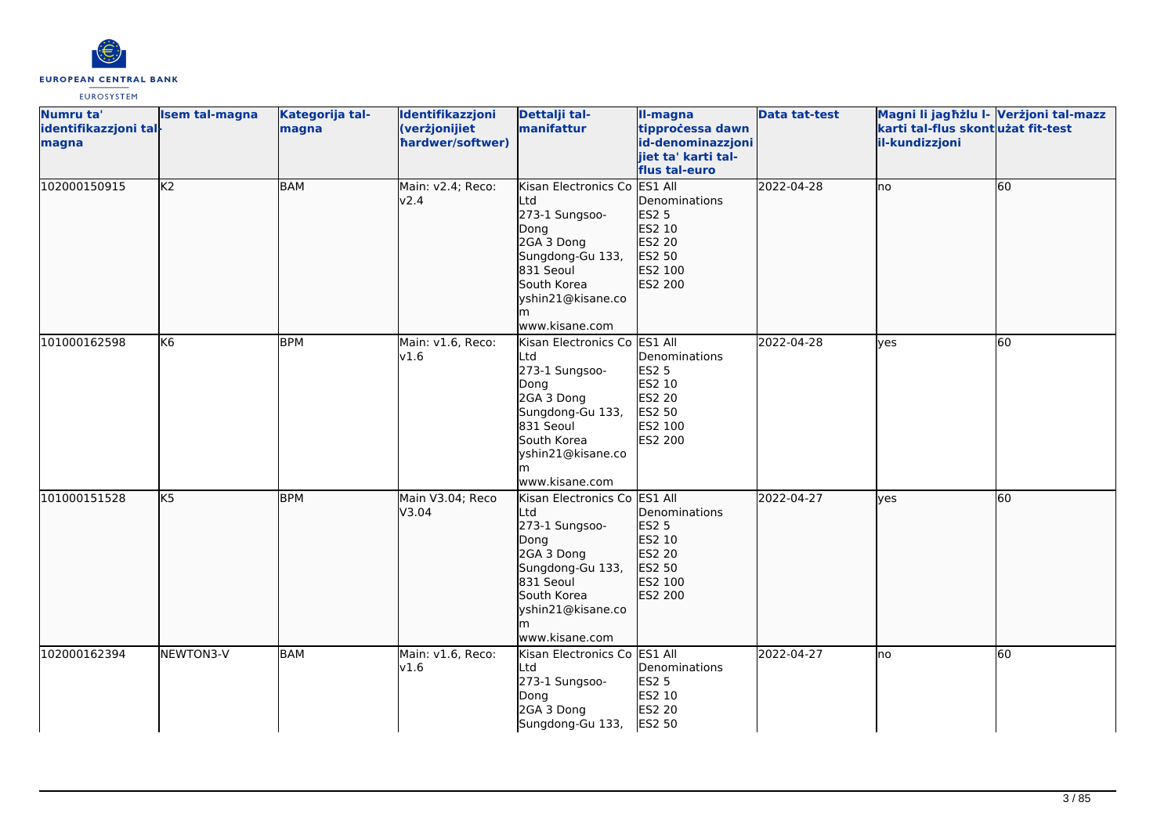

| Numru ta'<br>identifikazzjoni tal-<br>magna | <b>Isem tal-magna</b> | Kategorija tal-<br>magna | Identifikazzjoni<br>(verżjonijiet<br>hardwer/softwer) | Dettalji tal-<br>manifattur                                                                                                                                               | II-magna<br>tipprocessa dawn<br>id-denominazzjoni<br>jiet ta' karti tal-<br>flus tal-euro    | <b>Data tat-test</b> | Magni li jagħżlu I- Verżjoni tal-mazz<br>karti tal-flus skontużat fit-test<br>il-kundizzjoni |    |
|---------------------------------------------|-----------------------|--------------------------|-------------------------------------------------------|---------------------------------------------------------------------------------------------------------------------------------------------------------------------------|----------------------------------------------------------------------------------------------|----------------------|----------------------------------------------------------------------------------------------|----|
| 102000150915                                | K <sub>2</sub>        | BAM                      | Main: v2.4; Reco:<br>v2.4                             | Kisan Electronics Co<br>Ltd<br>273-1 Sungsoo-<br>Dong<br>2GA 3 Dong<br>Sungdong-Gu 133,<br>831 Seoul<br>South Korea<br>yshin21@kisane.co<br>m<br>www.kisane.com           | ES1 All<br>Denominations<br><b>ES2 5</b><br>ES2 10<br>ES2 20<br>ES2 50<br>ES2 100<br>ES2 200 | 2022-04-28           | Ino                                                                                          | 60 |
| 101000162598                                | K <sub>6</sub>        | <b>BPM</b>               | Main: v1.6, Reco:<br>v1.6                             | Kisan Electronics Co ES1 All<br>Ltd<br>273-1 Sungsoo-<br>Dong<br>2GA 3 Dong<br>Sungdong-Gu 133,<br>831 Seoul<br>South Korea<br>yshin21@kisane.co<br>www.kisane.com        | Denominations<br>ES2 5<br>ES2 10<br>ES2 20<br>ES2 50<br>ES2 100<br>ES2 200                   | 2022-04-28           | lves                                                                                         | 60 |
| 101000151528                                | $\overline{K5}$       | <b>BPM</b>               | Main V3.04; Reco<br>V3.04                             | Kisan Electronics Co ES1 All<br>Ltd<br>273-1 Sungsoo-<br>Dong<br>2GA 3 Dong<br>Sungdong-Gu 133,<br>831 Seoul<br>South Korea<br>yshin21@kisane.co<br>lm.<br>www.kisane.com | Denominations<br>ES2 5<br>ES2 10<br>ES2 20<br>ES2 50<br>ES2 100<br>ES2 200                   | 2022-04-27           | lyes                                                                                         | 60 |
| 102000162394                                | NEWTON3-V             | BAM                      | Main: v1.6, Reco:<br>v1.6                             | Kisan Electronics Co ES1 All<br>Ltd<br>273-1 Sungsoo-<br>Dong<br>2GA 3 Dong<br>Sungdong-Gu 133,                                                                           | Denominations<br><b>ES2 5</b><br>ES2 10<br><b>ES2 20</b><br>ES2 50                           | 2022-04-27           | lno                                                                                          | 60 |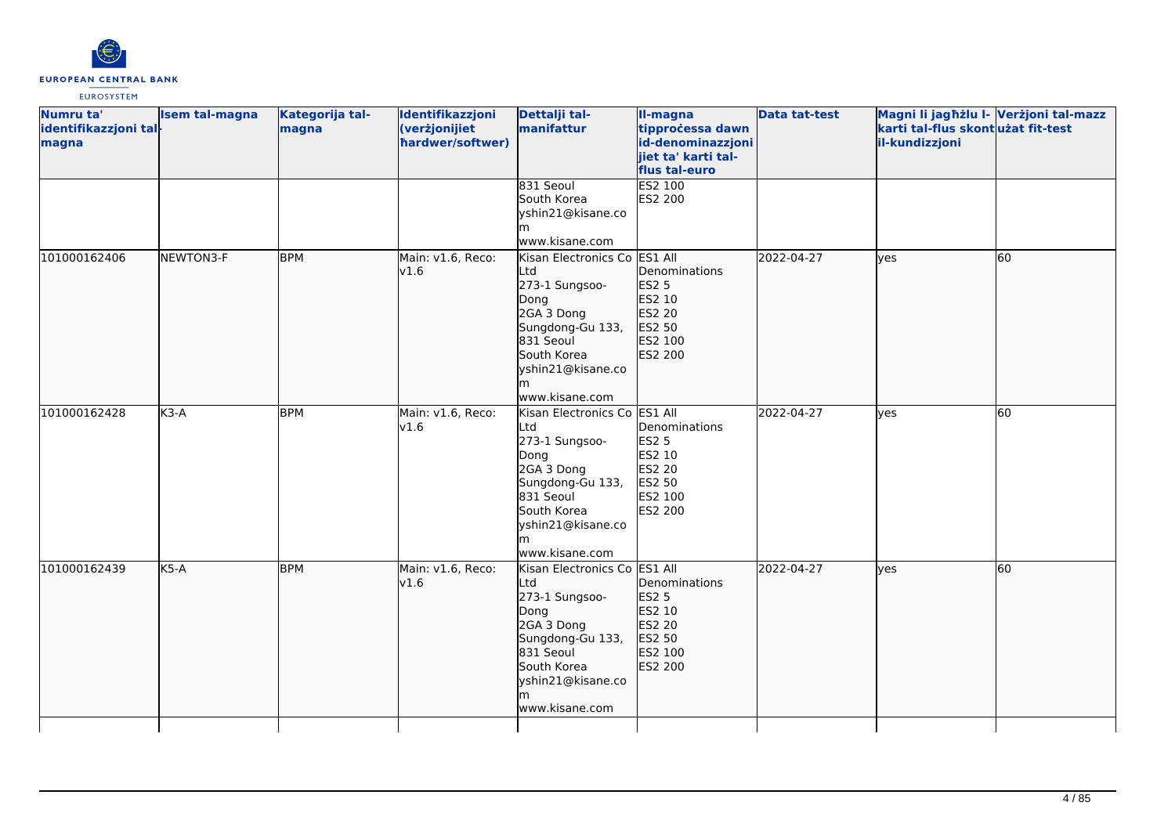

| Numru ta'<br>identifikazzjoni tal-<br>magna | <b>Isem tal-magna</b> | Kategorija tal-<br>magna | Identifikazzjoni<br>(verżjonijiet<br>hardwer/softwer) | Dettalji tal-<br>manifattur                                                                                                                                              | II-magna<br>tipprocessa dawn<br>id-denominazzjoni<br>jiet ta' karti tal-<br>flus tal-euro | <b>Data tat-test</b> | Magni li jagħżlu I- Verżjoni tal-mazz<br>karti tal-flus skont użat fit-test<br>il-kundizzjoni |    |
|---------------------------------------------|-----------------------|--------------------------|-------------------------------------------------------|--------------------------------------------------------------------------------------------------------------------------------------------------------------------------|-------------------------------------------------------------------------------------------|----------------------|-----------------------------------------------------------------------------------------------|----|
|                                             |                       |                          |                                                       | 831 Seoul<br>South Korea<br>yshin21@kisane.co<br>lm.<br>www.kisane.com                                                                                                   | ES2 100<br>ES2 200                                                                        |                      |                                                                                               |    |
| 101000162406                                | NEWTON3-F             | <b>BPM</b>               | Main: v1.6, Reco:<br>v1.6                             | Kisan Electronics Co ES1 All<br>Ltd<br>273-1 Sungsoo-<br>Dong<br>2GA 3 Dong<br>Sungdong-Gu 133,<br>831 Seoul<br>South Korea<br>yshin21@kisane.co<br>www.kisane.com       | Denominations<br>ES2 5<br>ES2 10<br>ES2 20<br>ES2 50<br>ES2 100<br>ES2 200                | 2022-04-27           | lyes                                                                                          | 60 |
| 101000162428                                | $K3-A$                | <b>BPM</b>               | Main: v1.6, Reco:<br>v1.6                             | Kisan Electronics Co ES1 All<br>Ltd<br>273-1 Sungsoo-<br>Dong<br>2GA 3 Dong<br>Sungdong-Gu 133,<br>831 Seoul<br>South Korea<br>yshin21@kisane.co<br>www.kisane.com       | Denominations<br><b>ES2 5</b><br>ES2 10<br>ES2 20<br>ES2 50<br>ES2 100<br>ES2 200         | 2022-04-27           | lyes                                                                                          | 60 |
| 101000162439                                | K5-A                  | <b>BPM</b>               | Main: v1.6, Reco:<br>v1.6                             | Kisan Electronics Co ES1 All<br>Ltd<br>273-1 Sungsoo-<br>Dong<br>2GA 3 Dong<br>Sungdong-Gu 133,<br>831 Seoul<br>South Korea<br>yshin21@kisane.co<br>lm<br>www.kisane.com | Denominations<br>ES2 5<br>ES2 10<br>ES2 20<br>ES2 50<br>ES2 100<br>ES2 200                | 2022-04-27           | lyes                                                                                          | 60 |
|                                             |                       |                          |                                                       |                                                                                                                                                                          |                                                                                           |                      |                                                                                               |    |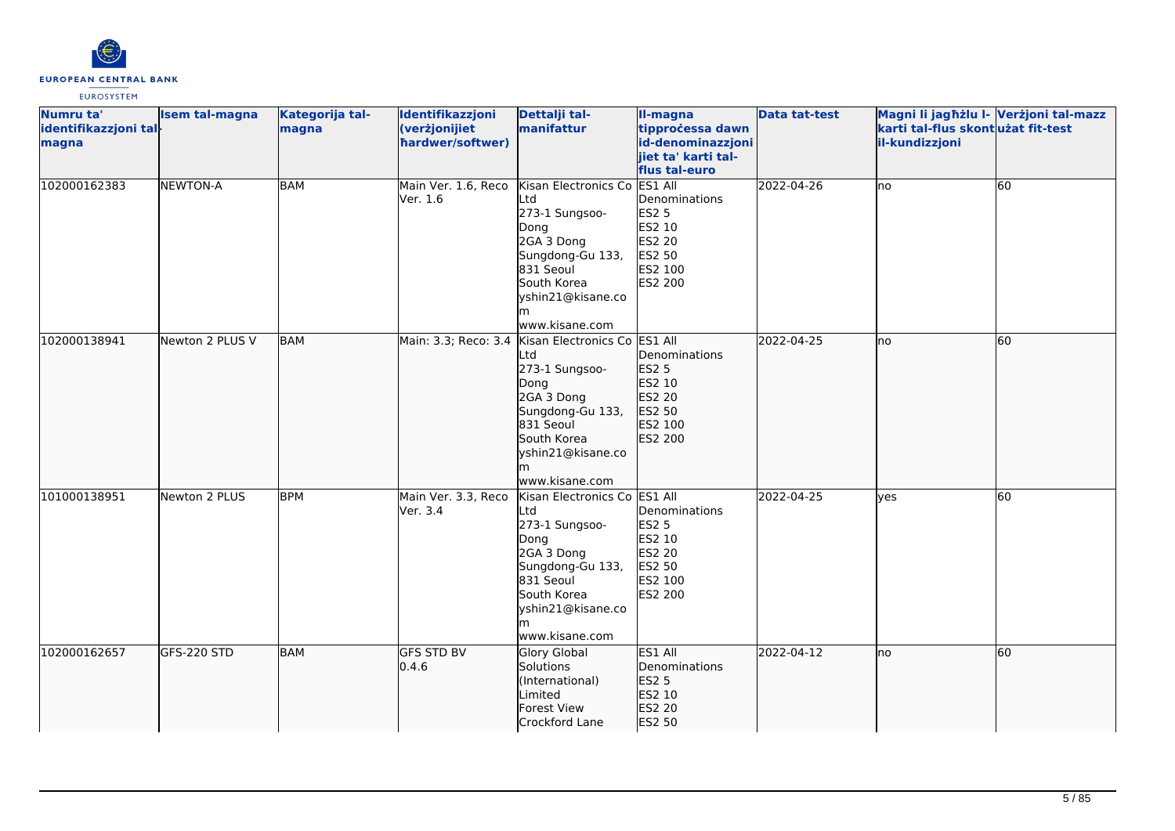

| Numru ta'<br>identifikazzjoni tal-<br>magna | <b>Isem tal-magna</b> | Kategorija tal-<br>magna | Identifikazzjoni<br>(verżjonijiet<br>hardwer/softwer) | Dettalji tal-<br>manifattur                                                                                                                                                             | II-magna<br>tipprocessa dawn<br>id-denominazzjoni<br>jiet ta' karti tal-<br>flus tal-euro    | <b>Data tat-test</b> | Magni li jagħżlu I- Verżjoni tal-mazz<br>karti tal-flus skontużat fit-test<br>il-kundizzjoni |    |
|---------------------------------------------|-----------------------|--------------------------|-------------------------------------------------------|-----------------------------------------------------------------------------------------------------------------------------------------------------------------------------------------|----------------------------------------------------------------------------------------------|----------------------|----------------------------------------------------------------------------------------------|----|
| 102000162383                                | <b>NEWTON-A</b>       | <b>BAM</b>               | Main Ver. 1.6, Reco<br>Ver. 1.6                       | Kisan Electronics Co<br>Ltd<br>273-1 Sungsoo-<br>Dong<br>2GA 3 Dong<br>Sungdong-Gu 133,<br>831 Seoul<br>South Korea<br>yshin21@kisane.co<br>lm.<br>www.kisane.com                       | ES1 All<br>Denominations<br><b>ES2 5</b><br>ES2 10<br>ES2 20<br>ES2 50<br>ES2 100<br>ES2 200 | 2022-04-26           | lno                                                                                          | 60 |
| 102000138941                                | Newton 2 PLUS V       | <b>BAM</b>               |                                                       | Main: 3.3; Reco: 3.4 Kisan Electronics Co ES1 All<br>Ltd<br>273-1 Sungsoo-<br>Dong<br>2GA 3 Dong<br>Sungdong-Gu 133,<br>831 Seoul<br>South Korea<br>yshin21@kisane.co<br>www.kisane.com | Denominations<br>ES2 5<br>ES2 10<br>ES2 20<br>ES2 50<br>ES2 100<br>ES2 200                   | 2022-04-25           | lno                                                                                          | 60 |
| 101000138951                                | Newton 2 PLUS         | <b>BPM</b>               | Main Ver. 3.3, Reco<br>Ver. 3.4                       | Kisan Electronics Co ES1 All<br>Ltd<br>273-1 Sungsoo-<br>Dong<br>2GA 3 Dong<br>Sungdong-Gu 133,<br>831 Seoul<br>South Korea<br>yshin21@kisane.co<br>m<br>www.kisane.com                 | Denominations<br><b>ES2 5</b><br>ES2 10<br>ES2 20<br>ES2 50<br>ES2 100<br>ES2 200            | 2022-04-25           | lyes                                                                                         | 60 |
| 102000162657                                | GFS-220 STD           | <b>BAM</b>               | <b>GFS STD BV</b><br>0.4.6                            | <b>Glory Global</b><br>Solutions<br>(International)<br>Limited<br>Forest View<br>Crockford Lane                                                                                         | ES1 All<br>Denominations<br><b>ES2 5</b><br>ES2 10<br>ES2 20<br>ES2 50                       | 2022-04-12           | lno                                                                                          | 60 |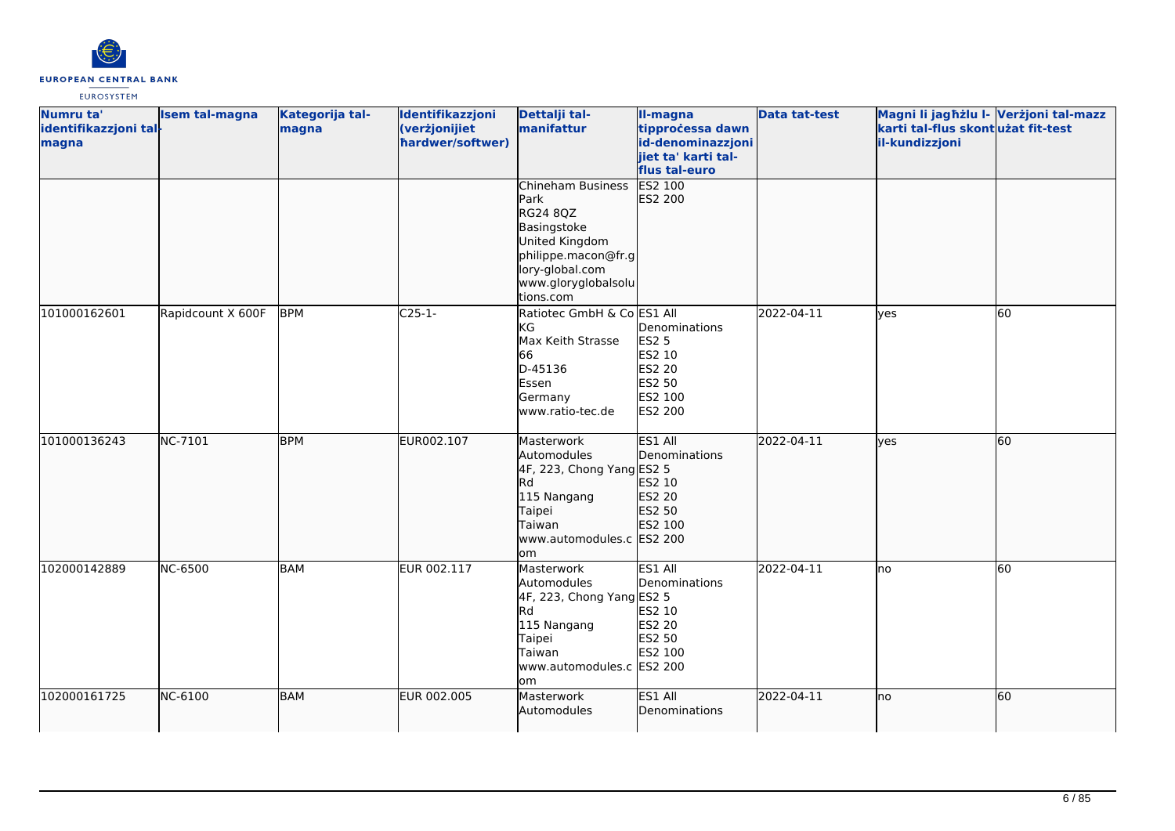

| Numru ta'             | Isem tal-magna    | Kategorija tal- | Identifikazzjoni | Dettalji tal-              | II-magna                | <b>Data tat-test</b> | Magni li jagħżlu I- Verżjoni tal-mazz |    |
|-----------------------|-------------------|-----------------|------------------|----------------------------|-------------------------|----------------------|---------------------------------------|----|
| identifikazzjoni tal- |                   | magna           | (verżjonijiet    | manifattur                 | tipprocessa dawn        |                      | karti tal-flus skontużat fit-test     |    |
| magna                 |                   |                 | hardwer/softwer) |                            | id-denominazzjoni       |                      | il-kundizzjoni                        |    |
|                       |                   |                 |                  |                            | jiet ta' karti tal-     |                      |                                       |    |
|                       |                   |                 |                  |                            | flus tal-euro           |                      |                                       |    |
|                       |                   |                 |                  | Chineham Business          | <b>ES2 100</b>          |                      |                                       |    |
|                       |                   |                 |                  | Park<br>RG24 8QZ           | ES2 200                 |                      |                                       |    |
|                       |                   |                 |                  | Basingstoke                |                         |                      |                                       |    |
|                       |                   |                 |                  | United Kingdom             |                         |                      |                                       |    |
|                       |                   |                 |                  | philippe.macon@fr.g        |                         |                      |                                       |    |
|                       |                   |                 |                  | lory-global.com            |                         |                      |                                       |    |
|                       |                   |                 |                  | www.gloryglobalsolu        |                         |                      |                                       |    |
|                       |                   |                 |                  | tions.com                  |                         |                      |                                       |    |
| 101000162601          | Rapidcount X 600F | <b>BPM</b>      | $C25-1-$         | Ratiotec GmbH & Co ES1 All |                         | 2022-04-11           | lves                                  | 60 |
|                       |                   |                 |                  | lKG.                       | Denominations           |                      |                                       |    |
|                       |                   |                 |                  | Max Keith Strasse          | <b>ES2 5</b>            |                      |                                       |    |
|                       |                   |                 |                  | 66                         | ES2 10                  |                      |                                       |    |
|                       |                   |                 |                  | D-45136<br>Essen           | <b>ES2 20</b><br>ES2 50 |                      |                                       |    |
|                       |                   |                 |                  | Germany                    | ES2 100                 |                      |                                       |    |
|                       |                   |                 |                  | www.ratio-tec.de           | ES2 200                 |                      |                                       |    |
|                       |                   |                 |                  |                            |                         |                      |                                       |    |
| 101000136243          | NC-7101           | <b>BPM</b>      | EUR002.107       | Masterwork                 | ES1 All                 | 2022-04-11           | <b>l</b> ves                          | 60 |
|                       |                   |                 |                  | Automodules                | Denominations           |                      |                                       |    |
|                       |                   |                 |                  | 4F, 223, Chong Yang ES2 5  |                         |                      |                                       |    |
|                       |                   |                 |                  | <b>I</b> Rd                | ES2 10                  |                      |                                       |    |
|                       |                   |                 |                  | 115 Nangang                | ES2 20                  |                      |                                       |    |
|                       |                   |                 |                  | Taipei<br>Taiwan           | ES2 50                  |                      |                                       |    |
|                       |                   |                 |                  | www.automodules.c ES2 200  | ES2 100                 |                      |                                       |    |
|                       |                   |                 |                  | om                         |                         |                      |                                       |    |
| 102000142889          | <b>NC-6500</b>    | <b>BAM</b>      | EUR 002.117      | Masterwork                 | ES1 All                 | 2022-04-11           | lno                                   | 60 |
|                       |                   |                 |                  | Automodules                | Denominations           |                      |                                       |    |
|                       |                   |                 |                  | 4F, 223, Chong Yang ES2 5  |                         |                      |                                       |    |
|                       |                   |                 |                  | lRd.                       | ES2 10                  |                      |                                       |    |
|                       |                   |                 |                  | 115 Nangang                | ES2 20                  |                      |                                       |    |
|                       |                   |                 |                  | Taipei<br>Taiwan           | ES2 50                  |                      |                                       |    |
|                       |                   |                 |                  | www.automodules.c ES2 200  | ES2 100                 |                      |                                       |    |
|                       |                   |                 |                  | lom                        |                         |                      |                                       |    |
| 102000161725          | NC-6100           | <b>BAM</b>      | EUR 002.005      | Masterwork                 | ES1 All                 | 2022-04-11           | lno                                   | 60 |
|                       |                   |                 |                  | Automodules                | Denominations           |                      |                                       |    |
|                       |                   |                 |                  |                            |                         |                      |                                       |    |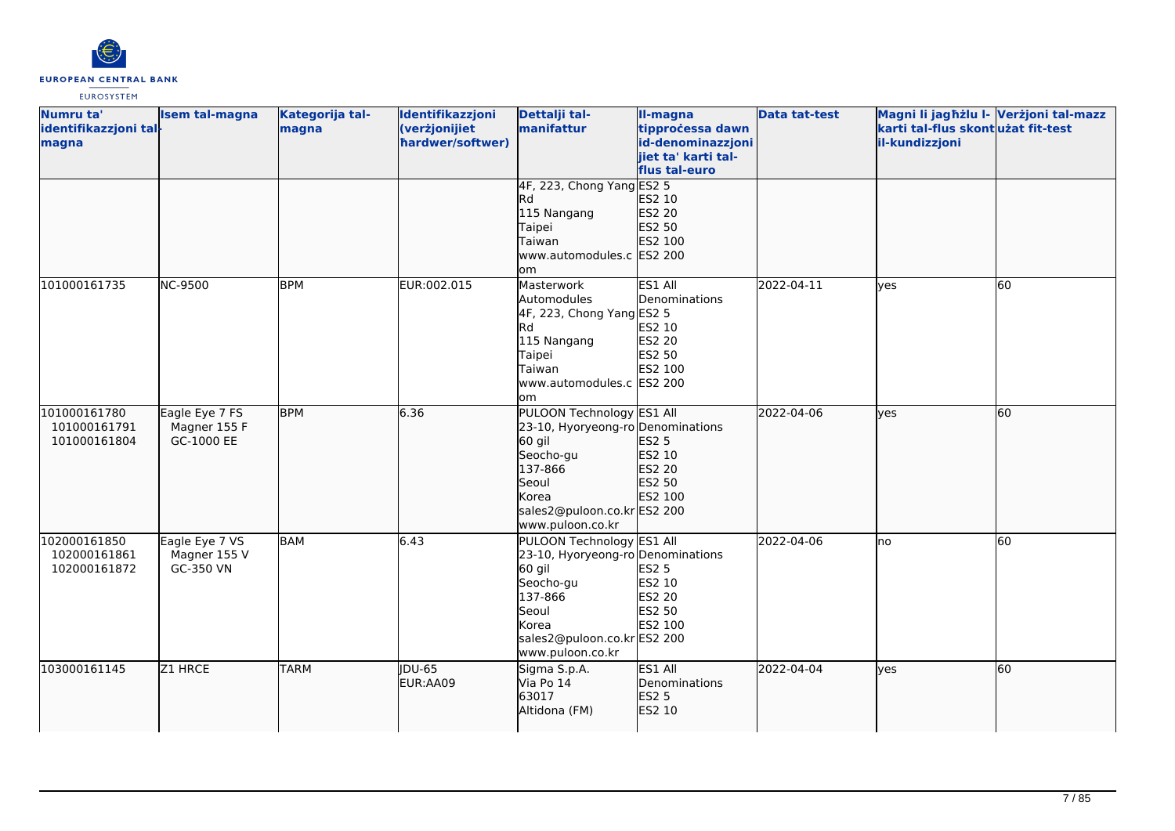

| Numru ta'<br>identifikazzjoni tal-<br>magna  | Isem tal-magna                               | Kategorija tal-<br>magna | Identifikazzjoni<br>(verżjonijiet<br>hardwer/softwer) | Dettalji tal-<br>manifattur                                                                                                                                           | II-magna<br>tipprocessa dawn<br>id-denominazzjoni<br>jiet ta' karti tal-<br>flus tal-euro | <b>Data tat-test</b> | Magni li jagħżlu I- Verżjoni tal-mazz<br>karti tal-flus skontużat fit-test<br>il-kundizzjoni |    |
|----------------------------------------------|----------------------------------------------|--------------------------|-------------------------------------------------------|-----------------------------------------------------------------------------------------------------------------------------------------------------------------------|-------------------------------------------------------------------------------------------|----------------------|----------------------------------------------------------------------------------------------|----|
|                                              |                                              |                          |                                                       | 4F, 223, Chong Yang ES2 5<br>Rd<br>115 Nangang<br>Taipei<br>Taiwan<br>www.automodules.c ES2 200<br>om.                                                                | ES2 10<br>ES2 20<br>ES2 50<br>ES2 100                                                     |                      |                                                                                              |    |
| 101000161735                                 | <b>NC-9500</b>                               | <b>BPM</b>               | EUR:002.015                                           | Masterwork<br>Automodules<br>4F, 223, Chong Yang ES2 5<br>Rd.<br>115 Nangang<br>Taipei<br>Taiwan<br>www.automodules.c ES2 200<br>lom                                  | ES1 All<br>Denominations<br>ES2 10<br><b>ES2 20</b><br>ES2 50<br>ES2 100                  | 2022-04-11           | lyes                                                                                         | 60 |
| 101000161780<br>101000161791<br>101000161804 | Eagle Eye 7 FS<br>Magner 155 F<br>GC-1000 EE | <b>BPM</b>               | 6.36                                                  | PULOON Technology ES1 All<br>23-10, Hyoryeong-ro Denominations<br>60 gil<br>Seocho-gu<br>137-866<br>Seoul<br>Korea<br>sales2@puloon.co.kr ES2 200<br>www.puloon.co.kr | ES2 5<br>ES2 10<br>ES2 20<br>ES2 50<br>ES2 100                                            | 2022-04-06           | lyes                                                                                         | 60 |
| 102000161850<br>102000161861<br>102000161872 | Eagle Eye 7 VS<br>Magner 155 V<br>GC-350 VN  | <b>BAM</b>               | 6.43                                                  | PULOON Technology ES1 All<br>23-10, Hyoryeong-ro Denominations<br>60 gil<br>Seocho-gu<br>137-866<br>Seoul<br>Korea<br>sales2@puloon.co.krES2 200<br>www.puloon.co.kr  | <b>ES2 5</b><br>ES2 10<br><b>ES2 20</b><br>ES2 50<br>ES2 100                              | 2022-04-06           | lno                                                                                          | 60 |
| 103000161145                                 | Z1 HRCE                                      | <b>TARM</b>              | JDU-65<br>EUR:AA09                                    | Sigma S.p.A.<br>Via Po 14<br>63017<br>Altidona (FM)                                                                                                                   | ES1 All<br>Denominations<br><b>ES2 5</b><br>ES2 10                                        | 2022-04-04           | lyes                                                                                         | 60 |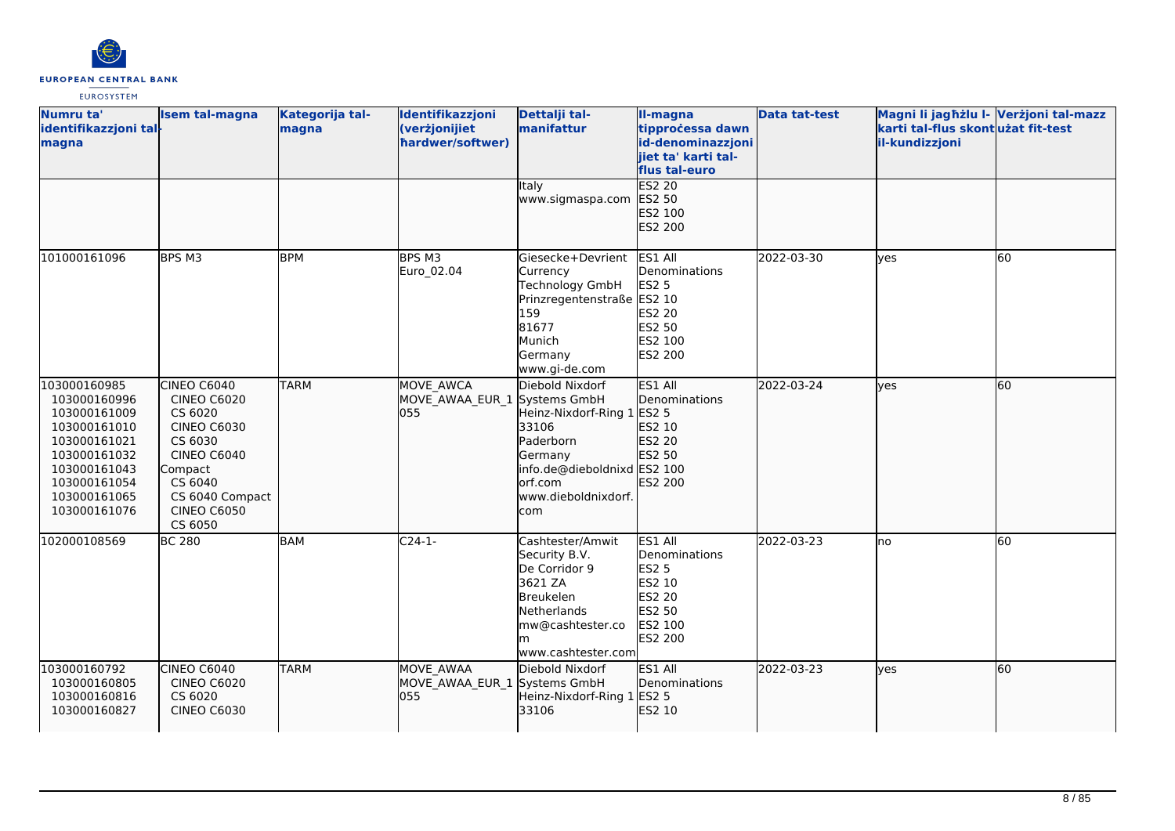

| Numru ta'<br>identifikazzjoni tal-<br>magna                                                                                                                  | <b>Isem tal-magna</b>                                                                                                                                                         | Kategorija tal-<br>magna | Identifikazzjoni<br>(verżjonijiet<br>hardwer/softwer) | Dettalji tal-<br>manifattur                                                                                                                      | II-magna<br>tipprocessa dawn<br>id-denominazzjoni<br>jiet ta' karti tal-<br>flus tal-euro                  | <b>Data tat-test</b> | Magni li jagħżlu I- Verżjoni tal-mazz<br>karti tal-flus skontużat fit-test<br>il-kundizzjoni |    |
|--------------------------------------------------------------------------------------------------------------------------------------------------------------|-------------------------------------------------------------------------------------------------------------------------------------------------------------------------------|--------------------------|-------------------------------------------------------|--------------------------------------------------------------------------------------------------------------------------------------------------|------------------------------------------------------------------------------------------------------------|----------------------|----------------------------------------------------------------------------------------------|----|
|                                                                                                                                                              |                                                                                                                                                                               |                          |                                                       | Italy<br>www.sigmaspa.com                                                                                                                        | <b>ES2 20</b><br>ES2 50<br>ES2 100<br>ES2 200                                                              |                      |                                                                                              |    |
| 101000161096                                                                                                                                                 | BPS M3                                                                                                                                                                        | <b>BPM</b>               | BPS M3<br>Euro_02.04                                  | Giesecke+Devrient<br>Currency<br><b>Technology GmbH</b><br>Prinzregentenstraße ES2 10<br>159<br>81677<br>Munich<br>Germany<br>www.gi-de.com      | ES1 All<br>Denominations<br><b>ES2 5</b><br><b>ES2 20</b><br>ES2 50<br>ES2 100<br><b>ES2 200</b>           | 2022-03-30           | ves                                                                                          | 60 |
| 103000160985<br>103000160996<br>103000161009<br>103000161010<br>103000161021<br>103000161032<br>103000161043<br>103000161054<br>103000161065<br>103000161076 | CINEO C6040<br><b>CINEO C6020</b><br>CS 6020<br><b>CINEO C6030</b><br>CS 6030<br><b>CINEO C6040</b><br>Compact<br>CS 6040<br>CS 6040 Compact<br><b>CINEO C6050</b><br>CS 6050 | <b>TARM</b>              | MOVE AWCA<br>MOVE_AWAA_EUR_1 Systems GmbH<br>055      | Diebold Nixdorf<br>Heinz-Nixdorf-Ring 1<br>33106<br>Paderborn<br>Germany<br>info.de@dieboldnixd ES2 100<br>orf.com<br>www.dieboldnixdorf.<br>com | ES1 All<br>Denominations<br>ES2 5<br>ES2 10<br>ES2 20<br>ES2 50<br>ES2 200                                 | 2022-03-24           | yes                                                                                          | 60 |
| 102000108569                                                                                                                                                 | <b>BC 280</b>                                                                                                                                                                 | BAM                      | $C24-1-$                                              | Cashtester/Amwit<br>Security B.V.<br>De Corridor 9<br>3621 ZA<br><b>Breukelen</b><br>Netherlands<br>mw@cashtester.co<br>www.cashtester.com       | ES1 All<br>Denominations<br><b>ES2 5</b><br>ES2 10<br><b>ES2 20</b><br><b>ES2 50</b><br>ES2 100<br>ES2 200 | 2022-03-23           | no                                                                                           | 60 |
| 103000160792<br>103000160805<br>103000160816<br>103000160827                                                                                                 | CINEO C6040<br><b>CINEO C6020</b><br>CS 6020<br><b>CINEO C6030</b>                                                                                                            | <b>TARM</b>              | MOVE AWAA<br>MOVE_AWAA_EUR_1 Systems GmbH<br>055      | Diebold Nixdorf<br>Heinz-Nixdorf-Ring 1 ES2 5<br>33106                                                                                           | ES1 All<br>Denominations<br>ES2 10                                                                         | 2022-03-23           | yes                                                                                          | 60 |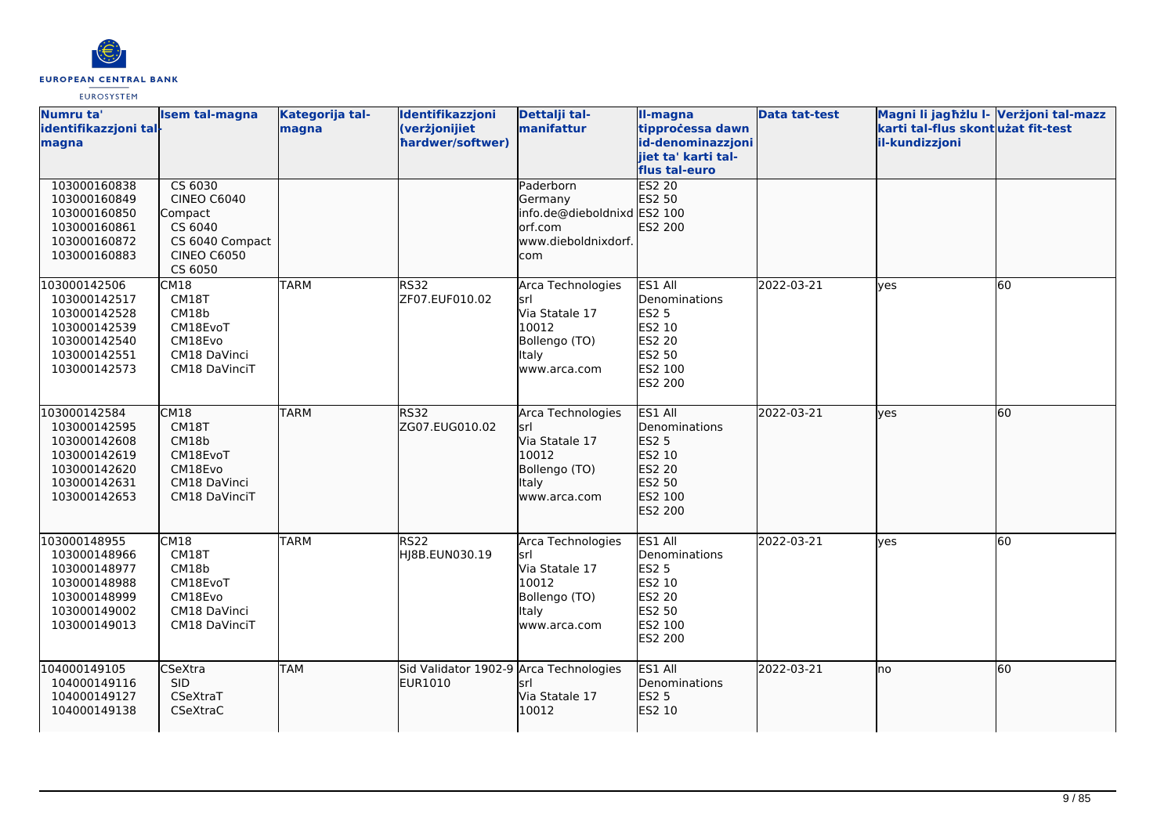

| Numru ta'<br>identifikazzjoni tal-<br>magna                                                                  | <b>Isem tal-magna</b>                                                                                   | Kategorija tal-<br>magna | Identifikazzjoni<br>(verżjonijiet<br>hardwer/softwer) | Dettalji tal-<br>manifattur                                                                           | II-magna<br>tipprocessa dawn<br>id-denominazzjoni<br>jiet ta' karti tal-<br>flus tal-euro           | <b>Data tat-test</b> | Magni li jagħżlu I- Verżjoni tal-mazz<br>karti tal-flus skont użat fit-test<br>il-kundizzjoni |    |
|--------------------------------------------------------------------------------------------------------------|---------------------------------------------------------------------------------------------------------|--------------------------|-------------------------------------------------------|-------------------------------------------------------------------------------------------------------|-----------------------------------------------------------------------------------------------------|----------------------|-----------------------------------------------------------------------------------------------|----|
| 103000160838<br>103000160849<br>103000160850<br>103000160861<br>103000160872<br>103000160883                 | CS 6030<br><b>CINEO C6040</b><br>Compact<br>CS 6040<br>CS 6040 Compact<br><b>CINEO C6050</b><br>CS 6050 |                          |                                                       | Paderborn<br>Germany<br>info.de@dieboldnixd ES2 100<br>orf.com<br>www.dieboldnixdorf.<br>com          | ES2 20<br>ES2 50<br>ES2 200                                                                         |                      |                                                                                               |    |
| 103000142506<br>103000142517<br>103000142528<br>103000142539<br>103000142540<br>103000142551<br>103000142573 | CM18<br>CM18T<br>CM18b<br>CM18EvoT<br>CM18Evo<br>CM18 DaVinci<br>CM18 DaVinciT                          | <b>TARM</b>              | <b>RS32</b><br>ZF07.EUF010.02                         | Arca Technologies<br>lsrl<br>Via Statale 17<br>10012<br>Bollengo (TO)<br><b>Italy</b><br>www.arca.com | ES1 All<br>Denominations<br><b>ES2 5</b><br>ES2 10<br><b>ES2 20</b><br>ES2 50<br>ES2 100<br>ES2 200 | 2022-03-21           | lyes                                                                                          | 60 |
| 103000142584<br>103000142595<br>103000142608<br>103000142619<br>103000142620<br>103000142631<br>103000142653 | CM18<br>CM18T<br>CM18b<br>CM18EvoT<br>CM18Evo<br>CM18 DaVinci<br>CM18 DaVinciT                          | <b>TARM</b>              | <b>RS32</b><br>ZG07.EUG010.02                         | Arca Technologies<br>srl<br>Via Statale 17<br>10012<br>Bollengo (TO)<br><b>Italy</b><br>www.arca.com  | ES1 All<br>Denominations<br>ES2 5<br>ES2 10<br>ES2 20<br>ES2 50<br>ES2 100<br>ES2 200               | 2022-03-21           | lyes                                                                                          | 60 |
| 103000148955<br>103000148966<br>103000148977<br>103000148988<br>103000148999<br>103000149002<br>103000149013 | CM18<br>CM18T<br>CM18b<br>CM18EvoT<br>CM18Evo<br>CM18 DaVinci<br>CM18 DaVinciT                          | <b>TARM</b>              | <b>RS22</b><br>HJ8B.EUN030.19                         | Arca Technologies<br>lsrl<br>Via Statale 17<br>10012<br>Bollengo (TO)<br>Italy<br>www.arca.com        | ES1 All<br>Denominations<br><b>ES2 5</b><br>ES2 10<br><b>ES2 20</b><br>ES2 50<br>ES2 100<br>ES2 200 | 2022-03-21           | lyes                                                                                          | 60 |
| 104000149105<br>104000149116<br>104000149127<br>104000149138                                                 | CSeXtra<br><b>SID</b><br>CSeXtraT<br>CSeXtraC                                                           | <b>TAM</b>               | Sid Validator 1902-9 Arca Technologies<br>EUR1010     | srl<br>Via Statale 17<br>10012                                                                        | ES1 All<br>Denominations<br>ES2 5<br>ES2 10                                                         | 2022-03-21           | lno                                                                                           | 60 |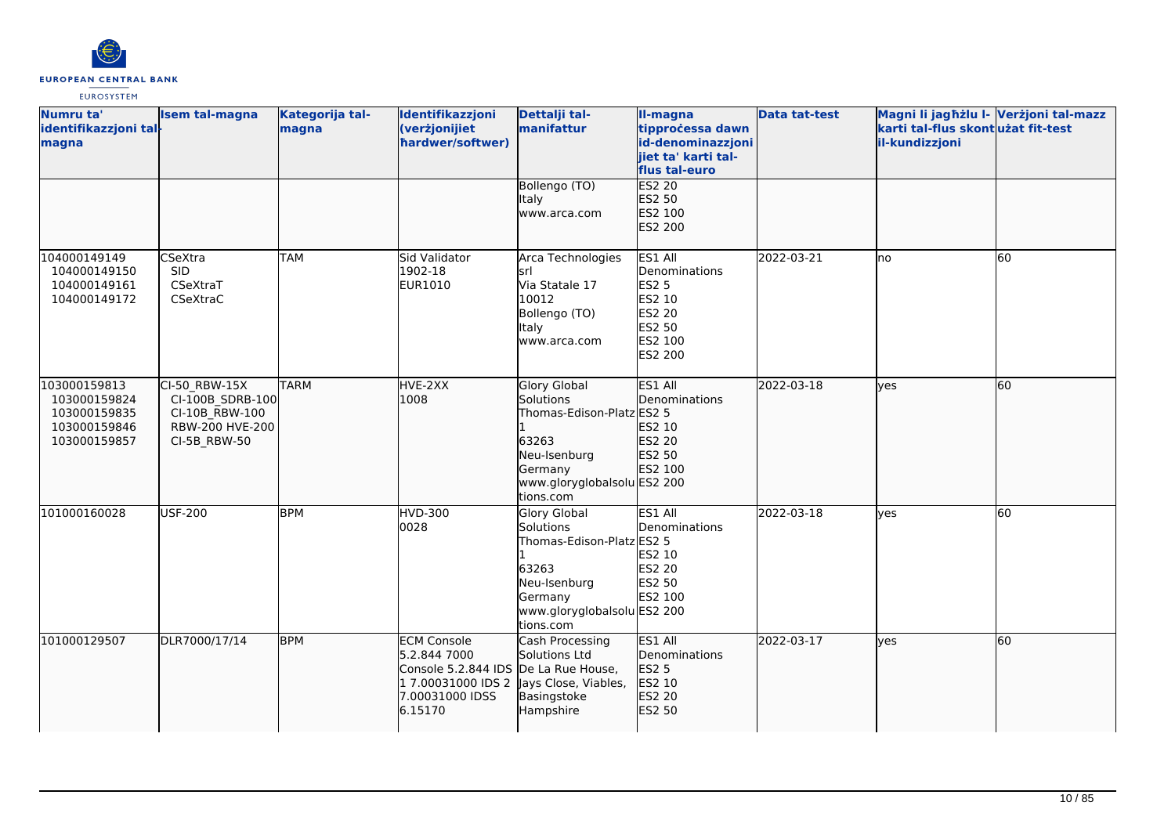

| Numru ta'<br>identifikazzjoni tal-<br>magna                                  | <b>Isem tal-magna</b>                                                                  | Kategorija tal-<br>magna | Identifikazzjoni<br>(verżjonijiet<br>hardwer/softwer)                                                         | Dettalji tal-<br>manifattur                                                                                                            | II-magna<br>tipprocessa dawn<br>id-denominazzjoni<br>jiet ta' karti tal-<br>flus tal-euro           | <b>Data tat-test</b> | Magni li jagħżlu I- Verżjoni tal-mazz<br>karti tal-flus skont użat fit-test<br>il-kundizzjoni |    |
|------------------------------------------------------------------------------|----------------------------------------------------------------------------------------|--------------------------|---------------------------------------------------------------------------------------------------------------|----------------------------------------------------------------------------------------------------------------------------------------|-----------------------------------------------------------------------------------------------------|----------------------|-----------------------------------------------------------------------------------------------|----|
|                                                                              |                                                                                        |                          |                                                                                                               | Bollengo (TO)<br>ltaly<br>www.arca.com                                                                                                 | <b>ES2 20</b><br>ES2 50<br>ES2 100<br>ES2 200                                                       |                      |                                                                                               |    |
| 104000149149<br>104000149150<br>104000149161<br>104000149172                 | CSeXtra<br><b>SID</b><br>CSeXtraT<br>CSeXtraC                                          | <b>TAM</b>               | Sid Validator<br>1902-18<br>EUR1010                                                                           | Arca Technologies<br>srl<br>Via Statale 17<br>10012<br>Bollengo (TO)<br>ltaly<br>www.arca.com                                          | ES1 All<br>Denominations<br><b>ES2 5</b><br>ES2 10<br>ES2 20<br>ES2 50<br>ES2 100<br><b>ES2 200</b> | 2022-03-21           | Ino                                                                                           | 60 |
| 103000159813<br>103000159824<br>103000159835<br>103000159846<br>103000159857 | CI-50 RBW-15X<br>CI-100B_SDRB-100<br>CI-10B RBW-100<br>RBW-200 HVE-200<br>CI-5B_RBW-50 | <b>TARM</b>              | HVE-2XX<br>1008                                                                                               | Glory Global<br>Solutions<br>Thomas-Edison-Platz ES2 5<br>63263<br>Neu-Isenburg<br>Germany<br>www.gloryglobalsolu ES2 200<br>tions.com | ES1 All<br>Denominations<br>ES2 10<br>ES2 20<br>ES2 50<br>ES2 100                                   | 2022-03-18           | lyes                                                                                          | 60 |
| 101000160028                                                                 | <b>USF-200</b>                                                                         | <b>BPM</b>               | <b>HVD-300</b><br>0028                                                                                        | Glory Global<br>Solutions<br>Thomas-Edison-Platz ES2 5<br>63263<br>Neu-Isenburg<br>Germany<br>www.gloryglobalsolu ES2 200<br>tions.com | ES1 All<br>Denominations<br>ES2 10<br>ES2 20<br>ES2 50<br>ES2 100                                   | 2022-03-18           | <b>ves</b>                                                                                    | 60 |
| 101000129507                                                                 | DLR7000/17/14                                                                          | <b>BPM</b>               | <b>ECM Console</b><br>5.2.844 7000<br>Console 5.2.844 IDS<br>1 7.00031000 IDS 2<br>7.00031000 IDSS<br>6.15170 | Cash Processing<br>Solutions Ltd<br>De La Rue House,<br>Jays Close, Viables,<br>Basingstoke<br>Hampshire                               | ES1 All<br>Denominations<br><b>ES2 5</b><br>ES2 10<br>ES2 20<br>ES2 50                              | 2022-03-17           | lves                                                                                          | 60 |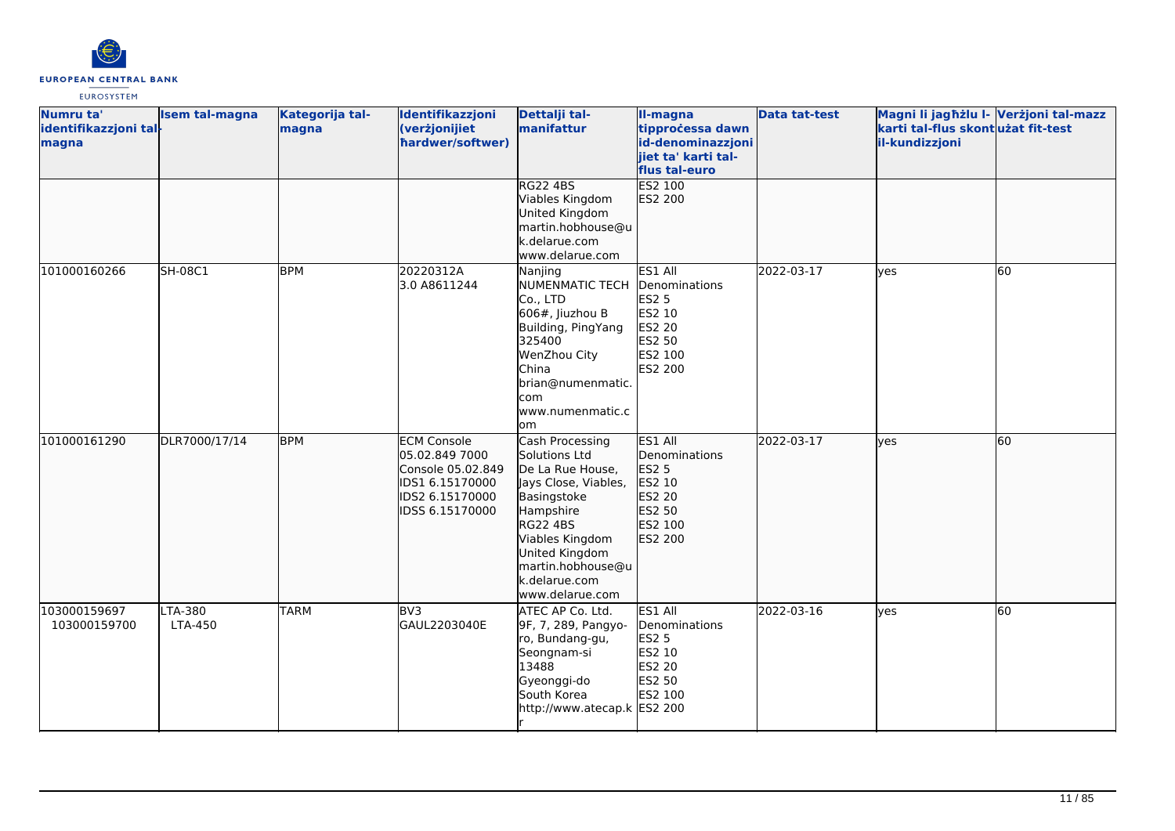

| Numru ta'<br>identifikazzjoni tal-<br>magna | <b>Isem tal-magna</b> | Kategorija tal-<br>magna | Identifikazzjoni<br>(verżjonijiet<br>hardwer/softwer)                                                              | Dettalji tal-<br>manifattur                                                                                                                                                                                               | II-magna<br>tipprocessa dawn<br>id-denominazzjoni<br>jiet ta' karti tal-<br>flus tal-euro           | <b>Data tat-test</b> | Magni li jagħżlu I- Verżjoni tal-mazz<br>karti tal-flus skontużat fit-test<br>il-kundizzjoni |    |
|---------------------------------------------|-----------------------|--------------------------|--------------------------------------------------------------------------------------------------------------------|---------------------------------------------------------------------------------------------------------------------------------------------------------------------------------------------------------------------------|-----------------------------------------------------------------------------------------------------|----------------------|----------------------------------------------------------------------------------------------|----|
|                                             |                       |                          |                                                                                                                    | <b>RG22 4BS</b><br>Viables Kingdom<br>United Kingdom<br>martin.hobhouse@u<br>k.delarue.com<br>www.delarue.com                                                                                                             | <b>ES2 100</b><br>ES2 200                                                                           |                      |                                                                                              |    |
| 101000160266                                | <b>SH-08C1</b>        | <b>BPM</b>               | 20220312A<br>3.0 A8611244                                                                                          | Nanjing<br><b>NUMENMATIC TECH</b><br>Co., LTD<br>$606#$ , Jiuzhou B<br>Building, PingYang<br>325400<br>WenZhou City<br><b>China</b><br>brian@numenmatic.<br>com<br>www.numenmatic.c<br>lom                                | ES1 All<br>Denominations<br><b>ES2 5</b><br>ES2 10<br><b>ES2 20</b><br>ES2 50<br>ES2 100<br>ES2 200 | 2022-03-17           | yes                                                                                          | 60 |
| 101000161290                                | DLR7000/17/14         | <b>BPM</b>               | <b>ECM Console</b><br>05.02.849 7000<br>Console 05.02.849<br>IDS1 6.15170000<br>IDS2 6.15170000<br>IDSS 6.15170000 | Cash Processing<br>Solutions Ltd<br>De La Rue House,<br>Jays Close, Viables,<br>Basingstoke<br>Hampshire<br><b>RG22 4BS</b><br>Viables Kingdom<br>United Kingdom<br>martin.hobhouse@u<br>k.delarue.com<br>www.delarue.com | ES1 All<br>Denominations<br>ES2 5<br>ES2 10<br>ES2 20<br>ES2 50<br>ES2 100<br>ES2 200               | 2022-03-17           | ves                                                                                          | 60 |
| 103000159697<br>103000159700                | LTA-380<br>LTA-450    | <b>TARM</b>              | BV3<br>GAUL2203040E                                                                                                | ATEC AP Co. Ltd.<br>9F, 7, 289, Pangyo-<br>ro, Bundang-gu,<br>Seongnam-si<br>13488<br>Gyeonggi-do<br>South Korea<br>http://www.atecap.k ES2 200                                                                           | ES1 All<br>Denominations<br><b>ES2 5</b><br>ES2 10<br>ES2 20<br>ES2 50<br>ES2 100                   | 2022-03-16           | yes                                                                                          | 60 |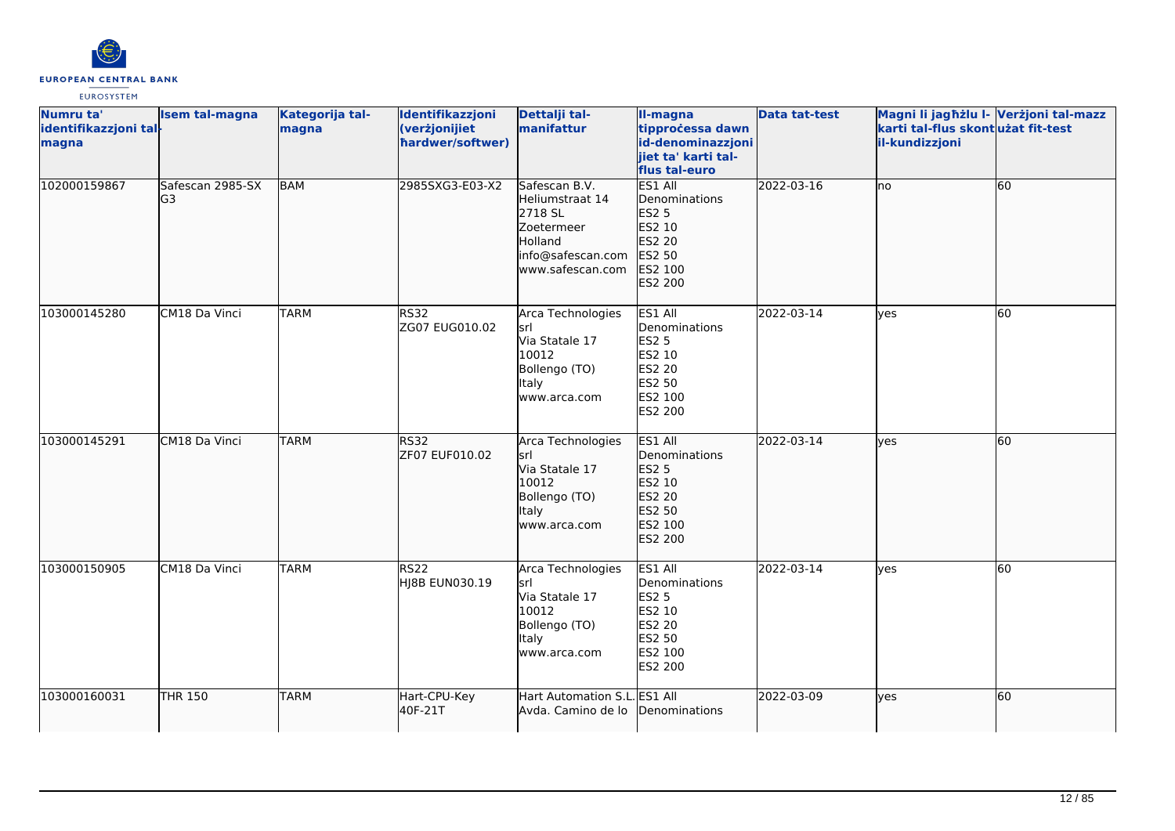

| Numru ta'<br>identifikazzjoni tal-<br>magna | <b>Isem tal-magna</b>  | Kategorija tal-<br>magna | Identifikazzjoni<br>(verżjonijiet<br>hardwer/softwer) | Dettalji tal-<br>manifattur                                                                                   | II-magna<br>tipprocessa dawn<br>id-denominazzjoni<br>jiet ta' karti tal-<br>flus tal-euro           | <b>Data tat-test</b> | Magni li jagħżlu I- Verżjoni tal-mazz<br>karti tal-flus skont użat fit-test<br>il-kundizzjoni |    |
|---------------------------------------------|------------------------|--------------------------|-------------------------------------------------------|---------------------------------------------------------------------------------------------------------------|-----------------------------------------------------------------------------------------------------|----------------------|-----------------------------------------------------------------------------------------------|----|
| 102000159867                                | Safescan 2985-SX<br>G3 | <b>BAM</b>               | 2985SXG3-E03-X2                                       | Safescan B.V.<br>Heliumstraat 14<br>2718 SL<br>Zoetermeer<br>Holland<br>info@safescan.com<br>www.safescan.com | ES1 All<br>Denominations<br><b>ES2 5</b><br>ES2 10<br><b>ES2 20</b><br>ES2 50<br>ES2 100<br>ES2 200 | 2022-03-16           | lno                                                                                           | 60 |
| 103000145280                                | CM18 Da Vinci          | <b>TARM</b>              | <b>RS32</b><br>ZG07 EUG010.02                         | Arca Technologies<br><b>srl</b><br>Via Statale 17<br>10012<br>Bollengo (TO)<br>Italy<br>www.arca.com          | ES1 All<br>Denominations<br><b>ES2 5</b><br>ES2 10<br>ES2 20<br>ES2 50<br>ES2 100<br>ES2 200        | 2022-03-14           | <b>l</b> ves                                                                                  | 60 |
| 103000145291                                | CM18 Da Vinci          | <b>TARM</b>              | <b>RS32</b><br>ZF07 EUF010.02                         | Arca Technologies<br>lsrl<br>Via Statale 17<br>10012<br>Bollengo (TO)<br>Italy<br>www.arca.com                | ES1 All<br>Denominations<br>ES2 5<br>ES2 10<br>ES2 20<br>ES2 50<br>ES2 100<br>ES2 200               | 2022-03-14           | lves                                                                                          | 60 |
| 103000150905                                | CM18 Da Vinci          | <b>TARM</b>              | RS22<br>HJ8B EUN030.19                                | Arca Technologies<br>lsrl<br>Via Statale 17<br>10012<br>Bollengo (TO)<br>Italy<br>www.arca.com                | ES1 All<br>Denominations<br><b>ES2 5</b><br>ES2 10<br><b>ES2 20</b><br>ES2 50<br>ES2 100<br>ES2 200 | 2022-03-14           | ves                                                                                           | 60 |
| 103000160031                                | <b>THR 150</b>         | <b>TARM</b>              | Hart-CPU-Key<br>40F-21T                               | Hart Automation S.L. ES1 All<br>Avda. Camino de lo                                                            | Denominations                                                                                       | 2022-03-09           | lyes                                                                                          | 60 |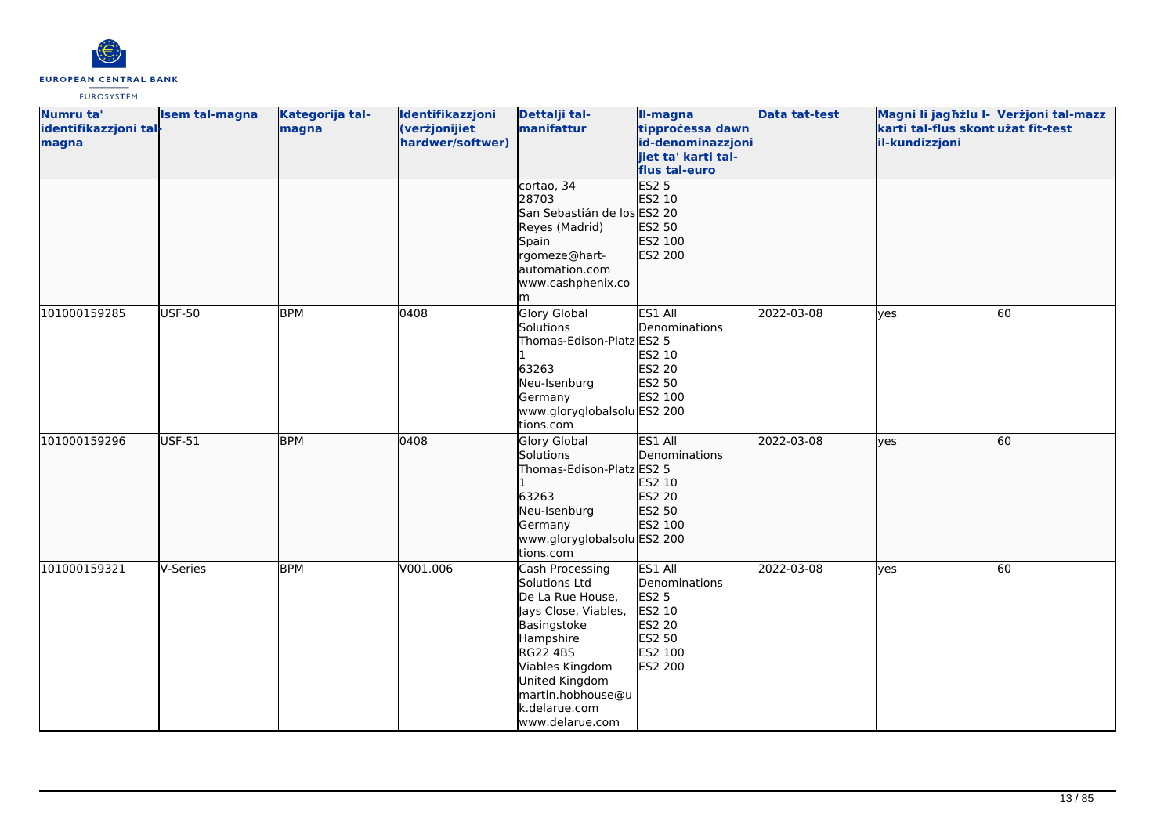

| Numru ta'             | Isem tal-magna | Kategorija tal- | Identifikazzjoni | Dettalji tal-               | II-magna            | <b>Data tat-test</b> | Magni li jagħżlu I- Verżjoni tal-mazz |    |
|-----------------------|----------------|-----------------|------------------|-----------------------------|---------------------|----------------------|---------------------------------------|----|
| identifikazzjoni tal- |                | magna           | (verżjonijiet    | manifattur                  | tipprocessa dawn    |                      | karti tal-flus skontużat fit-test     |    |
| magna                 |                |                 | hardwer/softwer) |                             | id-denominazzjoni   |                      | il-kundizzjoni                        |    |
|                       |                |                 |                  |                             | jiet ta' karti tal- |                      |                                       |    |
|                       |                |                 |                  |                             | flus tal-euro       |                      |                                       |    |
|                       |                |                 |                  | cortao, 34                  | <b>ES2 5</b>        |                      |                                       |    |
|                       |                |                 |                  | 28703                       | ES2 10              |                      |                                       |    |
|                       |                |                 |                  | San Sebastián de los ES2 20 |                     |                      |                                       |    |
|                       |                |                 |                  | Reyes (Madrid)              | ES2 50              |                      |                                       |    |
|                       |                |                 |                  | Spain                       | ES2 100             |                      |                                       |    |
|                       |                |                 |                  | rgomeze@hart-               | ES2 200             |                      |                                       |    |
|                       |                |                 |                  | automation.com              |                     |                      |                                       |    |
|                       |                |                 |                  | www.cashphenix.co           |                     |                      |                                       |    |
|                       |                |                 |                  | m                           |                     |                      |                                       |    |
| 101000159285          | <b>USF-50</b>  | <b>BPM</b>      | 0408             | <b>Glory Global</b>         | ES1 All             | 2022-03-08           | lyes                                  | 60 |
|                       |                |                 |                  | Solutions                   | Denominations       |                      |                                       |    |
|                       |                |                 |                  | Thomas-Edison-Platz ES2 5   |                     |                      |                                       |    |
|                       |                |                 |                  |                             | ES2 10              |                      |                                       |    |
|                       |                |                 |                  | 63263                       | ES2 20              |                      |                                       |    |
|                       |                |                 |                  | Neu-Isenburg                | ES2 50              |                      |                                       |    |
|                       |                |                 |                  | Germany                     | ES2 100             |                      |                                       |    |
|                       |                |                 |                  | www.gloryglobalsolu ES2 200 |                     |                      |                                       |    |
|                       |                |                 |                  | tions.com                   |                     |                      |                                       |    |
| 101000159296          | <b>USF-51</b>  | <b>BPM</b>      | 0408             | Glory Global                | ES1 All             | 2022-03-08           | lyes                                  | 60 |
|                       |                |                 |                  | Solutions                   | Denominations       |                      |                                       |    |
|                       |                |                 |                  | Thomas-Edison-Platz ES2 5   |                     |                      |                                       |    |
|                       |                |                 |                  |                             | ES2 10              |                      |                                       |    |
|                       |                |                 |                  | 63263                       | ES2 20              |                      |                                       |    |
|                       |                |                 |                  | Neu-Isenburg                | ES2 50              |                      |                                       |    |
|                       |                |                 |                  | Germany                     | ES2 100             |                      |                                       |    |
|                       |                |                 |                  | www.gloryglobalsolu ES2 200 |                     |                      |                                       |    |
|                       |                |                 |                  | tions.com                   |                     |                      |                                       |    |
| 101000159321          | V-Series       | <b>BPM</b>      | V001.006         | Cash Processing             | ES1 All             | 2022-03-08           | yes                                   | 60 |
|                       |                |                 |                  | Solutions Ltd               | Denominations       |                      |                                       |    |
|                       |                |                 |                  | De La Rue House,            | <b>ES2 5</b>        |                      |                                       |    |
|                       |                |                 |                  | Jays Close, Viables,        | ES2 10              |                      |                                       |    |
|                       |                |                 |                  | Basingstoke                 | <b>ES2 20</b>       |                      |                                       |    |
|                       |                |                 |                  | Hampshire                   | ES2 50              |                      |                                       |    |
|                       |                |                 |                  | <b>RG22 4BS</b>             | ES2 100             |                      |                                       |    |
|                       |                |                 |                  | Viables Kingdom             | ES2 200             |                      |                                       |    |
|                       |                |                 |                  | United Kingdom              |                     |                      |                                       |    |
|                       |                |                 |                  | martin.hobhouse@u           |                     |                      |                                       |    |
|                       |                |                 |                  | k.delarue.com               |                     |                      |                                       |    |
|                       |                |                 |                  | www.delarue.com             |                     |                      |                                       |    |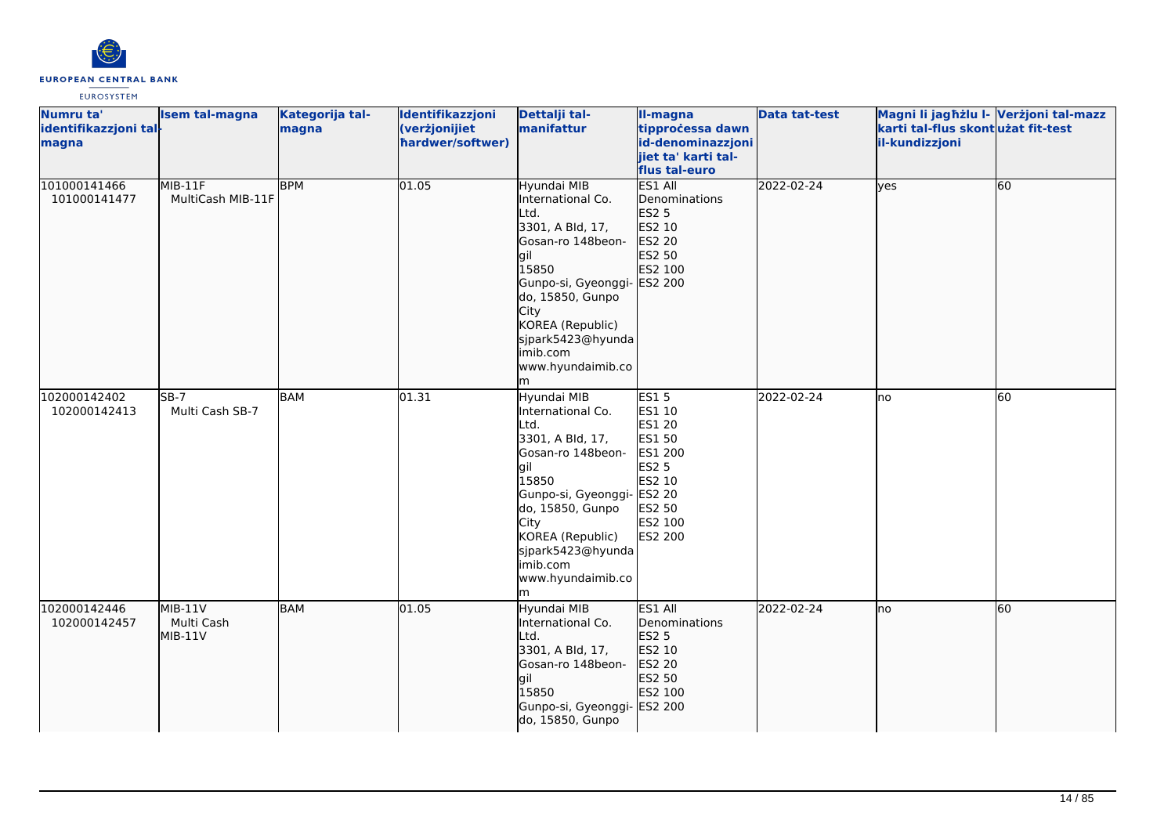

| Numru ta'<br>identifikazzjoni tal-<br>magna | <b>Isem tal-magna</b>                | Kategorija tal-<br>magna | Identifikazzjoni<br>(verżjonijiet<br>hardwer/softwer) | Dettalji tal-<br>manifattur                                                                                                                                                                                                                   | Il-magna<br>tipprocessa dawn<br>id-denominazzjoni<br>jiet ta' karti tal-<br>flus tal-euro                      | <b>Data tat-test</b> | Magni li jagħżlu I- Verżjoni tal-mazz<br>karti tal-flus skontużat fit-test<br>il-kundizzjoni |    |
|---------------------------------------------|--------------------------------------|--------------------------|-------------------------------------------------------|-----------------------------------------------------------------------------------------------------------------------------------------------------------------------------------------------------------------------------------------------|----------------------------------------------------------------------------------------------------------------|----------------------|----------------------------------------------------------------------------------------------|----|
| 101000141466<br>101000141477                | MIB-11F<br>MultiCash MIB-11F         | <b>BPM</b>               | 01.05                                                 | Hyundai MIB<br>International Co.<br>Ltd.<br>3301, A Bld, 17,<br>Gosan-ro 148beon-<br>lgil<br>15850<br>Gunpo-si, Gyeonggi- ES2 200<br>do, 15850, Gunpo<br>City<br>KOREA (Republic)<br>sjpark5423@hyunda<br>limib.com<br>www.hyundaimib.co<br>m | ES1 All<br>Denominations<br>ES2 5<br>ES2 10<br>ES2 20<br>ES2 50<br>ES2 100                                     | 2022-02-24           | lves                                                                                         | 60 |
| 102000142402<br>102000142413                | $SB-7$<br>Multi Cash SB-7            | <b>BAM</b>               | 01.31                                                 | Hyundai MIB<br>International Co.<br>Ltd.<br>3301, A Bld, 17,<br>Gosan-ro 148beon-<br>gil<br>15850<br>Gunpo-si, Gyeonggi- ES2 20<br>do, 15850, Gunpo<br>City<br>KOREA (Republic)<br>sjpark5423@hyunda<br>imib.com<br>www.hyundaimib.co<br>lm   | <b>ES15</b><br>ES1 10<br>ES1 20<br>ES1 50<br>ES1 200<br><b>ES2 5</b><br>ES2 10<br>ES2 50<br>ES2 100<br>ES2 200 | 2022-02-24           | lno                                                                                          | 60 |
| 102000142446<br>102000142457                | $MIB-11V$<br>Multi Cash<br>$MIB-11V$ | <b>BAM</b>               | 01.05                                                 | Hyundai MIB<br>International Co.<br>Ltd.<br>3301, A Bld, 17,<br>Gosan-ro 148beon-<br>gil<br>15850<br>Gunpo-si, Gyeonggi- ES2 200<br>do, 15850, Gunpo                                                                                          | ES1 All<br>Denominations<br>ES2 5<br>ES2 10<br>ES2 20<br>ES2 50<br>ES2 100                                     | 2022-02-24           | lno                                                                                          | 60 |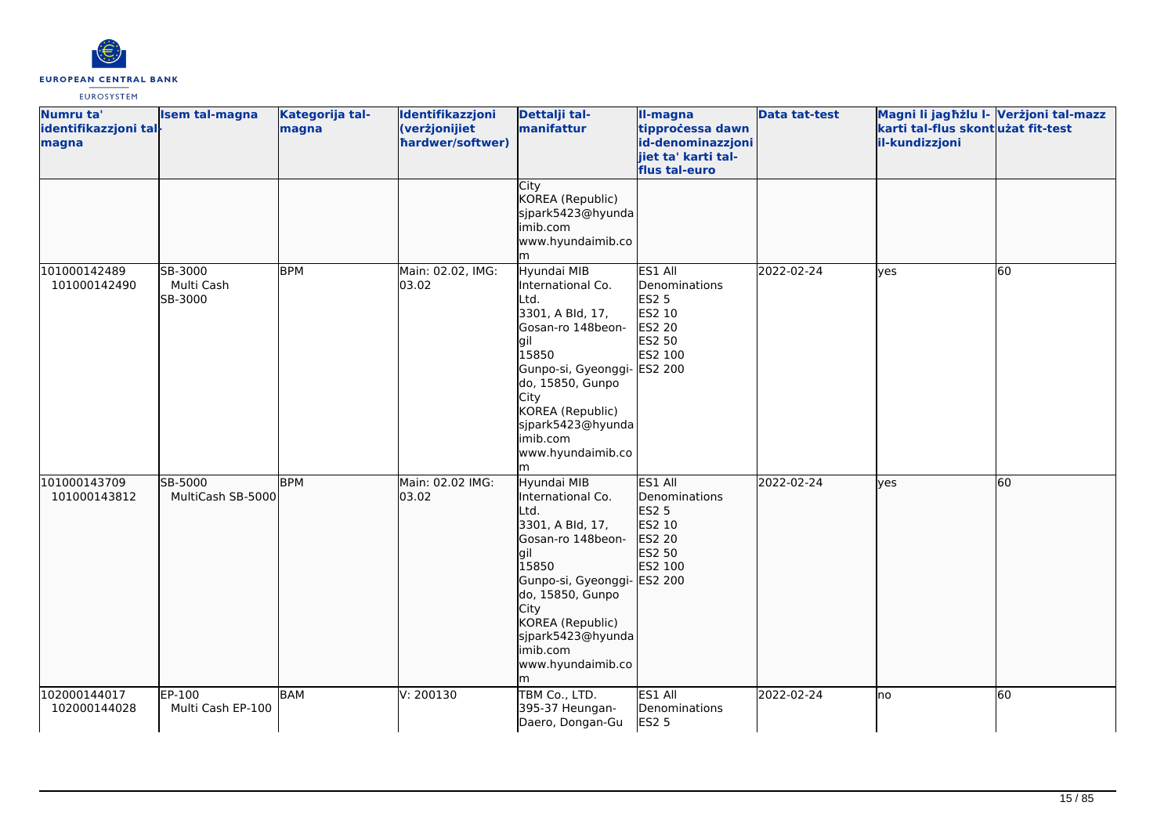

| Numru ta'<br>identifikazzjoni tal-<br>magna | Isem tal-magna                   | Kategorija tal-<br>magna | Identifikazzjoni<br>(verżjonijiet<br>hardwer/softwer) | Dettalji tal-<br>manifattur                                                                                                                                                                                                                  | II-magna<br>tipprocessa dawn<br>id-denominazzjoni<br>jiet ta' karti tal-<br>flus tal-euro | <b>Data tat-test</b> | Magni li jagħżlu I- Verżjoni tal-mazz<br>karti tal-flus skontużat fit-test<br>il-kundizzjoni |    |
|---------------------------------------------|----------------------------------|--------------------------|-------------------------------------------------------|----------------------------------------------------------------------------------------------------------------------------------------------------------------------------------------------------------------------------------------------|-------------------------------------------------------------------------------------------|----------------------|----------------------------------------------------------------------------------------------|----|
|                                             |                                  |                          |                                                       | City<br>KOREA (Republic)<br>sjpark5423@hyunda<br>imib.com<br>www.hyundaimib.co                                                                                                                                                               |                                                                                           |                      |                                                                                              |    |
| 101000142489<br>101000142490                | SB-3000<br>Multi Cash<br>SB-3000 | <b>BPM</b>               | Main: 02.02, IMG:<br>03.02                            | Hyundai MIB<br>International Co.<br>Ltd.<br>3301, A Bld, 17,<br>Gosan-ro 148beon-<br>lgil<br>15850<br>Gunpo-si, Gyeonggi- ES2 200<br>do, 15850, Gunpo<br>City<br>KOREA (Republic)<br>sjpark5423@hyunda<br>imib.com<br>www.hyundaimib.co<br>m | ES1 All<br>Denominations<br><b>ES2 5</b><br>ES2 10<br><b>ES2 20</b><br>ES2 50<br>ES2 100  | 2022-02-24           | <b>ves</b>                                                                                   | 60 |
| 101000143709<br>101000143812                | SB-5000<br>MultiCash SB-5000     | <b>BPM</b>               | Main: 02.02 IMG:<br>03.02                             | Hyundai MIB<br>International Co.<br>Ltd.<br>3301, A Bld, 17,<br>Gosan-ro 148beon-<br>gil<br>15850<br>Gunpo-si, Gyeonggi- ES2 200<br>do, 15850, Gunpo<br>City<br>KOREA (Republic)<br>sjpark5423@hyunda<br>imib.com<br>www.hyundaimib.co<br>m  | ES1 All<br>Denominations<br>ES2 5<br>ES2 10<br>ES2 20<br>ES2 50<br>ES2 100                | 2022-02-24           | lves                                                                                         | 60 |
| 102000144017<br>102000144028                | EP-100<br>Multi Cash EP-100      | BAM                      | V: 200130                                             | TBM Co., LTD.<br>395-37 Heungan-<br>Daero, Dongan-Gu                                                                                                                                                                                         | ES1 All<br>Denominations<br><b>ES2 5</b>                                                  | 2022-02-24           | no                                                                                           | 60 |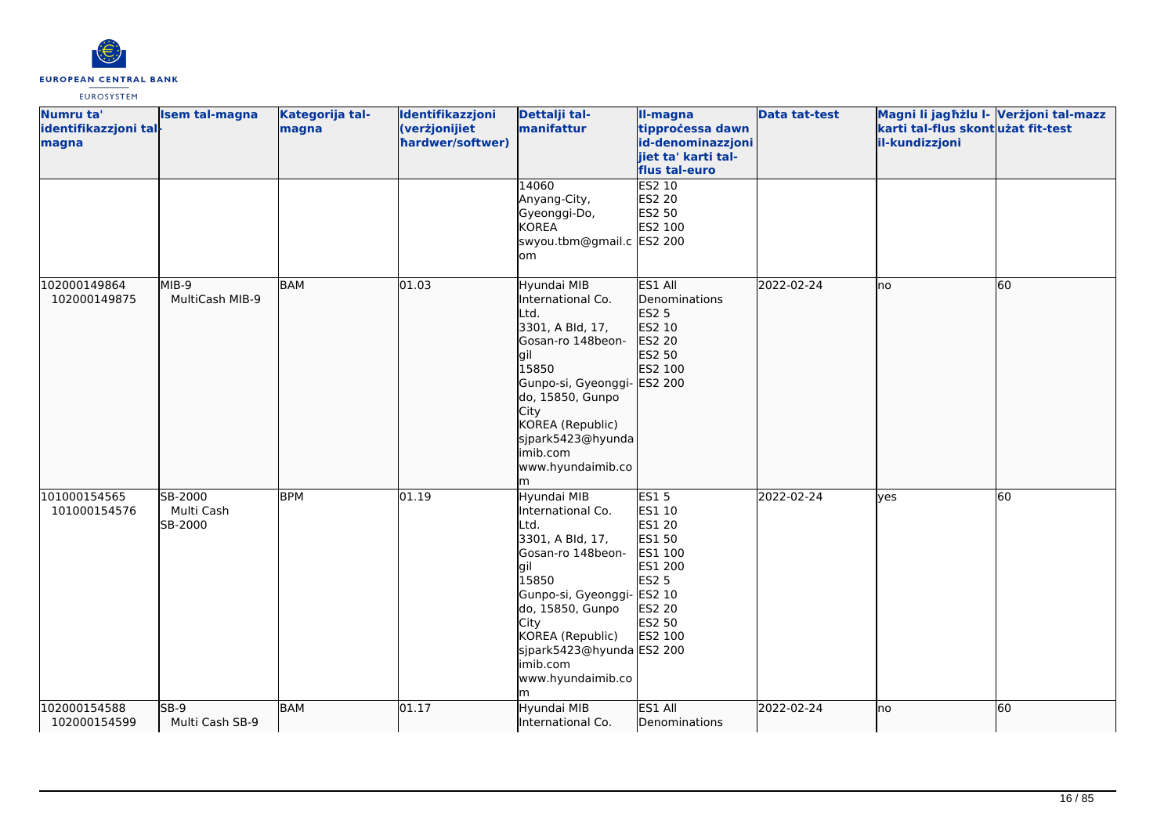

| Numru ta'<br>identifikazzjoni tal-<br>magna | Isem tal-magna                   | Kategorija tal-<br>magna | Identifikazzjoni<br>(verżjonijiet<br>hardwer/softwer) | Dettalji tal-<br>manifattur                                                                                                                                                                                                                        | <b>Il-magna</b><br>tipprocessa dawn<br>id-denominazzjoni<br>jiet ta' karti tal-<br>flus tal-euro               | <b>Data tat-test</b> | Magni li jagħżlu I- Verżjoni tal-mazz<br>karti tal-flus skontużat fit-test<br>il-kundizzjoni |    |
|---------------------------------------------|----------------------------------|--------------------------|-------------------------------------------------------|----------------------------------------------------------------------------------------------------------------------------------------------------------------------------------------------------------------------------------------------------|----------------------------------------------------------------------------------------------------------------|----------------------|----------------------------------------------------------------------------------------------|----|
|                                             |                                  |                          |                                                       | 14060<br>Anyang-City,<br>Gyeonggi-Do,<br><b>KOREA</b><br>swyou.tbm@gmail.c ES2 200<br>om                                                                                                                                                           | ES2 10<br>ES2 20<br>ES2 50<br>ES2 100                                                                          |                      |                                                                                              |    |
| 102000149864<br>102000149875                | MIB-9<br>MultiCash MIB-9         | <b>BAM</b>               | 01.03                                                 | Hyundai MIB<br>International Co.<br>Ltd.<br>3301, A Bld, 17,<br>Gosan-ro 148beon-<br>gil<br>15850<br>Gunpo-si, Gyeonggi- ES2 200<br>do, 15850, Gunpo<br>City<br>KOREA (Republic)<br>sjpark5423@hyunda<br>imib.com<br>www.hyundaimib.co<br>m        | ES1 All<br>Denominations<br><b>ES2 5</b><br>ES2 10<br>ES2 20<br>ES2 50<br>ES2 100                              | 2022-02-24           | lno                                                                                          | 60 |
| 101000154565<br>101000154576                | SB-2000<br>Multi Cash<br>SB-2000 | <b>BPM</b>               | 01.19                                                 | Hyundai MIB<br>International Co.<br>Ltd.<br>3301, A Bld, 17,<br>Gosan-ro 148beon-<br>gil<br>15850<br>Gunpo-si, Gyeonggi- ES2 10<br>do, 15850, Gunpo<br>City<br>KOREA (Republic)<br>sjpark5423@hyunda ES2 200<br>imib.com<br>www.hyundaimib.co<br>m | <b>ES15</b><br>ES1 10<br>ES1 20<br>ES1 50<br>ES1 100<br>ES1 200<br><b>ES2 5</b><br>ES2 20<br>ES2 50<br>ES2 100 | 2022-02-24           | <b>ves</b>                                                                                   | 60 |
| 102000154588<br>102000154599                | $SB-9$<br>Multi Cash SB-9        | <b>BAM</b>               | 01.17                                                 | Hyundai MIB<br>International Co.                                                                                                                                                                                                                   | ES1 All<br>Denominations                                                                                       | 2022-02-24           | lno                                                                                          | 60 |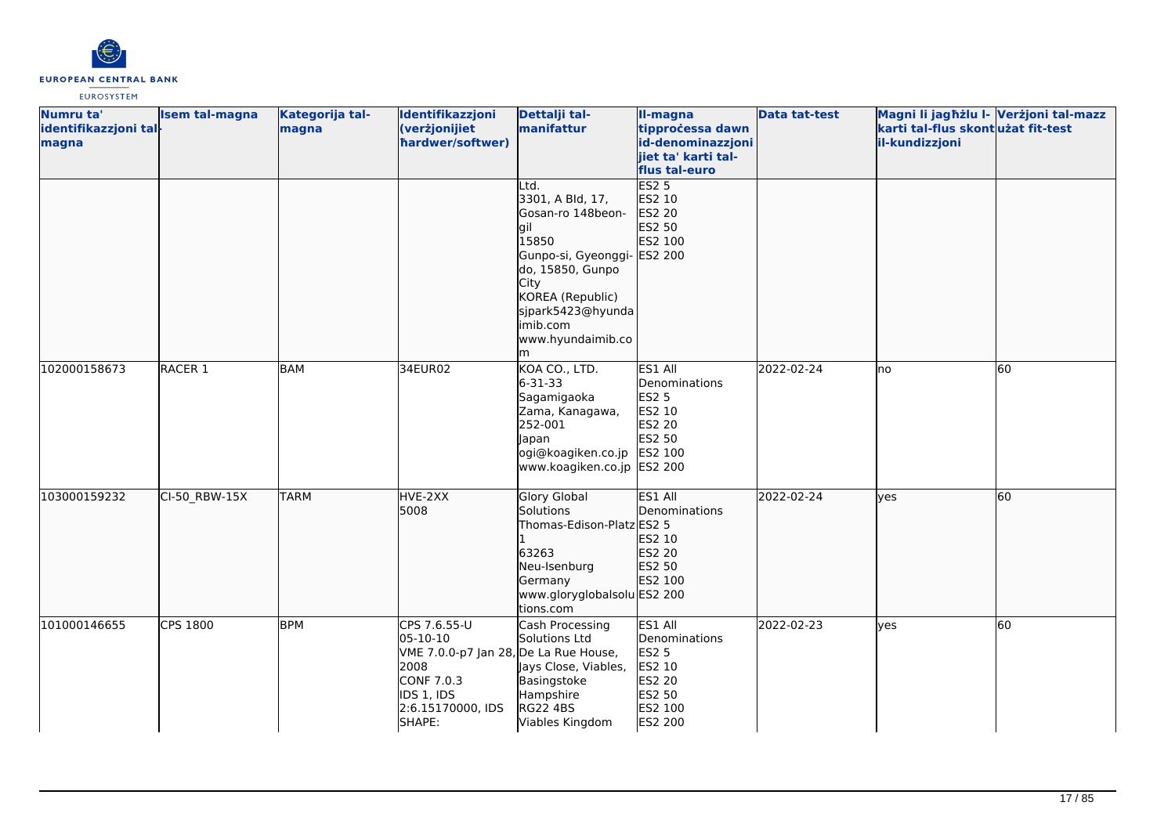

| Numru ta'             | Isem tal-magna     | Kategorija tal- | Identifikazzjoni                      | Dettalji tal-                            | II-magna            | <b>Data tat-test</b> | Magni li jagħżlu I- Verżjoni tal-mazz |    |
|-----------------------|--------------------|-----------------|---------------------------------------|------------------------------------------|---------------------|----------------------|---------------------------------------|----|
| identifikazzjoni tal- |                    | magna           | (verżjonijiet                         | manifattur                               | tipprocessa dawn    |                      | karti tal-flus skontużat fit-test     |    |
| magna                 |                    |                 | hardwer/softwer)                      |                                          | id-denominazzjoni   |                      | il-kundizzjoni                        |    |
|                       |                    |                 |                                       |                                          | jiet ta' karti tal- |                      |                                       |    |
|                       |                    |                 |                                       |                                          | flus tal-euro       |                      |                                       |    |
|                       |                    |                 |                                       | Ltd.                                     | <b>ES2 5</b>        |                      |                                       |    |
|                       |                    |                 |                                       | 3301, A Bld, 17,                         | ES2 10              |                      |                                       |    |
|                       |                    |                 |                                       | Gosan-ro 148beon-                        | ES2 20              |                      |                                       |    |
|                       |                    |                 |                                       | lgil                                     | ES2 50              |                      |                                       |    |
|                       |                    |                 |                                       | 15850                                    | ES2 100             |                      |                                       |    |
|                       |                    |                 |                                       | Gunpo-si, Gyeonggi- ES2 200              |                     |                      |                                       |    |
|                       |                    |                 |                                       | do, 15850, Gunpo                         |                     |                      |                                       |    |
|                       |                    |                 |                                       | City                                     |                     |                      |                                       |    |
|                       |                    |                 |                                       | KOREA (Republic)                         |                     |                      |                                       |    |
|                       |                    |                 |                                       | sjpark5423@hyunda                        |                     |                      |                                       |    |
|                       |                    |                 |                                       | imib.com                                 |                     |                      |                                       |    |
|                       |                    |                 |                                       | www.hyundaimib.co                        |                     |                      |                                       |    |
|                       |                    |                 |                                       | m                                        |                     |                      |                                       |    |
| 102000158673          | RACER <sub>1</sub> | BAM             | 34EUR02                               | KOA CO., LTD.                            | ES1 All             | 2022-02-24           | no                                    | 60 |
|                       |                    |                 |                                       | $6 - 31 - 33$                            | Denominations       |                      |                                       |    |
|                       |                    |                 |                                       | Sagamigaoka                              | <b>ES2 5</b>        |                      |                                       |    |
|                       |                    |                 |                                       | Zama, Kanagawa,                          | ES2 10              |                      |                                       |    |
|                       |                    |                 |                                       | 252-001                                  | <b>ES2 20</b>       |                      |                                       |    |
|                       |                    |                 |                                       | Japan                                    | ES2 50              |                      |                                       |    |
|                       |                    |                 |                                       | ogi@koagiken.co.jp                       | ES2 100             |                      |                                       |    |
|                       |                    |                 |                                       | www.koagiken.co.jp ES2 200               |                     |                      |                                       |    |
|                       |                    |                 |                                       |                                          |                     |                      |                                       |    |
| 103000159232          | CI-50 RBW-15X      | <b>TARM</b>     | HVE-2XX                               | <b>Glory Global</b>                      | ES1 All             | 2022-02-24           | lyes                                  | 60 |
|                       |                    |                 | 5008                                  | Solutions                                | Denominations       |                      |                                       |    |
|                       |                    |                 |                                       | Thomas-Edison-Platz ES2 5                |                     |                      |                                       |    |
|                       |                    |                 |                                       |                                          | ES2 10              |                      |                                       |    |
|                       |                    |                 |                                       | 63263                                    | ES2 20              |                      |                                       |    |
|                       |                    |                 |                                       | Neu-Isenburg                             | ES2 50              |                      |                                       |    |
|                       |                    |                 |                                       | Germany                                  | ES2 100             |                      |                                       |    |
|                       |                    |                 |                                       | www.gloryglobalsolu ES2 200<br>tions.com |                     |                      |                                       |    |
| 101000146655          | <b>CPS 1800</b>    | <b>BPM</b>      | CPS 7.6.55-U                          |                                          | ES1 All             | 2022-02-23           |                                       | 60 |
|                       |                    |                 | 05-10-10                              | Cash Processing<br>Solutions Ltd         | Denominations       |                      | ves                                   |    |
|                       |                    |                 | VME 7.0.0-p7 Jan 28, De La Rue House, |                                          | <b>ES2 5</b>        |                      |                                       |    |
|                       |                    |                 | 2008                                  | ays Close, Viables,                      | ES2 10              |                      |                                       |    |
|                       |                    |                 | CONF 7.0.3                            | Basingstoke                              | <b>ES2 20</b>       |                      |                                       |    |
|                       |                    |                 | IDS 1, IDS                            | Hampshire                                | ES2 50              |                      |                                       |    |
|                       |                    |                 | 2:6.15170000, IDS                     | <b>RG22 4BS</b>                          | ES2 100             |                      |                                       |    |
|                       |                    |                 | SHAPE:                                | Viables Kingdom                          | ES2 200             |                      |                                       |    |
|                       |                    |                 |                                       |                                          |                     |                      |                                       |    |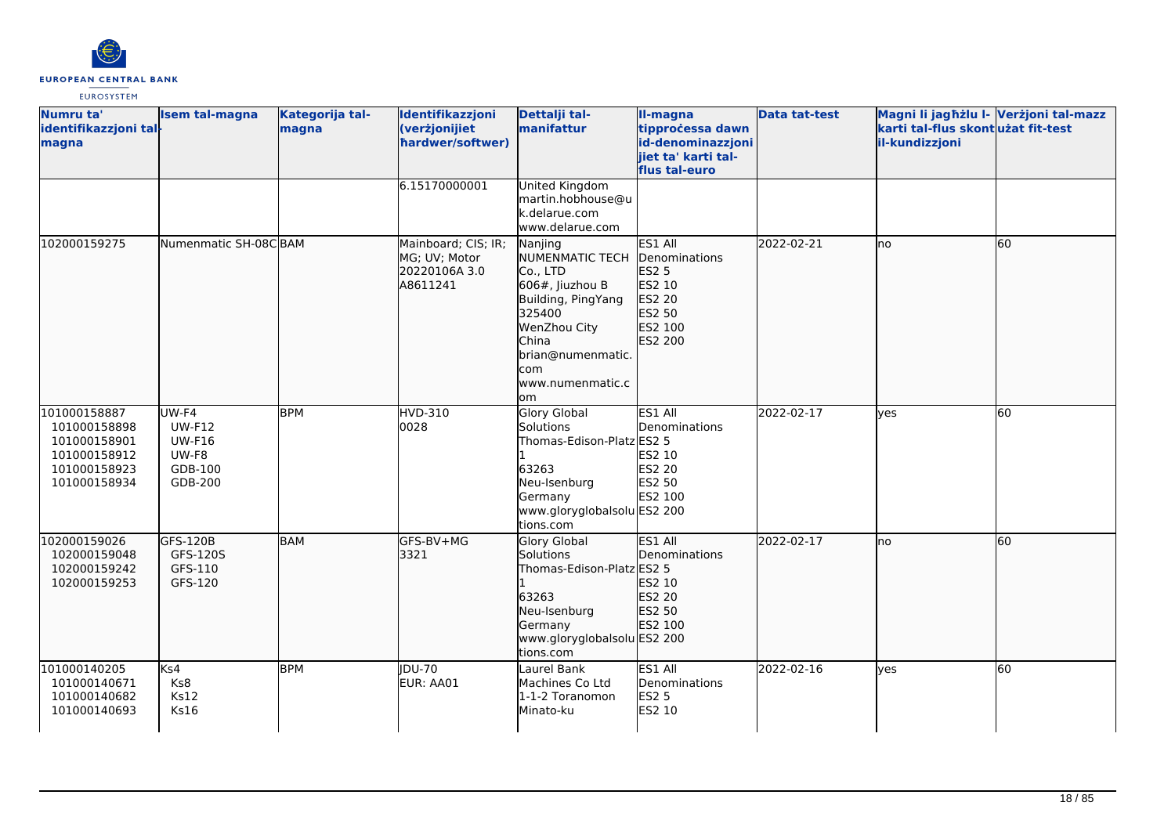

| Numru ta'<br>identifikazzjoni tal-<br>magna                                                  | <b>Isem tal-magna</b>                                                  | Kategorija tal-<br>magna | Identifikazzjoni<br>(verżjonijiet<br>hardwer/softwer)             | Dettalji tal-<br>manifattur                                                                                                                                                     | II-magna<br>tipprocessa dawn<br>id-denominazzjoni<br>jiet ta' karti tal-<br>flus tal-euro | <b>Data tat-test</b> | Magni li jagħżlu I- Verżjoni tal-mazz<br>karti tal-flus skont użat fit-test<br>il-kundizzjoni |    |
|----------------------------------------------------------------------------------------------|------------------------------------------------------------------------|--------------------------|-------------------------------------------------------------------|---------------------------------------------------------------------------------------------------------------------------------------------------------------------------------|-------------------------------------------------------------------------------------------|----------------------|-----------------------------------------------------------------------------------------------|----|
|                                                                                              |                                                                        |                          | 6.15170000001                                                     | United Kingdom<br>martin.hobhouse@u<br>k.delarue.com<br>www.delarue.com                                                                                                         |                                                                                           |                      |                                                                                               |    |
| 102000159275                                                                                 | Numenmatic SH-08CBAM                                                   |                          | Mainboard; CIS; IR;<br>MG; UV; Motor<br>20220106A 3.0<br>A8611241 | Nanjing<br>NUMENMATIC TECH<br>Co., LTD<br>606#, Jiuzhou B<br>Building, PingYang<br>325400<br>WenZhou City<br><b>China</b><br>brian@numenmatic.<br>com<br>www.numenmatic.c<br>om | ES1 All<br>Denominations<br>ES2 5<br>ES2 10<br>ES2 20<br>ES2 50<br>ES2 100<br>ES2 200     | 2022-02-21           | lno                                                                                           | 60 |
| 101000158887<br>101000158898<br>101000158901<br>101000158912<br>101000158923<br>101000158934 | UW-F4<br><b>UW-F12</b><br><b>UW-F16</b><br>UW-F8<br>GDB-100<br>GDB-200 | <b>BPM</b>               | HVD-310<br>0028                                                   | <b>Glory Global</b><br>Solutions<br>Thomas-Edison-Platz ES2 5<br>63263<br>Neu-Isenburg<br>Germany<br>www.gloryglobalsolu ES2 200<br>tions.com                                   | ES1 All<br>Denominations<br><b>ES2 10</b><br><b>ES2 20</b><br>ES2 50<br>ES2 100           | 2022-02-17           | ves                                                                                           | 60 |
| 102000159026<br>102000159048<br>102000159242<br>102000159253                                 | GFS-120B<br>GFS-120S<br>GFS-110<br>GFS-120                             | <b>BAM</b>               | GFS-BV+MG<br>3321                                                 | <b>Glory Global</b><br>Solutions<br>Thomas-Edison-Platz ES2 5<br>63263<br>Neu-Isenburg<br>Germany<br>www.gloryglobalsolu ES2 200<br>tions.com                                   | ES1 All<br>Denominations<br>ES2 10<br>ES2 20<br>ES2 50<br>ES2 100                         | 2022-02-17           | lno                                                                                           | 60 |
| 101000140205<br>101000140671<br>101000140682<br>101000140693                                 | Ks4<br>Ks8<br><b>Ks12</b><br><b>Ks16</b>                               | <b>BPM</b>               | <b>IDU-70</b><br>EUR: AA01                                        | Laurel Bank<br>Machines Co Ltd<br>1-1-2 Toranomon<br>Minato-ku                                                                                                                  | ES1 All<br>Denominations<br><b>ES2 5</b><br><b>ES2 10</b>                                 | 2022-02-16           | ves                                                                                           | 60 |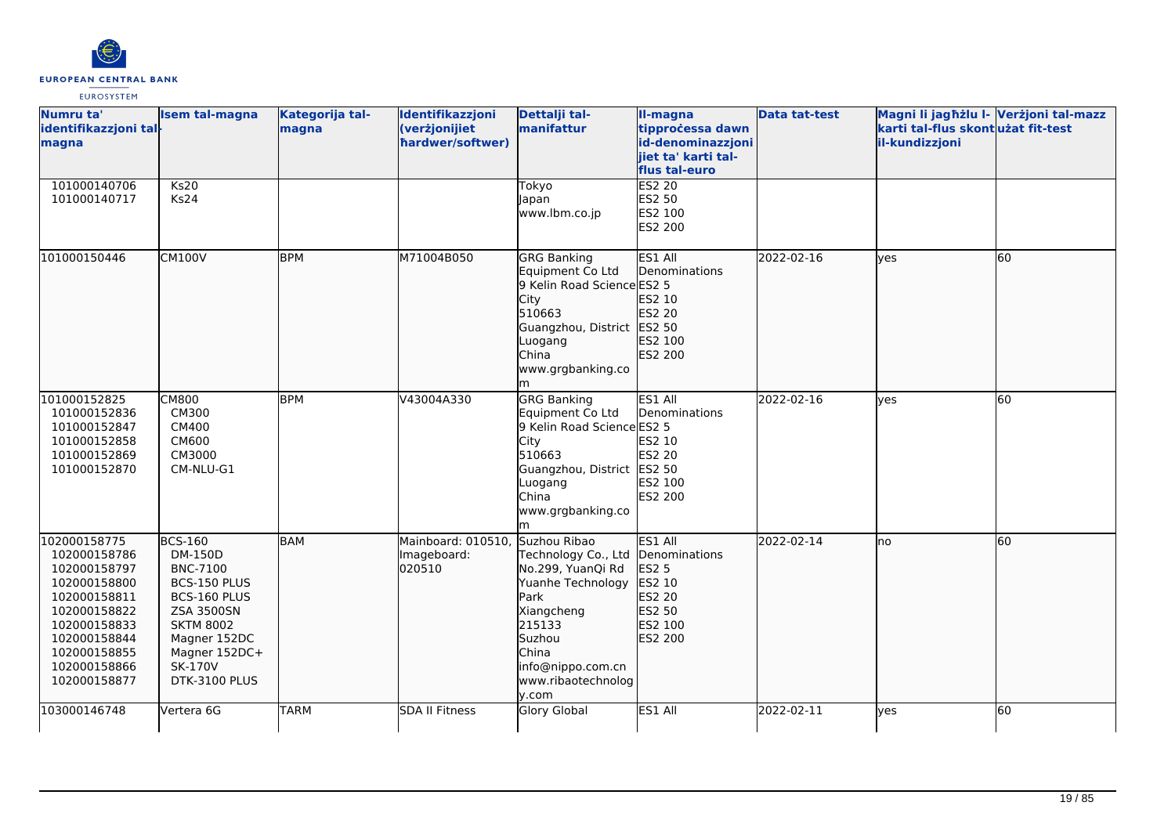

| Numru ta'<br>identifikazzjoni tal-<br>magna                                                                                                                                  | <b>Isem tal-magna</b>                                                                                                                                                                     | Kategorija tal-<br>magna | Identifikazzjoni<br>(verżjonijiet<br>hardwer/softwer) | Dettalji tal-<br>manifattur                                                                                                                                                          | II-magna<br>tipprocessa dawn<br>id-denominazzjoni<br>jiet ta' karti tal-<br>flus tal-euro    | <b>Data tat-test</b> | Magni li jagħżlu I- Verżjoni tal-mazz<br>karti tal-flus skontużat fit-test<br>il-kundizzjoni |    |
|------------------------------------------------------------------------------------------------------------------------------------------------------------------------------|-------------------------------------------------------------------------------------------------------------------------------------------------------------------------------------------|--------------------------|-------------------------------------------------------|--------------------------------------------------------------------------------------------------------------------------------------------------------------------------------------|----------------------------------------------------------------------------------------------|----------------------|----------------------------------------------------------------------------------------------|----|
| 101000140706<br>101000140717                                                                                                                                                 | Ks20<br>Ks24                                                                                                                                                                              |                          |                                                       | Tokyo<br>Japan<br>www.lbm.co.jp                                                                                                                                                      | ES2 20<br>ES2 50<br>ES2 100<br><b>ES2 200</b>                                                |                      |                                                                                              |    |
| 101000150446                                                                                                                                                                 | <b>CM100V</b>                                                                                                                                                                             | <b>BPM</b>               | M71004B050                                            | <b>GRG Banking</b><br>Equipment Co Ltd<br>9 Kelin Road Science ES2 5<br>City<br>510663<br>Guangzhou, District ES2 50<br>Luogang<br>China<br>www.grgbanking.co<br>m                   | ES1 All<br>Denominations<br>ES2 10<br>ES2 20<br>ES2 100<br>ES2 200                           | 2022-02-16           | lves                                                                                         | 60 |
| 101000152825<br>101000152836<br>101000152847<br>101000152858<br>101000152869<br>101000152870                                                                                 | <b>CM800</b><br>CM300<br><b>CM400</b><br>CM600<br>CM3000<br>CM-NLU-G1                                                                                                                     | <b>BPM</b>               | V43004A330                                            | <b>GRG Banking</b><br>Equipment Co Ltd<br>9 Kelin Road Science ES2 5<br>City<br>510663<br>Guangzhou, District ES2 50<br>Luogang<br>China<br>www.grgbanking.co<br>m                   | ES1 All<br>Denominations<br>ES2 10<br><b>ES2 20</b><br>ES2 100<br><b>ES2 200</b>             | 2022-02-16           | <b>ves</b>                                                                                   | 60 |
| 102000158775<br>102000158786<br>102000158797<br>102000158800<br>102000158811<br>102000158822<br>102000158833<br>102000158844<br>102000158855<br>102000158866<br>102000158877 | <b>BCS-160</b><br>DM-150D<br><b>BNC-7100</b><br>BCS-150 PLUS<br>BCS-160 PLUS<br><b>ZSA 3500SN</b><br><b>SKTM 8002</b><br>Magner 152DC<br>Magner 152DC+<br><b>SK-170V</b><br>DTK-3100 PLUS | BAM                      | Mainboard: 010510,<br>Imageboard:<br>020510           | Suzhou Ribao<br>Technology Co., Ltd<br>No.299, YuanQi Rd<br>Yuanhe Technology<br>Park<br>Xiangcheng<br>215133<br>Suzhou<br>China<br>info@nippo.com.cn<br>www.ribaotechnolog<br>y.com | ES1 All<br>Denominations<br><b>ES2 5</b><br>ES2 10<br>ES2 20<br>ES2 50<br>ES2 100<br>ES2 200 | 2022-02-14           | Ino                                                                                          | 60 |
| 103000146748                                                                                                                                                                 | Vertera 6G                                                                                                                                                                                | <b>TARM</b>              | <b>SDA II Fitness</b>                                 | <b>Glory Global</b>                                                                                                                                                                  | ES1 All                                                                                      | 2022-02-11           | ves                                                                                          | 60 |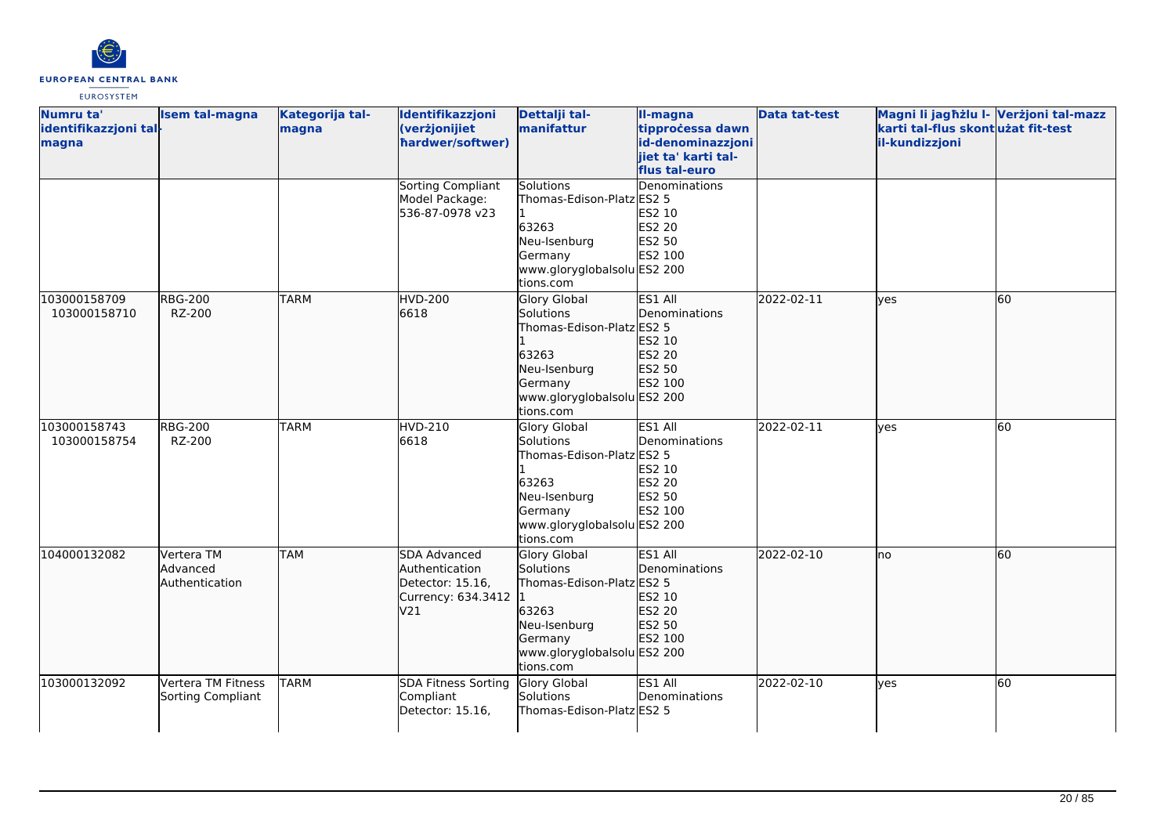

| Numru ta'             | <b>Isem tal-magna</b> | Kategorija tal- | Identifikazzjoni                  | Dettalji tal-                          | II-magna            | <b>Data tat-test</b> | Magni li jagħżlu I- Verżjoni tal-mazz |    |
|-----------------------|-----------------------|-----------------|-----------------------------------|----------------------------------------|---------------------|----------------------|---------------------------------------|----|
| identifikazzjoni tal- |                       | magna           | (verżjonijiet                     | manifattur                             | tipprocessa dawn    |                      | karti tal-flus skontużat fit-test     |    |
| magna                 |                       |                 | hardwer/softwer)                  |                                        | id-denominazzjoni   |                      | il-kundizzjoni                        |    |
|                       |                       |                 |                                   |                                        | jiet ta' karti tal- |                      |                                       |    |
|                       |                       |                 |                                   |                                        | flus tal-euro       |                      |                                       |    |
|                       |                       |                 | Sorting Compliant                 | Solutions                              | Denominations       |                      |                                       |    |
|                       |                       |                 | Model Package:<br>536-87-0978 v23 | Thomas-Edison-Platz ES2 5              | ES2 10              |                      |                                       |    |
|                       |                       |                 |                                   | 63263                                  | ES2 20              |                      |                                       |    |
|                       |                       |                 |                                   | Neu-Isenburg                           | ES2 50              |                      |                                       |    |
|                       |                       |                 |                                   | Germany                                | ES2 100             |                      |                                       |    |
|                       |                       |                 |                                   | www.gloryglobalsolu ES2 200            |                     |                      |                                       |    |
|                       |                       |                 |                                   | tions.com                              |                     |                      |                                       |    |
| 103000158709          | <b>RBG-200</b>        | <b>TARM</b>     | <b>HVD-200</b>                    | <b>Glory Global</b>                    | ES1 All             | 2022-02-11           | lves                                  | 60 |
| 103000158710          | RZ-200                |                 | 6618                              | Solutions                              | Denominations       |                      |                                       |    |
|                       |                       |                 |                                   | Thomas-Edison-Platz ES2 5              |                     |                      |                                       |    |
|                       |                       |                 |                                   |                                        | ES2 10              |                      |                                       |    |
|                       |                       |                 |                                   | 63263                                  | ES2 20              |                      |                                       |    |
|                       |                       |                 |                                   | Neu-Isenburg                           | ES2 50              |                      |                                       |    |
|                       |                       |                 |                                   | Germany                                | ES2 100             |                      |                                       |    |
|                       |                       |                 |                                   | www.gloryglobalsolu ES2 200            |                     |                      |                                       |    |
|                       |                       |                 |                                   | tions.com                              |                     |                      |                                       |    |
| 103000158743          | <b>RBG-200</b>        | <b>TARM</b>     | HVD-210                           | Glory Global                           | ES1 All             | 2022-02-11           | lyes                                  | 60 |
| 103000158754          | RZ-200                |                 | 6618                              | Solutions                              | Denominations       |                      |                                       |    |
|                       |                       |                 |                                   | Thomas-Edison-Platz ES2 5              |                     |                      |                                       |    |
|                       |                       |                 |                                   |                                        | ES2 10              |                      |                                       |    |
|                       |                       |                 |                                   | 63263                                  | ES2 20              |                      |                                       |    |
|                       |                       |                 |                                   | Neu-Isenburg                           | ES2 50              |                      |                                       |    |
|                       |                       |                 |                                   | Germany<br>www.gloryglobalsolu ES2 200 | ES2 100             |                      |                                       |    |
|                       |                       |                 |                                   | tions.com                              |                     |                      |                                       |    |
| 104000132082          | Vertera TM            | <b>TAM</b>      | SDA Advanced                      | <b>Glory Global</b>                    | ES1 All             | 2022-02-10           | lno                                   | 60 |
|                       | Advanced              |                 | Authentication                    | Solutions                              | Denominations       |                      |                                       |    |
|                       | Authentication        |                 | Detector: 15.16,                  | Thomas-Edison-Platz ES2 5              |                     |                      |                                       |    |
|                       |                       |                 | Currency: 634.3412  1             |                                        | ES2 10              |                      |                                       |    |
|                       |                       |                 | V21                               | 63263                                  | ES2 20              |                      |                                       |    |
|                       |                       |                 |                                   | Neu-Isenburg                           | ES2 50              |                      |                                       |    |
|                       |                       |                 |                                   | Germany                                | ES2 100             |                      |                                       |    |
|                       |                       |                 |                                   | www.gloryglobalsolu ES2 200            |                     |                      |                                       |    |
|                       |                       |                 |                                   | tions.com                              |                     |                      |                                       |    |
| 103000132092          | Vertera TM Fitness    | <b>TARM</b>     | <b>SDA Fitness Sorting</b>        | Glory Global                           | ES1 All             | 2022-02-10           | <b>ves</b>                            | 60 |
|                       | Sorting Compliant     |                 | Compliant                         | Solutions                              | Denominations       |                      |                                       |    |
|                       |                       |                 | Detector: 15.16,                  | Thomas-Edison-Platz ES2 5              |                     |                      |                                       |    |
|                       |                       |                 |                                   |                                        |                     |                      |                                       |    |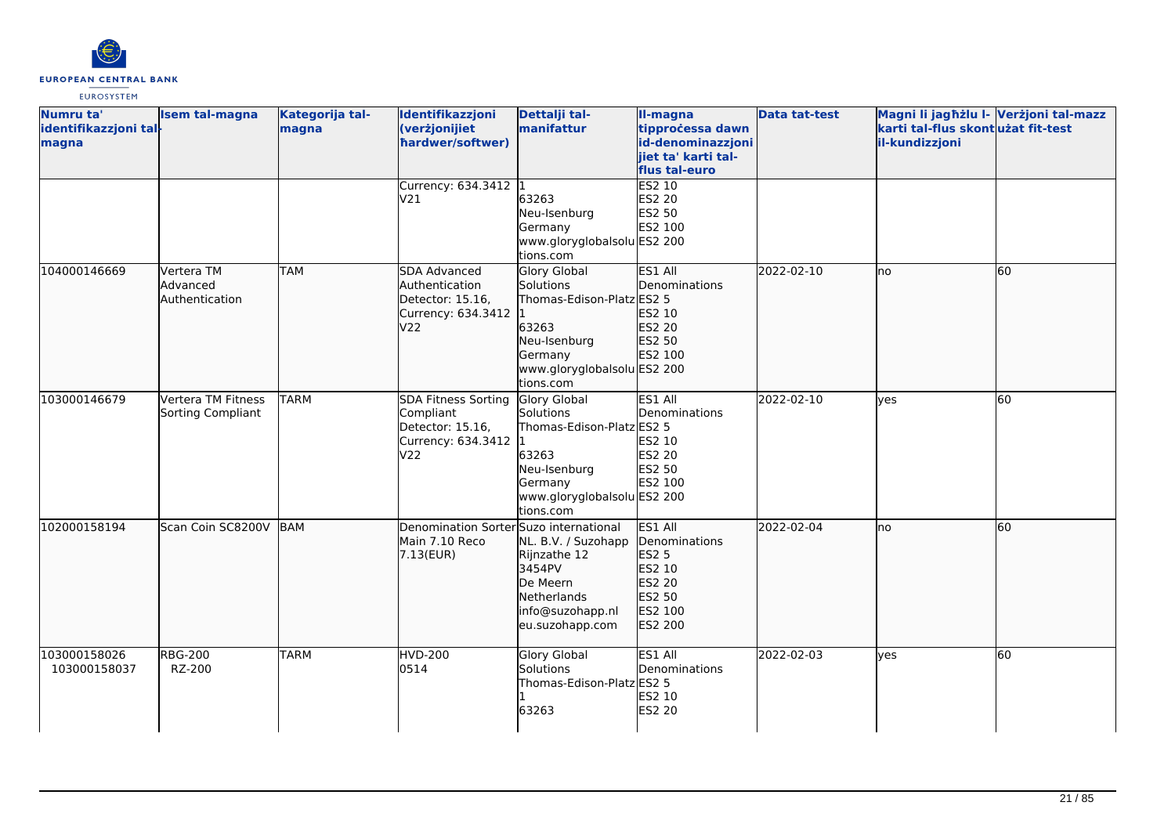

| Numru ta'<br>identifikazzjoni tal-<br>magna | <b>Isem tal-magna</b>                    | Kategorija tal-<br>magna | Identifikazzjoni<br>(verżjonijiet<br>hardwer/softwer)                               | Dettalji tal-<br>manifattur                                                                                                                   | II-magna<br>tipprocessa dawn<br>id-denominazzjoni<br>jiet ta' karti tal-<br>flus tal-euro | <b>Data tat-test</b> | Magni li jagħżlu I- Verżjoni tal-mazz<br>karti tal-flus skontużat fit-test<br>il-kundizzjoni |    |
|---------------------------------------------|------------------------------------------|--------------------------|-------------------------------------------------------------------------------------|-----------------------------------------------------------------------------------------------------------------------------------------------|-------------------------------------------------------------------------------------------|----------------------|----------------------------------------------------------------------------------------------|----|
|                                             |                                          |                          | Currency: 634.3412 1<br>V <sub>21</sub>                                             | 63263<br>Neu-Isenburg<br>Germany<br>www.gloryglobalsolu ES2 200<br>tions.com                                                                  | ES2 10<br><b>ES2 20</b><br>ES2 50<br>ES2 100                                              |                      |                                                                                              |    |
| 104000146669                                | Vertera TM<br>Advanced<br>Authentication | <b>TAM</b>               | SDA Advanced<br>Authentication<br>Detector: 15.16,<br>Currency: 634.3412<br>V22     | <b>Glory Global</b><br>Solutions<br>Thomas-Edison-Platz ES2 5<br>63263<br>Neu-Isenburg<br>Germany<br>www.gloryglobalsolu ES2 200<br>tions.com | ES1 All<br>Denominations<br>ES2 10<br>ES2 20<br>ES2 50<br>ES2 100                         | 2022-02-10           | Ino                                                                                          | 60 |
| 103000146679                                | Vertera TM Fitness<br>Sorting Compliant  | <b>TARM</b>              | SDA Fitness Sorting<br>Compliant<br>Detector: 15.16,<br>Currency: 634.3412 1<br>V22 | Glory Global<br>Solutions<br>Thomas-Edison-Platz ES2 5<br>63263<br>Neu-Isenburg<br>Germany<br>www.gloryglobalsolu ES2 200<br>tions.com        | ES1 All<br>Denominations<br>ES2 10<br>ES2 20<br>ES2 50<br>ES2 100                         | 2022-02-10           | <b>ves</b>                                                                                   | 60 |
| 102000158194                                | Scan Coin SC8200V                        | <b>BAM</b>               | Denomination Sorter Suzo international<br>Main 7.10 Reco<br>7.13(EUR)               | NL. B.V. / Suzohapp<br>Rijnzathe 12<br>3454PV<br>De Meern<br>Netherlands<br>info@suzohapp.nl<br>eu.suzohapp.com                               | ES1 All<br>Denominations<br>ES2 5<br>ES2 10<br>ES2 20<br>ES2 50<br>ES2 100<br>ES2 200     | 2022-02-04           | lno                                                                                          | 60 |
| 103000158026<br>103000158037                | <b>RBG-200</b><br>RZ-200                 | <b>TARM</b>              | <b>HVD-200</b><br>0514                                                              | <b>Glory Global</b><br>Solutions<br>Thomas-Edison-Platz ES2 5<br>63263                                                                        | ES1 All<br>Denominations<br>ES2 10<br><b>ES2 20</b>                                       | 2022-02-03           | <b>l</b> ves                                                                                 | 60 |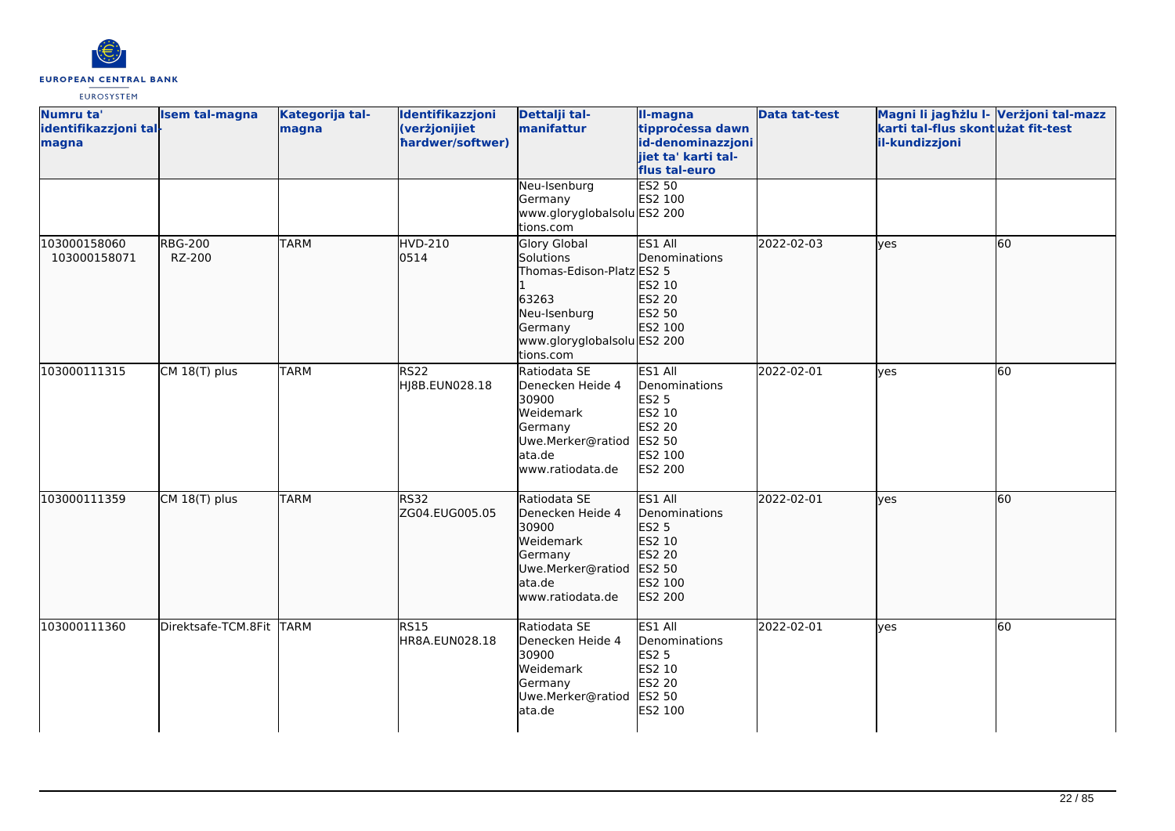

| Numru ta'<br>identifikazzjoni tal-<br>magna | <b>Isem tal-magna</b>    | Kategorija tal-<br>magna | Identifikazzjoni<br>(verżjonijiet<br>hardwer/softwer) | Dettalji tal-<br>manifattur                                                                                                            | II-magna<br>tipprocessa dawn<br>id-denominazzjoni<br>jiet ta' karti tal-<br>flus tal-euro           | <b>Data tat-test</b> | Magni li jagħżlu I- Verżjoni tal-mazz<br>karti tal-flus skontużat fit-test<br>il-kundizzjoni |    |
|---------------------------------------------|--------------------------|--------------------------|-------------------------------------------------------|----------------------------------------------------------------------------------------------------------------------------------------|-----------------------------------------------------------------------------------------------------|----------------------|----------------------------------------------------------------------------------------------|----|
|                                             |                          |                          |                                                       | Neu-Isenburg<br>Germany<br>www.gloryglobalsolu ES2 200<br>tions.com                                                                    | <b>ES2 50</b><br>ES2 100                                                                            |                      |                                                                                              |    |
| 103000158060<br>103000158071                | <b>RBG-200</b><br>RZ-200 | <b>TARM</b>              | HVD-210<br>0514                                       | Glory Global<br>Solutions<br>Thomas-Edison-Platz ES2 5<br>63263<br>Neu-Isenburg<br>Germany<br>www.gloryglobalsolu ES2 200<br>tions.com | ES1 All<br>Denominations<br>ES2 10<br>ES2 20<br>ES2 50<br>ES2 100                                   | 2022-02-03           | lyes                                                                                         | 60 |
| 103000111315                                | CM 18(T) plus            | <b>TARM</b>              | <b>RS22</b><br>HJ8B.EUN028.18                         | Ratiodata SE<br>Denecken Heide 4<br>30900<br>Weidemark<br>Germany<br>Uwe.Merker@ratiod<br>ata.de<br>www.ratiodata.de                   | ES1 All<br>Denominations<br><b>ES2 5</b><br>ES2 10<br>ES2 20<br>ES2 50<br>ES2 100<br><b>ES2 200</b> | 2022-02-01           | <b>l</b> ves                                                                                 | 60 |
| 103000111359                                | CM 18(T) plus            | <b>TARM</b>              | <b>RS32</b><br>ZG04.EUG005.05                         | Ratiodata SE<br>Denecken Heide 4<br>30900<br>Weidemark<br>Germany<br>Uwe.Merker@ratiod<br>ata.de<br>www.ratiodata.de                   | ES1 All<br>Denominations<br>ES2 5<br>ES2 10<br>ES2 20<br>ES2 50<br>ES2 100<br>ES2 200               | 2022-02-01           | lves                                                                                         | 60 |
| 103000111360                                | Direktsafe-TCM.8Fit TARM |                          | RS15<br>HR8A.EUN028.18                                | Ratiodata SE<br>Denecken Heide 4<br>30900<br>Weidemark<br>Germany<br>Uwe.Merker@ratiod<br>ata.de                                       | ES1 All<br>Denominations<br><b>ES2 5</b><br>ES2 10<br>ES2 20<br>ES2 50<br>ES2 100                   | 2022-02-01           | yes                                                                                          | 60 |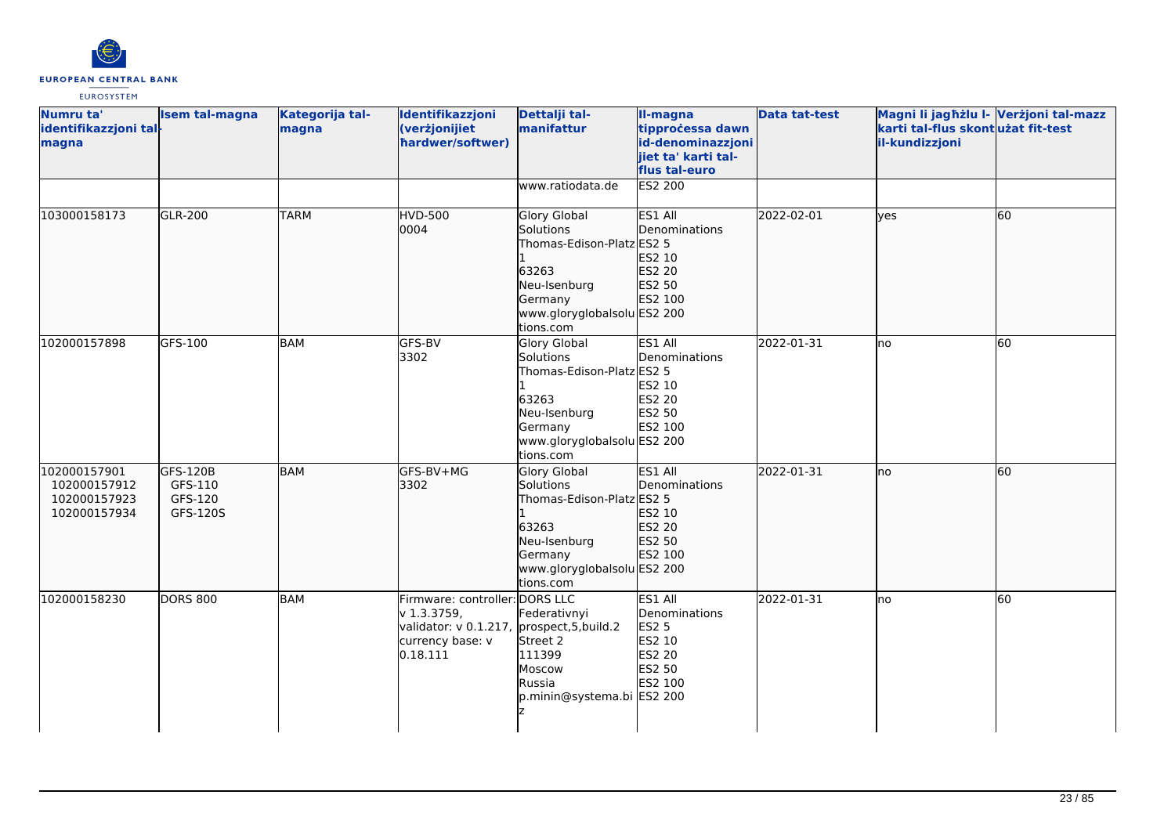

| Numru ta'<br>identifikazzjoni tal-<br>magna                  | <b>Isem tal-magna</b>                      | Kategorija tal-<br>magna | Identifikazzjoni<br>(verżjonijiet<br>hardwer/softwer)                                                                       | Dettalji tal-<br>manifattur                                                                                                                   | II-magna<br>tipprocessa dawn<br>id-denominazzjoni<br>jiet ta' karti tal-<br>flus tal-euro | Data tat-test | Magni li jagħżlu I- Verżjoni tal-mazz<br>karti tal-flus skont użat fit-test<br>il-kundizzjoni |           |
|--------------------------------------------------------------|--------------------------------------------|--------------------------|-----------------------------------------------------------------------------------------------------------------------------|-----------------------------------------------------------------------------------------------------------------------------------------------|-------------------------------------------------------------------------------------------|---------------|-----------------------------------------------------------------------------------------------|-----------|
|                                                              |                                            |                          |                                                                                                                             | www.ratiodata.de                                                                                                                              | <b>ES2 200</b>                                                                            |               |                                                                                               |           |
| 103000158173                                                 | <b>GLR-200</b>                             | <b>TARM</b>              | <b>HVD-500</b><br>0004                                                                                                      | <b>Glory Global</b><br>Solutions<br>Thomas-Edison-Platz ES2 5<br>63263<br>Neu-Isenburg<br>Germany<br>www.gloryglobalsolu ES2 200<br>tions.com | ES1 All<br>Denominations<br>ES2 10<br>ES2 20<br>ES2 50<br>ES2 100                         | 2022-02-01    | lyes                                                                                          | 60        |
| 102000157898                                                 | GFS-100                                    | <b>BAM</b>               | GFS-BV<br>3302                                                                                                              | Glory Global<br>Solutions<br>Thomas-Edison-Platz ES2 5<br>63263<br>Neu-Isenburg<br>Germany<br>www.gloryglobalsolu ES2 200<br>tions.com        | ES1 All<br>Denominations<br>ES2 10<br>ES2 20<br>ES2 50<br>ES2 100                         | 2022-01-31    | lno                                                                                           | 60        |
| 102000157901<br>102000157912<br>102000157923<br>102000157934 | GFS-120B<br>GFS-110<br>GFS-120<br>GFS-120S | <b>BAM</b>               | GFS-BV+MG<br>3302                                                                                                           | <b>Glory Global</b><br>Solutions<br>Thomas-Edison-Platz ES2 5<br>63263<br>Neu-Isenburg<br>Germany<br>www.gloryglobalsolu ES2 200<br>tions.com | <b>ES1 AII</b><br>Denominations<br>ES2 10<br>ES2 20<br>ES2 50<br>ES2 100                  | 2022-01-31    | lno                                                                                           | 60        |
| 102000158230                                                 | <b>DORS 800</b>                            | <b>BAM</b>               | Firmware: controller: DORS LLC<br>v 1.3.3759,<br>validator: v 0.1.217, prospect, 5, build.2<br>currency base: v<br>0.18.111 | Federativnyi<br>Street 2<br>111399<br>Moscow<br>Russia<br>p.minin@systema.bi ES2 200                                                          | ES1 All<br>Denominations<br><b>ES2 5</b><br>ES2 10<br>ES2 20<br>ES2 50<br>ES2 100         | 2022-01-31    | Ino                                                                                           | <b>60</b> |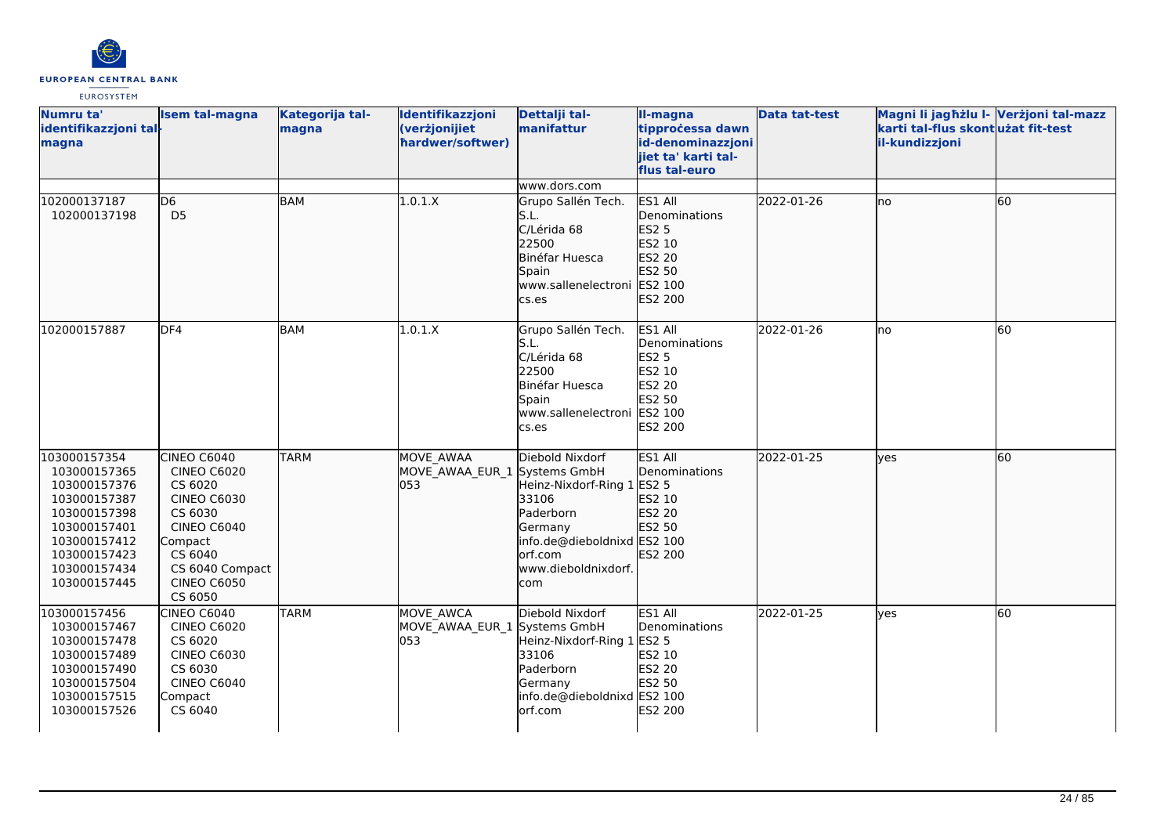

| Numru ta'<br>identifikazzjoni tal-<br>magna                                                                                                                  | <b>Isem tal-magna</b>                                                                                                                                                         | Kategorija tal-<br>magna | Identifikazzjoni<br>(verżjonijiet<br>hardwer/softwer) | Dettalji tal-<br>manifattur                                                                                                                                      | II-magna<br>tipprocessa dawn<br>id-denominazzjoni<br>iiet ta' karti tal-<br>flus tal-euro    | <b>Data tat-test</b> | Magni li jagħżlu I- Verżjoni tal-mazz<br>karti tal-flus skontużat fit-test<br>il-kundizzjoni |    |
|--------------------------------------------------------------------------------------------------------------------------------------------------------------|-------------------------------------------------------------------------------------------------------------------------------------------------------------------------------|--------------------------|-------------------------------------------------------|------------------------------------------------------------------------------------------------------------------------------------------------------------------|----------------------------------------------------------------------------------------------|----------------------|----------------------------------------------------------------------------------------------|----|
|                                                                                                                                                              |                                                                                                                                                                               |                          |                                                       | www.dors.com                                                                                                                                                     |                                                                                              |                      |                                                                                              |    |
| 102000137187<br>102000137198                                                                                                                                 | D <sub>6</sub><br>D <sub>5</sub>                                                                                                                                              | <b>BAM</b>               | 1.0.1.X                                               | Grupo Sallén Tech.<br>S.L.<br>C/Lérida 68<br>22500<br>Binéfar Huesca<br>Spain<br>www.sallenelectroni<br>cs.es                                                    | ES1 All<br>Denominations<br><b>ES2 5</b><br>ES2 10<br>ES2 20<br>ES2 50<br>ES2 100<br>ES2 200 | 2022-01-26           | no                                                                                           | 60 |
| 102000157887                                                                                                                                                 | DF4                                                                                                                                                                           | <b>BAM</b>               | 1.0.1.X                                               | Grupo Sallén Tech.<br>S.L.<br>C/Lérida 68<br>22500<br>Binéfar Huesca<br>Spain<br>www.sallenelectroni<br>cs.es                                                    | ES1 All<br>Denominations<br><b>ES2 5</b><br>ES2 10<br>ES2 20<br>ES2 50<br>ES2 100<br>ES2 200 | 2022-01-26           | Ino                                                                                          | 60 |
| 103000157354<br>103000157365<br>103000157376<br>103000157387<br>103000157398<br>103000157401<br>103000157412<br>103000157423<br>103000157434<br>103000157445 | CINEO C6040<br><b>CINEO C6020</b><br>CS 6020<br><b>CINEO C6030</b><br>CS 6030<br><b>CINEO C6040</b><br>Compact<br>CS 6040<br>CS 6040 Compact<br><b>CINEO C6050</b><br>CS 6050 | <b>TARM</b>              | MOVE AWAA<br>MOVE AWAA EUR 1<br>053                   | Diebold Nixdorf<br>Systems GmbH<br>Heinz-Nixdorf-Ring 1<br>33106<br>Paderborn<br>Germany<br>info.de@dieboldnixd ES2 100<br>orf.com<br>www.dieboldnixdorf.<br>com | ES1 All<br>Denominations<br><b>ES2 5</b><br>ES2 10<br>ES2 20<br>ES2 50<br>ES2 200            | 2022-01-25           | lves                                                                                         | 60 |
| 103000157456<br>103000157467<br>103000157478<br>103000157489<br>103000157490<br>103000157504<br>103000157515<br>103000157526                                 | <b>CINEO C6040</b><br><b>CINEO C6020</b><br>CS 6020<br><b>CINEO C6030</b><br>CS 6030<br><b>CINEO C6040</b><br>Compact<br>CS 6040                                              | <b>TARM</b>              | MOVE AWCA<br>MOVE AWAA EUR 1 Systems GmbH<br>053      | Diebold Nixdorf<br>Heinz-Nixdorf-Ring 1 ES2 5<br>33106<br>Paderborn<br>Germany<br>info.de@dieboldnixd ES2 100<br>orf.com                                         | ES1 All<br>Denominations<br>ES2 10<br>ES2 20<br>ES2 50<br>ES2 200                            | 2022-01-25           | <b>l</b> ves                                                                                 | 60 |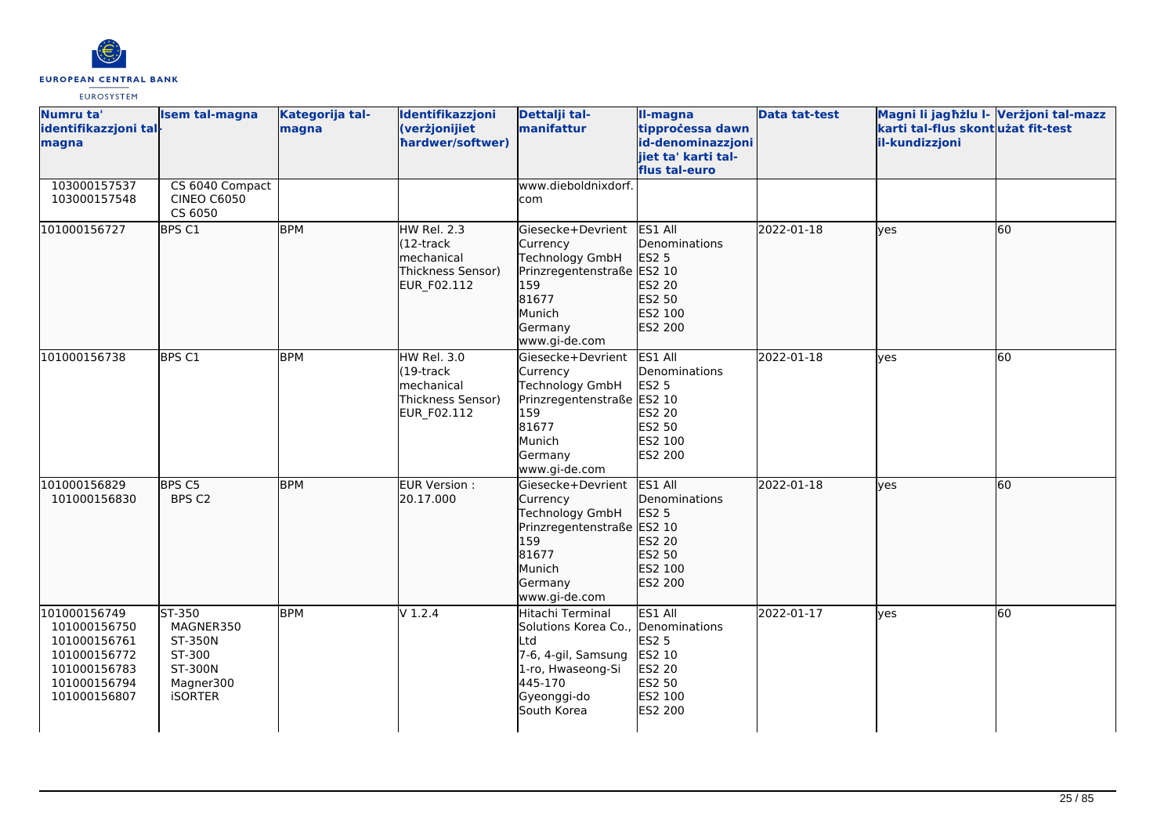

| Numru ta'<br>identifikazzjoni tal-<br>magna                                                                  | <b>Isem tal-magna</b>                                                                     | Kategorija tal-<br>magna | Identifikazzjoni<br>(verżjonijiet<br>hardwer/softwer)                                | Dettalji tal-<br>manifattur                                                                                                           | II-magna<br>tipprocessa dawn<br>id-denominazzjoni<br>iiet ta' karti tal-<br>flus tal-euro    | <b>Data tat-test</b> | Magni li jagħżlu I- Verżjoni tal-mazz<br>karti tal-flus skontużat fit-test<br>il-kundizzjoni |    |
|--------------------------------------------------------------------------------------------------------------|-------------------------------------------------------------------------------------------|--------------------------|--------------------------------------------------------------------------------------|---------------------------------------------------------------------------------------------------------------------------------------|----------------------------------------------------------------------------------------------|----------------------|----------------------------------------------------------------------------------------------|----|
| 103000157537<br>103000157548                                                                                 | CS 6040 Compact<br><b>CINEO C6050</b><br>CS 6050                                          |                          |                                                                                      | www.dieboldnixdorf.<br>com                                                                                                            |                                                                                              |                      |                                                                                              |    |
| 101000156727                                                                                                 | BPS C1                                                                                    | <b>BPM</b>               | HW Rel. 2.3<br>$(12 -$ track<br>mechanical<br>Thickness Sensor)<br>EUR_F02.112       | lGiesecke+Devrient<br>Currency<br>Technology GmbH<br>Prinzregentenstraße ES2 10<br>159<br>81677<br>Munich<br>Germany<br>www.gi-de.com | ES1 All<br>Denominations<br><b>ES2 5</b><br>ES2 20<br>ES2 50<br>ES2 100<br>ES2 200           | 2022-01-18           | lves                                                                                         | 60 |
| 101000156738                                                                                                 | BPS C1                                                                                    | <b>BPM</b>               | <b>HW Rel. 3.0</b><br>$(19$ -track<br>mechanical<br>Thickness Sensor)<br>EUR_F02.112 | Giesecke+Devrient<br>Currency<br>Technology GmbH<br>Prinzregentenstraße ES2 10<br>159<br>81677<br>Munich<br>Germany<br>www.gi-de.com  | ES1 All<br>Denominations<br><b>ES2 5</b><br>ES2 20<br>ES2 50<br>ES2 100<br><b>ES2 200</b>    | 2022-01-18           | ves                                                                                          | 60 |
| 101000156829<br>101000156830                                                                                 | BPS C5<br>BPS C2                                                                          | <b>BPM</b>               | EUR Version :<br>20.17.000                                                           | Giesecke+Devrient<br>Currency<br>Technology GmbH<br>Prinzregentenstraße ES2 10<br>159<br>81677<br>Munich<br>Germany<br>www.gi-de.com  | ES1 All<br>Denominations<br><b>ES2 5</b><br>ES2 20<br>ES2 50<br>ES2 100<br>ES2 200           | 2022-01-18           | lves                                                                                         | 60 |
| 101000156749<br>101000156750<br>101000156761<br>101000156772<br>101000156783<br>101000156794<br>101000156807 | ST-350<br>MAGNER350<br><b>ST-350N</b><br>ST-300<br>ST-300N<br>Magner300<br><b>iSORTER</b> | <b>BPM</b>               | $V$ 1.2.4                                                                            | Hitachi Terminal<br>Solutions Korea Co.,<br>Ltd<br>7-6, 4-gil, Samsung<br>1-ro, Hwaseong-Si<br>445-170<br>Gyeonggi-do<br>South Korea  | ES1 All<br>Denominations<br><b>ES2 5</b><br>ES2 10<br>ES2 20<br>ES2 50<br>ES2 100<br>ES2 200 | 2022-01-17           | <b>ves</b>                                                                                   | 60 |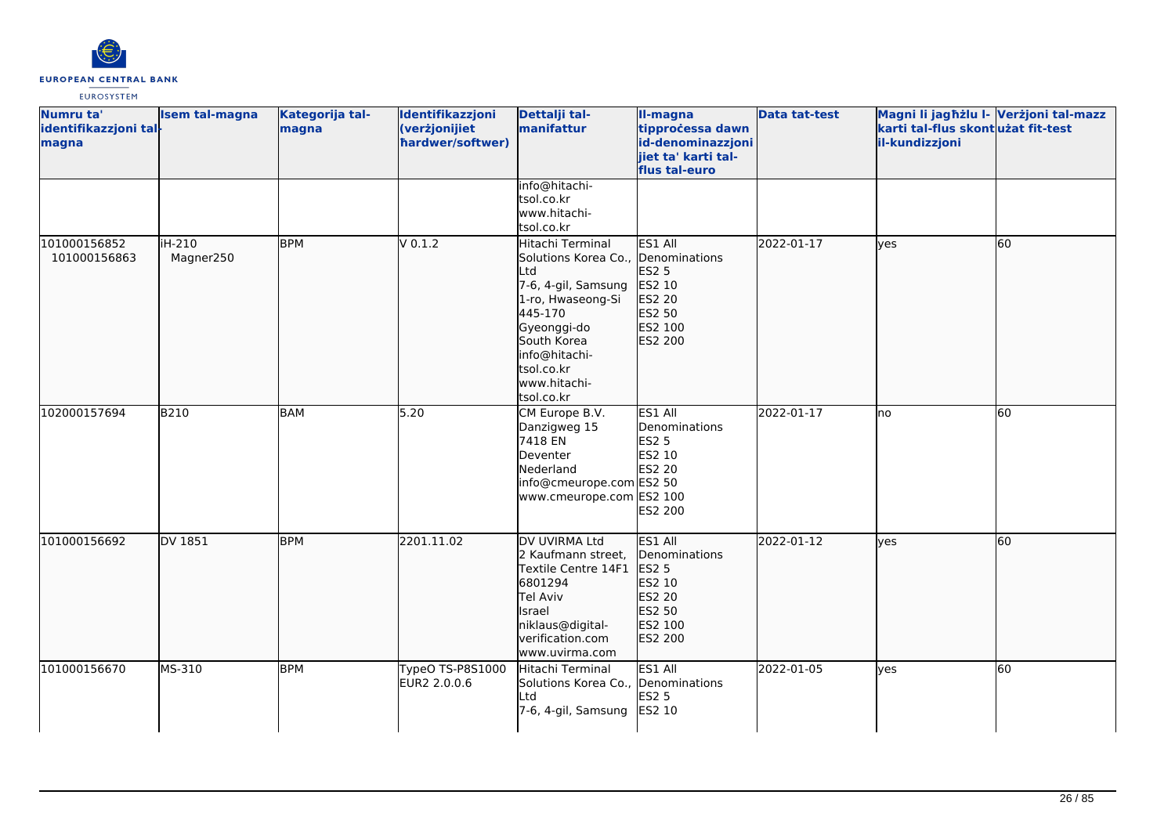

| Numru ta'<br>identifikazzjoni tal-<br>magna | <b>Isem tal-magna</b> | Kategorija tal-<br>magna | Identifikazzjoni<br>(verżjonijiet<br>hardwer/softwer) | Dettalji tal-<br>manifattur                                                                                                                                                                                     | II-magna<br>tipprocessa dawn<br>id-denominazzjoni<br>jiet ta' karti tal-<br>flus tal-euro           | <b>Data tat-test</b> | Magni li jagħżlu I- Verżjoni tal-mazz<br>karti tal-flus skont użat fit-test<br>il-kundizzjoni |    |
|---------------------------------------------|-----------------------|--------------------------|-------------------------------------------------------|-----------------------------------------------------------------------------------------------------------------------------------------------------------------------------------------------------------------|-----------------------------------------------------------------------------------------------------|----------------------|-----------------------------------------------------------------------------------------------|----|
|                                             |                       |                          |                                                       | info@hitachi-<br>tsol.co.kr<br>www.hitachi-<br>tsol.co.kr                                                                                                                                                       |                                                                                                     |                      |                                                                                               |    |
| 101000156852<br>101000156863                | iH-210<br>Magner250   | <b>BPM</b>               | V 0.1.2                                               | Hitachi Terminal<br>Solutions Korea Co., Denominations<br>Ltd<br>7-6, 4-gil, Samsung<br>1-ro, Hwaseong-Si<br>445-170<br>Gyeonggi-do<br>South Korea<br>info@hitachi-<br>tsol.co.kr<br>www.hitachi-<br>tsol.co.kr | ES1 All<br><b>ES2 5</b><br>ES2 10<br>ES2 20<br>ES2 50<br>ES2 100<br>ES2 200                         | 2022-01-17           | lyes                                                                                          | 60 |
| 102000157694                                | B210                  | BAM                      | 5.20                                                  | CM Europe B.V.<br>Danzigweg 15<br>7418 EN<br>Deventer<br>Nederland<br>info@cmeurope.com ES2 50<br>www.cmeurope.com ES2 100                                                                                      | ES1 All<br>Denominations<br>ES2 5<br>ES2 10<br><b>ES2 20</b><br><b>ES2 200</b>                      | 2022-01-17           | Ino                                                                                           | 60 |
| 101000156692                                | DV 1851               | <b>BPM</b>               | 2201.11.02                                            | DV UVIRMA Ltd<br>2 Kaufmann street,<br>Textile Centre 14F1<br>6801294<br><b>Tel Aviv</b><br>Israel<br>niklaus@digital-<br>verification.com<br>www.uvirma.com                                                    | ES1 All<br><b>Denominations</b><br><b>ES2 5</b><br>ES2 10<br>ES2 20<br>ES2 50<br>ES2 100<br>ES2 200 | 2022-01-12           | lyes                                                                                          | 60 |
| 101000156670                                | MS-310                | <b>BPM</b>               | TypeO TS-P8S1000<br>EUR2 2.0.0.6                      | Hitachi Terminal<br>Solutions Korea Co., Denominations<br>Ltd<br>7-6, 4-gil, Samsung                                                                                                                            | ES1 All<br><b>ES2 5</b><br>ES2 10                                                                   | 2022-01-05           | lves                                                                                          | 60 |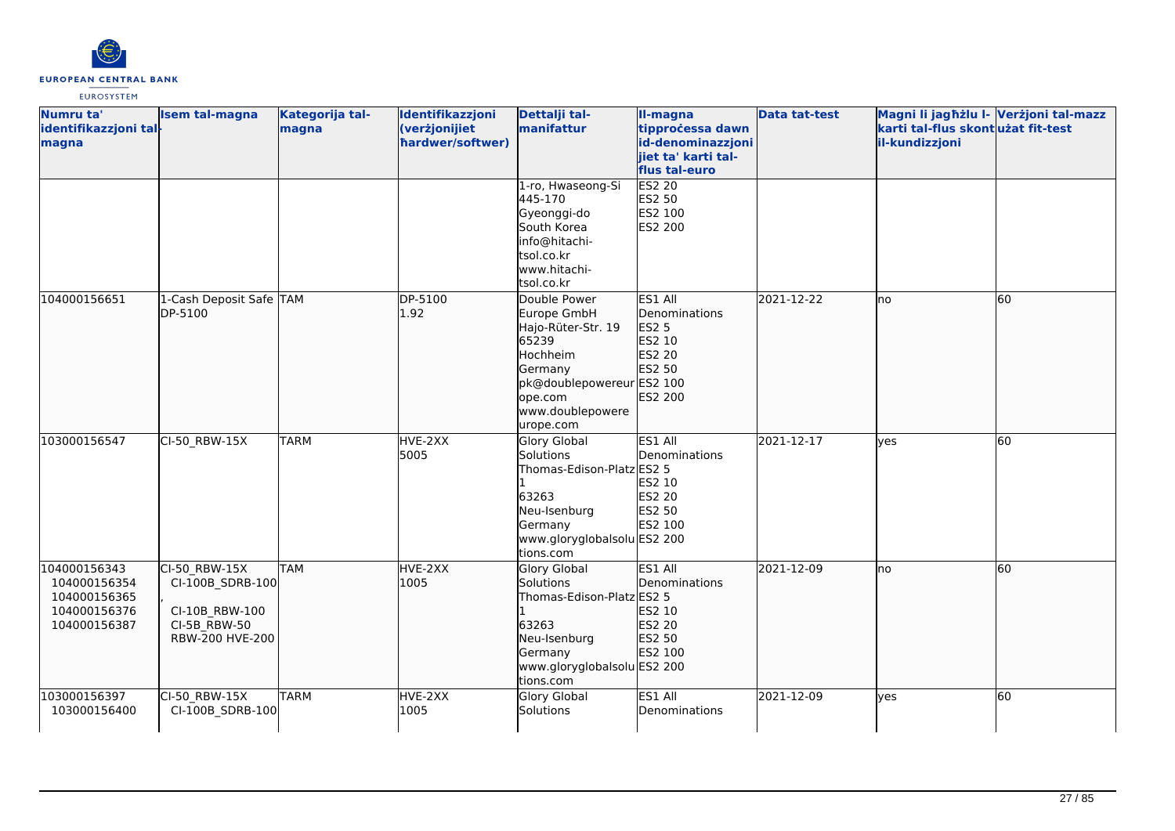

| Numru ta'<br>identifikazzjoni tal-<br>magna                                  | <b>Isem tal-magna</b>                                                                  | Kategorija tal-<br>magna | Identifikazzjoni<br>(verżjonijiet<br>hardwer/softwer) | Dettalji tal-<br>manifattur                                                                                                                                | Il-magna<br>tipprocessa dawn<br>id-denominazzjoni<br>jiet ta' karti tal-<br>flus tal-euro | <b>Data tat-test</b> | Magni li jagħżlu l- Verżjoni tal-mazz<br>karti tal-flus skontużat fit-test<br>il-kundizzjoni |    |
|------------------------------------------------------------------------------|----------------------------------------------------------------------------------------|--------------------------|-------------------------------------------------------|------------------------------------------------------------------------------------------------------------------------------------------------------------|-------------------------------------------------------------------------------------------|----------------------|----------------------------------------------------------------------------------------------|----|
|                                                                              |                                                                                        |                          |                                                       | 1-ro, Hwaseong-Si<br>445-170<br>Gyeonggi-do<br>South Korea<br>info@hitachi-<br>tsol.co.kr<br>www.hitachi-<br>tsol.co.kr                                    | <b>ES2 20</b><br>ES2 50<br>ES2 100<br><b>ES2 200</b>                                      |                      |                                                                                              |    |
| 104000156651                                                                 | 1-Cash Deposit Safe TAM<br>DP-5100                                                     |                          | DP-5100<br>1.92                                       | Double Power<br>Europe GmbH<br>Hajo-Rüter-Str. 19<br>65239<br>Hochheim<br>Germany<br>pk@doublepowereur ES2 100<br>ope.com<br>www.doublepowere<br>urope.com | ES1 All<br>Denominations<br><b>ES2 5</b><br>ES2 10<br>ES2 20<br>ES2 50<br>ES2 200         | 2021-12-22           | no                                                                                           | 60 |
| 103000156547                                                                 | CI-50_RBW-15X                                                                          | <b>TARM</b>              | HVE-2XX<br>5005                                       | <b>Glory Global</b><br>Solutions<br>Thomas-Edison-Platz ES2 5<br>63263<br>Neu-Isenburg<br>Germany<br>www.gloryglobalsolu ES2 200<br>tions.com              | ES1 All<br>Denominations<br>ES2 10<br><b>ES2 20</b><br>ES2 50<br>ES2 100                  | 2021-12-17           | lyes                                                                                         | 60 |
| 104000156343<br>104000156354<br>104000156365<br>104000156376<br>104000156387 | CI-50 RBW-15X<br>CI-100B_SDRB-100<br>CI-10B RBW-100<br>CI-5B_RBW-50<br>RBW-200 HVE-200 | <b>TAM</b>               | HVE-2XX<br>1005                                       | Glory Global<br>Solutions<br>Thomas-Edison-Platz ES2 5<br>63263<br>Neu-Isenburg<br>Germany<br>www.gloryglobalsolu ES2 200<br>tions.com                     | ES1 All<br>Denominations<br>ES2 10<br>ES2 20<br>ES2 50<br>ES2 100                         | 2021-12-09           | no                                                                                           | 60 |
| 103000156397<br>103000156400                                                 | CI-50 RBW-15X<br>CI-100B_SDRB-100                                                      | <b>TARM</b>              | HVE-2XX<br>1005                                       | Glory Global<br>Solutions                                                                                                                                  | ES1 All<br>Denominations                                                                  | 2021-12-09           | yes                                                                                          | 60 |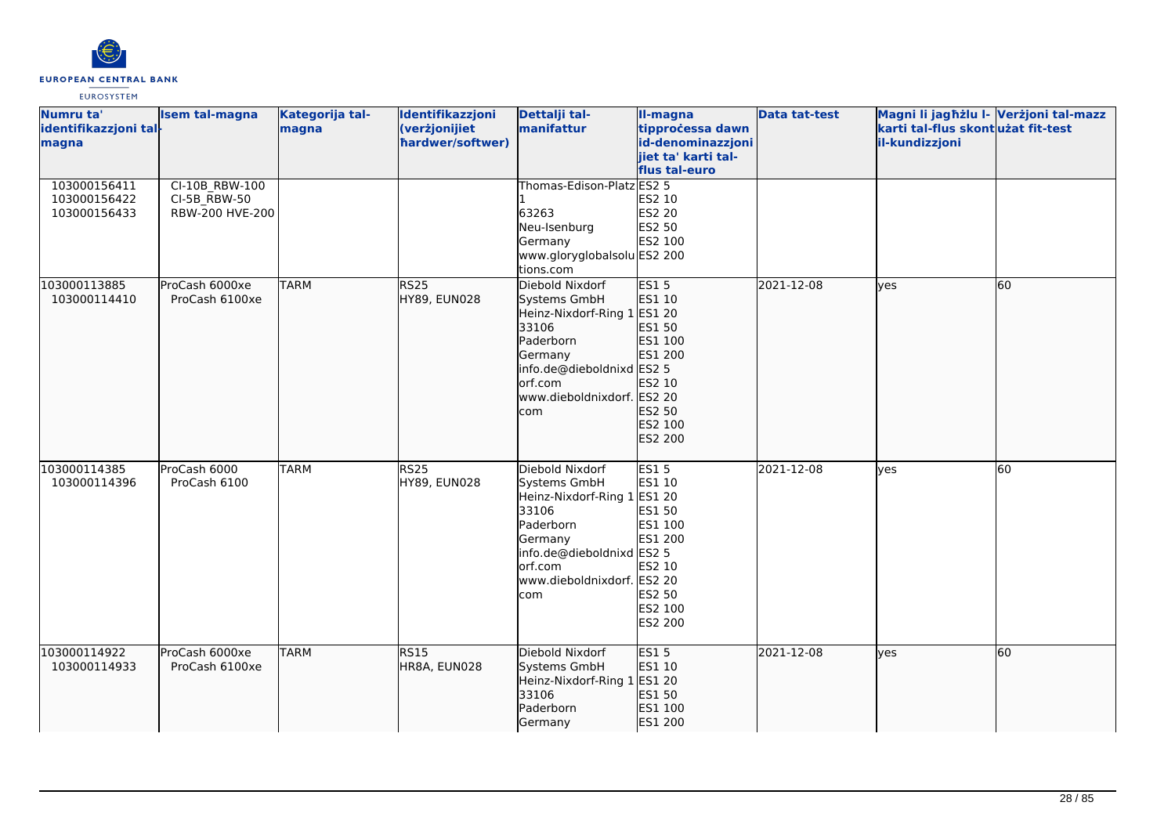

| Numru ta'<br>identifikazzjoni tal-<br>magna  | <b>Isem tal-magna</b>                               | Kategorija tal-<br>magna | Identifikazzjoni<br>(verżjonijiet<br>hardwer/softwer) | Dettalji tal-<br>manifattur                                                                                                                                                  | II-magna<br>tipprocessa dawn<br>id-denominazzjoni<br>jiet ta' karti tal-<br>flus tal-euro       | <b>Data tat-test</b> | Magni li jagħżlu I- Verżjoni tal-mazz<br>karti tal-flus skontużat fit-test<br>il-kundizzjoni |    |
|----------------------------------------------|-----------------------------------------------------|--------------------------|-------------------------------------------------------|------------------------------------------------------------------------------------------------------------------------------------------------------------------------------|-------------------------------------------------------------------------------------------------|----------------------|----------------------------------------------------------------------------------------------|----|
| 103000156411<br>103000156422<br>103000156433 | CI-10B RBW-100<br>$CI-5B$ RBW-50<br>RBW-200 HVE-200 |                          |                                                       | Thomas-Edison-Platz ES2 5<br>63263<br>Neu-Isenburg<br>Germany<br>www.gloryglobalsolu ES2 200<br>tions.com                                                                    | ES2 10<br>ES2 20<br>ES2 50<br>ES2 100                                                           |                      |                                                                                              |    |
| 103000113885<br>103000114410                 | ProCash 6000xe<br>ProCash 6100xe                    | <b>TARM</b>              | RS <sub>25</sub><br>HY89, EUN028                      | Diebold Nixdorf<br>Systems GmbH<br>Heinz-Nixdorf-Ring 1 ES1 20<br>33106<br>Paderborn<br>Germany<br>info.de@dieboldnixd ES2 5<br>orf.com<br>www.dieboldnixdorf. ES2 20<br>com | <b>ES15</b><br>ES1 10<br>ES1 50<br>ES1 100<br>ES1 200<br>ES2 10<br>ES2 50<br>ES2 100<br>ES2 200 | 2021-12-08           | lyes                                                                                         | 60 |
| 103000114385<br>103000114396                 | ProCash 6000<br>ProCash 6100                        | <b>TARM</b>              | <b>RS25</b><br>HY89, EUN028                           | Diebold Nixdorf<br>Systems GmbH<br>Heinz-Nixdorf-Ring 1 ES1 20<br>33106<br>Paderborn<br>Germany<br>info.de@dieboldnixd ES2 5<br>orf.com<br>www.dieboldnixdorf. ES2 20<br>com | <b>ES15</b><br>ES1 10<br>ES1 50<br>ES1 100<br>ES1 200<br>ES2 10<br>ES2 50<br>ES2 100<br>ES2 200 | 2021-12-08           | lyes                                                                                         | 60 |
| 103000114922<br>103000114933                 | ProCash 6000xe<br>ProCash 6100xe                    | <b>TARM</b>              | <b>RS15</b><br>HR8A, EUN028                           | Diebold Nixdorf<br>Systems GmbH<br>Heinz-Nixdorf-Ring 1<br>33106<br>Paderborn<br>Germany                                                                                     | <b>ES15</b><br>ES1 10<br>ES1 20<br>ES1 50<br>ES1 100<br>ES1 200                                 | 2021-12-08           | lyes                                                                                         | 60 |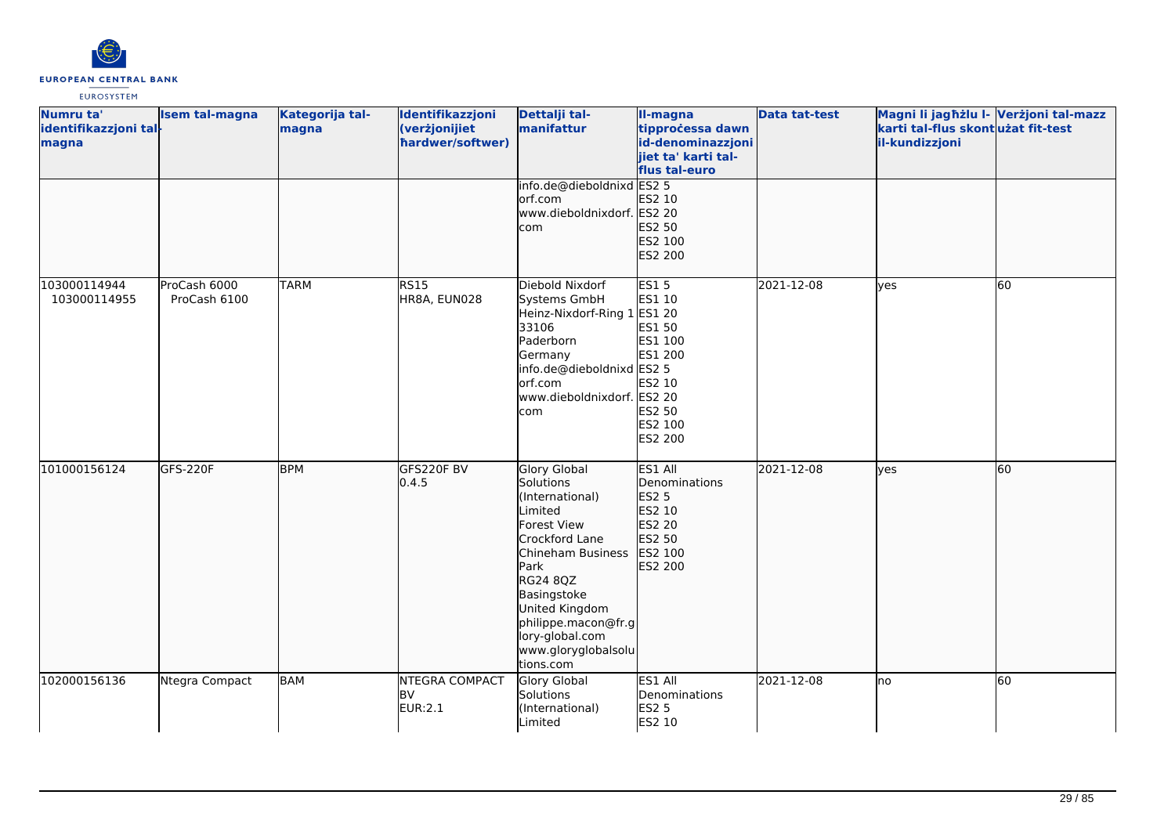

| Numru ta'<br>identifikazzjoni tal-<br>magna | <b>Isem tal-magna</b>        | Kategorija tal-<br>magna | Identifikazzjoni<br>(verżjonijiet<br>hardwer/softwer) | Dettalji tal-<br>manifattur                                                                                                                                                                                                                             | II-magna<br>tipprocessa dawn<br>id-denominazzjoni<br>jiet ta' karti tal-<br>flus tal-euro       | <b>Data tat-test</b> | Magni li jagħżlu I- Verżjoni tal-mazz<br>karti tal-flus skont użat fit-test<br>il-kundizzjoni |    |
|---------------------------------------------|------------------------------|--------------------------|-------------------------------------------------------|---------------------------------------------------------------------------------------------------------------------------------------------------------------------------------------------------------------------------------------------------------|-------------------------------------------------------------------------------------------------|----------------------|-----------------------------------------------------------------------------------------------|----|
|                                             |                              |                          |                                                       | info.de@dieboldnixd ES2 5<br>orf.com<br>www.dieboldnixdorf. ES2 20<br>com                                                                                                                                                                               | ES2 10<br>ES2 50<br>ES2 100<br>ES2 200                                                          |                      |                                                                                               |    |
| 103000114944<br>103000114955                | ProCash 6000<br>ProCash 6100 | <b>TARM</b>              | <b>RS15</b><br>HR8A, EUN028                           | Diebold Nixdorf<br>Systems GmbH<br>Heinz-Nixdorf-Ring 1 ES1 20<br>33106<br>Paderborn<br>Germany<br>info.de@dieboldnixd ES2 5<br>orf.com<br>www.dieboldnixdorf. ES2 20<br>com                                                                            | <b>ES15</b><br>ES1 10<br>ES1 50<br>ES1 100<br>ES1 200<br>ES2 10<br>ES2 50<br>ES2 100<br>ES2 200 | 2021-12-08           | yes                                                                                           | 60 |
| 101000156124                                | GFS-220F                     | <b>BPM</b>               | GFS220F BV<br>0.4.5                                   | Glory Global<br>Solutions<br>(International)<br>Limited<br><b>Forest View</b><br>Crockford Lane<br>Chineham Business<br>Park<br>RG24 8QZ<br>Basingstoke<br>United Kingdom<br>philippe.macon@fr.g<br>lory-global.com<br>www.gloryglobalsolu<br>tions.com | ES1 All<br>Denominations<br><b>ES2 5</b><br>ES2 10<br>ES2 20<br>ES2 50<br>ES2 100<br>ES2 200    | 2021-12-08           | yes                                                                                           | 60 |
| 102000156136                                | Ntegra Compact               | <b>BAM</b>               | <b>NTEGRA COMPACT</b><br><b>BV</b><br>EUR:2.1         | <b>Glory Global</b><br>Solutions<br>(International)<br>Limited                                                                                                                                                                                          | ES1 All<br>Denominations<br><b>ES2 5</b><br>ES2 10                                              | 2021-12-08           | Ino                                                                                           | 60 |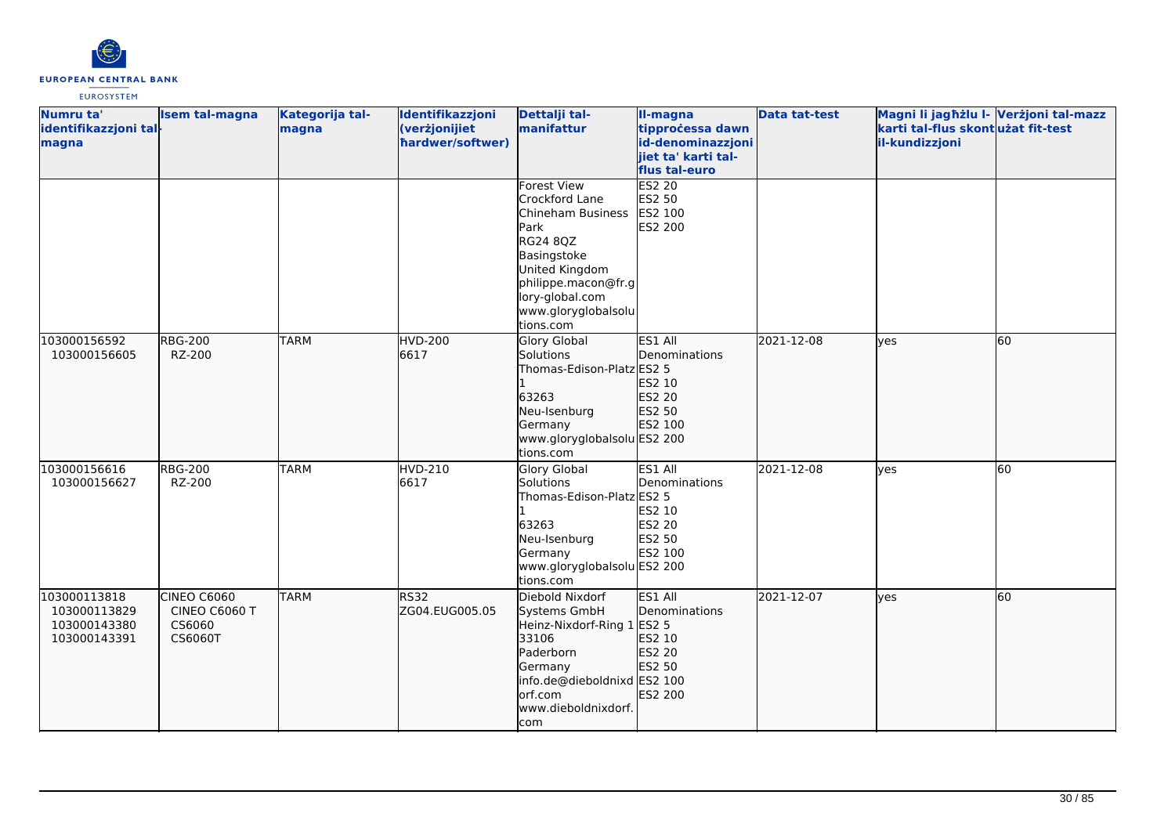

| Numru ta'<br>identifikazzjoni tal-<br>magna                  | <b>Isem tal-magna</b>                             | Kategorija tal-<br>magna | Identifikazzjoni<br>(verżjonijiet<br>hardwer/softwer) | Dettalji tal-<br>manifattur                                                                                                                                                                         | II-magna<br>tipprocessa dawn<br>id-denominazzjoni<br>jiet ta' karti tal-<br>flus tal-euro | <b>Data tat-test</b> | Magni li jagħżlu I- Verżjoni tal-mazz<br>karti tal-flus skontużat fit-test<br>il-kundizzjoni |    |
|--------------------------------------------------------------|---------------------------------------------------|--------------------------|-------------------------------------------------------|-----------------------------------------------------------------------------------------------------------------------------------------------------------------------------------------------------|-------------------------------------------------------------------------------------------|----------------------|----------------------------------------------------------------------------------------------|----|
|                                                              |                                                   |                          |                                                       | <b>Forest View</b><br>Crockford Lane<br>Chineham Business<br>Park<br><b>RG24 8QZ</b><br>Basingstoke<br>United Kingdom<br>philippe.macon@fr.g<br>lory-global.com<br>www.gloryglobalsolu<br>tions.com | <b>ES2 20</b><br>ES2 50<br>ES2 100<br>ES2 200                                             |                      |                                                                                              |    |
| 103000156592<br>103000156605                                 | <b>RBG-200</b><br>RZ-200                          | <b>TARM</b>              | <b>HVD-200</b><br>6617                                | Glory Global<br>Solutions<br>Thomas-Edison-Platz ES2 5<br>63263<br>Neu-Isenburg<br>Germany<br>www.gloryglobalsolu ES2 200<br>tions.com                                                              | ES1 All<br>Denominations<br>ES2 10<br>ES2 20<br>ES2 50<br>ES2 100                         | 2021-12-08           | lves                                                                                         | 60 |
| 103000156616<br>103000156627                                 | <b>RBG-200</b><br>RZ-200                          | <b>TARM</b>              | <b>HVD-210</b><br>6617                                | Glory Global<br>Solutions<br>Thomas-Edison-Platz ES2 5<br>63263<br>Neu-Isenburg<br>Germany<br>www.gloryglobalsolu ES2 200<br>tions.com                                                              | ES1 All<br>Denominations<br>ES2 10<br>ES2 20<br>ES2 50<br>ES2 100                         | 2021-12-08           | <b>ves</b>                                                                                   | 60 |
| 103000113818<br>103000113829<br>103000143380<br>103000143391 | CINEO C6060<br>CINEO C6060 T<br>CS6060<br>CS6060T | <b>TARM</b>              | RS32<br>ZG04.EUG005.05                                | Diebold Nixdorf<br>Systems GmbH<br>Heinz-Nixdorf-Ring 1<br>33106<br>Paderborn<br>Germany<br>info.de@dieboldnixd ES2 100<br>orf.com<br>www.dieboldnixdorf.<br>com                                    | ES1 All<br>Denominations<br>ES2 5<br>ES2 10<br>ES2 20<br>ES2 50<br>ES2 200                | 2021-12-07           | lves                                                                                         | 60 |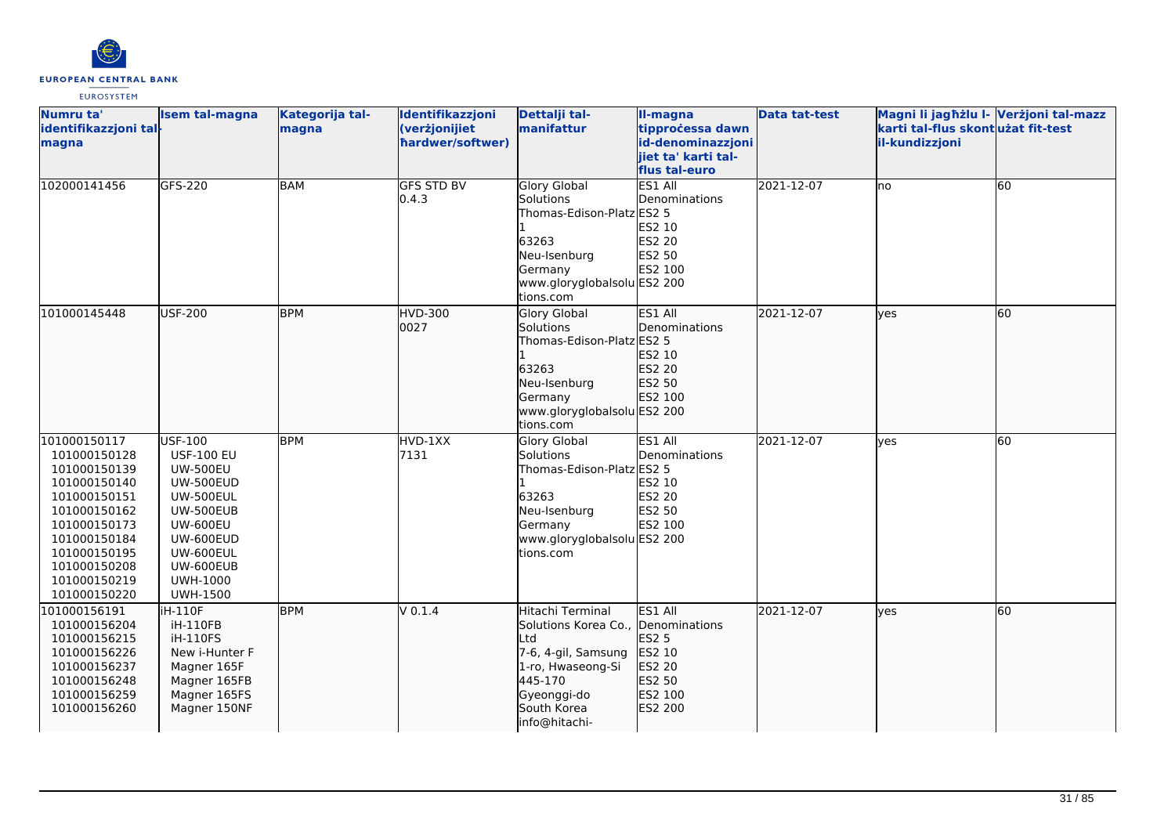

| Numru ta'<br>identifikazzjoni tal-<br>magna                                                                                                                                                  | <b>Isem tal-magna</b>                                                                                                                                                                                | Kategorija tal-<br>magna | Identifikazzjoni<br>(verżjonijiet<br>hardwer/softwer) | Dettalji tal-<br>manifattur                                                                                                                                         | II-magna<br>tipprocessa dawn<br>id-denominazzjoni<br>jiet ta' karti tal-<br>flus tal-euro | <b>Data tat-test</b> | Magni li jagħżlu I- Verżjoni tal-mazz<br>karti tal-flus skont użat fit-test<br>il-kundizzjoni |    |
|----------------------------------------------------------------------------------------------------------------------------------------------------------------------------------------------|------------------------------------------------------------------------------------------------------------------------------------------------------------------------------------------------------|--------------------------|-------------------------------------------------------|---------------------------------------------------------------------------------------------------------------------------------------------------------------------|-------------------------------------------------------------------------------------------|----------------------|-----------------------------------------------------------------------------------------------|----|
| 102000141456                                                                                                                                                                                 | GFS-220                                                                                                                                                                                              | <b>BAM</b>               | <b>GFS STD BV</b><br>0.4.3                            | <b>Glory Global</b><br>Solutions<br>Thomas-Edison-Platz ES2 5<br>63263<br>Neu-Isenburg<br>Germany<br>www.gloryglobalsolu ES2 200<br>tions.com                       | ES1 All<br>Denominations<br>ES2 10<br>ES2 20<br>ES2 50<br>ES2 100                         | 2021-12-07           | lno                                                                                           | 60 |
| 101000145448                                                                                                                                                                                 | <b>USF-200</b>                                                                                                                                                                                       | <b>BPM</b>               | HVD-300<br>0027                                       | <b>Glory Global</b><br>Solutions<br>Thomas-Edison-Platz ES2 5<br>63263<br>Neu-Isenburg<br>Germany<br>www.gloryglobalsolu ES2 200<br>tions.com                       | ES1 All<br><b>I</b> Denominations<br>ES2 10<br>ES2 20<br>ES2 50<br>ES2 100                | 2021-12-07           | lves                                                                                          | 60 |
| 101000150117<br>101000150128<br>101000150139<br>101000150140<br>101000150151<br>101000150162<br>101000150173<br>101000150184<br>101000150195<br>101000150208<br>101000150219<br>101000150220 | USF-100<br><b>USF-100 EU</b><br><b>UW-500EU</b><br><b>UW-500EUD</b><br><b>UW-500EUL</b><br>UW-500EUB<br><b>UW-600EU</b><br>UW-600EUD<br>UW-600EUL<br>UW-600EUB<br><b>UWH-1000</b><br><b>UWH-1500</b> | <b>BPM</b>               | HVD-1XX<br>7131                                       | Glory Global<br>Solutions<br>Thomas-Edison-Platz ES2 5<br>63263<br>Neu-Isenburg<br>Germany<br>www.gloryglobalsolu ES2 200<br>tions.com                              | ES1 All<br>Denominations<br>ES2 10<br>ES2 20<br>ES2 50<br>ES2 100                         | 2021-12-07           | lves                                                                                          | 60 |
| 101000156191<br>101000156204<br>101000156215<br>101000156226<br>101000156237<br>101000156248<br>101000156259<br>101000156260                                                                 | iH-110F<br>iH-110FB<br>iH-110FS<br>New i-Hunter F<br>Magner 165F<br>Magner 165FB<br>Magner 165FS<br>Magner 150NF                                                                                     | <b>BPM</b>               | V 0.1.4                                               | Hitachi Terminal<br>Solutions Korea Co., Denominations<br>Ltd<br>7-6, 4-gil, Samsung<br>1-ro, Hwaseong-Si<br>445-170<br>Gyeonggi-do<br>South Korea<br>info@hitachi- | ES1 All<br>ES2 5<br>ES2 10<br>ES2 20<br>ES2 50<br>ES2 100<br>ES2 200                      | 2021-12-07           | lves                                                                                          | 60 |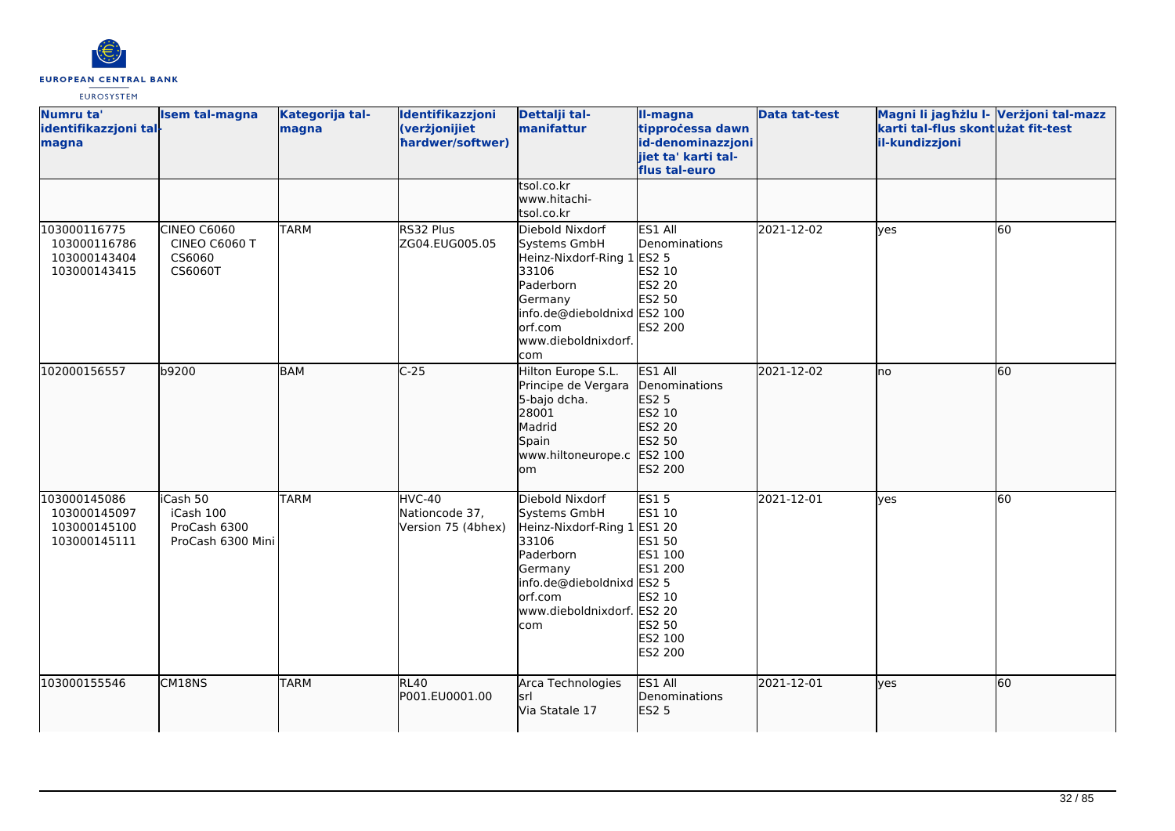

| Numru ta'<br>identifikazzjoni tal-<br>magna                  | <b>Isem tal-magna</b>                                           | Kategorija tal-<br>magna | Identifikazzjoni<br>(verżjonijiet<br>hardwer/softwer) | Dettalji tal-<br>manifattur                                                                                                                                            | II-magna<br>tipprocessa dawn<br>id-denominazzjoni<br>jiet ta' karti tal-<br>flus tal-euro                 | <b>Data tat-test</b> | Magni li jagħżlu I- Verżjoni tal-mazz<br>karti tal-flus skontużat fit-test<br>il-kundizzjoni |    |
|--------------------------------------------------------------|-----------------------------------------------------------------|--------------------------|-------------------------------------------------------|------------------------------------------------------------------------------------------------------------------------------------------------------------------------|-----------------------------------------------------------------------------------------------------------|----------------------|----------------------------------------------------------------------------------------------|----|
|                                                              |                                                                 |                          |                                                       | tsol.co.kr<br>www.hitachi-<br>tsol.co.kr                                                                                                                               |                                                                                                           |                      |                                                                                              |    |
| 103000116775<br>103000116786<br>103000143404<br>103000143415 | <b>CINEO C6060</b><br><b>CINEO C6060 T</b><br>CS6060<br>CS6060T | <b>TARM</b>              | RS32 Plus<br>ZG04.EUG005.05                           | Diebold Nixdorf<br>Systems GmbH<br>Heinz-Nixdorf-Ring 1 ES2 5<br>33106<br>Paderborn<br>Germany<br>info.de@dieboldnixd ES2 100<br>orf.com<br>www.dieboldnixdorf.<br>com | ES1 All<br>Denominations<br>ES2 10<br>ES2 20<br>ES2 50<br><b>ES2 200</b>                                  | 2021-12-02           | <b>l</b> ves                                                                                 | 60 |
| 102000156557                                                 | b9200                                                           | <b>BAM</b>               | $C-25$                                                | Hilton Europe S.L.<br>Principe de Vergara<br>5-bajo dcha.<br>28001<br>Madrid<br>Spain<br>www.hiltoneurope.c ES2 100<br>lom                                             | ES1 All<br>Denominations<br>ES2 5<br>ES2 10<br>ES2 20<br>ES2 50<br>ES2 200                                | 2021-12-02           | lno                                                                                          | 60 |
| 103000145086<br>103000145097<br>103000145100<br>103000145111 | iCash 50<br>iCash 100<br>ProCash 6300<br>ProCash 6300 Mini      | <b>TARM</b>              | HVC-40<br>Nationcode 37,<br>Version 75 (4bhex)        | Diebold Nixdorf<br>Systems GmbH<br>Heinz-Nixdorf-Ring 1<br>33106<br>Paderborn<br>Germany<br>info.de@dieboldnixd ES2 5<br>orf.com<br>www.dieboldnixdorf. ES2 20<br>com  | ES15<br>ES1 10<br>ES1 20<br>ES1 50<br>ES1 100<br>ES1 200<br>ES2 10<br>ES2 50<br>ES2 100<br><b>ES2 200</b> | 2021-12-01           | <b>ves</b>                                                                                   | 60 |
| 103000155546                                                 | CM18NS                                                          | <b>TARM</b>              | RL40<br>P001.EU0001.00                                | Arca Technologies<br>lsrl<br>Via Statale 17                                                                                                                            | ES1 All<br>Denominations<br><b>ES2 5</b>                                                                  | 2021-12-01           | lves                                                                                         | 60 |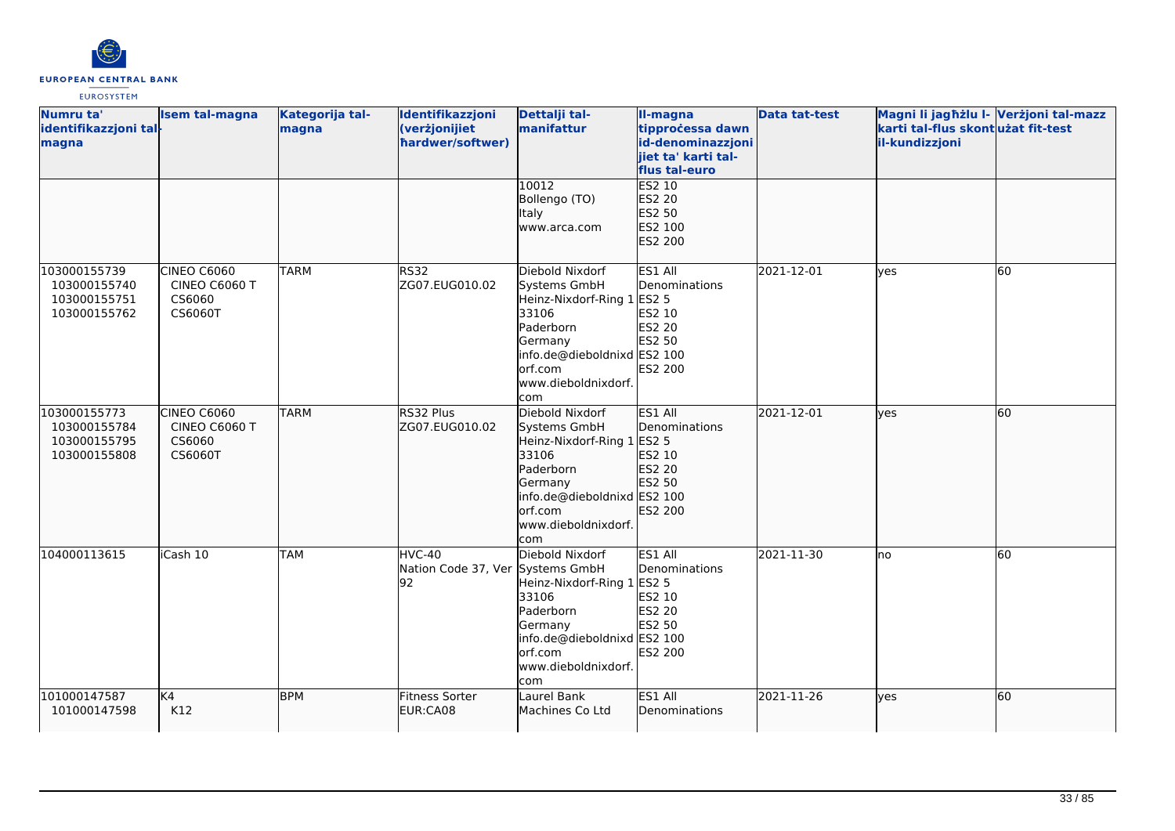

| Numru ta'<br>identifikazzjoni tal-<br>magna                  | <b>Isem tal-magna</b>                                    | Kategorija tal-<br>magna | Identifikazzjoni<br>(verżjonijiet<br>hardwer/softwer) | Dettalji tal-<br>manifattur                                                                                                                                             | II-magna<br>tipprocessa dawn<br>id-denominazzjoni<br>jiet ta' karti tal-<br>flus tal-euro | <b>Data tat-test</b> | Magni li jagħżlu I- Verżjoni tal-mazz<br>karti tal-flus skontużat fit-test<br>il-kundizzjoni |    |
|--------------------------------------------------------------|----------------------------------------------------------|--------------------------|-------------------------------------------------------|-------------------------------------------------------------------------------------------------------------------------------------------------------------------------|-------------------------------------------------------------------------------------------|----------------------|----------------------------------------------------------------------------------------------|----|
|                                                              |                                                          |                          |                                                       | 10012<br>Bollengo (TO)<br>Italy<br>www.arca.com                                                                                                                         | <b>ES2 10</b><br>ES2 20<br>ES2 50<br>ES2 100<br>ES2 200                                   |                      |                                                                                              |    |
| 103000155739<br>103000155740<br>103000155751<br>103000155762 | <b>CINEO C6060</b><br>CINEO C6060 T<br>CS6060<br>CS6060T | <b>TARM</b>              | <b>RS32</b><br>ZG07.EUG010.02                         | Diebold Nixdorf<br>Systems GmbH<br>Heinz-Nixdorf-Ring 1 ES2 5<br>33106<br>Paderborn<br>Germany<br>info.de@dieboldnixd ES2 100<br>orf.com<br>www.dieboldnixdorf.<br>lcom | ES1 All<br>Denominations<br>ES2 10<br>ES2 20<br>ES2 50<br>ES2 200                         | 2021-12-01           | lves                                                                                         | 60 |
| 103000155773<br>103000155784<br>103000155795<br>103000155808 | CINEO C6060<br>CINEO C6060 T<br>CS6060<br>CS6060T        | <b>TARM</b>              | RS32 Plus<br>ZG07.EUG010.02                           | Diebold Nixdorf<br>Systems GmbH<br>Heinz-Nixdorf-Ring 1 ES2 5<br>33106<br>Paderborn<br>Germany<br>info.de@dieboldnixd ES2 100<br>orf.com<br>www.dieboldnixdorf.<br>com  | ES1 All<br>Denominations<br>ES2 10<br>ES2 20<br>ES2 50<br>ES2 200                         | 2021-12-01           | lves                                                                                         | 60 |
| 104000113615                                                 | iCash 10                                                 | <b>TAM</b>               | HVC-40<br>Nation Code 37, Ver Systems GmbH<br>92      | Diebold Nixdorf<br>Heinz-Nixdorf-Ring 1 ES2 5<br>33106<br>Paderborn<br>Germany<br>info.de@dieboldnixd ES2 100<br>lorf.com<br>www.dieboldnixdorf.<br>com                 | ES1 All<br>Denominations<br>ES2 10<br>ES2 20<br>ES2 50<br>ES2 200                         | 2021-11-30           | lno                                                                                          | 60 |
| 101000147587<br>101000147598                                 | K4<br>K12                                                | <b>BPM</b>               | Fitness Sorter<br>EUR:CA08                            | Laurel Bank<br>Machines Co Ltd                                                                                                                                          | ES1 All<br>Denominations                                                                  | 2021-11-26           | lyes                                                                                         | 60 |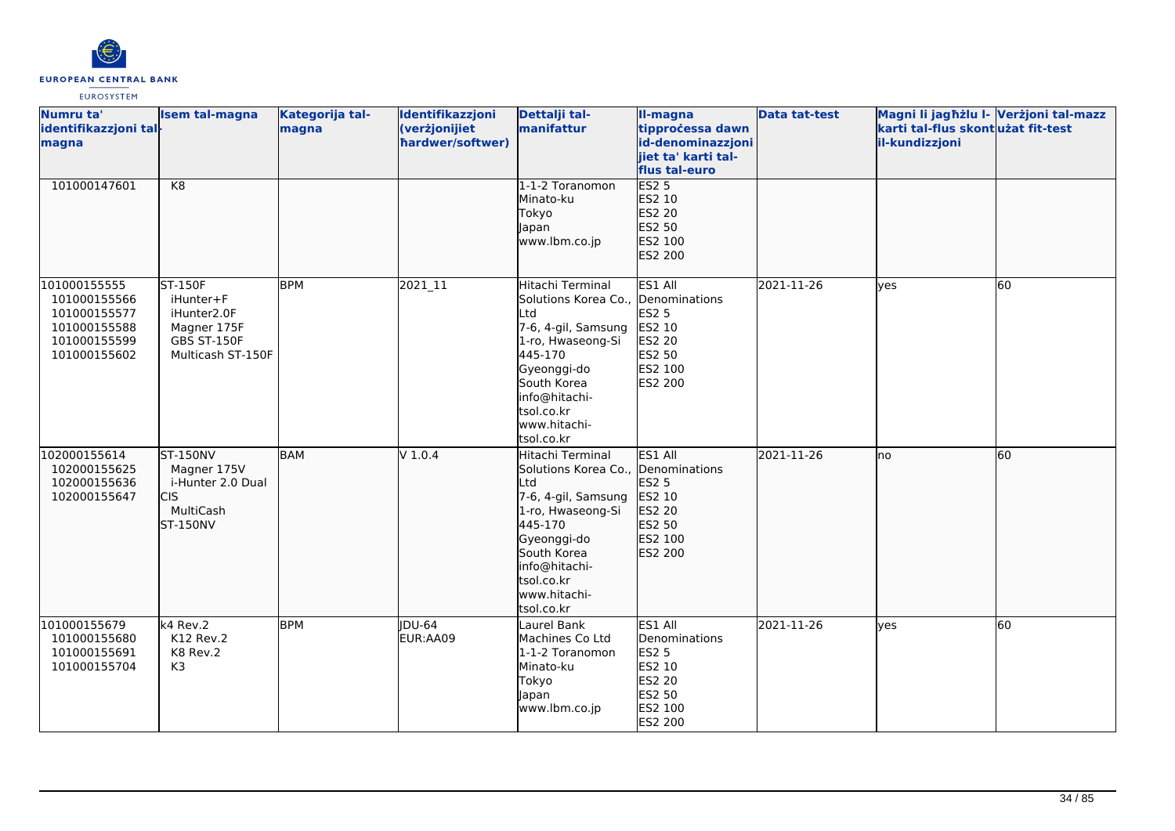

| Numru ta'<br>identifikazzjoni tal-<br>magna                                                  | <b>Isem tal-magna</b>                                                                                | Kategorija tal-<br>magna | Identifikazzjoni<br>(verżjonijiet<br>hardwer/softwer) | Dettalji tal-<br>manifattur                                                                                                                                                                                     | II-magna<br>tipprocessa dawn<br>id-denominazzjoni<br>jiet ta' karti tal-<br>flus tal-euro    | <b>Data tat-test</b> | Magni li jagħżlu I- Verżjoni tal-mazz<br>karti tal-flus skont użat fit-test<br>il-kundizzjoni |    |
|----------------------------------------------------------------------------------------------|------------------------------------------------------------------------------------------------------|--------------------------|-------------------------------------------------------|-----------------------------------------------------------------------------------------------------------------------------------------------------------------------------------------------------------------|----------------------------------------------------------------------------------------------|----------------------|-----------------------------------------------------------------------------------------------|----|
| 101000147601                                                                                 | K8                                                                                                   |                          |                                                       | 1-1-2 Toranomon<br>Minato-ku<br>Tokyo<br>Japan<br>www.lbm.co.jp                                                                                                                                                 | <b>ES2 5</b><br>ES2 10<br>ES2 20<br>ES2 50<br>ES2 100<br>ES2 200                             |                      |                                                                                               |    |
| 101000155555<br>101000155566<br>101000155577<br>101000155588<br>101000155599<br>101000155602 | <b>ST-150F</b><br>iHunter+F<br>iHunter2.0F<br>Magner 175F<br><b>GBS ST-150F</b><br>Multicash ST-150F | <b>BPM</b>               | 2021_11                                               | Hitachi Terminal<br>Solutions Korea Co.,<br>_td<br>7-6, 4-gil, Samsung<br>1-ro, Hwaseong-Si<br>445-170<br>Gyeonggi-do<br>South Korea<br>info@hitachi-<br>tsol.co.kr<br>www.hitachi-<br>tsol.co.kr               | ES1 All<br>Denominations<br>ES2 5<br>ES2 10<br><b>ES2 20</b><br>ES2 50<br>ES2 100<br>ES2 200 | 2021-11-26           | <b>ves</b>                                                                                    | 60 |
| 102000155614<br>102000155625<br>102000155636<br>102000155647                                 | <b>ST-150NV</b><br>Magner 175V<br>i-Hunter 2.0 Dual<br><b>CIS</b><br>MultiCash<br>ST-150NV           | <b>BAM</b>               | $V$ 1.0.4                                             | Hitachi Terminal<br>Solutions Korea Co., Denominations<br>_td<br>7-6, 4-gil, Samsung<br>1-ro, Hwaseong-Si<br>445-170<br>Gyeonggi-do<br>South Korea<br>info@hitachi-<br>tsol.co.kr<br>www.hitachi-<br>tsol.co.kr | ES1 All<br><b>ES2 5</b><br>ES2 10<br>ES2 20<br>ES2 50<br>ES2 100<br>ES2 200                  | 2021-11-26           | Ino                                                                                           | 60 |
| 101000155679<br>101000155680<br>101000155691<br>101000155704                                 | k4 Rev.2<br>K12 Rev.2<br>K8 Rev.2<br>K3                                                              | <b>BPM</b>               | <b>IDU-64</b><br>EUR:AA09                             | Laurel Bank<br>Machines Co Ltd<br>1-1-2 Toranomon<br>Minato-ku<br>Tokyo<br>apan<br>www.lbm.co.jp                                                                                                                | ES1 All<br>Denominations<br><b>ES2 5</b><br>ES2 10<br>ES2 20<br>ES2 50<br>ES2 100<br>ES2 200 | 2021-11-26           | <b>ves</b>                                                                                    | 60 |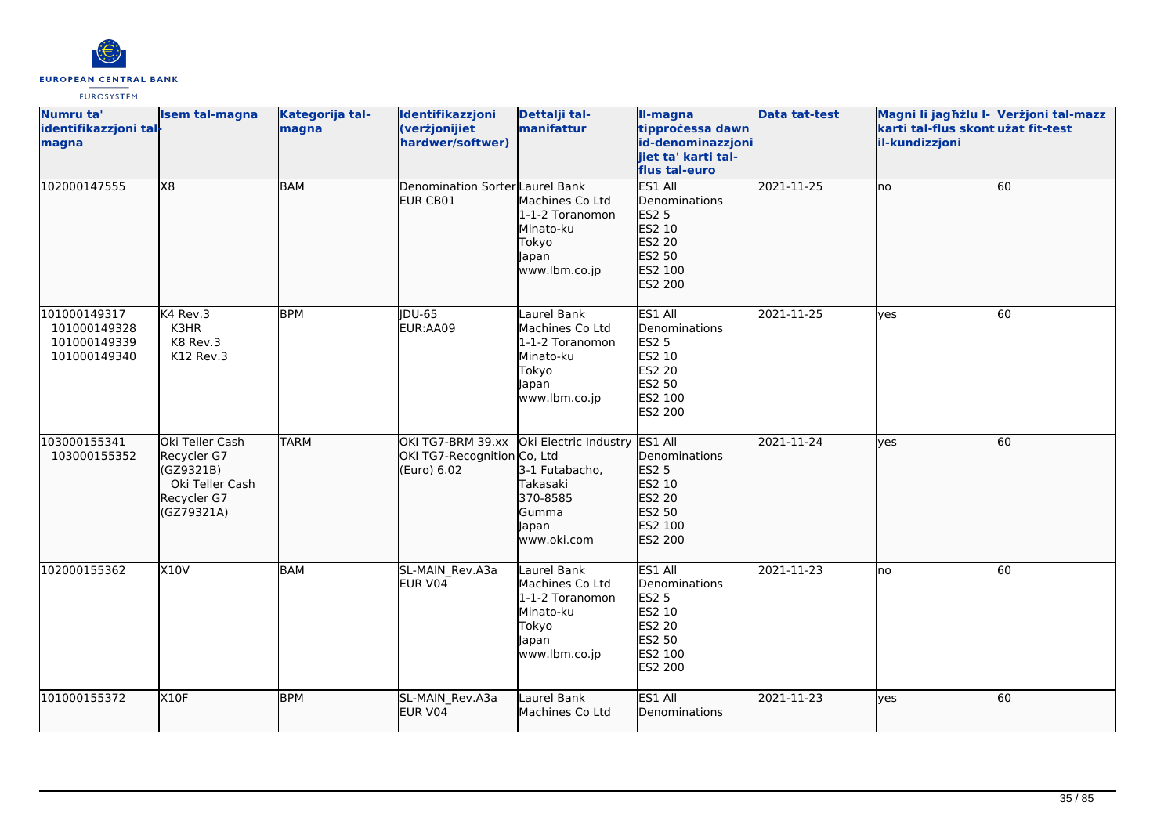

| Numru ta'<br>identifikazzjoni tal-<br>magna                  | <b>Isem tal-magna</b>                                                                       | Kategorija tal-<br>magna | Identifikazzjoni<br>(verżjonijiet<br>hardwer/softwer)           | Dettalji tal-<br>manifattur                                                                               | II-magna<br>tipprocessa dawn<br>id-denominazzjoni<br>jiet ta' karti tal-<br>flus tal-euro     | <b>Data tat-test</b> | Magni li jagħżlu I- Verżjoni tal-mazz<br>karti tal-flus skontużat fit-test<br>il-kundizzjoni |           |
|--------------------------------------------------------------|---------------------------------------------------------------------------------------------|--------------------------|-----------------------------------------------------------------|-----------------------------------------------------------------------------------------------------------|-----------------------------------------------------------------------------------------------|----------------------|----------------------------------------------------------------------------------------------|-----------|
| 102000147555                                                 | X8                                                                                          | BAM                      | Denomination Sorter Laurel Bank<br>EUR CB01                     | Machines Co Ltd<br>1-1-2 Toranomon<br>Minato-ku<br>Tokyo<br>Japan<br>www.lbm.co.jp                        | ES1 All<br>Denominations<br>ES2 5<br>ES2 10<br>ES2 20<br>ES2 50<br><b>IES2 100</b><br>ES2 200 | 2021-11-25           | lno                                                                                          | 60        |
| 101000149317<br>101000149328<br>101000149339<br>101000149340 | K4 Rev.3<br>K3HR<br>K8 Rev.3<br>K12 Rev.3                                                   | <b>BPM</b>               | <b>IDU-65</b><br>EUR:AA09                                       | Laurel Bank<br>Machines Co Ltd<br>1-1-2 Toranomon<br>Minato-ku<br>Tokyo<br>Japan<br>www.lbm.co.jp         | ES1 All<br>Denominations<br>ES2 5<br>ES2 10<br>ES2 20<br>ES2 50<br>ES2 100<br><b>ES2 200</b>  | 2021-11-25           | <b>ves</b>                                                                                   | <b>60</b> |
| 103000155341<br>103000155352                                 | Oki Teller Cash<br>Recycler G7<br>(GZ9321B)<br>Oki Teller Cash<br>Recycler G7<br>(GZ79321A) | <b>TARM</b>              | OKI TG7-BRM 39.xx<br>OKI TG7-Recognition Co, Ltd<br>(Euro) 6.02 | Oki Electric Industry ES1 All<br>3-1 Futabacho,<br>Takasaki<br>370-8585<br>Gumma<br>lapan<br>lwww.oki.com | Denominations<br>ES2 5<br>ES2 10<br>ES2 20<br>ES2 50<br>ES2 100<br>ES2 200                    | 2021-11-24           | lyes                                                                                         | 60        |
| 102000155362                                                 | <b>X10V</b>                                                                                 | <b>BAM</b>               | SL-MAIN Rev.A3a<br>EUR V04                                      | Laurel Bank<br>Machines Co Ltd<br>1-1-2 Toranomon<br>Minato-ku<br>Tokyo<br>Japan<br>www.lbm.co.jp         | ES1 All<br>Denominations<br><b>ES2 5</b><br>ES2 10<br>ES2 20<br>ES2 50<br>ES2 100<br>ES2 200  | 2021-11-23           | Ino                                                                                          | 60        |
| 101000155372                                                 | X10F                                                                                        | <b>BPM</b>               | SL-MAIN Rev.A3a<br>EUR V04                                      | Laurel Bank<br>Machines Co Ltd                                                                            | ES1 All<br>Denominations                                                                      | 2021-11-23           | lves                                                                                         | 60        |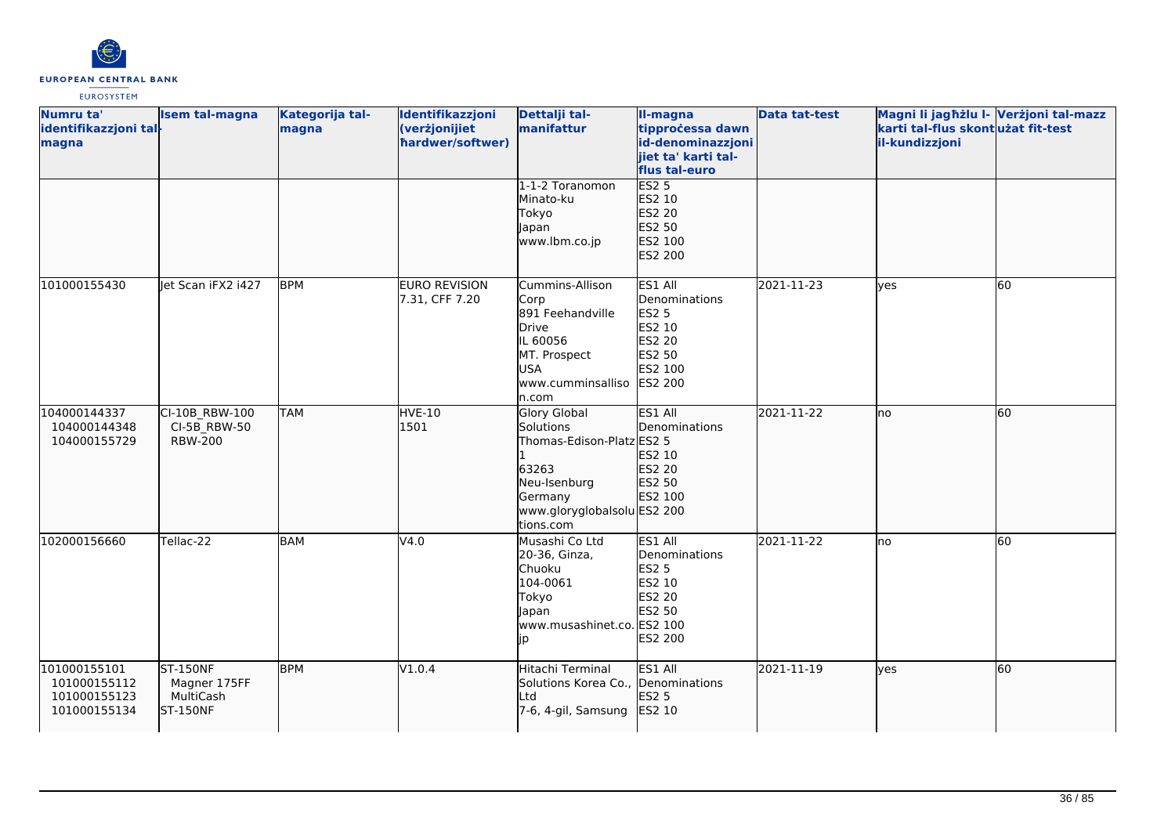

| Numru ta'<br>identifikazzjoni tal-<br>magna                  | Isem tal-magna                                                  | Kategorija tal-<br>magna | Identifikazzjoni<br>(verżjonijiet<br>hardwer/softwer) | Dettalji tal-<br>manifattur                                                                                                            | II-magna<br>tipprocessa dawn<br>id-denominazzjoni<br>jiet ta' karti tal-<br>flus tal-euro           | <b>Data tat-test</b> | Magni li jagħżlu I- Verżjoni tal-mazz<br>karti tal-flus skontużat fit-test<br>il-kundizzjoni |    |
|--------------------------------------------------------------|-----------------------------------------------------------------|--------------------------|-------------------------------------------------------|----------------------------------------------------------------------------------------------------------------------------------------|-----------------------------------------------------------------------------------------------------|----------------------|----------------------------------------------------------------------------------------------|----|
|                                                              |                                                                 |                          |                                                       | 1-1-2 Toranomon<br>Minato-ku<br>Tokyo<br>Japan<br>www.lbm.co.jp                                                                        | ES2 <sub>5</sub><br>ES2 10<br>ES2 20<br>ES2 50<br>ES2 100<br>ES2 200                                |                      |                                                                                              |    |
| 101000155430                                                 | Jet Scan iFX2 1427                                              | <b>BPM</b>               | EURO REVISION<br>7.31, CFF 7.20                       | Cummins-Allison<br>Corp<br>891 Feehandville<br>Drive<br>IL 60056<br>MT. Prospect<br><b>USA</b><br>www.cumminsalliso<br>n.com           | ES1 All<br>Denominations<br><b>ES2 5</b><br>ES2 10<br>ES2 20<br>ES2 50<br>ES2 100<br><b>ES2 200</b> | 2021-11-23           | yes                                                                                          | 60 |
| 104000144337<br>104000144348<br>104000155729                 | CI-10B_RBW-100<br>CI-5B RBW-50<br><b>RBW-200</b>                | <b>TAM</b>               | <b>HVE-10</b><br>1501                                 | Glory Global<br>Solutions<br>Thomas-Edison-Platz ES2 5<br>63263<br>Neu-Isenburg<br>Germany<br>www.gloryglobalsolu ES2 200<br>tions.com | ES1 All<br>Denominations<br>ES2 10<br><b>ES2 20</b><br>ES2 50<br>ES2 100                            | 2021-11-22           | Ino                                                                                          | 60 |
| 102000156660                                                 | Tellac-22                                                       | <b>BAM</b>               | V4.0                                                  | Musashi Co Ltd<br>20-36, Ginza,<br><b>Chuoku</b><br>104-0061<br>Tokyo<br>apan<br>www.musashinet.co. ES2 100<br>jp                      | ES1 All<br>Denominations<br><b>ES2 5</b><br>ES2 10<br>ES2 20<br>ES2 50<br>ES2 200                   | 2021-11-22           | lno                                                                                          | 60 |
| 101000155101<br>101000155112<br>101000155123<br>101000155134 | <b>ST-150NF</b><br>Magner 175FF<br>MultiCash<br><b>ST-150NF</b> | <b>BPM</b>               | V1.0.4                                                | Hitachi Terminal<br>Solutions Korea Co., Denominations<br>Ltd<br>7-6, 4-gil, Samsung                                                   | ES1 All<br>ES2 5<br>ES2 10                                                                          | 2021-11-19           | lyes                                                                                         | 60 |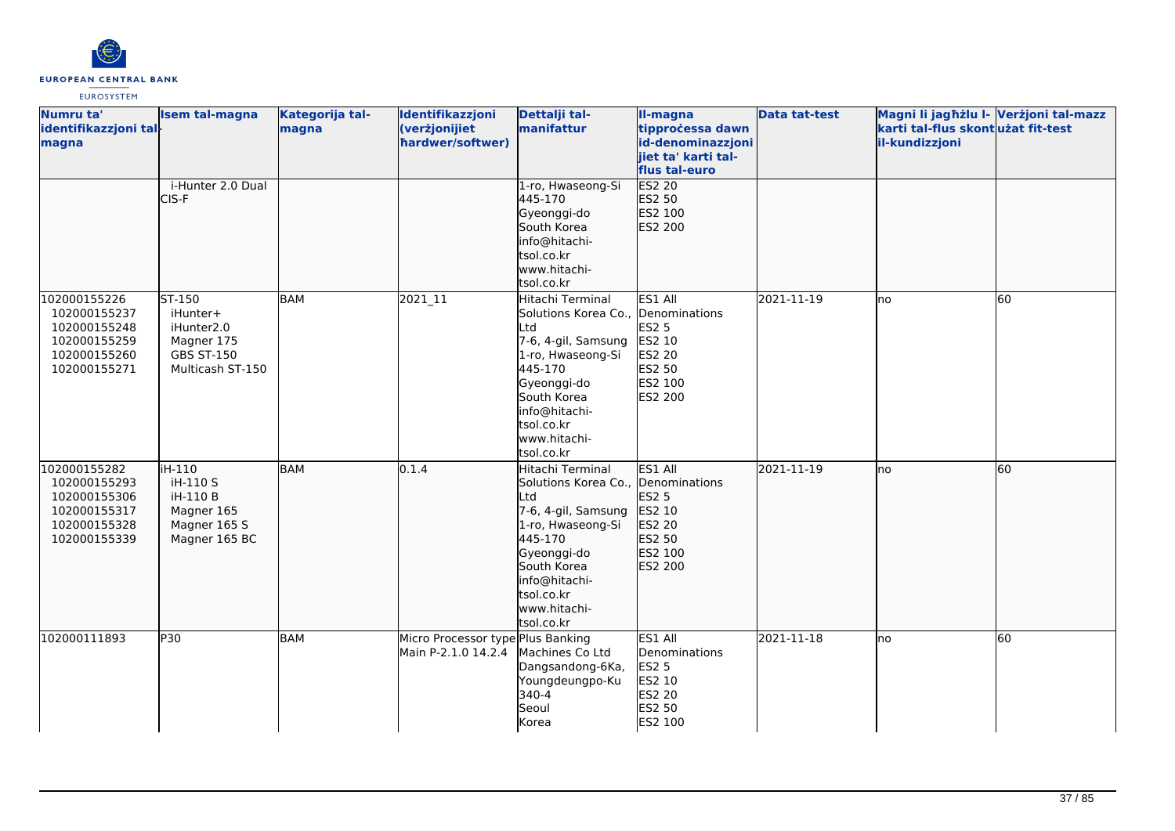

| Numru ta'<br>identifikazzjoni tal-<br>magna                                                  | <b>Isem tal-magna</b>                                                                   | Kategorija tal-<br>magna | Identifikazzjoni<br>(verżjonijiet<br>hardwer/softwer)    | Dettalji tal-<br>manifattur                                                                                                                                                                                     | II-magna<br>tipprocessa dawn<br>id-denominazzjoni<br>jiet ta' karti tal-<br>flus tal-euro | <b>Data tat-test</b> | Magni li jagħżlu I- Verżjoni tal-mazz<br>karti tal-flus skontużat fit-test<br>il-kundizzjoni |    |
|----------------------------------------------------------------------------------------------|-----------------------------------------------------------------------------------------|--------------------------|----------------------------------------------------------|-----------------------------------------------------------------------------------------------------------------------------------------------------------------------------------------------------------------|-------------------------------------------------------------------------------------------|----------------------|----------------------------------------------------------------------------------------------|----|
|                                                                                              | i-Hunter 2.0 Dual<br>CIS-F                                                              |                          |                                                          | 1-ro, Hwaseong-Si<br>445-170<br>Gyeonggi-do<br>South Korea<br>info@hitachi-<br>tsol.co.kr<br>www.hitachi-<br>tsol.co.kr                                                                                         | <b>ES2 20</b><br>ES2 50<br>ES2 100<br>ES2 200                                             |                      |                                                                                              |    |
| 102000155226<br>102000155237<br>102000155248<br>102000155259<br>102000155260<br>102000155271 | ST-150<br>iHunter+<br>iHunter2.0<br>Magner 175<br><b>GBS ST-150</b><br>Multicash ST-150 | <b>BAM</b>               | 2021_11                                                  | Hitachi Terminal<br>Solutions Korea Co., Denominations<br>Ltd<br>7-6, 4-gil, Samsung<br>1-ro, Hwaseong-Si<br>445-170<br>Gyeonggi-do<br>South Korea<br>info@hitachi-<br>tsol.co.kr<br>www.hitachi-<br>tsol.co.kr | ES1 All<br>ES2 5<br>ES2 10<br>ES2 20<br>ES2 50<br>ES2 100<br>ES2 200                      | 2021-11-19           | lno                                                                                          | 60 |
| 102000155282<br>102000155293<br>102000155306<br>102000155317<br>102000155328<br>102000155339 | iH-110<br>iH-110 S<br>iH-110 B<br>Magner 165<br>Magner 165 S<br>Magner 165 BC           | <b>BAM</b>               | 0.1.4                                                    | Hitachi Terminal<br>Solutions Korea Co., Denominations<br>Ltd<br>7-6, 4-gil, Samsung<br>1-ro, Hwaseong-Si<br>445-170<br>Gyeonggi-do<br>South Korea<br>info@hitachi-<br>tsol.co.kr<br>www.hitachi-<br>tsol.co.kr | ES1 All<br>ES2 5<br>ES2 10<br>ES2 20<br>ES2 50<br>ES2 100<br>ES2 200                      | 2021-11-19           | lno                                                                                          | 60 |
| 102000111893                                                                                 | P30                                                                                     | <b>BAM</b>               | Micro Processor type Plus Banking<br>Main P-2.1.0 14.2.4 | Machines Co Ltd<br>Dangsandong-6Ka,<br>Youngdeungpo-Ku<br>340-4<br>Seoul<br>Korea                                                                                                                               | ES1 All<br>Denominations<br><b>ES2 5</b><br>ES2 10<br>ES2 20<br><b>ES2 50</b><br>ES2 100  | 2021-11-18           | lno                                                                                          | 60 |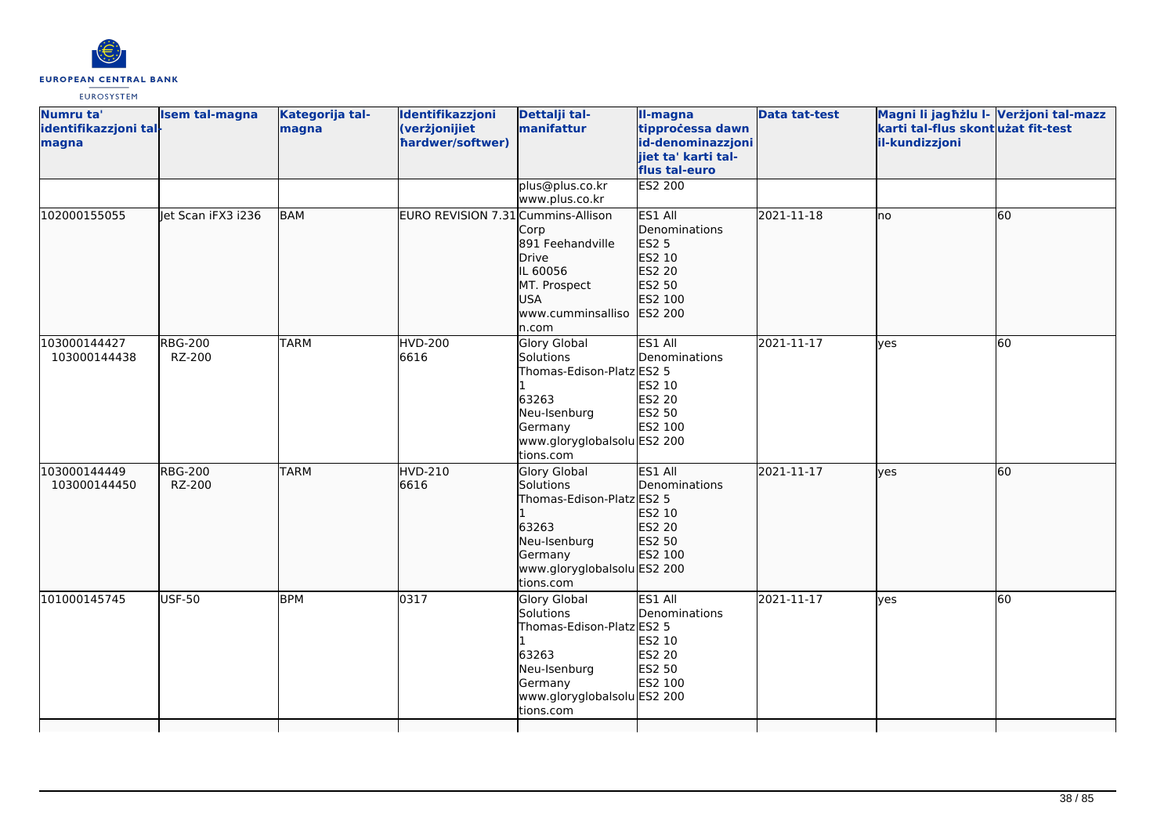

| Numru ta'<br>identifikazzjoni tal-<br>magna | <b>Isem tal-magna</b>    | Kategorija tal-<br>magna | Identifikazzjoni<br>(verżjonijiet<br>hardwer/softwer) | Dettalji tal-<br>manifattur                                                                                                                   | II-magna<br>tipprocessa dawn<br>id-denominazzjoni<br>iiet ta' karti tal-<br>flus tal-euro           | <b>Data tat-test</b> | Magni li jagħżlu I- Verżjoni tal-mazz<br>karti tal-flus skontużat fit-test<br>il-kundizzjoni |           |
|---------------------------------------------|--------------------------|--------------------------|-------------------------------------------------------|-----------------------------------------------------------------------------------------------------------------------------------------------|-----------------------------------------------------------------------------------------------------|----------------------|----------------------------------------------------------------------------------------------|-----------|
|                                             |                          |                          |                                                       | plus@plus.co.kr<br>www.plus.co.kr                                                                                                             | <b>ES2 200</b>                                                                                      |                      |                                                                                              |           |
| 102000155055                                | let Scan iFX3 i236       | BAM                      | EURO REVISION 7.31 Cummins-Allison                    | Corp<br>891 Feehandville<br>Drive<br>IL 60056<br>MT. Prospect<br>USA<br>www.cumminsalliso<br>n.com                                            | ES1 All<br>Denominations<br><b>ES2 5</b><br>ES2 10<br>ES2 20<br>ES2 50<br>ES2 100<br><b>ES2 200</b> | 2021-11-18           | lno                                                                                          | 60        |
| 103000144427<br>103000144438                | <b>RBG-200</b><br>RZ-200 | <b>TARM</b>              | <b>HVD-200</b><br>6616                                | Glory Global<br>Solutions<br>Thomas-Edison-Platz ES2 5<br>63263<br>Neu-Isenburg<br>Germany<br>www.gloryglobalsolu ES2 200<br>tions.com        | ES1 All<br>Denominations<br>ES2 10<br><b>ES2 20</b><br>ES2 50<br>ES2 100                            | 2021-11-17           | lyes                                                                                         | 60        |
| 103000144449<br>103000144450                | <b>RBG-200</b><br>RZ-200 | <b>TARM</b>              | <b>HVD-210</b><br>6616                                | <b>Glory Global</b><br>Solutions<br>Thomas-Edison-Platz ES2 5<br>63263<br>Neu-Isenburg<br>Germany<br>www.gloryglobalsolu ES2 200<br>tions.com | ES1 All<br>Denominations<br>ES2 10<br>ES2 20<br>ES2 50<br>ES2 100                                   | 2021-11-17           | lves                                                                                         | 60        |
| 101000145745                                | <b>USF-50</b>            | <b>BPM</b>               | 0317                                                  | Glory Global<br>Solutions<br>Thomas-Edison-Platz ES2 5<br>63263<br>Neu-Isenburg<br>Germany<br>www.gloryglobalsolu ES2 200<br>tions.com        | ES1 All<br>Denominations<br>ES2 10<br>ES2 20<br>ES2 50<br>ES2 100                                   | 2021-11-17           | lves                                                                                         | <b>60</b> |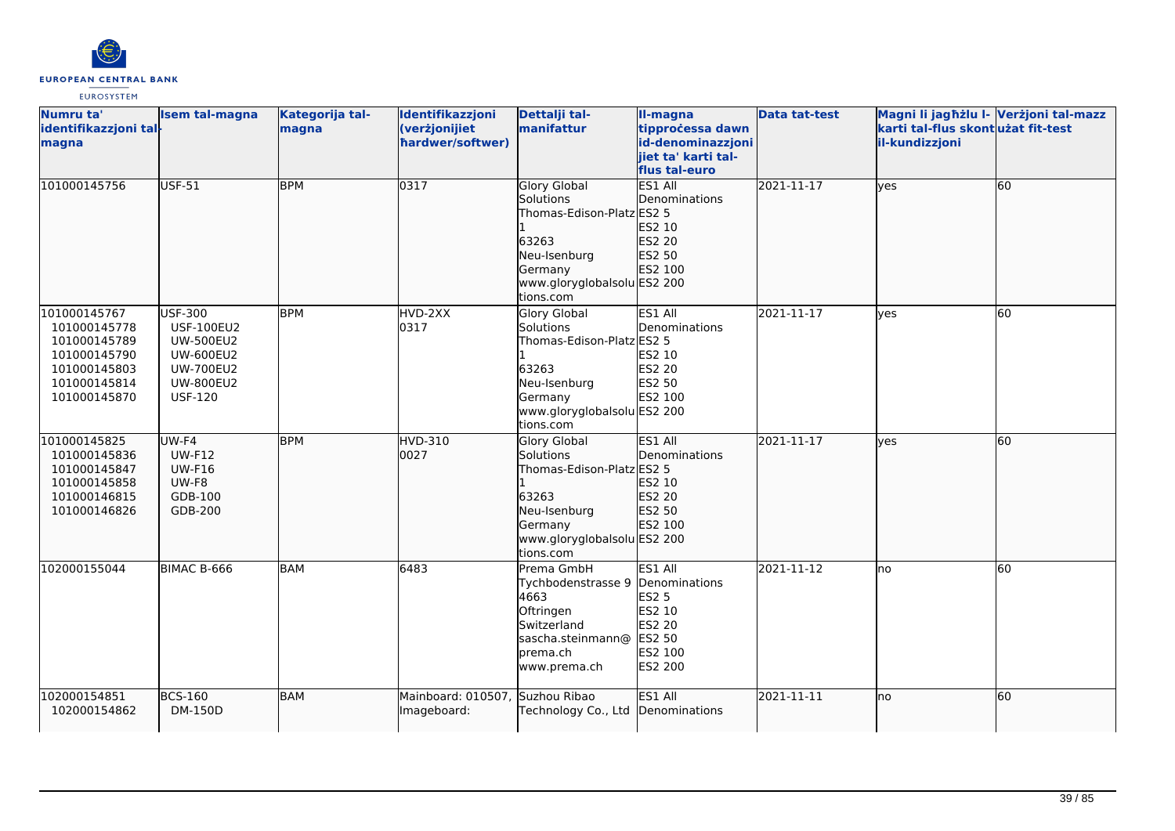

| Numru ta'<br>identifikazzjoni tal-<br>magna                                                                  | <b>Isem tal-magna</b>                                                                                                                 | Kategorija tal-<br>magna | Identifikazzjoni<br>(verżjonijiet<br>hardwer/softwer) | Dettalji tal-<br>manifattur                                                                                                                   | Il-magna<br>tipprocessa dawn<br>id-denominazzjoni<br>jiet ta' karti tal-<br>flus tal-euro    | <b>Data tat-test</b> | Magni li jagħżlu I- Verżjoni tal-mazz<br>karti tal-flus skontużat fit-test<br>il-kundizzjoni |    |
|--------------------------------------------------------------------------------------------------------------|---------------------------------------------------------------------------------------------------------------------------------------|--------------------------|-------------------------------------------------------|-----------------------------------------------------------------------------------------------------------------------------------------------|----------------------------------------------------------------------------------------------|----------------------|----------------------------------------------------------------------------------------------|----|
| 101000145756                                                                                                 | <b>USF-51</b>                                                                                                                         | <b>BPM</b>               | 0317                                                  | <b>Glory Global</b><br>Solutions<br>Thomas-Edison-Platz ES2 5<br>63263<br>Neu-Isenburg<br>Germany<br>www.gloryglobalsolu ES2 200<br>tions.com | <b>ES1 All</b><br>Denominations<br>ES2 10<br>ES2 20<br>ES2 50<br>ES2 100                     | 2021-11-17           | lves                                                                                         | 60 |
| 101000145767<br>101000145778<br>101000145789<br>101000145790<br>101000145803<br>101000145814<br>101000145870 | <b>USF-300</b><br><b>USF-100EU2</b><br><b>UW-500EU2</b><br><b>UW-600EU2</b><br><b>UW-700EU2</b><br><b>UW-800EU2</b><br><b>USF-120</b> | <b>BPM</b>               | HVD-2XX<br>0317                                       | Glory Global<br>Solutions<br>Thomas-Edison-Platz ES2 5<br>63263<br>Neu-Isenburg<br>Germany<br>www.gloryglobalsolu ES2 200<br>tions.com        | ES1 All<br>Denominations<br>ES2 10<br>ES2 20<br>ES2 50<br>ES2 100                            | 2021-11-17           | <b>l</b> ves                                                                                 | 60 |
| 101000145825<br>101000145836<br>101000145847<br>101000145858<br>101000146815<br>101000146826                 | $UW-F4$<br><b>UW-F12</b><br><b>UW-F16</b><br>UW-F8<br>GDB-100<br>GDB-200                                                              | <b>BPM</b>               | <b>HVD-310</b><br>0027                                | <b>Glory Global</b><br>Solutions<br>Thomas-Edison-Platz ES2 5<br>63263<br>Neu-Isenburg<br>Germany<br>www.gloryglobalsolu ES2 200<br>tions.com | ES1 All<br>Denominations<br>ES2 10<br>ES2 20<br>ES2 50<br>ES2 100                            | 2021-11-17           | <b>l</b> ves                                                                                 | 60 |
| 102000155044                                                                                                 | BIMAC B-666                                                                                                                           | BAM                      | 6483                                                  | Prema GmbH<br>Tychbodenstrasse 9<br>4663<br>Oftringen<br>Switzerland<br>sascha.steinmann@<br>prema.ch<br>www.prema.ch                         | ES1 All<br>Denominations<br>ES2 5<br>ES2 10<br>ES2 20<br><b>ES2 50</b><br>ES2 100<br>ES2 200 | 2021-11-12           | lno                                                                                          | 60 |
| 102000154851<br>102000154862                                                                                 | <b>BCS-160</b><br>DM-150D                                                                                                             | BAM                      | Mainboard: 010507,<br>Imageboard:                     | Suzhou Ribao<br>Technology Co., Ltd                                                                                                           | ES1 All<br>Denominations                                                                     | 2021-11-11           | Ino                                                                                          | 60 |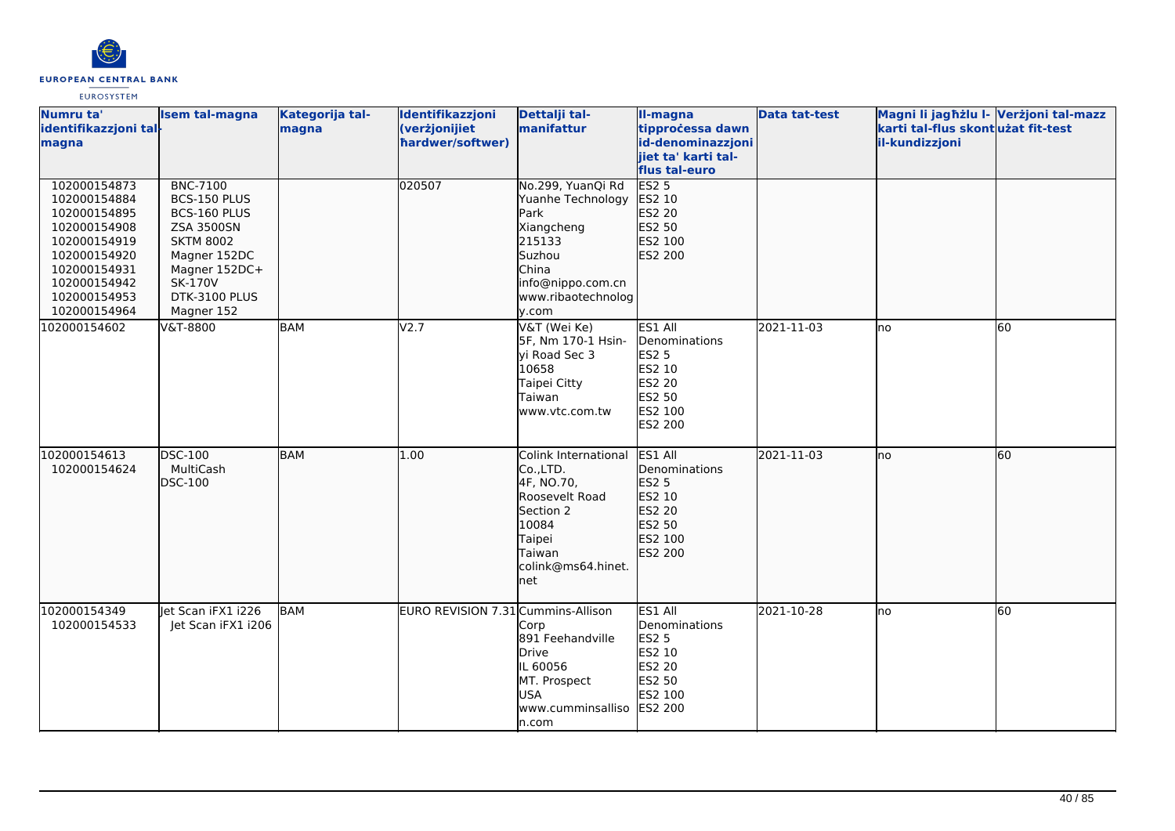

| Numru ta'<br>identifikazzjoni tal-<br>magna                                                                                                                  | <b>Isem tal-magna</b>                                                                                                                                                      | Kategorija tal-<br>magna | Identifikazzjoni<br>(verżjonijiet<br>hardwer/softwer) | Dettalji tal-<br>manifattur                                                                                                                   | II-magna<br>tipprocessa dawn<br>id-denominazzjoni<br>jiet ta' karti tal-<br>flus tal-euro           | <b>Data tat-test</b> | Magni li jagħżlu I- Verżjoni tal-mazz<br>karti tal-flus skont użat fit-test<br>il-kundizzjoni |    |
|--------------------------------------------------------------------------------------------------------------------------------------------------------------|----------------------------------------------------------------------------------------------------------------------------------------------------------------------------|--------------------------|-------------------------------------------------------|-----------------------------------------------------------------------------------------------------------------------------------------------|-----------------------------------------------------------------------------------------------------|----------------------|-----------------------------------------------------------------------------------------------|----|
| 102000154873<br>102000154884<br>102000154895<br>102000154908<br>102000154919<br>102000154920<br>102000154931<br>102000154942<br>102000154953<br>102000154964 | <b>BNC-7100</b><br>BCS-150 PLUS<br>BCS-160 PLUS<br><b>ZSA 3500SN</b><br><b>SKTM 8002</b><br>Magner 152DC<br>Magner 152DC+<br><b>SK-170V</b><br>DTK-3100 PLUS<br>Magner 152 |                          | 020507                                                | No.299, YuanQi Rd<br>Yuanhe Technology<br>Park<br>Xiangcheng<br>215133<br>Suzhou<br>China<br>info@nippo.com.cn<br>www.ribaotechnolog<br>y.com | ES2 <sub>5</sub><br>ES2 10<br>ES2 20<br>ES2 50<br>ES2 100<br>ES2 200                                |                      |                                                                                               |    |
| 102000154602                                                                                                                                                 | V&T-8800                                                                                                                                                                   | <b>BAM</b>               | V2.7                                                  | V&T (Wei Ke)<br>5F, Nm 170-1 Hsin-<br>vi Road Sec 3<br>10658<br>Taipei Citty<br>Taiwan<br>www.vtc.com.tw                                      | ES1 All<br>Denominations<br><b>ES2 5</b><br>ES2 10<br>ES2 20<br>ES2 50<br>ES2 100<br><b>ES2 200</b> | 2021-11-03           | lno                                                                                           | 60 |
| 102000154613<br>102000154624                                                                                                                                 | DSC-100<br>MultiCash<br>DSC-100                                                                                                                                            | <b>BAM</b>               | 1.00                                                  | Colink International<br>Co.,LTD.<br>4F, NO.70,<br>Roosevelt Road<br>Section 2<br>10084<br>Taipei<br>Taiwan<br>colink@ms64.hinet.<br>net       | ES1 All<br>Denominations<br>ES2 5<br>ES2 10<br>ES2 20<br>ES2 50<br>ES2 100<br>ES2 200               | 2021-11-03           | Ino                                                                                           | 60 |
| 102000154349<br>102000154533                                                                                                                                 | Jet Scan iFX1 i226<br>Jet Scan iFX1 i206                                                                                                                                   | <b>BAM</b>               | EURO REVISION 7.31 Cummins-Allison                    | Corp<br>891 Feehandville<br>Drive<br>IL 60056<br>MT. Prospect<br><b>USA</b><br>www.cumminsalliso<br>n.com                                     | ES1 All<br>Denominations<br><b>ES2 5</b><br><b>ES2 10</b><br>ES2 20<br>ES2 50<br>ES2 100<br>ES2 200 | 2021-10-28           | lno                                                                                           | 60 |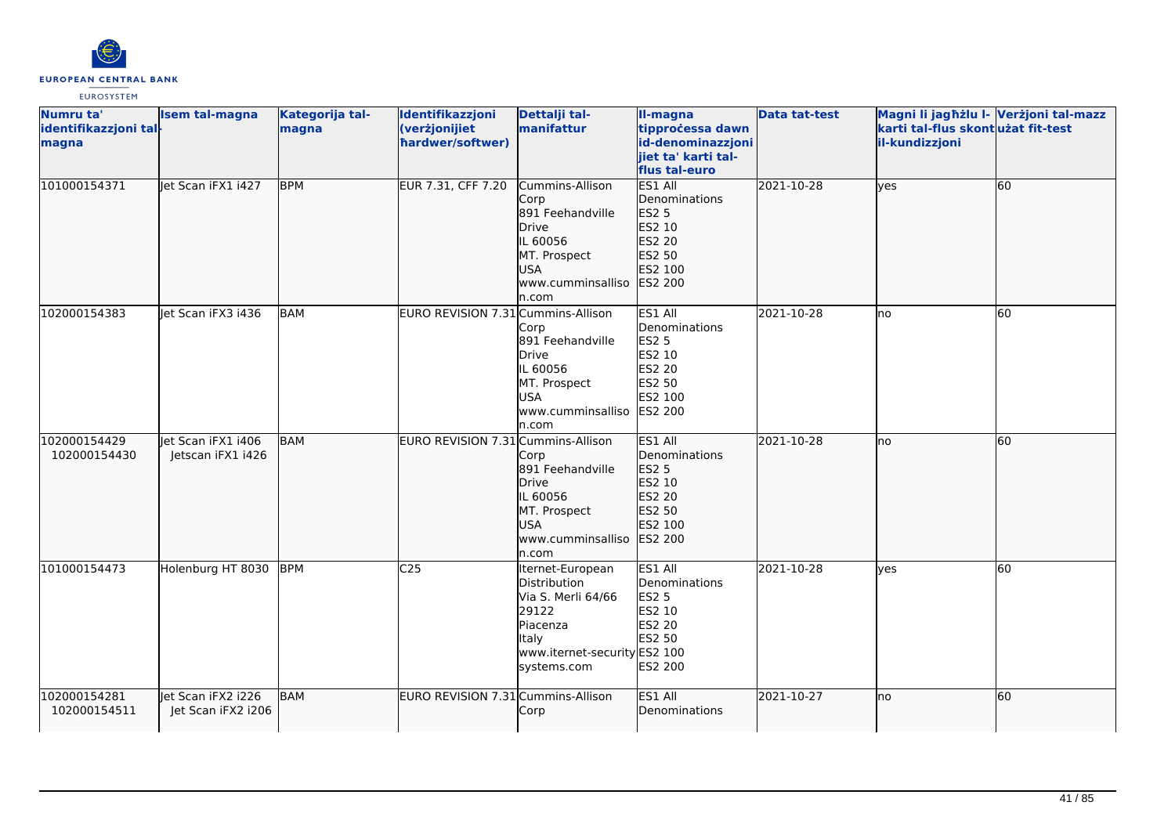

| Numru ta'                      | Isem tal-magna     | Kategorija tal- | Identifikazzjoni                   | Dettalji tal-                | II-magna                              | <b>Data tat-test</b> | Magni li jagħżlu I- Verżjoni tal-mazz               |    |
|--------------------------------|--------------------|-----------------|------------------------------------|------------------------------|---------------------------------------|----------------------|-----------------------------------------------------|----|
| identifikazzjoni tal-<br>magna |                    | magna           | (verżjonijiet<br>hardwer/softwer)  | manifattur                   | tipprocessa dawn<br>id-denominazzjoni |                      | karti tal-flus skontużat fit-test<br>il-kundizzjoni |    |
|                                |                    |                 |                                    |                              | jiet ta' karti tal-                   |                      |                                                     |    |
|                                |                    |                 |                                    |                              | flus tal-euro                         |                      |                                                     |    |
| 101000154371                   | Jet Scan iFX1 i427 | <b>BPM</b>      | EUR 7.31, CFF 7.20                 | Cummins-Allison              | ES1 All                               | 2021-10-28           | lyes                                                | 60 |
|                                |                    |                 |                                    | Corp                         | Denominations                         |                      |                                                     |    |
|                                |                    |                 |                                    | 891 Feehandville             | <b>ES2 5</b>                          |                      |                                                     |    |
|                                |                    |                 |                                    | <b>Drive</b>                 | ES2 10                                |                      |                                                     |    |
|                                |                    |                 |                                    | IL 60056                     | ES2 20                                |                      |                                                     |    |
|                                |                    |                 |                                    | MT. Prospect                 | ES2 50                                |                      |                                                     |    |
|                                |                    |                 |                                    | <b>USA</b>                   | ES2 100                               |                      |                                                     |    |
|                                |                    |                 |                                    | www.cumminsalliso            | <b>ES2 200</b>                        |                      |                                                     |    |
|                                |                    |                 |                                    | n.com                        |                                       |                      |                                                     |    |
| 102000154383                   | Jet Scan iFX3 i436 | BAM             | EURO REVISION 7.31 Cummins-Allison |                              | ES1 All                               | 2021-10-28           | lno                                                 | 60 |
|                                |                    |                 |                                    | Corp<br>891 Feehandville     | Denominations<br><b>ES2 5</b>         |                      |                                                     |    |
|                                |                    |                 |                                    | <b>Drive</b>                 | ES2 10                                |                      |                                                     |    |
|                                |                    |                 |                                    | IL 60056                     | <b>ES2 20</b>                         |                      |                                                     |    |
|                                |                    |                 |                                    | MT. Prospect                 | ES2 50                                |                      |                                                     |    |
|                                |                    |                 |                                    | USA                          | ES2 100                               |                      |                                                     |    |
|                                |                    |                 |                                    | www.cumminsalliso            | <b>ES2 200</b>                        |                      |                                                     |    |
|                                |                    |                 |                                    | n.com                        |                                       |                      |                                                     |    |
| 102000154429                   | let Scan iFX1 i406 | <b>BAM</b>      | EURO REVISION 7.31 Cummins-Allison |                              | ES1 All                               | 2021-10-28           | lno                                                 | 60 |
| 102000154430                   | Jetscan iFX1 i426  |                 |                                    | Corp                         | Denominations                         |                      |                                                     |    |
|                                |                    |                 |                                    | 891 Feehandville             | <b>ES2 5</b>                          |                      |                                                     |    |
|                                |                    |                 |                                    | <b>Drive</b>                 | ES2 10                                |                      |                                                     |    |
|                                |                    |                 |                                    | IL 60056                     | ES2 20                                |                      |                                                     |    |
|                                |                    |                 |                                    | MT. Prospect                 | ES2 50                                |                      |                                                     |    |
|                                |                    |                 |                                    | <b>USA</b>                   | ES2 100<br>ES2 200                    |                      |                                                     |    |
|                                |                    |                 |                                    | www.cumminsalliso<br>n.com   |                                       |                      |                                                     |    |
| 101000154473                   | Holenburg HT 8030  | <b>BPM</b>      | C <sub>25</sub>                    | Iternet-European             | ES1 All                               | 2021-10-28           | lyes                                                | 60 |
|                                |                    |                 |                                    | Distribution                 | Denominations                         |                      |                                                     |    |
|                                |                    |                 |                                    | Via S. Merli 64/66           | <b>ES2 5</b>                          |                      |                                                     |    |
|                                |                    |                 |                                    | 29122                        | ES2 10                                |                      |                                                     |    |
|                                |                    |                 |                                    | Piacenza                     | ES2 20                                |                      |                                                     |    |
|                                |                    |                 |                                    | Italy                        | ES2 50                                |                      |                                                     |    |
|                                |                    |                 |                                    | www.iternet-security ES2 100 |                                       |                      |                                                     |    |
|                                |                    |                 |                                    | systems.com                  | ES2 200                               |                      |                                                     |    |
| 102000154281                   | let Scan iFX2 i226 | <b>BAM</b>      | EURO REVISION 7.31 Cummins-Allison |                              | ES1 All                               | 2021-10-27           | no                                                  | 60 |
| 102000154511                   | Jet Scan iFX2 i206 |                 |                                    | Corp                         | Denominations                         |                      |                                                     |    |
|                                |                    |                 |                                    |                              |                                       |                      |                                                     |    |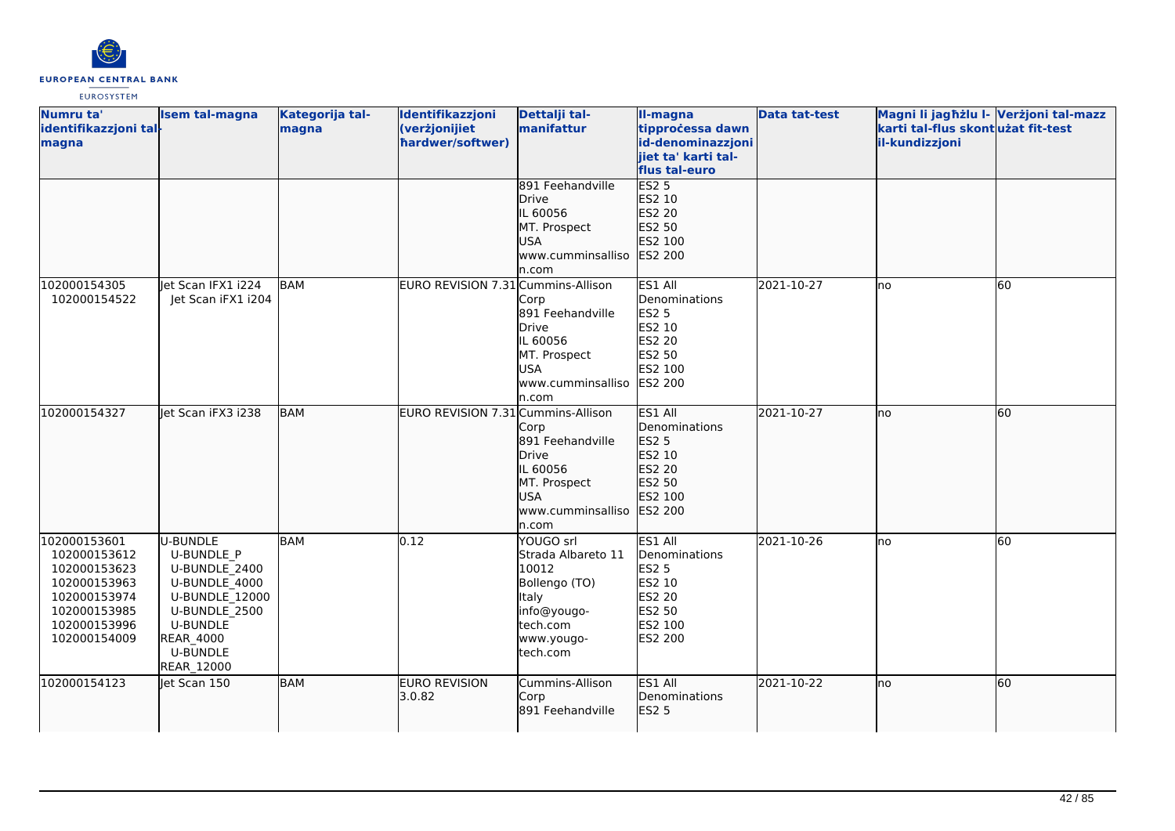

| Numru ta'             | Isem tal-magna     | Kategorija tal- | Identifikazzjoni                   | Dettalji tal-      | II-magna            | <b>Data tat-test</b> | Magni li jagħżlu I- Verżjoni tal-mazz |           |
|-----------------------|--------------------|-----------------|------------------------------------|--------------------|---------------------|----------------------|---------------------------------------|-----------|
| identifikazzjoni tal- |                    | magna           | (verżjonijiet                      | manifattur         | tipprocessa dawn    |                      | karti tal-flus skontużat fit-test     |           |
| magna                 |                    |                 | hardwer/softwer)                   |                    | id-denominazzjoni   |                      | il-kundizzjoni                        |           |
|                       |                    |                 |                                    |                    | jiet ta' karti tal- |                      |                                       |           |
|                       |                    |                 |                                    |                    | flus tal-euro       |                      |                                       |           |
|                       |                    |                 |                                    | 891 Feehandville   | <b>ES2 5</b>        |                      |                                       |           |
|                       |                    |                 |                                    | Drive              | ES2 10              |                      |                                       |           |
|                       |                    |                 |                                    | IL 60056           | ES2 20              |                      |                                       |           |
|                       |                    |                 |                                    | MT. Prospect       | ES2 50              |                      |                                       |           |
|                       |                    |                 |                                    | <b>USA</b>         | ES2 100             |                      |                                       |           |
|                       |                    |                 |                                    | www.cumminsalliso  | <b>ES2 200</b>      |                      |                                       |           |
|                       |                    |                 |                                    | n.com              |                     |                      |                                       |           |
| 102000154305          | let Scan IFX1 i224 | BAM             | EURO REVISION 7.31 Cummins-Allison |                    | ES1 All             | 2021-10-27           | lno                                   | 60        |
| 102000154522          | Jet Scan iFX1 i204 |                 |                                    | Corp               | Denominations       |                      |                                       |           |
|                       |                    |                 |                                    | 891 Feehandville   | <b>ES2 5</b>        |                      |                                       |           |
|                       |                    |                 |                                    | <b>Drive</b>       | ES2 10              |                      |                                       |           |
|                       |                    |                 |                                    | IL 60056           | <b>ES2 20</b>       |                      |                                       |           |
|                       |                    |                 |                                    | MT. Prospect       | ES2 50              |                      |                                       |           |
|                       |                    |                 |                                    | <b>USA</b>         | ES2 100             |                      |                                       |           |
|                       |                    |                 |                                    | www.cumminsalliso  | <b>ES2 200</b>      |                      |                                       |           |
|                       |                    |                 |                                    | n.com              |                     |                      |                                       |           |
| 102000154327          | Jet Scan iFX3 i238 | <b>BAM</b>      | EURO REVISION 7.31 Cummins-Allison |                    | ES1 All             | 2021-10-27           | lno                                   | 60        |
|                       |                    |                 |                                    | Corp               | Denominations       |                      |                                       |           |
|                       |                    |                 |                                    | 891 Feehandville   | <b>ES2 5</b>        |                      |                                       |           |
|                       |                    |                 |                                    | Drive              | ES2 10              |                      |                                       |           |
|                       |                    |                 |                                    | IL 60056           | ES2 20              |                      |                                       |           |
|                       |                    |                 |                                    | MT. Prospect       | ES2 50              |                      |                                       |           |
|                       |                    |                 |                                    | <b>USA</b>         | ES2 100             |                      |                                       |           |
|                       |                    |                 |                                    | www.cumminsalliso  | ES2 200             |                      |                                       |           |
|                       |                    |                 |                                    | n.com              |                     |                      |                                       |           |
| 102000153601          | U-BUNDLE           | <b>BAM</b>      | 0.12                               | YOUGO srl          | ES1 All             | 2021-10-26           | Ino                                   | 60        |
| 102000153612          | <b>U-BUNDLE P</b>  |                 |                                    | Strada Albareto 11 | Denominations       |                      |                                       |           |
| 102000153623          | U-BUNDLE 2400      |                 |                                    | 10012              | <b>ES2 5</b>        |                      |                                       |           |
| 102000153963          | U-BUNDLE_4000      |                 |                                    | Bollengo (TO)      | ES2 10              |                      |                                       |           |
| 102000153974          | U-BUNDLE 12000     |                 |                                    | Italy              | <b>ES2 20</b>       |                      |                                       |           |
| 102000153985          | U-BUNDLE 2500      |                 |                                    | info@yougo-        | ES2 50              |                      |                                       |           |
| 102000153996          | <b>U-BUNDLE</b>    |                 |                                    | tech.com           | ES2 100             |                      |                                       |           |
| 102000154009          | REAR_4000          |                 |                                    | www.yougo-         | ES2 200             |                      |                                       |           |
|                       | <b>U-BUNDLE</b>    |                 |                                    | tech.com           |                     |                      |                                       |           |
|                       | REAR_12000         |                 |                                    |                    |                     |                      |                                       |           |
| 102000154123          | let Scan 150       | <b>BAM</b>      | <b>EURO REVISION</b>               | Cummins-Allison    | ES1 All             | 2021-10-22           | Ino                                   | <b>60</b> |
|                       |                    |                 | 3.0.82                             | Corp               | Denominations       |                      |                                       |           |
|                       |                    |                 |                                    | 891 Feehandville   | <b>ES2 5</b>        |                      |                                       |           |
|                       |                    |                 |                                    |                    |                     |                      |                                       |           |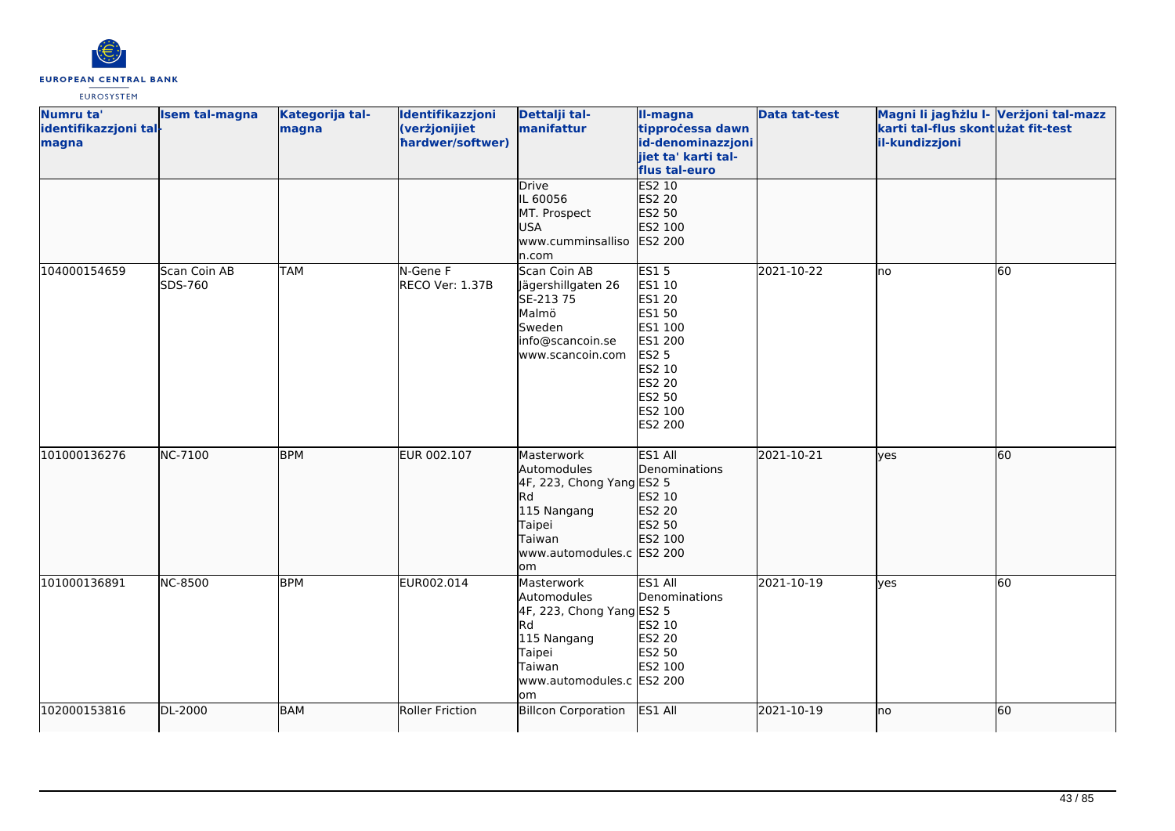

| Numru ta'<br>identifikazzjoni tal-<br>magna | <b>Isem tal-magna</b>          | Kategorija tal-<br>magna | Identifikazzjoni<br>(verżjonijiet<br>hardwer/softwer) | Dettalji tal-<br>manifattur                                                                                                               | II-magna<br>tipprocessa dawn<br>id-denominazzjoni<br>jiet ta' karti tal-<br>flus tal-euro                                    | <b>Data tat-test</b> | Magni li jagħżlu I- Verżjoni tal-mazz<br>karti tal-flus skontużat fit-test<br>il-kundizzjoni |    |
|---------------------------------------------|--------------------------------|--------------------------|-------------------------------------------------------|-------------------------------------------------------------------------------------------------------------------------------------------|------------------------------------------------------------------------------------------------------------------------------|----------------------|----------------------------------------------------------------------------------------------|----|
|                                             |                                |                          |                                                       | Drive<br>IL 60056<br>MT. Prospect<br><b>USA</b><br>www.cumminsalliso<br>n.com                                                             | <b>ES2 10</b><br>ES2 20<br>ES2 50<br>ES2 100<br>ES2 200                                                                      |                      |                                                                                              |    |
| 104000154659                                | <b>Scan Coin AB</b><br>SDS-760 | <b>TAM</b>               | N-Gene F<br>RECO Ver: 1.37B                           | Scan Coin AB<br>Jägershillgaten 26<br>SE-213 75<br>Malmö<br>Sweden<br>info@scancoin.se<br>www.scancoin.com                                | <b>ES15</b><br>ES1 10<br>ES1 20<br>ES1 50<br>ES1 100<br>ES1 200<br>ES2 5<br>ES2 10<br>ES2 20<br>ES2 50<br>ES2 100<br>ES2 200 | 2021-10-22           | lno                                                                                          | 60 |
| 101000136276                                | <b>NC-7100</b>                 | <b>BPM</b>               | EUR 002.107                                           | Masterwork<br>Automodules<br>4F, 223, Chong Yang ES2 5<br>Rd<br>115 Nangang<br>Taipei<br>Taiwan<br>www.automodules.c ES2 200<br>lom       | ES1 All<br>Denominations<br>ES2 10<br>ES2 20<br>ES2 50<br>ES2 100                                                            | 2021-10-21           | lyes                                                                                         | 60 |
| 101000136891                                | <b>NC-8500</b>                 | <b>BPM</b>               | EUR002.014                                            | Masterwork<br>Automodules<br>4F, 223, Chong Yang ES2 5<br><b>Rd</b><br>115 Nangang<br>Taipei<br>Taiwan<br>www.automodules.c ES2 200<br>om | ES1 All<br>Denominations<br>ES2 10<br>ES2 20<br>ES2 50<br>ES2 100                                                            | 2021-10-19           | lves                                                                                         | 60 |
| 102000153816                                | DL-2000                        | <b>BAM</b>               | <b>Roller Friction</b>                                | <b>Billcon Corporation</b>                                                                                                                | ES1 All                                                                                                                      | 2021-10-19           | lno                                                                                          | 60 |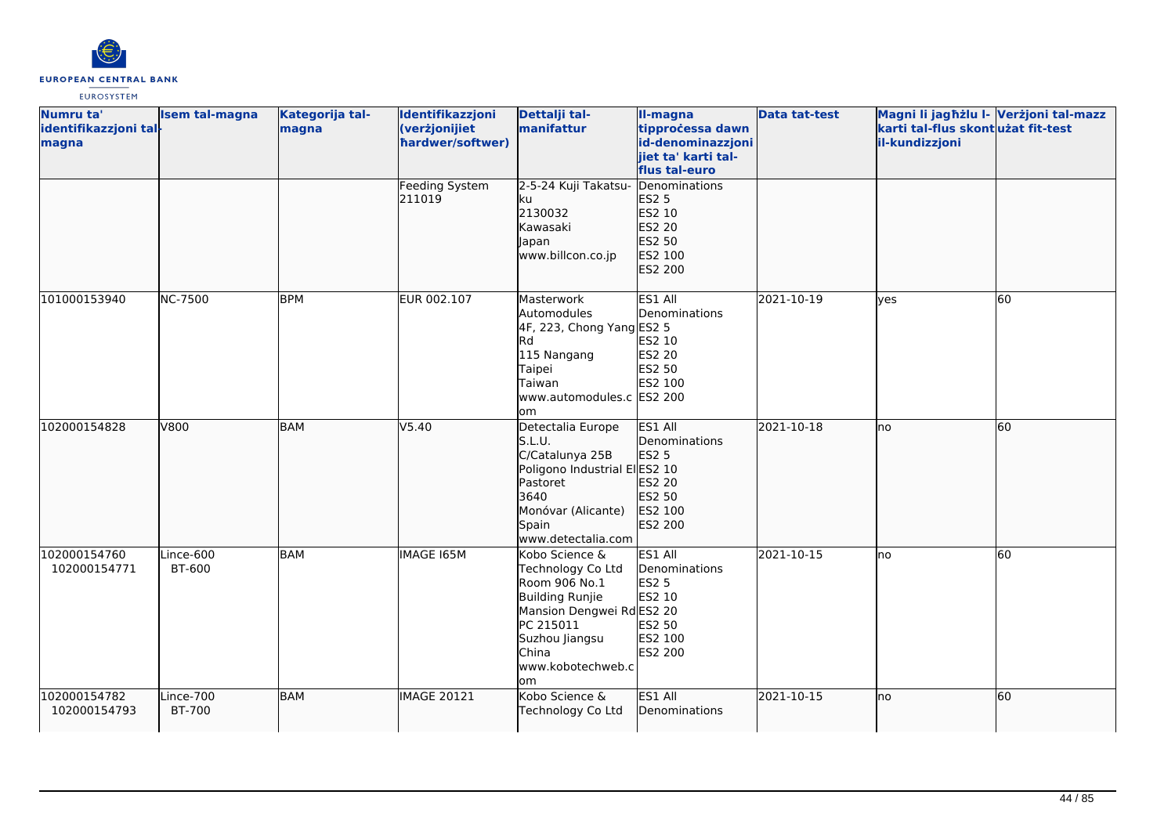

| Numru ta'<br>identifikazzjoni tal-<br>magna | Isem tal-magna      | Kategorija tal-<br>magna | Identifikazzjoni<br>(verżjonijiet<br>hardwer/softwer) | Dettalji tal-<br>manifattur                                                                                                                                              | II-magna<br>tipprocessa dawn<br>id-denominazzjoni<br>jiet ta' karti tal-                    | <b>Data tat-test</b> | Magni li jagħżlu I- Verżjoni tal-mazz<br>karti tal-flus skontużat fit-test<br>il-kundizzjoni |           |
|---------------------------------------------|---------------------|--------------------------|-------------------------------------------------------|--------------------------------------------------------------------------------------------------------------------------------------------------------------------------|---------------------------------------------------------------------------------------------|----------------------|----------------------------------------------------------------------------------------------|-----------|
|                                             |                     |                          | Feeding System<br>211019                              | 2-5-24 Kuji Takatsu-<br>ku<br>2130032<br>Kawasaki<br>Japan<br>www.billcon.co.jp                                                                                          | flus tal-euro<br>Denominations<br>ES2 5<br>ES2 10<br>ES2 20<br>ES2 50<br>ES2 100<br>ES2 200 |                      |                                                                                              |           |
| 101000153940                                | <b>NC-7500</b>      | <b>BPM</b>               | EUR 002.107                                           | Masterwork<br>Automodules<br>4F, 223, Chong Yang ES2 5<br>Rd<br>115 Nangang<br>Taipei<br>Taiwan<br>www.automodules.c ES2 200<br>lom                                      | ES1 All<br>Denominations<br>ES2 10<br><b>ES2 20</b><br>ES2 50<br>ES2 100                    | 2021-10-19           | ves                                                                                          | <b>60</b> |
| 102000154828                                | V800                | <b>BAM</b>               | V5.40                                                 | Detectalia Europe<br>S.L.U.<br>C/Catalunya 25B<br>Poligono Industrial ElES2 10<br>Pastoret<br>3640<br>Monóvar (Alicante)<br>Spain<br>www.detectalia.com                  | ES1 All<br>Denominations<br>ES2 5<br>ES2 20<br>ES2 50<br>ES2 100<br>ES2 200                 | 2021-10-18           | lno                                                                                          | 60        |
| 102000154760<br>102000154771                | Lince-600<br>BT-600 | <b>BAM</b>               | IMAGE 165M                                            | Kobo Science &<br>Technology Co Ltd<br>Room 906 No.1<br>Building Runjie<br>Mansion Dengwei Rd ES2 20<br>PC 215011<br>Suzhou Jiangsu<br>China<br>www.kobotechweb.c<br>lom | ES1 All<br>Denominations<br><b>ES2 5</b><br>ES2 10<br>ES2 50<br>ES2 100<br>ES2 200          | 2021-10-15           | lno                                                                                          | 60        |
| 102000154782<br>102000154793                | Lince-700<br>BT-700 | BAM                      | <b>IMAGE 20121</b>                                    | Kobo Science &<br>Technology Co Ltd                                                                                                                                      | ES1 All<br>Denominations                                                                    | 2021-10-15           | lno                                                                                          | 60        |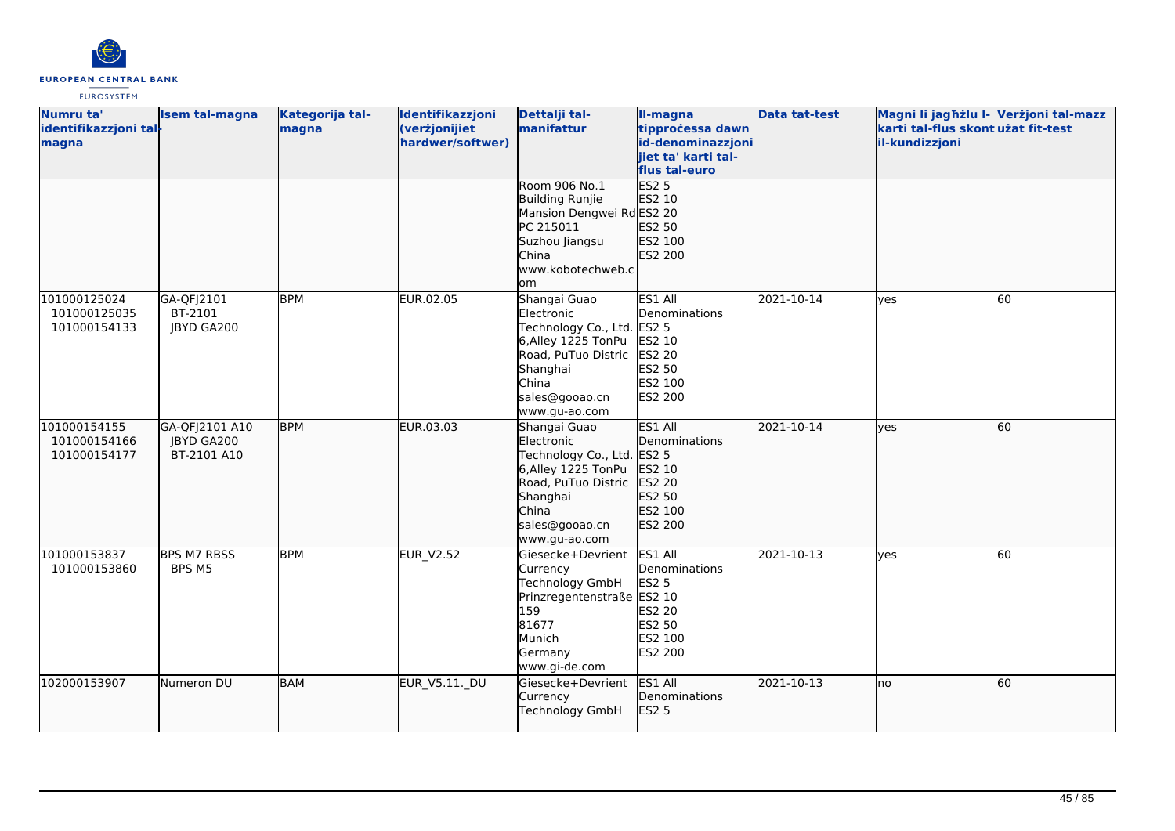

| Numru ta'<br>identifikazzjoni tal-<br>magna  | Isem tal-magna                              | Kategorija tal-<br>magna | Identifikazzjoni<br>(verżjonijiet<br>hardwer/softwer) | Dettalji tal-<br>manifattur                                                                                                                                    | II-magna<br>tipprocessa dawn<br>id-denominazzjoni<br>jiet ta' karti tal-<br>flus tal-euro | <b>Data tat-test</b> | Magni li jagħżlu I- Verżjoni tal-mazz<br>karti tal-flus skontużat fit-test<br>il-kundizzjoni |    |
|----------------------------------------------|---------------------------------------------|--------------------------|-------------------------------------------------------|----------------------------------------------------------------------------------------------------------------------------------------------------------------|-------------------------------------------------------------------------------------------|----------------------|----------------------------------------------------------------------------------------------|----|
|                                              |                                             |                          |                                                       | Room 906 No.1<br>Building Runjie<br>Mansion Dengwei RdES2 20<br>PC 215011<br>Suzhou Jiangsu<br>China<br>www.kobotechweb.c<br>om                                | <b>ES2 5</b><br>ES2 10<br>ES2 50<br>ES2 100<br>ES2 200                                    |                      |                                                                                              |    |
| 101000125024<br>101000125035<br>101000154133 | GA-QFJ2101<br>BT-2101<br><b>JBYD GA200</b>  | <b>BPM</b>               | EUR.02.05                                             | Shangai Guao<br>Electronic<br>Technology Co., Ltd. ES2 5<br>6,Alley 1225 TonPu<br>Road, PuTuo Distric<br>Shanghai<br>China<br>sales@gooao.cn<br>www.gu-ao.com  | ES1 All<br>Denominations<br>ES2 10<br>ES2 20<br>ES2 50<br>ES2 100<br>ES2 200              | 2021-10-14           | <b>ves</b>                                                                                   | 60 |
| 101000154155<br>101000154166<br>101000154177 | GA-QFJ2101 A10<br>JBYD GA200<br>BT-2101 A10 | <b>BPM</b>               | EUR.03.03                                             | Shangai Guao<br>Electronic<br>Technology Co., Ltd. ES2 5<br>6, Alley 1225 TonPu<br>Road, PuTuo Distric<br>Shanghai<br>China<br>sales@gooao.cn<br>www.gu-ao.com | ES1 All<br>Denominations<br>ES2 10<br>ES2 20<br>ES2 50<br>ES2 100<br>ES2 200              | 2021-10-14           | lves                                                                                         | 60 |
| 101000153837<br>101000153860                 | <b>BPS M7 RBSS</b><br>BPS M5                | <b>BPM</b>               | <b>EUR V2.52</b>                                      | Giesecke+Devrient<br>Currency<br>Technology GmbH<br>Prinzregentenstraße ES2 10<br>159<br>81677<br>Munich<br>Germany<br>www.gi-de.com                           | ES1 All<br>Denominations<br><b>ES2 5</b><br>ES2 20<br>ES2 50<br>ES2 100<br>ES2 200        | 2021-10-13           | <b>ves</b>                                                                                   | 60 |
| 102000153907                                 | Numeron DU                                  | <b>BAM</b>               | <b>EUR_V5.11._DU</b>                                  | Giesecke+Devrient<br>Currency<br><b>Technology GmbH</b>                                                                                                        | ES1 All<br>Denominations<br><b>ES2 5</b>                                                  | 2021-10-13           | Ino                                                                                          | 60 |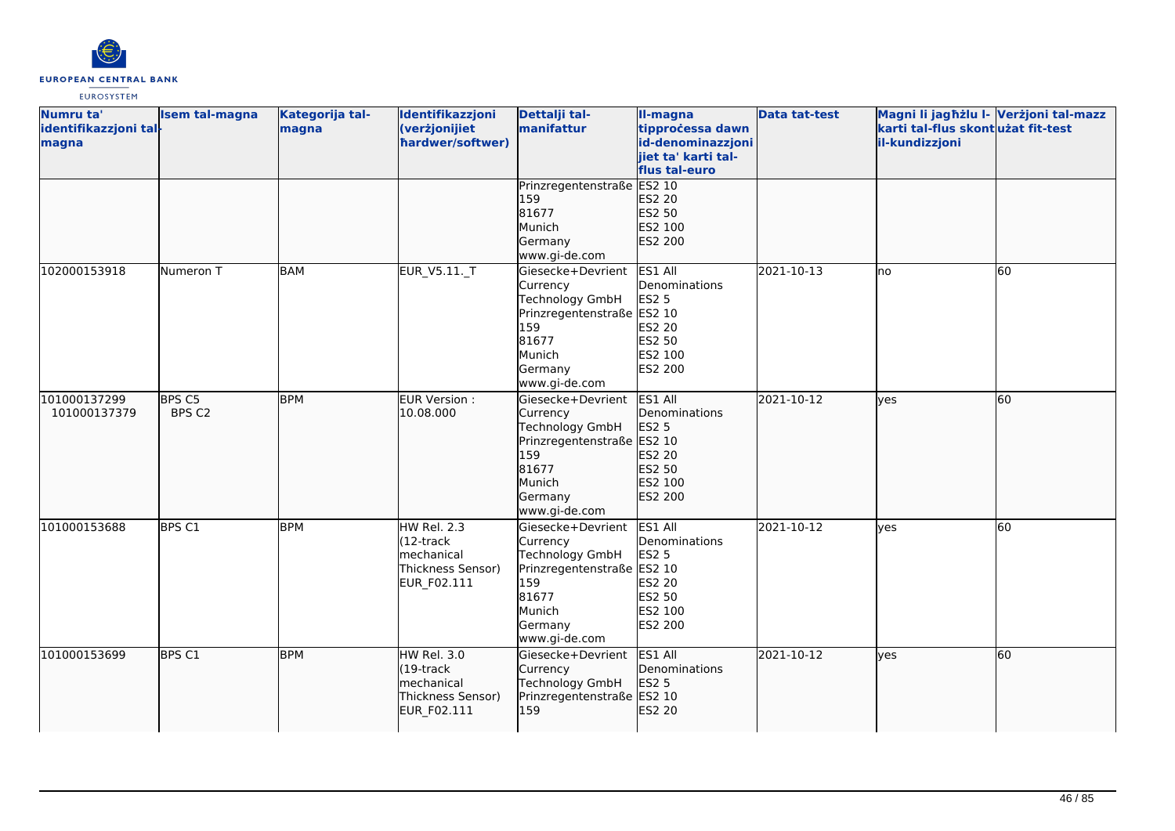

| Numru ta'<br>identifikazzjoni tal-<br>magna | <b>Isem tal-magna</b> | Kategorija tal-<br>magna | Identifikazzjoni<br>(verżjonijiet<br>hardwer/softwer)                                 | Dettalji tal-<br>manifattur                                                                                                          | II-magna<br>tipprocessa dawn<br>id-denominazzjoni<br>jiet ta' karti tal-<br>flus tal-euro | <b>Data tat-test</b> | Magni li jagħżlu I- Verżjoni tal-mazz<br>karti tal-flus skontużat fit-test<br>il-kundizzjoni |    |
|---------------------------------------------|-----------------------|--------------------------|---------------------------------------------------------------------------------------|--------------------------------------------------------------------------------------------------------------------------------------|-------------------------------------------------------------------------------------------|----------------------|----------------------------------------------------------------------------------------------|----|
|                                             |                       |                          |                                                                                       | Prinzregentenstraße ES2 10<br>159<br>81677<br>Munich<br>Germany<br>www.gi-de.com                                                     | ES2 20<br>ES2 50<br>ES2 100<br>ES2 200                                                    |                      |                                                                                              |    |
| 102000153918                                | Numeron T             | BAM                      | EUR_V5.11._T                                                                          | Giesecke+Devrient<br>Currency<br>Technology GmbH<br>Prinzregentenstraße ES2 10<br>159<br>81677<br>Munich<br>Germany<br>www.gi-de.com | ES1 All<br>Denominations<br><b>ES2 5</b><br><b>ES2 20</b><br>ES2 50<br>ES2 100<br>ES2 200 | 2021-10-13           | lno                                                                                          | 60 |
| 101000137299<br>101000137379                | BPS C5<br>BPS C2      | <b>BPM</b>               | EUR Version :<br>10.08.000                                                            | Giesecke+Devrient<br>Currency<br>Technology GmbH<br>Prinzregentenstraße ES2 10<br>159<br>81677<br>Munich<br>Germany<br>www.gi-de.com | ES1 All<br>Denominations<br>ES2 5<br>ES2 20<br>ES2 50<br>ES2 100<br>ES2 200               | 2021-10-12           | ves                                                                                          | 60 |
| 101000153688                                | BPS C1                | <b>BPM</b>               | HW Rel. 2.3<br>$(12 -$ track<br>mechanical<br>Thickness Sensor)<br>EUR_F02.111        | Giesecke+Devrient<br>Currency<br>Technology GmbH<br>Prinzregentenstraße ES2 10<br>159<br>81677<br>Munich<br>Germany<br>www.gi-de.com | ES1 All<br>Denominations<br><b>ES2 5</b><br>ES2 20<br>ES2 50<br>ES2 100<br>ES2 200        | 2021-10-12           | yes                                                                                          | 60 |
| 101000153699                                | BPS C1                | <b>BPM</b>               | HW Rel. 3.0<br>$(19$ -track<br><b>Imechanical</b><br>Thickness Sensor)<br>EUR_F02.111 | Giesecke+Devrient<br>Currency<br>Technology GmbH<br>Prinzregentenstraße ES2 10<br>159                                                | ES1 All<br>Denominations<br>ES2 5<br>ES2 20                                               | 2021-10-12           | lyes                                                                                         | 60 |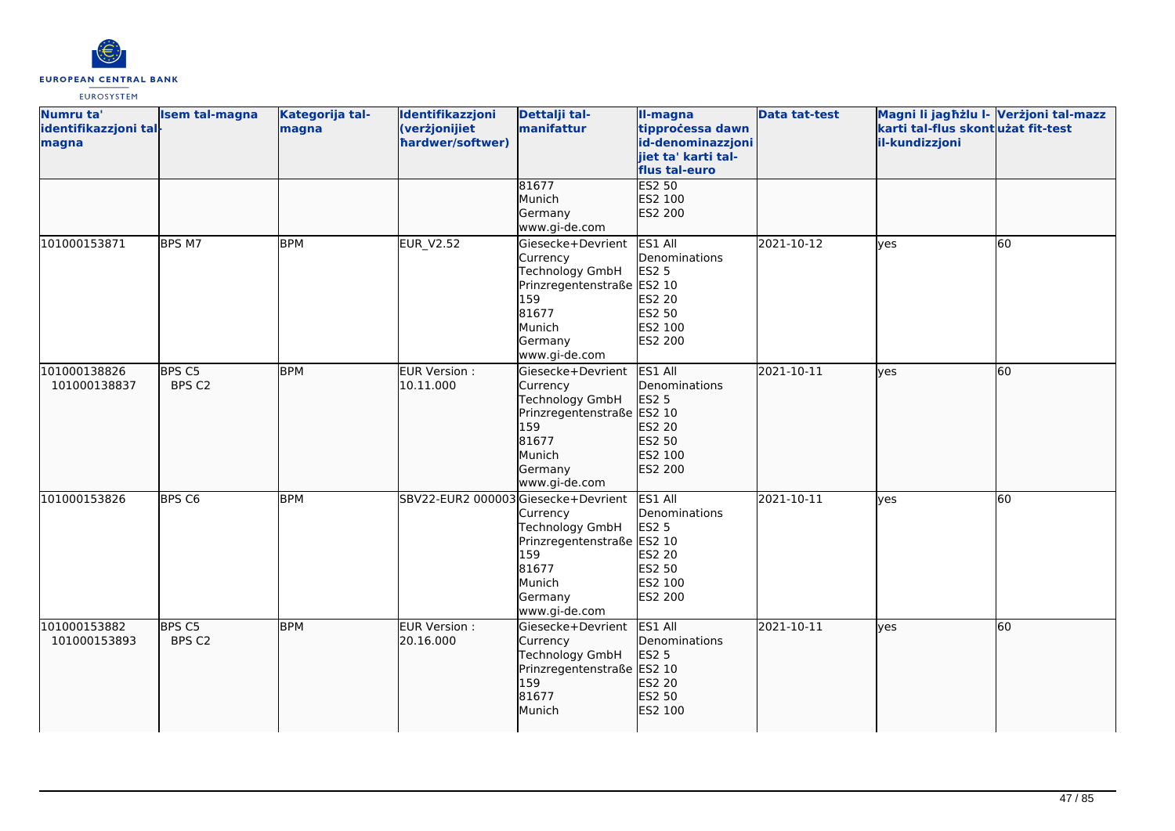

| Numru ta'<br>identifikazzjoni tal-<br>magna | <b>Isem tal-magna</b>       | Kategorija tal-<br>magna | Identifikazzjoni<br>(verżjonijiet<br>hardwer/softwer) | Dettalji tal-<br>manifattur                                                                                                          | II-magna<br>tipprocessa dawn<br>id-denominazzjoni<br>jiet ta' karti tal-<br>flus tal-euro | <b>Data tat-test</b> | Magni li jagħżlu I- Verżjoni tal-mazz<br>karti tal-flus skontużat fit-test<br>il-kundizzjoni |    |
|---------------------------------------------|-----------------------------|--------------------------|-------------------------------------------------------|--------------------------------------------------------------------------------------------------------------------------------------|-------------------------------------------------------------------------------------------|----------------------|----------------------------------------------------------------------------------------------|----|
|                                             |                             |                          |                                                       | 81677<br>Munich<br>Germany<br>www.gi-de.com                                                                                          | <b>ES2 50</b><br>ES2 100<br>ES2 200                                                       |                      |                                                                                              |    |
| 101000153871                                | BPS M7                      | <b>BPM</b>               | <b>EUR_V2.52</b>                                      | Giesecke+Devrient<br>Currency<br>Technology GmbH<br>Prinzregentenstraße ES2 10<br>159<br>81677<br>Munich<br>Germany<br>www.gi-de.com | ES1 All<br>Denominations<br><b>ES2 5</b><br>ES2 20<br>ES2 50<br>ES2 100<br><b>ES2 200</b> | 2021-10-12           | lyes                                                                                         | 60 |
| 101000138826<br>101000138837                | BPS <sub>C5</sub><br>BPS C2 | <b>BPM</b>               | EUR Version :<br>10.11.000                            | Giesecke+Devrient<br>Currency<br>Technology GmbH<br>Prinzregentenstraße ES2 10<br>159<br>81677<br>Munich<br>Germany<br>www.gi-de.com | ES1 All<br>Denominations<br>ES2 5<br>ES2 20<br>ES2 50<br>ES2 100<br>ES2 200               | 2021-10-11           | lyes                                                                                         | 60 |
| 101000153826                                | BPS <sub>C6</sub>           | <b>BPM</b>               | SBV22-EUR2 000003Giesecke+Devrient                    | Currency<br>Technology GmbH<br>Prinzregentenstraße ES2 10<br>159<br>81677<br>Munich<br>Germany<br>www.gi-de.com                      | ES1 All<br>Denominations<br><b>ES2 5</b><br>ES2 20<br>ES2 50<br>ES2 100<br>ES2 200        | 2021-10-11           | <b>ves</b>                                                                                   | 60 |
| 101000153882<br>101000153893                | BPS C5<br>BPS C2            | <b>BPM</b>               | EUR Version :<br>20.16.000                            | Giesecke+Devrient<br>Currency<br>Technology GmbH<br>Prinzregentenstraße ES2 10<br>159<br>81677<br>Munich                             | ES1 All<br>Denominations<br><b>ES2 5</b><br>ES2 20<br>ES2 50<br>ES2 100                   | 2021-10-11           | lves                                                                                         | 60 |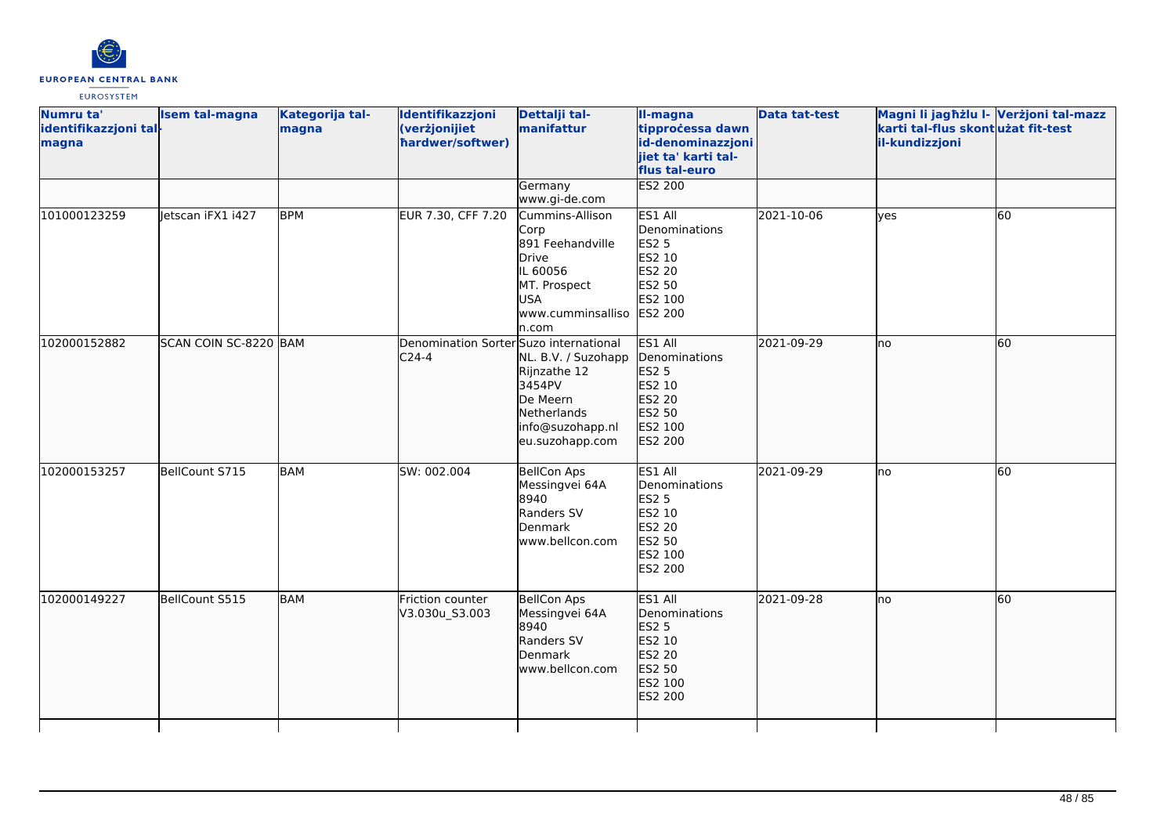

| Numru ta'<br>identifikazzjoni tal-<br>magna | <b>Isem tal-magna</b> | Kategorija tal-<br>magna | Identifikazzjoni<br>(verżjonijiet<br>hardwer/softwer) | Dettalji tal-<br>manifattur                                                                                                          | II-magna<br>tipprocessa dawn<br>id-denominazzjoni<br>jiet ta' karti tal-<br>flus tal-euro    | <b>Data tat-test</b> | Magni li jagħżlu I- Verżjoni tal-mazz<br>karti tal-flus skontużat fit-test<br>il-kundizzjoni |    |
|---------------------------------------------|-----------------------|--------------------------|-------------------------------------------------------|--------------------------------------------------------------------------------------------------------------------------------------|----------------------------------------------------------------------------------------------|----------------------|----------------------------------------------------------------------------------------------|----|
|                                             |                       |                          |                                                       | Germany<br>www.gi-de.com                                                                                                             | <b>ES2 200</b>                                                                               |                      |                                                                                              |    |
| 101000123259                                | letscan iFX1 i427     | <b>BPM</b>               | EUR 7.30, CFF 7.20                                    | Cummins-Allison<br>Corp<br>891 Feehandville<br>Drive<br>IL 60056<br>MT. Prospect<br><b>USA</b><br>www.cumminsalliso ES2 200<br>n.com | ES1 All<br>Denominations<br><b>ES2 5</b><br>ES2 10<br>ES2 20<br>ES2 50<br>ES2 100            | 2021-10-06           | <b>ves</b>                                                                                   | 60 |
| 102000152882                                | SCAN COIN SC-8220 BAM |                          | Denomination Sorter Suzo international<br>$C24-4$     | NL. B.V. / Suzohapp<br>Rijnzathe 12<br>3454PV<br>De Meern<br>Netherlands<br>info@suzohapp.nl<br>eu.suzohapp.com                      | ES1 All<br>Denominations<br>ES2 5<br>ES2 10<br>ES2 20<br>ES2 50<br>ES2 100<br>ES2 200        | 2021-09-29           | lno                                                                                          | 60 |
| 102000153257                                | BellCount S715        | <b>BAM</b>               | SW: 002.004                                           | <b>BellCon Aps</b><br>Messingvei 64A<br>8940<br>Randers SV<br>Denmark<br>www.bellcon.com                                             | ES1 All<br>Denominations<br><b>ES2 5</b><br>ES2 10<br>ES2 20<br>ES2 50<br>ES2 100<br>ES2 200 | 2021-09-29           | lno                                                                                          | 60 |
| 102000149227                                | BellCount S515        | <b>BAM</b>               | Friction counter<br>V3.030u_S3.003                    | <b>BellCon Aps</b><br>Messingvei 64A<br>8940<br>Randers SV<br>Denmark<br>www.bellcon.com                                             | ES1 All<br>Denominations<br>ES2 5<br>ES2 10<br>ES2 20<br>ES2 50<br>ES2 100<br>ES2 200        | 2021-09-28           | Ino                                                                                          | 60 |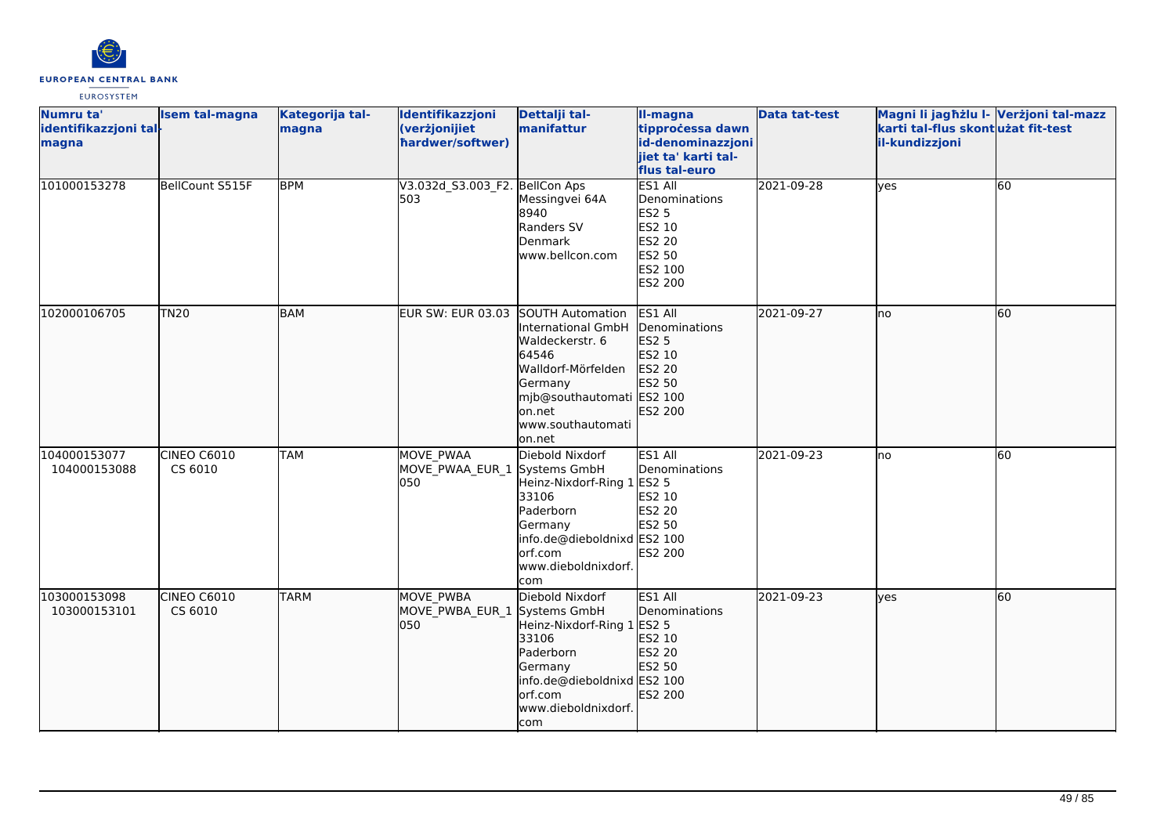

| Numru ta'<br>identifikazzjoni tal-<br>magna | <b>Isem tal-magna</b>  | Kategorija tal-<br>magna | Identifikazzjoni<br>(verżjonijiet<br>hardwer/softwer)    | Dettalji tal-<br>manifattur                                                                                                                                      | II-magna<br>tipprocessa dawn<br>id-denominazzjoni<br>jiet ta' karti tal-<br>flus tal-euro           | <b>Data tat-test</b> | Magni li jagħżlu I- Verżjoni tal-mazz<br>karti tal-flus skontużat fit-test<br>il-kundizzjoni |           |
|---------------------------------------------|------------------------|--------------------------|----------------------------------------------------------|------------------------------------------------------------------------------------------------------------------------------------------------------------------|-----------------------------------------------------------------------------------------------------|----------------------|----------------------------------------------------------------------------------------------|-----------|
| 101000153278                                | BellCount S515F        | <b>BPM</b>               | V3.032d_S3.003_F2. BellCon Aps<br>503                    | Messingvei 64A<br>8940<br>Randers SV<br>Denmark<br>www.bellcon.com                                                                                               | ES1 All<br>Denominations<br><b>ES2 5</b><br>ES2 10<br><b>ES2 20</b><br>ES2 50<br>ES2 100<br>ES2 200 | 2021-09-28           | lyes                                                                                         | 60        |
| 102000106705                                | <b>TN20</b>            | BAM                      | EUR SW: EUR 03.03 SOUTH Automation                       | International GmbH<br>Waldeckerstr. 6<br>64546<br>Walldorf-Mörfelden<br>Germany<br>mjb@southautomati ES2 100<br>on.net<br>www.southautomati<br>on.net            | ES1 All<br>Denominations<br>ES2 5<br>ES2 10<br>ES2 20<br>ES2 50<br>ES2 200                          | 2021-09-27           | lno                                                                                          | <b>60</b> |
| 104000153077<br>104000153088                | CINEO C6010<br>CS 6010 | ITAM                     | MOVE PWAA<br>MOVE_PWAA_EUR_1<br>050                      | Diebold Nixdorf<br>Systems GmbH<br>Heinz-Nixdorf-Ring 1<br>33106<br>Paderborn<br>Germany<br>info.de@dieboldnixd ES2 100<br>orf.com<br>www.dieboldnixdorf.<br>com | ES1 All<br>Denominations<br><b>ES2 5</b><br>ES2 10<br><b>ES2 20</b><br>ES2 50<br>ES2 200            | 2021-09-23           | Ino                                                                                          | 60        |
| 103000153098<br>103000153101                | CINEO C6010<br>CS 6010 | <b>TARM</b>              | <b>MOVE PWBA</b><br>MOVE PWBA EUR 1 Systems GmbH<br>1050 | Diebold Nixdorf<br>Heinz-Nixdorf-Ring 1 ES2 5<br>33106<br>Paderborn<br>Germany<br>info.de@dieboldnixd ES2 100<br>orf.com<br>www.dieboldnixdorf.<br>com           | ES1 All<br>Denominations<br>ES2 10<br>ES2 20<br>ES2 50<br>ES2 200                                   | 2021-09-23           | lves                                                                                         | 60        |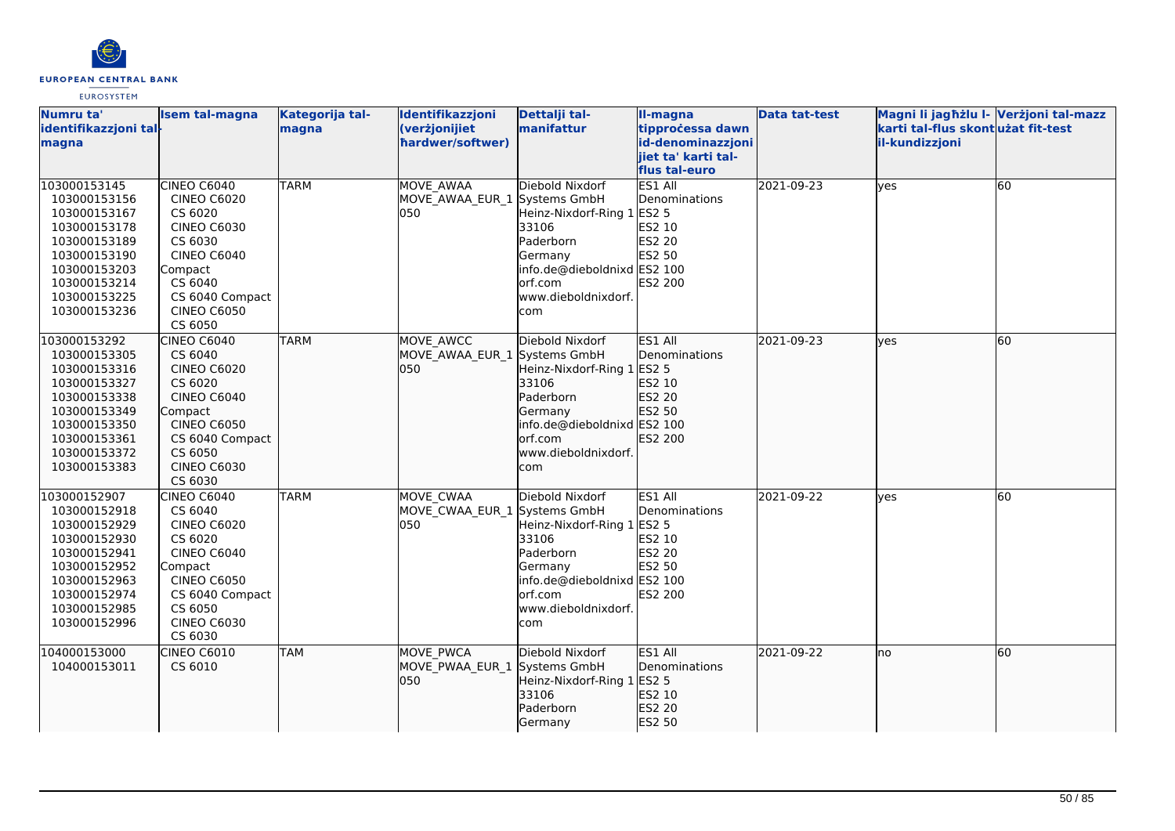

| Numru ta'<br>identifikazzjoni tal-<br>magna                                                                                                                  | <b>Isem tal-magna</b>                                                                                                                                                         | Kategorija tal-<br>magna | Identifikazzjoni<br>(verżjonijiet<br>hardwer/softwer) | Dettalji tal-<br>manifattur                                                                                                                                      | II-magna<br>tipprocessa dawn<br>id-denominazzjoni<br>jiet ta' karti tal-          | <b>Data tat-test</b> | Magni li jagħżlu I- Verżjoni tal-mazz<br>karti tal-flus skont użat fit-test<br>il-kundizzjoni |    |
|--------------------------------------------------------------------------------------------------------------------------------------------------------------|-------------------------------------------------------------------------------------------------------------------------------------------------------------------------------|--------------------------|-------------------------------------------------------|------------------------------------------------------------------------------------------------------------------------------------------------------------------|-----------------------------------------------------------------------------------|----------------------|-----------------------------------------------------------------------------------------------|----|
|                                                                                                                                                              |                                                                                                                                                                               |                          |                                                       |                                                                                                                                                                  | flus tal-euro                                                                     |                      |                                                                                               |    |
| 103000153145<br>103000153156<br>103000153167<br>103000153178<br>103000153189                                                                                 | CINEO C6040<br><b>CINEO C6020</b><br>CS 6020<br><b>CINEO C6030</b><br>CS 6030                                                                                                 | <b>TARM</b>              | MOVE AWAA<br>MOVE AWAA EUR 1 Systems GmbH<br>050      | Diebold Nixdorf<br>Heinz-Nixdorf-Ring 1<br>33106<br>Paderborn                                                                                                    | ES1 All<br>Denominations<br><b>ES2 5</b><br>ES2 10<br>ES2 20                      | 2021-09-23           | yes                                                                                           | 60 |
| 103000153190<br>103000153203<br>103000153214<br>103000153225<br>103000153236                                                                                 | <b>CINEO C6040</b><br>Compact<br>CS 6040<br>CS 6040 Compact<br><b>CINEO C6050</b><br>CS 6050                                                                                  |                          |                                                       | Germany<br>info.de@dieboldnixd ES2 100<br>orf.com<br>www.dieboldnixdorf.<br>com                                                                                  | ES2 50<br>ES2 200                                                                 |                      |                                                                                               |    |
| 103000153292<br>103000153305<br>103000153316<br>103000153327<br>103000153338<br>103000153349<br>103000153350<br>103000153361<br>103000153372<br>103000153383 | CINEO C6040<br>CS 6040<br><b>CINEO C6020</b><br>CS 6020<br><b>CINEO C6040</b><br>Compact<br><b>CINEO C6050</b><br>CS 6040 Compact<br>CS 6050<br><b>CINEO C6030</b><br>CS 6030 | <b>TARM</b>              | MOVE AWCC<br>MOVE_AWAA_EUR_1<br>050                   | Diebold Nixdorf<br>Systems GmbH<br>Heinz-Nixdorf-Ring 1<br>33106<br>Paderborn<br>Germany<br>info.de@dieboldnixd ES2 100<br>orf.com<br>www.dieboldnixdorf.<br>com | ES1 All<br>Denominations<br><b>ES2 5</b><br>ES2 10<br>ES2 20<br>ES2 50<br>ES2 200 | 2021-09-23           | ves                                                                                           | 60 |
| 103000152907<br>103000152918<br>103000152929<br>103000152930<br>103000152941<br>103000152952<br>103000152963<br>103000152974<br>103000152985<br>103000152996 | CINEO C6040<br>CS 6040<br><b>CINEO C6020</b><br>CS 6020<br><b>CINEO C6040</b><br>Compact<br><b>CINEO C6050</b><br>CS 6040 Compact<br>CS 6050<br><b>CINEO C6030</b><br>CS 6030 | <b>TARM</b>              | MOVE CWAA<br>MOVE CWAA EUR 1 Systems GmbH<br>050      | Diebold Nixdorf<br>Heinz-Nixdorf-Ring 1 ES2 5<br>33106<br>Paderborn<br>Germany<br>info.de@dieboldnixd ES2 100<br>orf.com<br>www.dieboldnixdorf.<br>com           | ES1 All<br>Denominations<br>ES2 10<br><b>ES2 20</b><br>ES2 50<br>ES2 200          | 2021-09-22           | yes                                                                                           | 60 |
| 104000153000<br>104000153011                                                                                                                                 | CINEO C6010<br>CS 6010                                                                                                                                                        | <b>TAM</b>               | MOVE PWCA<br>MOVE_PWAA_EUR_1 Systems GmbH<br>050      | Diebold Nixdorf<br>Heinz-Nixdorf-Ring 1<br>33106<br>Paderborn<br>Germany                                                                                         | ES1 All<br>Denominations<br><b>ES2 5</b><br>ES2 10<br>ES2 20<br>ES2 50            | 2021-09-22           | lno                                                                                           | 60 |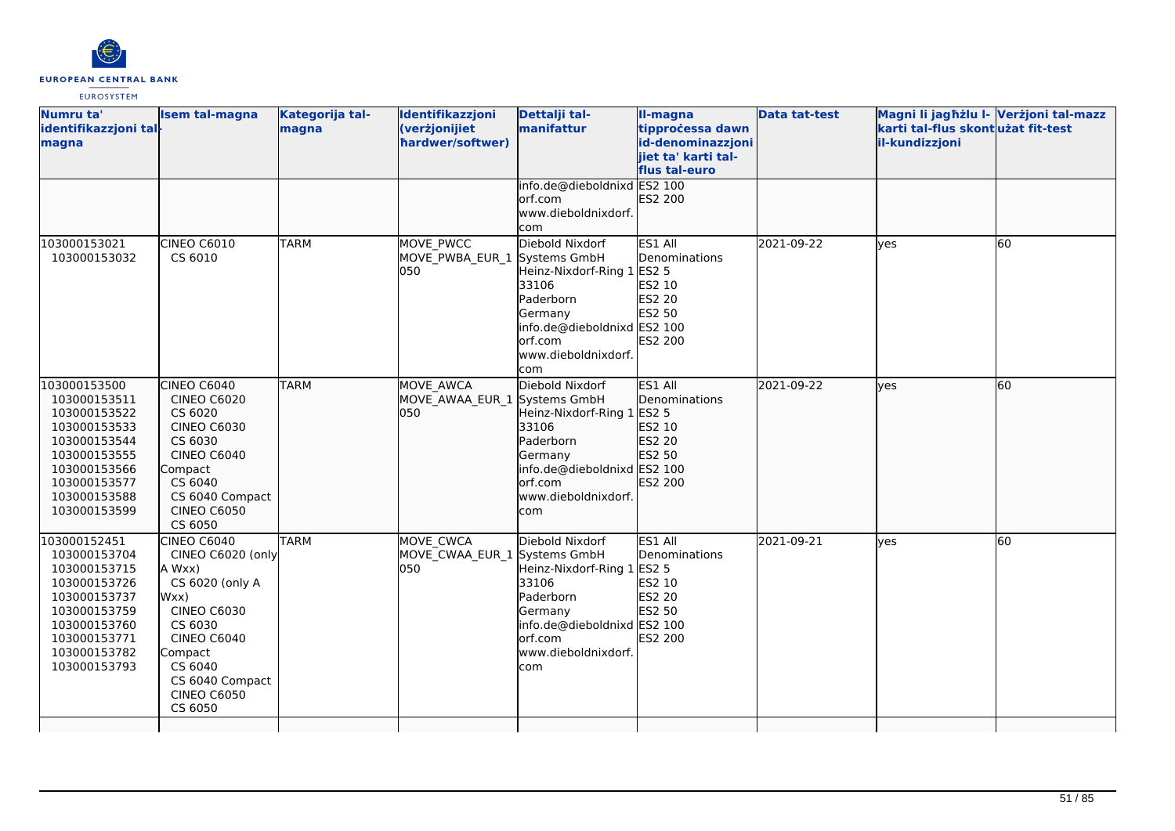

| Numru ta'<br>identifikazzjoni tal-<br>magna                                                                                                                  | <b>Isem tal-magna</b>                                                                                                                                                                                         | Kategorija tal-<br>magna | Identifikazzjoni<br>(verżjonijiet<br>hardwer/softwer)   | Dettalji tal-<br>manifattur                                                                                                                        | II-magna<br>tipprocessa dawn<br>id-denominazzjoni<br>jiet ta' karti tal-<br>flus tal-euro | <b>Data tat-test</b> | Magni li jagħżlu I- Verżjoni tal-mazz<br>karti tal-flus skontużat fit-test<br>il-kundizzjoni |    |
|--------------------------------------------------------------------------------------------------------------------------------------------------------------|---------------------------------------------------------------------------------------------------------------------------------------------------------------------------------------------------------------|--------------------------|---------------------------------------------------------|----------------------------------------------------------------------------------------------------------------------------------------------------|-------------------------------------------------------------------------------------------|----------------------|----------------------------------------------------------------------------------------------|----|
|                                                                                                                                                              |                                                                                                                                                                                                               |                          |                                                         | info.de@dieboldnixd ES2 100<br>lorf.com<br>www.dieboldnixdorf.<br>com                                                                              | ES2 200                                                                                   |                      |                                                                                              |    |
| 103000153021<br>103000153032                                                                                                                                 | CINEO C6010<br>CS 6010                                                                                                                                                                                        | <b>TARM</b>              | MOVE PWCC<br>MOVE_PWBA_EUR_1 Systems GmbH<br>050        | Diebold Nixdorf<br>Heinz-Nixdorf-Ring 1<br>33106<br>Paderborn<br>Germany<br>info.de@dieboldnixd ES2 100<br>lorf.com<br>www.dieboldnixdorf.<br>lcom | ES1 All<br>Denominations<br><b>ES2 5</b><br>ES2 10<br>ES2 20<br>ES2 50<br><b>ES2 200</b>  | 2021-09-22           | yes                                                                                          | 60 |
| 103000153500<br>103000153511<br>103000153522<br>103000153533<br>103000153544<br>103000153555<br>103000153566<br>103000153577<br>103000153588<br>103000153599 | CINEO C6040<br><b>CINEO C6020</b><br>CS 6020<br><b>CINEO C6030</b><br>CS 6030<br><b>CINEO C6040</b><br>Compact<br>CS 6040<br>CS 6040 Compact<br><b>CINEO C6050</b><br>CS 6050                                 | <b>TARM</b>              | MOVE AWCA<br>MOVE AWAA EUR 1 Systems GmbH<br>050        | Diebold Nixdorf<br>Heinz-Nixdorf-Ring 1<br>33106<br>Paderborn<br>Germany<br>info.de@dieboldnixd ES2 100<br>lorf.com<br>www.dieboldnixdorf.<br>com  | ES1 All<br>Denominations<br>ES2 5<br>ES2 10<br>ES2 20<br>ES2 50<br>ES2 200                | 2021-09-22           | lves                                                                                         | 60 |
| 103000152451<br>103000153704<br>103000153715<br>103000153726<br>103000153737<br>103000153759<br>103000153760<br>103000153771<br>103000153782<br>103000153793 | <b>CINEO C6040</b><br>CINEO C6020 (only<br>A Wxx)<br>CS 6020 (only A<br>Wxx)<br><b>CINEO C6030</b><br>CS 6030<br><b>CINEO C6040</b><br>Compact<br>CS 6040<br>CS 6040 Compact<br><b>CINEO C6050</b><br>CS 6050 | <b>TARM</b>              | <b>MOVE CWCA</b><br>MOVE CWAA EUR 1 Systems GmbH<br>050 | Diebold Nixdorf<br>Heinz-Nixdorf-Ring 1<br>33106<br>Paderborn<br>Germany<br>info.de@dieboldnixd ES2 100<br>orf.com<br>www.dieboldnixdorf.<br>com   | ES1 All<br>Denominations<br><b>ES2 5</b><br>ES2 10<br><b>ES2 20</b><br>ES2 50<br>ES2 200  | 2021-09-21           | ves                                                                                          | 60 |
|                                                                                                                                                              |                                                                                                                                                                                                               |                          |                                                         |                                                                                                                                                    |                                                                                           |                      |                                                                                              |    |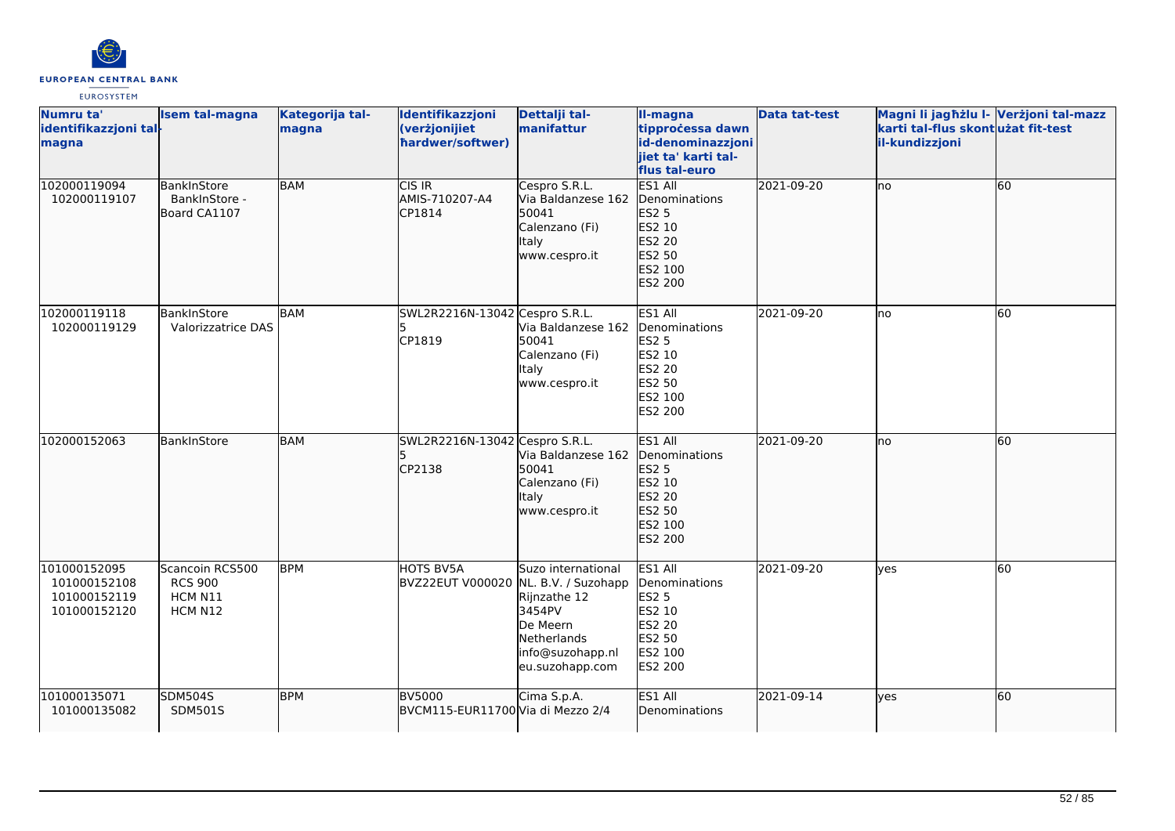

| Numru ta'<br>identifikazzjoni tal-<br>magna                  | <b>Isem tal-magna</b>                                   | Kategorija tal-<br>magna | Identifikazzjoni<br>(verżjonijiet<br>hardwer/softwer)    | Dettalji tal-<br>manifattur                                                                                    | II-magna<br>tipprocessa dawn<br>id-denominazzjoni<br>jiet ta' karti tal-<br>flus tal-euro    | Data tat-test | Magni li jagħżlu I- Verżjoni tal-mazz<br>karti tal-flus skontużat fit-test<br>il-kundizzjoni |    |
|--------------------------------------------------------------|---------------------------------------------------------|--------------------------|----------------------------------------------------------|----------------------------------------------------------------------------------------------------------------|----------------------------------------------------------------------------------------------|---------------|----------------------------------------------------------------------------------------------|----|
| 102000119094<br>102000119107                                 | BankInStore<br>BankInStore -<br>Board CA1107            | <b>BAM</b>               | CIS IR<br>AMIS-710207-A4<br>CP1814                       | Cespro S.R.L.<br>Via Baldanzese 162<br>50041<br>Calenzano (Fi)<br><b>Italy</b><br>www.cespro.it                | ES1 All<br>Denominations<br><b>ES2 5</b><br>ES2 10<br>ES2 20<br>ES2 50<br>ES2 100<br>ES2 200 | 2021-09-20    | lno                                                                                          | 60 |
| 102000119118<br>102000119129                                 | BankInStore<br>Valorizzatrice DAS                       | BAM                      | SWL2R2216N-13042 Cespro S.R.L.<br>l5<br>CP1819           | Via Baldanzese 162<br>50041<br>Calenzano (Fi)<br>Italy<br>www.cespro.it                                        | ES1 All<br>Denominations<br><b>ES2 5</b><br>ES2 10<br>ES2 20<br>ES2 50<br>ES2 100<br>ES2 200 | 2021-09-20    | Ino                                                                                          | 60 |
| 102000152063                                                 | BankInStore                                             | <b>BAM</b>               | SWL2R2216N-13042 Cespro S.R.L.<br>CP2138                 | Via Baldanzese 162<br>50041<br>Calenzano (Fi)<br>Italy<br>www.cespro.it                                        | ES1 All<br>Denominations<br>ES2 5<br>ES2 10<br>ES2 20<br>ES2 50<br>ES2 100<br>ES2 200        | 2021-09-20    | lno                                                                                          | 60 |
| 101000152095<br>101000152108<br>101000152119<br>101000152120 | Scancoin RCS500<br><b>RCS 900</b><br>HCM N11<br>HCM N12 | <b>BPM</b>               | <b>HOTS BV5A</b><br>BVZ22EUT V000020 NL. B.V. / Suzohapp | Suzo international<br>Rijnzathe 12<br>3454PV<br>De Meern<br>Netherlands<br>info@suzohapp.nl<br>eu.suzohapp.com | ES1 All<br>Denominations<br><b>ES2 5</b><br>ES2 10<br>ES2 20<br>ES2 50<br>ES2 100<br>ES2 200 | 2021-09-20    | yes                                                                                          | 60 |
| 101000135071<br>101000135082                                 | <b>SDM504S</b><br><b>SDM501S</b>                        | <b>BPM</b>               | <b>BV5000</b><br>BVCM115-EUR11700 Via di Mezzo 2/4       | Cima S.p.A.                                                                                                    | ES1 All<br>Denominations                                                                     | 2021-09-14    | yes                                                                                          | 60 |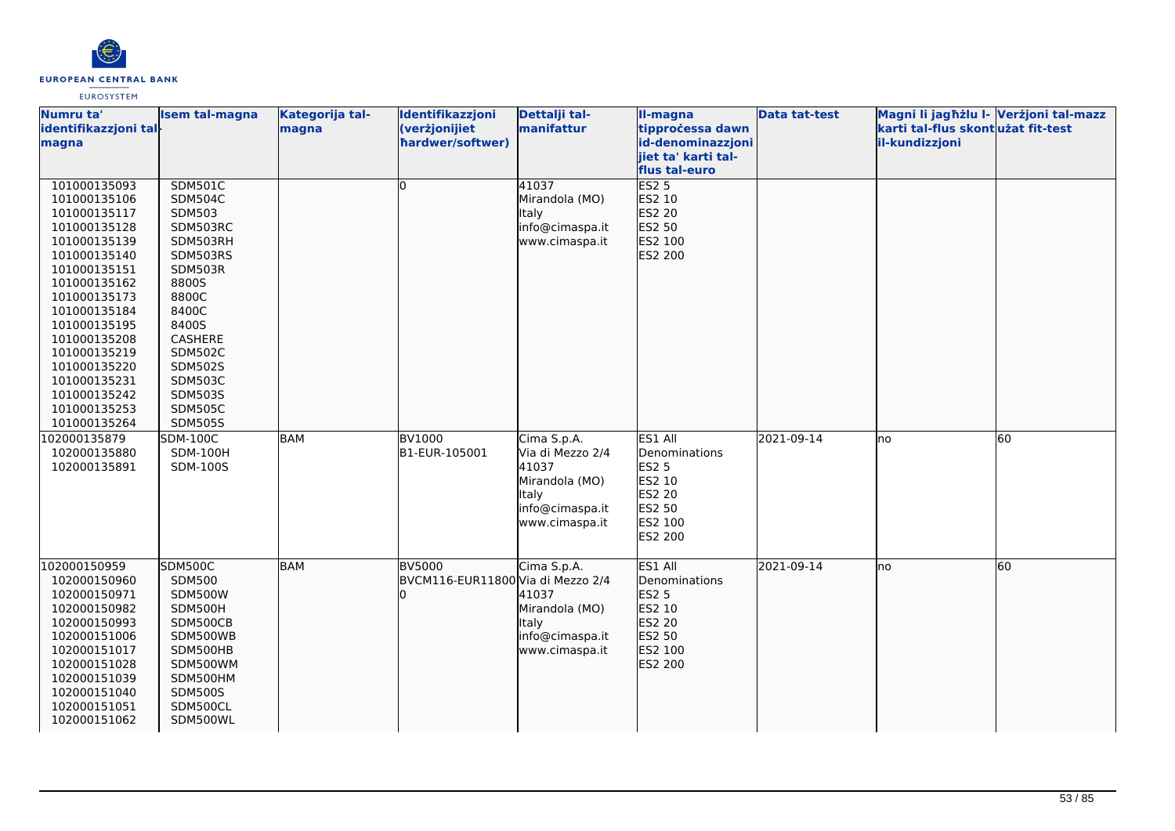

| Numru ta'             | <b>Isem tal-magna</b> | Kategorija tal- | Identifikazzjoni                  | Dettalji tal-    | II-magna                                 | <b>Data tat-test</b> | Magni li jagħżlu l- Verżjoni tal-mazz |    |
|-----------------------|-----------------------|-----------------|-----------------------------------|------------------|------------------------------------------|----------------------|---------------------------------------|----|
| identifikazzjoni tal- |                       | magna           | (verżjonijiet                     | manifattur       | tipprocessa dawn                         |                      | karti tal-flus skontużat fit-test     |    |
| magna                 |                       |                 | hardwer/softwer)                  |                  | id-denominazzjoni<br>jiet ta' karti tal- |                      | il-kundizzjoni                        |    |
|                       |                       |                 |                                   |                  | flus tal-euro                            |                      |                                       |    |
| 101000135093          | <b>SDM501C</b>        |                 | IО                                | 41037            | <b>ES2 5</b>                             |                      |                                       |    |
| 101000135106          | <b>SDM504C</b>        |                 |                                   | Mirandola (MO)   | ES2 10                                   |                      |                                       |    |
| 101000135117          | <b>SDM503</b>         |                 |                                   | <b>Italy</b>     | ES2 20                                   |                      |                                       |    |
| 101000135128          | SDM503RC              |                 |                                   | info@cimaspa.it  | ES2 50                                   |                      |                                       |    |
| 101000135139          | SDM503RH              |                 |                                   | www.cimaspa.it   | ES2 100                                  |                      |                                       |    |
| 101000135140          | SDM503RS              |                 |                                   |                  | <b>ES2 200</b>                           |                      |                                       |    |
| 101000135151          | <b>SDM503R</b>        |                 |                                   |                  |                                          |                      |                                       |    |
| 101000135162          | 8800S                 |                 |                                   |                  |                                          |                      |                                       |    |
| 101000135173          | 8800C                 |                 |                                   |                  |                                          |                      |                                       |    |
| 101000135184          | 8400C                 |                 |                                   |                  |                                          |                      |                                       |    |
| 101000135195          | 8400S                 |                 |                                   |                  |                                          |                      |                                       |    |
| 101000135208          | CASHERE               |                 |                                   |                  |                                          |                      |                                       |    |
| 101000135219          | <b>SDM502C</b>        |                 |                                   |                  |                                          |                      |                                       |    |
| 101000135220          | <b>SDM502S</b>        |                 |                                   |                  |                                          |                      |                                       |    |
| 101000135231          | <b>SDM503C</b>        |                 |                                   |                  |                                          |                      |                                       |    |
| 101000135242          | <b>SDM503S</b>        |                 |                                   |                  |                                          |                      |                                       |    |
| 101000135253          | SDM505C               |                 |                                   |                  |                                          |                      |                                       |    |
| 101000135264          | <b>SDM505S</b>        |                 |                                   |                  |                                          |                      |                                       |    |
| 102000135879          | <b>SDM-100C</b>       | <b>BAM</b>      | <b>BV1000</b>                     | Cima S.p.A.      | ES1 All                                  | 2021-09-14           | lno                                   | 60 |
| 102000135880          | <b>SDM-100H</b>       |                 | B1-EUR-105001                     | Via di Mezzo 2/4 | Denominations                            |                      |                                       |    |
| 102000135891          | SDM-100S              |                 |                                   | 41037            | <b>ES2 5</b>                             |                      |                                       |    |
|                       |                       |                 |                                   | Mirandola (MO)   | ES2 10                                   |                      |                                       |    |
|                       |                       |                 |                                   | Italy            | <b>ES2 20</b>                            |                      |                                       |    |
|                       |                       |                 |                                   | info@cimaspa.it  | ES2 50                                   |                      |                                       |    |
|                       |                       |                 |                                   | www.cimaspa.it   | ES2 100                                  |                      |                                       |    |
|                       |                       |                 |                                   |                  | ES2 200                                  |                      |                                       |    |
| 102000150959          | <b>SDM500C</b>        | BAM             | BV5000                            |                  | ES1 All                                  | 2021-09-14           |                                       | 60 |
| 102000150960          | <b>SDM500</b>         |                 | BVCM116-EUR11800 Via di Mezzo 2/4 | Cima S.p.A.      | Denominations                            |                      | lno                                   |    |
| 102000150971          | <b>SDM500W</b>        |                 |                                   | 41037            | <b>ES2 5</b>                             |                      |                                       |    |
| 102000150982          | SDM500H               |                 |                                   | Mirandola (MO)   | ES2 10                                   |                      |                                       |    |
| 102000150993          | SDM500CB              |                 |                                   | <b>Italy</b>     | ES2 20                                   |                      |                                       |    |
| 102000151006          | SDM500WB              |                 |                                   | info@cimaspa.it  | ES2 50                                   |                      |                                       |    |
| 102000151017          | SDM500HB              |                 |                                   | www.cimaspa.it   | ES2 100                                  |                      |                                       |    |
| 102000151028          | SDM500WM              |                 |                                   |                  | ES2 200                                  |                      |                                       |    |
| 102000151039          | SDM500HM              |                 |                                   |                  |                                          |                      |                                       |    |
| 102000151040          | <b>SDM500S</b>        |                 |                                   |                  |                                          |                      |                                       |    |
| 102000151051          | SDM500CL              |                 |                                   |                  |                                          |                      |                                       |    |
| 102000151062          | SDM500WL              |                 |                                   |                  |                                          |                      |                                       |    |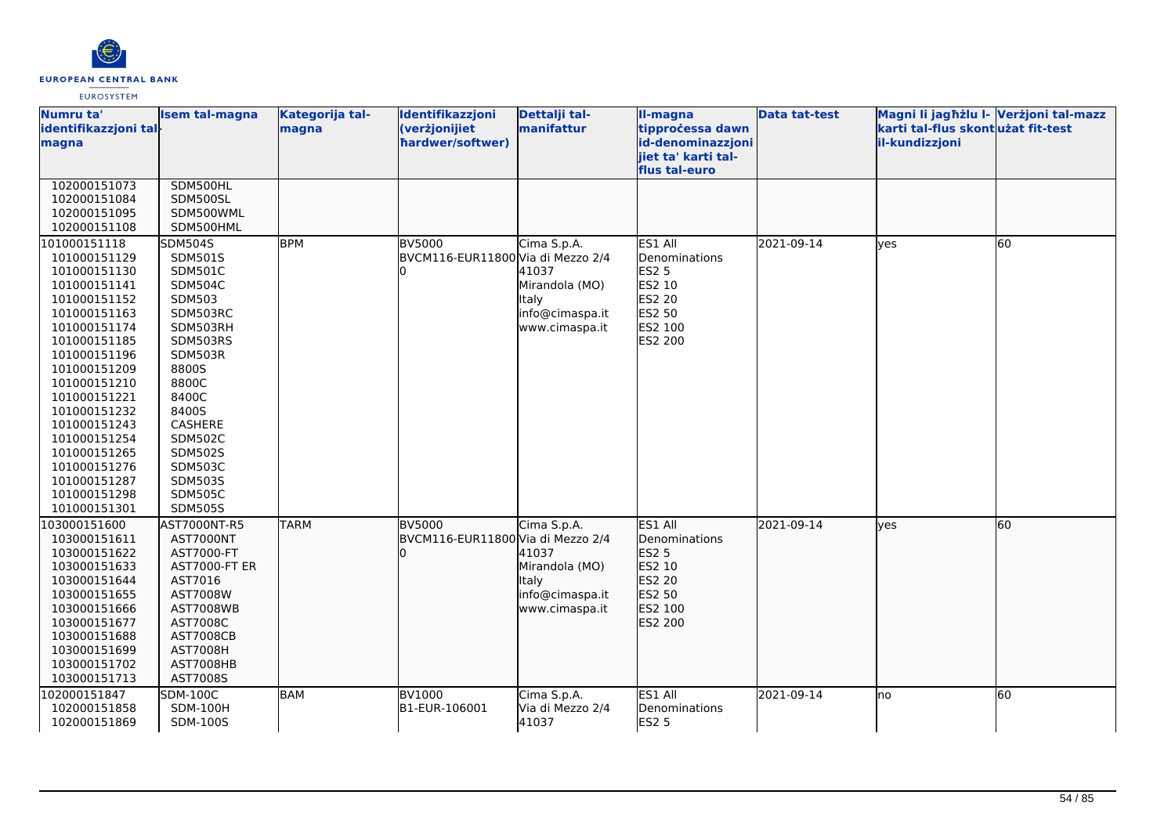

| flus tal-euro                                                                                                |  |
|--------------------------------------------------------------------------------------------------------------|--|
| 102000151073<br>SDM500HL                                                                                     |  |
| 102000151084<br>SDM500SL                                                                                     |  |
| 102000151095<br>SDM500WML                                                                                    |  |
| 102000151108<br>SDM500HML                                                                                    |  |
| 101000151118<br>SDM504S<br><b>BPM</b><br>ES1 All<br>2021-09-14<br><b>BV5000</b><br>Cima S.p.A.<br>60<br>yes  |  |
| BVCM116-EUR11800 Via di Mezzo 2/4<br>Denominations<br>101000151129<br>SDM501S                                |  |
| SDM501C<br>41037<br><b>ES2 5</b><br>101000151130                                                             |  |
| ES2 10<br><b>SDM504C</b><br>Mirandola (MO)<br>101000151141                                                   |  |
| ES2 20<br>101000151152<br>SDM503<br>lltaly                                                                   |  |
| ES2 50<br>SDM503RC<br>info@cimaspa.it<br>101000151163                                                        |  |
| ES2 100<br>SDM503RH<br>101000151174<br>www.cimaspa.it                                                        |  |
| ES2 200<br>101000151185<br>SDM503RS                                                                          |  |
| SDM503R<br>101000151196                                                                                      |  |
| 101000151209<br>8800S                                                                                        |  |
| 8800C<br>101000151210                                                                                        |  |
| 8400C<br>101000151221                                                                                        |  |
| 8400S<br>101000151232                                                                                        |  |
| 101000151243<br>CASHERE                                                                                      |  |
| <b>SDM502C</b><br>101000151254                                                                               |  |
| <b>SDM502S</b><br>101000151265                                                                               |  |
| 101000151276<br><b>SDM503C</b>                                                                               |  |
| SDM503S<br>101000151287<br><b>SDM505C</b>                                                                    |  |
| 101000151298<br><b>SDM505S</b><br>101000151301                                                               |  |
| ES1 All<br>2021-09-14<br>103000151600<br><b>TARM</b><br><b>BV5000</b><br>Cima S.p.A.<br>60                   |  |
| AST7000NT-R5<br><b>yes</b><br>BVCM116-EUR11800 Via di Mezzo 2/4<br>Denominations                             |  |
| 103000151611<br>AST7000NT<br>ES2 5<br>103000151622<br>AST7000-FT<br>41037                                    |  |
| ES2 10<br>Mirandola (MO)<br>103000151633<br>AST7000-FT ER                                                    |  |
| ES2 20<br>AST7016<br><b>Italy</b><br>103000151644                                                            |  |
| info@cimaspa.it<br>ES2 50<br>103000151655<br>AST7008W                                                        |  |
| ES2 100<br>103000151666<br><b>AST7008WB</b><br>www.cimaspa.it                                                |  |
| ES2 200<br>103000151677<br>AST7008C                                                                          |  |
| 103000151688<br><b>AST7008CB</b>                                                                             |  |
| 103000151699<br><b>AST7008H</b>                                                                              |  |
| 103000151702<br>AST7008HB                                                                                    |  |
| 103000151713<br>AST7008S                                                                                     |  |
| ES1 All<br>BAM<br>2021-09-14<br>60<br>102000151847<br><b>SDM-100C</b><br><b>BV1000</b><br>Cima S.p.A.<br>lno |  |
| B1-EUR-106001<br>Via di Mezzo 2/4<br>102000151858<br><b>SDM-100H</b><br>Denominations                        |  |
| 41037<br><b>ES2 5</b><br>102000151869<br>SDM-100S                                                            |  |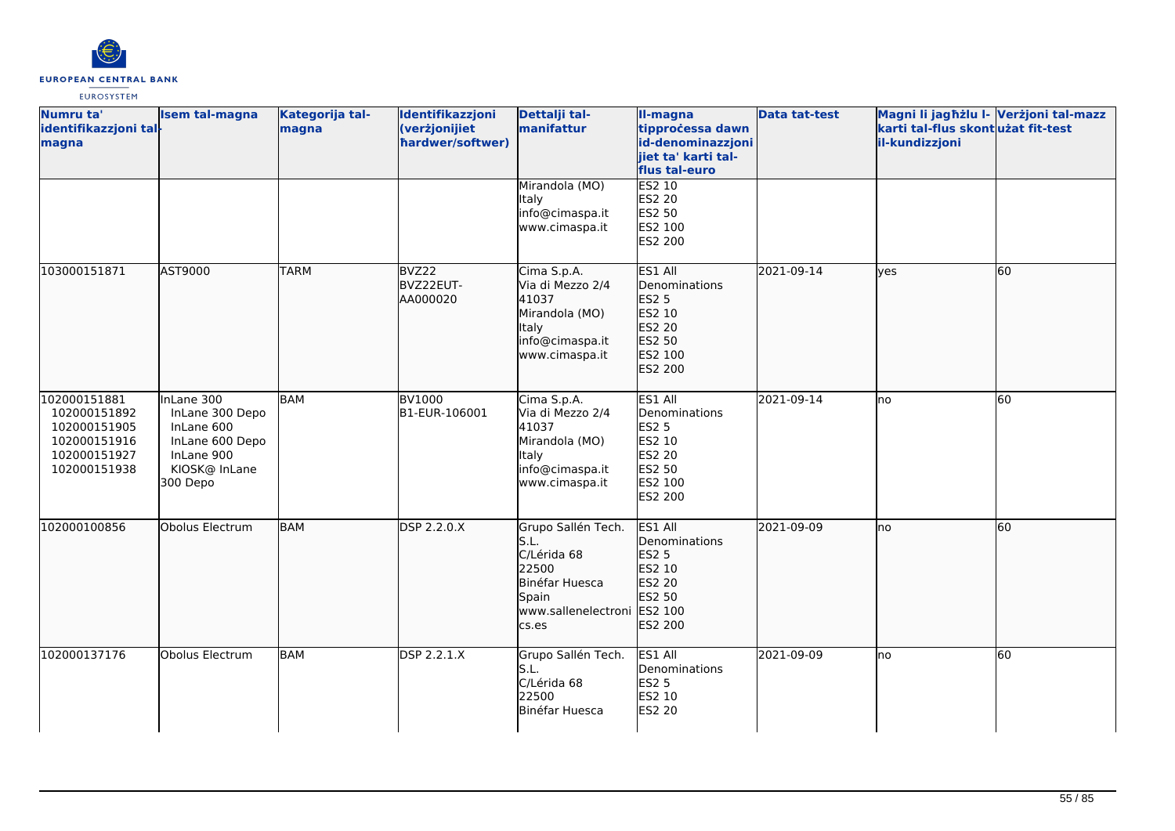

| Numru ta'<br>identifikazzjoni tal-<br>magna                                                  | <b>Isem tal-magna</b>                                                                                     | Kategorija tal-<br>magna | Identifikazzjoni<br>(verżjonijiet<br>hardwer/softwer) | Dettalji tal-<br>manifattur                                                                                           | II-magna<br>tipprocessa dawn<br>id-denominazzjoni<br>jiet ta' karti tal-<br>flus tal-euro    | <b>Data tat-test</b> | Magni li jagħżlu I- Verżjoni tal-mazz<br>karti tal-flus skont użat fit-test<br>il-kundizzjoni |    |
|----------------------------------------------------------------------------------------------|-----------------------------------------------------------------------------------------------------------|--------------------------|-------------------------------------------------------|-----------------------------------------------------------------------------------------------------------------------|----------------------------------------------------------------------------------------------|----------------------|-----------------------------------------------------------------------------------------------|----|
|                                                                                              |                                                                                                           |                          |                                                       | Mirandola (MO)<br>Italy<br>info@cimaspa.it<br>www.cimaspa.it                                                          | <b>ES2 10</b><br>ES2 20<br>ES2 50<br>ES2 100<br>ES2 200                                      |                      |                                                                                               |    |
| 103000151871                                                                                 | AST9000                                                                                                   | <b>TARM</b>              | BVZ22<br>BVZ22EUT-<br>AA000020                        | Cima S.p.A.<br>Via di Mezzo 2/4<br>41037<br>Mirandola (MO)<br><b>Italy</b><br>info@cimaspa.it<br>www.cimaspa.it       | ES1 All<br>Denominations<br>ES2 5<br>ES2 10<br>ES2 20<br>ES2 50<br>ES2 100<br>ES2 200        | 2021-09-14           | lyes                                                                                          | 60 |
| 102000151881<br>102000151892<br>102000151905<br>102000151916<br>102000151927<br>102000151938 | InLane 300<br>InLane 300 Depo<br>InLane 600<br>InLane 600 Depo<br>InLane 900<br>KIOSK@ InLane<br>300 Depo | <b>BAM</b>               | <b>BV1000</b><br>B1-EUR-106001                        | Cima S.p.A.<br>Via di Mezzo 2/4<br>41037<br>Mirandola (MO)<br>Italy<br>info@cimaspa.it<br>www.cimaspa.it              | ES1 All<br>Denominations<br><b>ES2 5</b><br>ES2 10<br>ES2 20<br>ES2 50<br>ES2 100<br>ES2 200 | 2021-09-14           | no                                                                                            | 60 |
| 102000100856                                                                                 | Obolus Electrum                                                                                           | <b>BAM</b>               | DSP 2.2.0.X                                           | Grupo Sallén Tech.<br>S.L.<br>C/Lérida 68<br>22500<br>Binéfar Huesca<br>Spain<br>www.sallenelectroni ES2 100<br>cs.es | ES1 All<br>Denominations<br>ES2 5<br>ES2 10<br>ES2 20<br>ES2 50<br>ES2 200                   | 2021-09-09           | no                                                                                            | 60 |
| 102000137176                                                                                 | Obolus Electrum                                                                                           | <b>BAM</b>               | <b>DSP 2.2.1.X</b>                                    | Grupo Sallén Tech.<br>S.L.<br>C/Lérida 68<br>22500<br>Binéfar Huesca                                                  | ES1 All<br>Denominations<br><b>ES2 5</b><br>ES2 10<br>ES2 20                                 | 2021-09-09           | lno                                                                                           | 60 |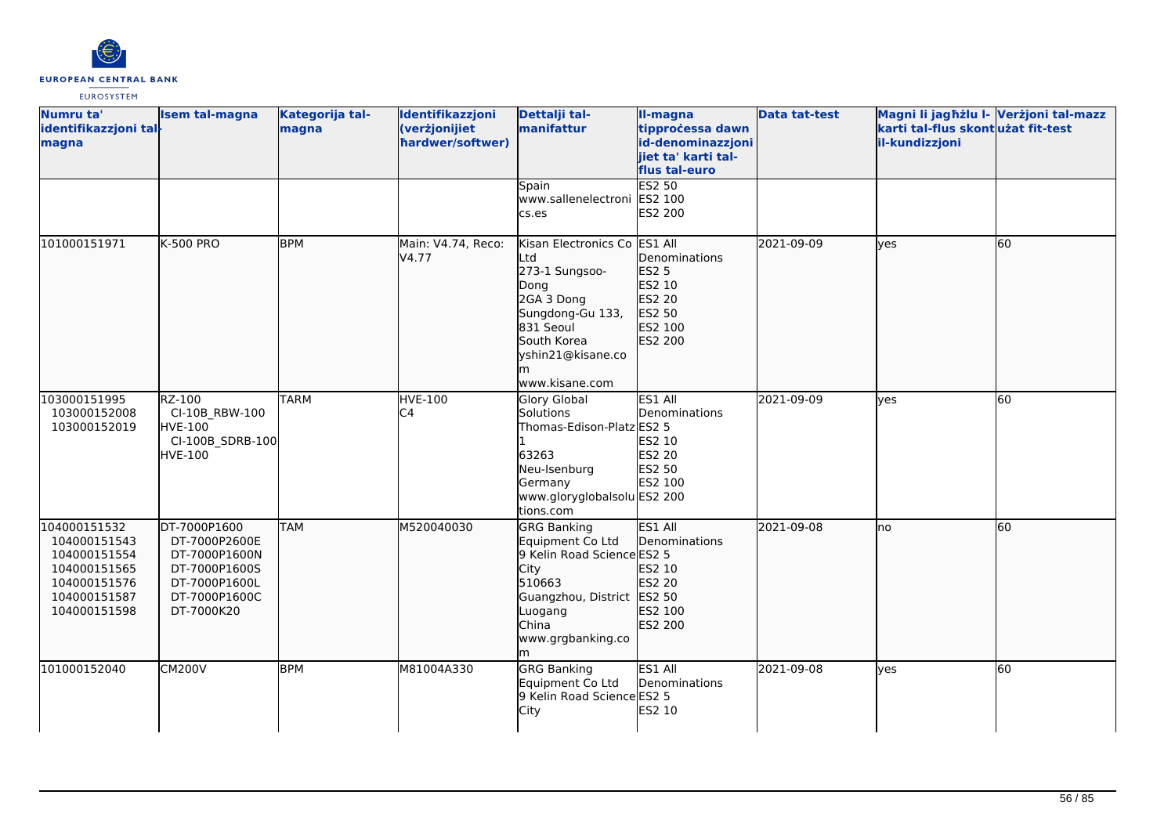

| Numru ta'<br>identifikazzjoni tal-<br>magna                                                                  | <b>Isem tal-magna</b>                                                                                           | Kategorija tal-<br>magna | Identifikazzjoni<br>(verżjonijiet<br>hardwer/softwer) | Dettalji tal-<br>manifattur                                                                                                                                         | II-magna<br>tipprocessa dawn<br>id-denominazzjoni<br>jiet ta' karti tal-<br>flus tal-euro | <b>Data tat-test</b> | Magni li jagħżlu I- Verżjoni tal-mazz<br>karti tal-flus skont użat fit-test<br>il-kundizzjoni |    |
|--------------------------------------------------------------------------------------------------------------|-----------------------------------------------------------------------------------------------------------------|--------------------------|-------------------------------------------------------|---------------------------------------------------------------------------------------------------------------------------------------------------------------------|-------------------------------------------------------------------------------------------|----------------------|-----------------------------------------------------------------------------------------------|----|
|                                                                                                              |                                                                                                                 |                          |                                                       | Spain<br>www.sallenelectroni ES2 100<br>cs.es                                                                                                                       | <b>ES2 50</b><br><b>ES2 200</b>                                                           |                      |                                                                                               |    |
| 101000151971                                                                                                 | <b>K-500 PRO</b>                                                                                                | <b>BPM</b>               | Main: V4.74, Reco:<br>V4.77                           | Kisan Electronics Co ES1 All<br>Ltd<br>273-1 Sungsoo-<br>Dong<br>2GA 3 Dong<br>Sungdong-Gu 133,<br>831 Seoul<br>South Korea<br>yshin21@kisane.co<br>www.kisane.com  | Denominations<br>ES2 5<br>ES2 10<br><b>ES2 20</b><br>ES2 50<br>ES2 100<br>ES2 200         | 2021-09-09           | yes                                                                                           | 60 |
| 103000151995<br>103000152008<br>103000152019                                                                 | RZ-100<br>CI-10B RBW-100<br><b>HVE-100</b><br>CI-100B_SDRB-100<br><b>HVE-100</b>                                | <b>TARM</b>              | <b>HVE-100</b><br>C4                                  | <b>Glory Global</b><br>Solutions<br>Thomas-Edison-Platz ES2 5<br>63263<br>Neu-Isenburg<br>Germany<br>www.gloryglobalsolu ES2 200<br>tions.com                       | ES1 All<br>Denominations<br>ES2 10<br>ES2 20<br>ES2 50<br>ES2 100                         | 2021-09-09           | lyes                                                                                          | 60 |
| 104000151532<br>104000151543<br>104000151554<br>104000151565<br>104000151576<br>104000151587<br>104000151598 | DT-7000P1600<br>DT-7000P2600E<br>DT-7000P1600N<br>DT-7000P1600S<br>DT-7000P1600L<br>DT-7000P1600C<br>DT-7000K20 | <b>TAM</b>               | M520040030                                            | <b>GRG Banking</b><br>Equipment Co Ltd<br>9 Kelin Road Science ES2 5<br>City<br>510663<br>Guangzhou, District ES2 50<br>Luogang<br>China<br>www.grgbanking.co<br>lm | ES1 All<br>Denominations<br>ES2 10<br>ES2 20<br>ES2 100<br>ES2 200                        | 2021-09-08           | no                                                                                            | 60 |
| 101000152040                                                                                                 | <b>CM200V</b>                                                                                                   | <b>BPM</b>               | M81004A330                                            | <b>GRG Banking</b><br>Equipment Co Ltd<br>9 Kelin Road Science ES2 5<br>City                                                                                        | ES1 All<br>Denominations<br>ES2 10                                                        | 2021-09-08           | <b>ves</b>                                                                                    | 60 |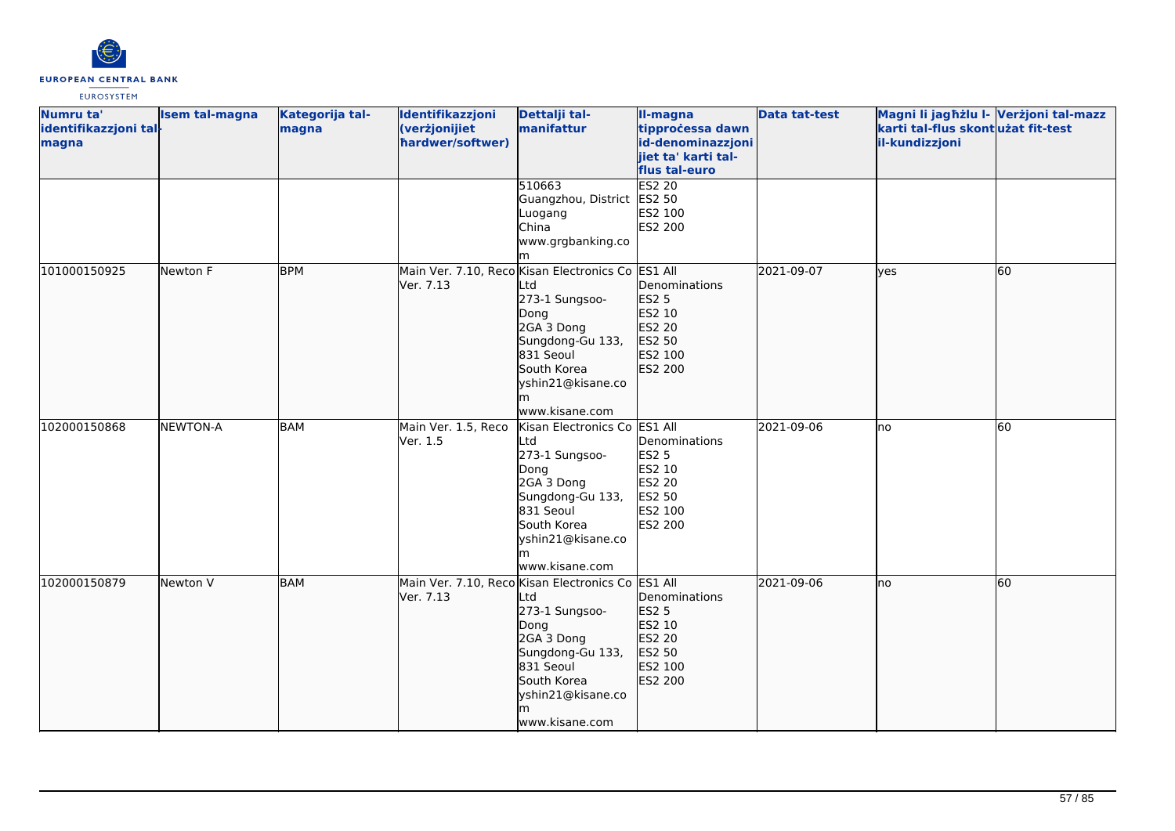

| Numru ta'<br>identifikazzjoni tal-<br>magna | <b>Isem tal-magna</b> | Kategorija tal-<br>magna | Identifikazzjoni<br>(verżjonijiet<br>hardwer/softwer) | Dettalji tal-<br>manifattur                                                                                                                                                                    | II-magna<br>tipprocessa dawn<br>id-denominazzjoni<br>jiet ta' karti tal-                     | <b>Data tat-test</b> | Magni li jagħżlu I- Verżjoni tal-mazz<br>karti tal-flus skontużat fit-test<br>il-kundizzjoni |    |
|---------------------------------------------|-----------------------|--------------------------|-------------------------------------------------------|------------------------------------------------------------------------------------------------------------------------------------------------------------------------------------------------|----------------------------------------------------------------------------------------------|----------------------|----------------------------------------------------------------------------------------------|----|
|                                             |                       |                          |                                                       |                                                                                                                                                                                                | flus tal-euro                                                                                |                      |                                                                                              |    |
|                                             |                       |                          |                                                       | 510663<br>Guangzhou, District ES2 50<br>Luogang<br>China<br>www.grgbanking.co                                                                                                                  | <b>ES2 20</b><br>ES2 100<br>ES2 200                                                          |                      |                                                                                              |    |
|                                             |                       |                          |                                                       |                                                                                                                                                                                                |                                                                                              |                      |                                                                                              |    |
| 101000150925                                | Newton F              | <b>BPM</b>               | Ver. 7.13                                             | Main Ver. 7.10, Reco Kisan Electronics Co ES1 All<br>Ltd<br>273-1 Sungsoo-<br>Dong<br>2GA 3 Dong<br>Sungdong-Gu 133,<br>831 Seoul<br>South Korea<br>yshin21@kisane.co<br>www.kisane.com        | Denominations<br>ES2 5<br>ES2 10<br>ES2 20<br>ES2 50<br>ES2 100<br>ES2 200                   | 2021-09-07           | lves                                                                                         | 60 |
| 102000150868                                | <b>NEWTON-A</b>       | BAM                      | Main Ver. 1.5, Reco<br>Ver. 1.5                       | Kisan Electronics Co<br>Ltd<br>273-1 Sungsoo-<br>Dong<br>2GA 3 Dong<br>Sungdong-Gu 133,<br>831 Seoul<br>South Korea<br>yshin21@kisane.co<br>www.kisane.com                                     | ES1 All<br>Denominations<br><b>ES2 5</b><br>ES2 10<br>ES2 20<br>ES2 50<br>ES2 100<br>ES2 200 | 2021-09-06           | Ino                                                                                          | 60 |
| 102000150879                                | Newton V              | <b>BAM</b>               | Ver. 7.13                                             | Main Ver. 7.10, Reco Kisan Electronics Co ES1 All<br>Ltd<br>273-1 Sungsoo-<br>Dong<br>2GA 3 Dong<br>Sungdong-Gu 133,<br>831 Seoul<br>South Korea<br>yshin21@kisane.co<br>lm.<br>www.kisane.com | Denominations<br>ES2 5<br>ES2 10<br>ES2 20<br>ES2 50<br>ES2 100<br>ES2 200                   | 2021-09-06           | no                                                                                           | 60 |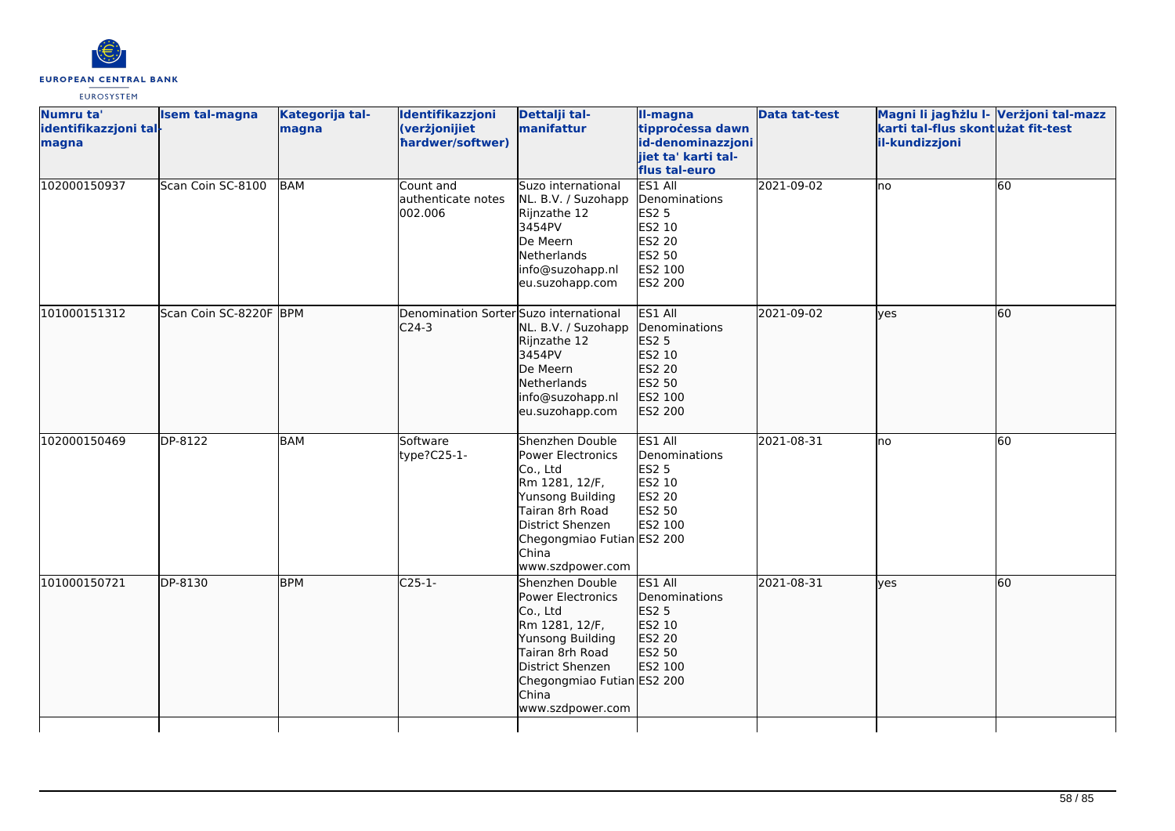

| Numru ta'<br>identifikazzjoni tal-<br>magna | <b>Isem tal-magna</b>  | Kategorija tal-<br>magna | Identifikazzjoni<br>(verżjonijiet<br>hardwer/softwer) | Dettalji tal-<br>manifattur                                                                                                                                                                     | II-magna<br>tipprocessa dawn<br>id-denominazzjoni<br>jiet ta' karti tal-<br>flus tal-euro    | <b>Data tat-test</b> | Magni li jagħżlu I- Verżjoni tal-mazz<br>karti tal-flus skont użat fit-test<br>il-kundizzjoni |    |
|---------------------------------------------|------------------------|--------------------------|-------------------------------------------------------|-------------------------------------------------------------------------------------------------------------------------------------------------------------------------------------------------|----------------------------------------------------------------------------------------------|----------------------|-----------------------------------------------------------------------------------------------|----|
| 102000150937                                | Scan Coin SC-8100      | <b>BAM</b>               | Count and<br>authenticate notes<br>002.006            | Suzo international<br>NL. B.V. / Suzohapp<br>Rijnzathe 12<br>3454PV<br>De Meern<br>Netherlands<br>info@suzohapp.nl<br>eu.suzohapp.com                                                           | ES1 All<br>Denominations<br><b>ES2 5</b><br>ES2 10<br>ES2 20<br>ES2 50<br>ES2 100<br>ES2 200 | 2021-09-02           | lno                                                                                           | 60 |
| 101000151312                                | Scan Coin SC-8220F BPM |                          | Denomination Sorter Suzo international<br>$C24-3$     | NL. B.V. / Suzohapp<br>Rijnzathe 12<br>3454PV<br>De Meern<br>Netherlands<br>info@suzohapp.nl<br>eu.suzohapp.com                                                                                 | ES1 All<br>Denominations<br>ES2 5<br>ES2 10<br>ES2 20<br>ES2 50<br>ES2 100<br><b>ES2 200</b> | 2021-09-02           | lyes                                                                                          | 60 |
| 102000150469                                | DP-8122                | <b>BAM</b>               | Software<br>type?C25-1-                               | Shenzhen Double<br>Power Electronics<br>Co., Ltd<br>Rm 1281, 12/F,<br>Yunsong Building<br>Tairan 8rh Road<br>District Shenzen<br>Chegongmiao Futian ES2 200<br>China<br>www.szdpower.com        | ES1 All<br>Denominations<br><b>ES2 5</b><br>ES2 10<br><b>ES2 20</b><br>ES2 50<br>ES2 100     | 2021-08-31           | lno                                                                                           | 60 |
| 101000150721                                | DP-8130                | <b>BPM</b>               | $C25-1-$                                              | Shenzhen Double<br>Power Electronics<br>Co., Ltd<br>Rm 1281, 12/F,<br>Yunsong Building<br>Tairan 8rh Road<br>District Shenzen<br>Chegongmiao Futian ES2 200<br><b>China</b><br>www.szdpower.com | ES1 All<br>Denominations<br>ES2 5<br>ES2 10<br>ES2 20<br>ES2 50<br>ES2 100                   | 2021-08-31           | ves                                                                                           | 60 |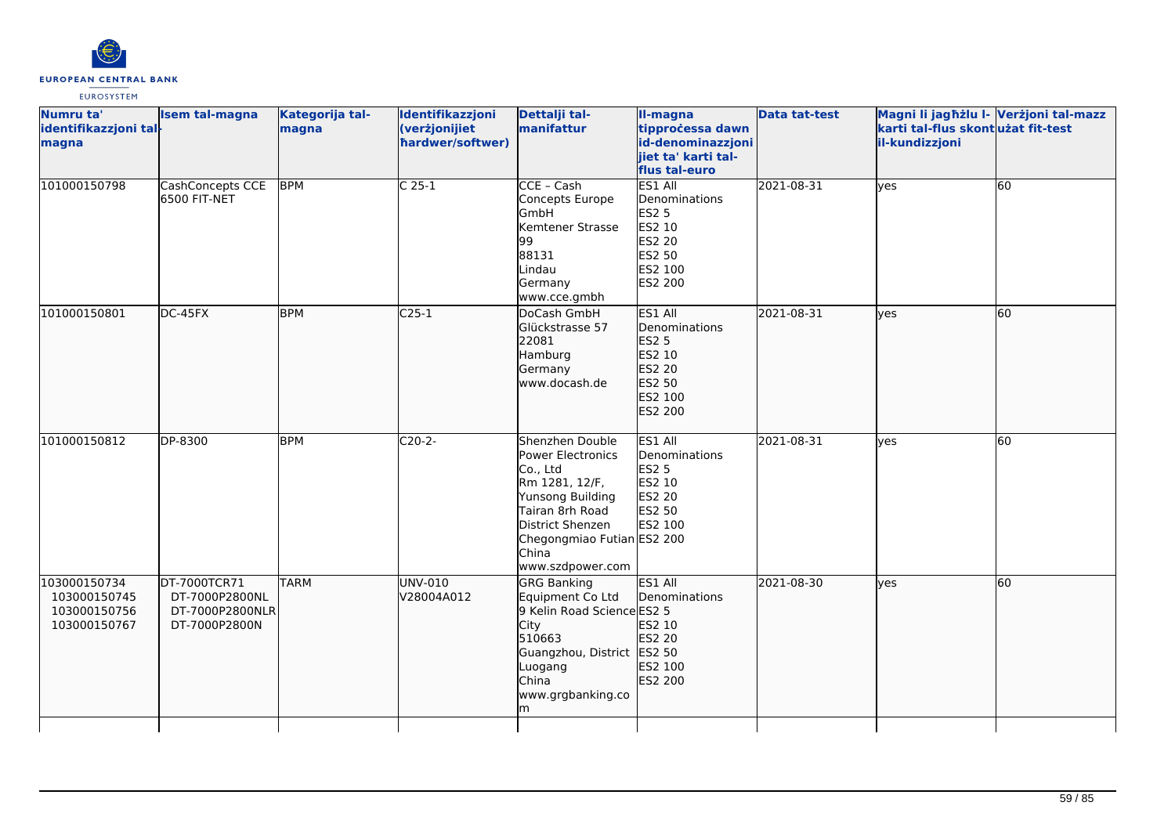

| Numru ta'<br>identifikazzjoni tal-<br>magna                  | <b>Isem tal-magna</b>                                              | Kategorija tal-<br>magna | Identifikazzjoni<br>(verżjonijiet<br>hardwer/softwer) | Dettalji tal-<br>manifattur                                                                                                                                                              | II-magna<br>tipprocessa dawn<br>id-denominazzjoni<br>jiet ta' karti tal-<br>flus tal-euro      | <b>Data tat-test</b> | Magni li jagħżlu I- Verżjoni tal-mazz<br>karti tal-flus skont użat fit-test<br>il-kundizzjoni |    |
|--------------------------------------------------------------|--------------------------------------------------------------------|--------------------------|-------------------------------------------------------|------------------------------------------------------------------------------------------------------------------------------------------------------------------------------------------|------------------------------------------------------------------------------------------------|----------------------|-----------------------------------------------------------------------------------------------|----|
| 101000150798                                                 | CashConcepts CCE<br>6500 FIT-NET                                   | <b>BPM</b>               | $C25-1$                                               | CCE - Cash<br>Concepts Europe<br>GmbH<br>Kemtener Strasse<br>99<br>88131<br>Lindau<br>Germany<br>www.cce.gmbh                                                                            | ES1 All<br>Denominations<br><b>ES2 5</b><br>ES2 10<br>ES2 20<br>ES2 50<br>ES2 100<br>ES2 200   | 2021-08-31           | yes                                                                                           | 60 |
| 101000150801                                                 | DC-45FX                                                            | <b>BPM</b>               | $C25-1$                                               | DoCash GmbH<br>Glückstrasse 57<br>22081<br>Hamburg<br>Germany<br>www.docash.de                                                                                                           | ES1 All<br><b>I</b> Denominations<br>ES2 5<br>ES2 10<br>ES2 20<br>ES2 50<br>ES2 100<br>ES2 200 | 2021-08-31           | lyes                                                                                          | 60 |
| 101000150812                                                 | DP-8300                                                            | <b>BPM</b>               | $C20-2-$                                              | Shenzhen Double<br>Power Electronics<br>Co., Ltd<br>Rm 1281, 12/F,<br>Yunsong Building<br>Tairan 8rh Road<br>District Shenzen<br>Chegongmiao Futian ES2 200<br>China<br>www.szdpower.com | ES1 All<br>Denominations<br>ES2 5<br>ES2 10<br><b>ES2 20</b><br>ES2 50<br>ES2 100              | 2021-08-31           | yes                                                                                           | 60 |
| 103000150734<br>103000150745<br>103000150756<br>103000150767 | DT-7000TCR71<br>DT-7000P2800NL<br>DT-7000P2800NLR<br>DT-7000P2800N | <b>TARM</b>              | UNV-010<br>V28004A012                                 | <b>GRG Banking</b><br>Equipment Co Ltd<br>9 Kelin Road Science ES2 5<br><b>City</b><br>510663<br>Guangzhou, District ES2 50<br>Luogang<br>China<br>www.grgbanking.co<br>m                | ES1 All<br>Denominations<br>ES2 10<br>ES2 20<br>ES2 100<br>ES2 200                             | 2021-08-30           | lyes                                                                                          | 60 |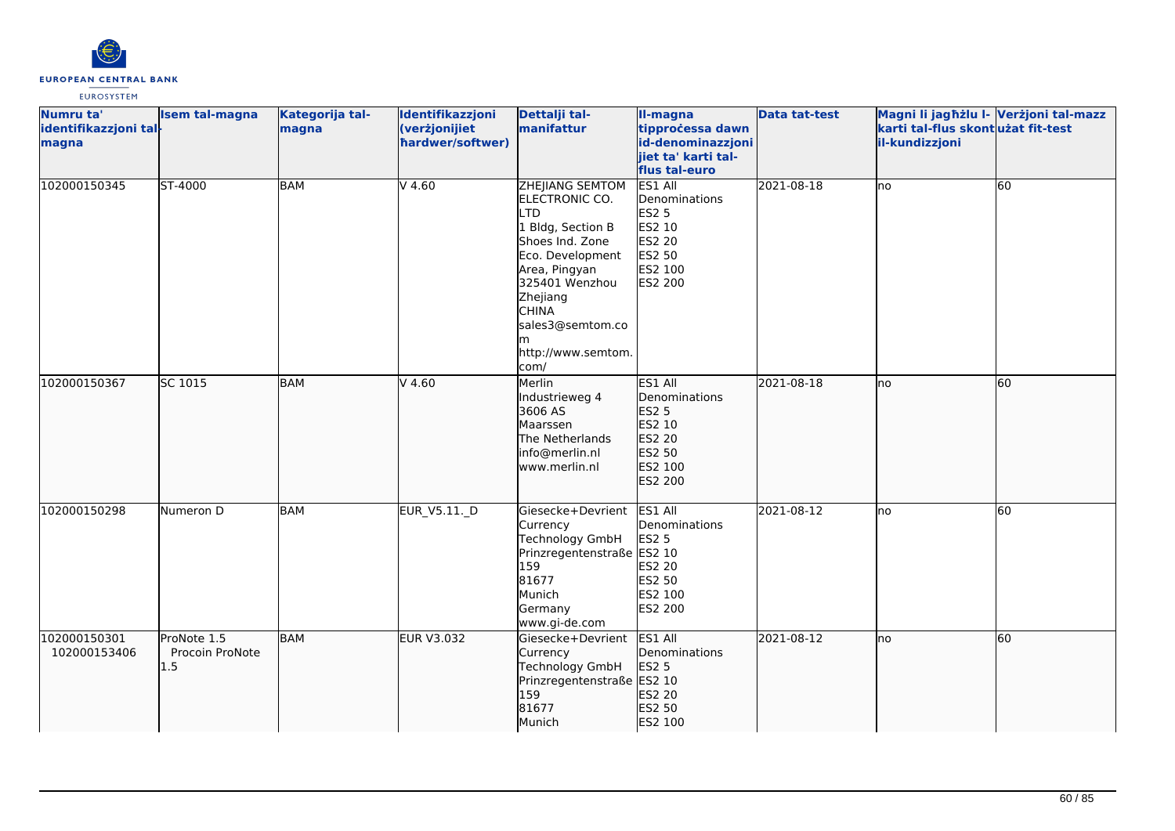

| Numru ta'<br>identifikazzjoni tal-<br>magna | <b>Isem tal-magna</b>                     | Kategorija tal-<br>magna | Identifikazzjoni<br>(verżjonijiet<br>hardwer/softwer) | Dettalji tal-<br>manifattur                                                                                                                                                                                           | II-magna<br>tipprocessa dawn<br>id-denominazzjoni<br>jiet ta' karti tal-<br>flus tal-euro           | <b>Data tat-test</b> | Magni li jagħżlu I- Verżjoni tal-mazz<br>karti tal-flus skont użat fit-test<br>il-kundizzjoni |                 |
|---------------------------------------------|-------------------------------------------|--------------------------|-------------------------------------------------------|-----------------------------------------------------------------------------------------------------------------------------------------------------------------------------------------------------------------------|-----------------------------------------------------------------------------------------------------|----------------------|-----------------------------------------------------------------------------------------------|-----------------|
| 102000150345                                | ST-4000                                   | <b>BAM</b>               | $V$ 4.60                                              | ZHEJIANG SEMTOM<br>ELECTRONIC CO.<br>.TD<br>1 Bldg, Section B<br>Shoes Ind. Zone<br>Eco. Development<br>Area, Pingyan<br>325401 Wenzhou<br>Zhejiang<br><b>CHINA</b><br>sales3@semtom.co<br>http://www.semtom.<br>com/ | ES1 All<br>Denominations<br><b>ES2 5</b><br>ES2 10<br><b>ES2 20</b><br>ES2 50<br>ES2 100<br>ES2 200 | 2021-08-18           | lno                                                                                           | $\overline{60}$ |
| 102000150367                                | SC 1015                                   | <b>BAM</b>               | $V$ 4.60                                              | Merlin<br>Industrieweg 4<br>3606 AS<br>Maarssen<br>The Netherlands<br>info@merlin.nl<br>www.merlin.nl                                                                                                                 | ES1 All<br>Denominations<br>ES2 5<br>ES2 10<br>ES2 20<br>ES2 50<br>ES2 100<br>ES2 200               | 2021-08-18           | no                                                                                            | 60              |
| 102000150298                                | Numeron D                                 | <b>BAM</b>               | EUR_V5.11._D                                          | Giesecke+Devrient<br>Currency<br>Technology GmbH<br>Prinzregentenstraße ES2 10<br>159<br>81677<br>Munich<br>Germany<br>www.gi-de.com                                                                                  | ES1 All<br>Denominations<br><b>ES2 5</b><br>ES2 20<br>ES2 50<br>ES2 100<br><b>ES2 200</b>           | 2021-08-12           | lno                                                                                           | 60              |
| 102000150301<br>102000153406                | ProNote 1.5<br>Procoin ProNote<br>$1.5\,$ | <b>BAM</b>               | <b>EUR V3.032</b>                                     | Giesecke+Devrient<br>Currency<br>Technology GmbH<br>Prinzregentenstraße ES2 10<br>159<br>81677<br>Munich                                                                                                              | ES1 All<br>Denominations<br><b>ES2 5</b><br>ES2 20<br>ES2 50<br>ES2 100                             | 2021-08-12           | Ino                                                                                           | 60              |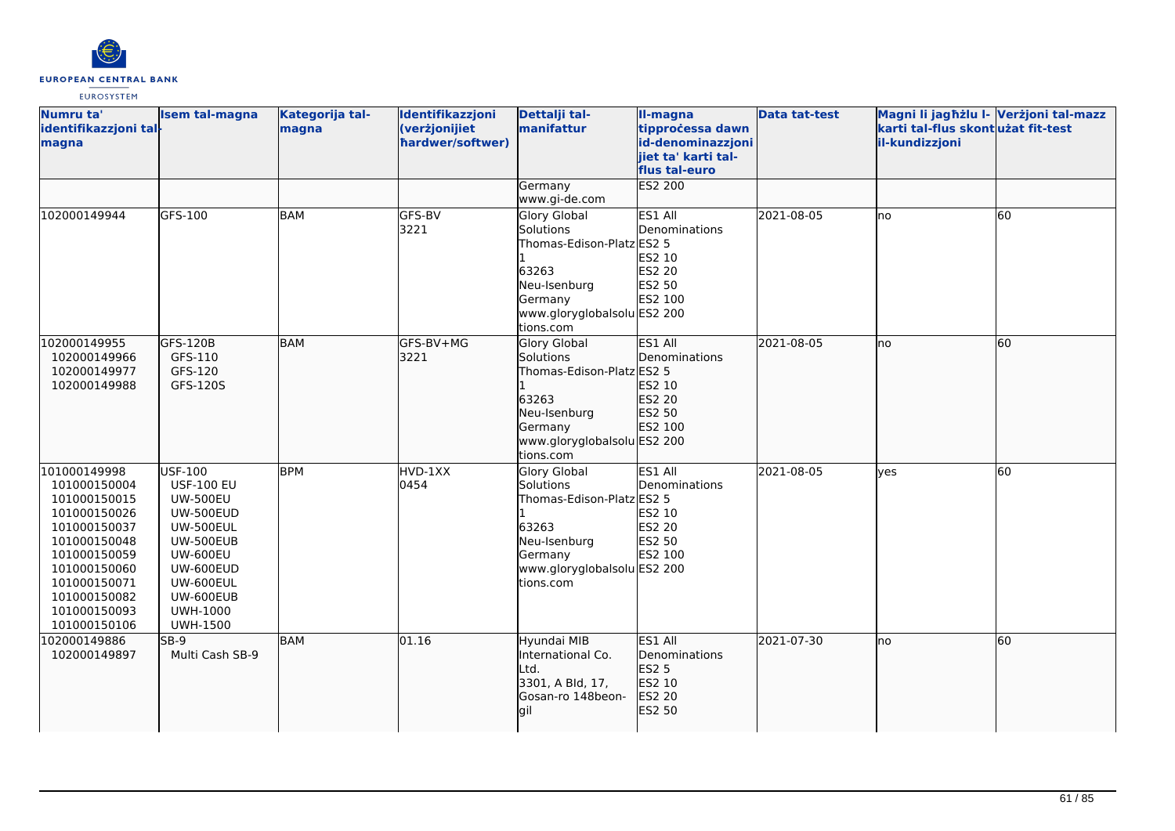

| Numru ta'<br>identifikazzjoni tal-<br>magna                                                                                                                                                  | <b>Isem tal-magna</b>                                                                                                                                                                         | Kategorija tal-<br>magna | Identifikazzjoni<br>(verżjonijiet<br>hardwer/softwer) | Dettalji tal-<br>manifattur                                                                                                                   | II-magna<br>tipprocessa dawn<br>id-denominazzjoni<br>jiet ta' karti tal-<br>flus tal-euro | <b>Data tat-test</b> | Magni li jagħżlu I- Verżjoni tal-mazz<br>karti tal-flus skontużat fit-test<br>il-kundizzjoni |    |
|----------------------------------------------------------------------------------------------------------------------------------------------------------------------------------------------|-----------------------------------------------------------------------------------------------------------------------------------------------------------------------------------------------|--------------------------|-------------------------------------------------------|-----------------------------------------------------------------------------------------------------------------------------------------------|-------------------------------------------------------------------------------------------|----------------------|----------------------------------------------------------------------------------------------|----|
|                                                                                                                                                                                              |                                                                                                                                                                                               |                          |                                                       | Germany<br>www.gi-de.com                                                                                                                      | <b>ES2 200</b>                                                                            |                      |                                                                                              |    |
| 102000149944                                                                                                                                                                                 | GFS-100                                                                                                                                                                                       | <b>BAM</b>               | GFS-BV<br>3221                                        | <b>Glory Global</b><br>Solutions<br>Thomas-Edison-Platz ES2 5<br>63263<br>Neu-Isenburg<br>Germany<br>www.gloryglobalsolu ES2 200<br>tions.com | ES1 All<br>Denominations<br>ES2 10<br><b>ES2 20</b><br>ES2 50<br>ES2 100                  | 2021-08-05           | lno                                                                                          | 60 |
| 102000149955<br>102000149966<br>102000149977<br>102000149988                                                                                                                                 | GFS-120B<br>GFS-110<br>GFS-120<br>GFS-120S                                                                                                                                                    | BAM                      | lGFS-BV+MG<br>3221                                    | Glory Global<br>Solutions<br>Thomas-Edison-Platz ES2 5<br>63263<br>Neu-Isenburg<br>Germany<br>www.gloryglobalsolu ES2 200<br>tions.com        | ES1 All<br>Denominations<br>ES2 10<br>ES2 20<br>ES2 50<br><b>ES2 100</b>                  | 2021-08-05           | lno                                                                                          | 60 |
| 101000149998<br>101000150004<br>101000150015<br>101000150026<br>101000150037<br>101000150048<br>101000150059<br>101000150060<br>101000150071<br>101000150082<br>101000150093<br>101000150106 | USF-100<br><b>USF-100 EU</b><br><b>UW-500EU</b><br>UW-500EUD<br><b>UW-500EUL</b><br>UW-500EUB<br><b>UW-600EU</b><br>UW-600EUD<br>UW-600EUL<br>UW-600EUB<br><b>UWH-1000</b><br><b>UWH-1500</b> | <b>BPM</b>               | HVD-1XX<br>0454                                       | <b>Glory Global</b><br>Solutions<br>Thomas-Edison-Platz ES2 5<br>63263<br>Neu-Isenburg<br>Germany<br>www.gloryglobalsolu ES2 200<br>tions.com | ES1 All<br>Denominations<br><b>ES2 10</b><br><b>ES2 20</b><br>ES2 50<br>ES2 100           | 2021-08-05           | yes                                                                                          | 60 |
| 102000149886<br>102000149897                                                                                                                                                                 | SB-9<br>Multi Cash SB-9                                                                                                                                                                       | BAM                      | 01.16                                                 | Hyundai MIB<br>International Co.<br>Ltd.<br>3301, A Bld, 17,<br>Gosan-ro 148beon-<br>lgil                                                     | ES1 All<br>Denominations<br>ES2 5<br>ES2 10<br>ES2 20<br>ES2 50                           | 2021-07-30           | lno                                                                                          | 60 |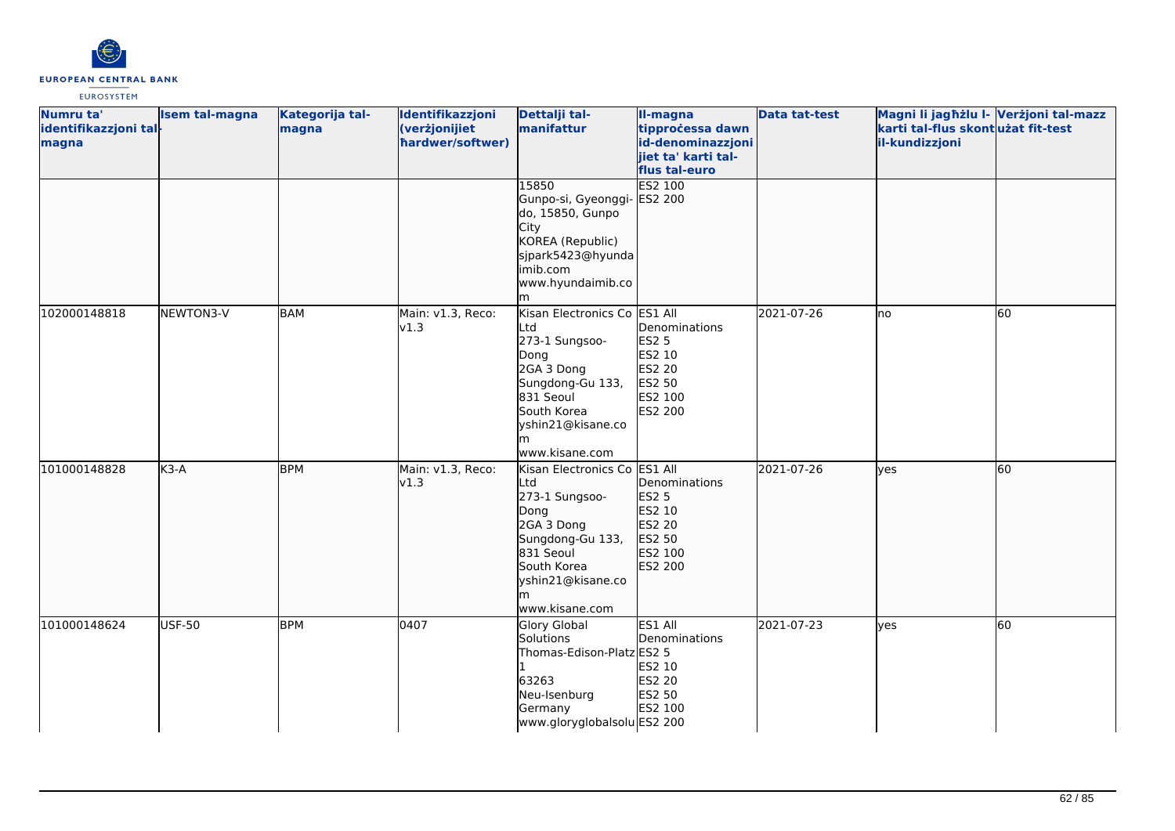

| Numru ta'<br>identifikazzjoni tal-<br>magna | <b>Isem tal-magna</b> | Kategorija tal-<br>magna | Identifikazzjoni<br>(verżjonijiet<br>hardwer/softwer) | Dettalji tal-<br>manifattur                                                                                                                                             | II-magna<br>tipprocessa dawn<br>id-denominazzjoni<br>jiet ta' karti tal-<br>flus tal-euro | <b>Data tat-test</b> | Magni li jaghżlu I- Verżjoni tal-mazz<br>karti tal-flus skontużat fit-test<br>il-kundizzjoni |    |
|---------------------------------------------|-----------------------|--------------------------|-------------------------------------------------------|-------------------------------------------------------------------------------------------------------------------------------------------------------------------------|-------------------------------------------------------------------------------------------|----------------------|----------------------------------------------------------------------------------------------|----|
|                                             |                       |                          |                                                       | 15850<br>Gunpo-si, Gyeonggi- ES2 200<br>do, 15850, Gunpo<br>City<br>KOREA (Republic)<br>sjpark5423@hyunda<br>imib.com<br>www.hyundaimib.co<br>m                         | <b>ES2 100</b>                                                                            |                      |                                                                                              |    |
| 102000148818                                | NEWTON3-V             | <b>BAM</b>               | Main: v1.3, Reco:<br>v1.3                             | Kisan Electronics Co ES1 All<br>Ltd<br>273-1 Sungsoo-<br>Dong<br>2GA 3 Dong<br>Sungdong-Gu 133,<br>831 Seoul<br>South Korea<br>yshin21@kisane.co<br>m<br>www.kisane.com | Denominations<br><b>ES2 5</b><br>ES2 10<br><b>ES2 20</b><br>ES2 50<br>ES2 100<br>ES2 200  | 2021-07-26           | lno                                                                                          | 60 |
| 101000148828                                | $K3-A$                | <b>BPM</b>               | Main: v1.3, Reco:<br>v1.3                             | Kisan Electronics Co ES1 All<br>Ltd<br>273-1 Sungsoo-<br>Dong<br>2GA 3 Dong<br>Sungdong-Gu 133,<br>831 Seoul<br>South Korea<br>yshin21@kisane.co<br>m<br>www.kisane.com | Denominations<br>ES2 5<br>ES2 10<br>ES2 20<br>ES2 50<br>ES2 100<br>ES2 200                | 2021-07-26           | lves                                                                                         | 60 |
| 101000148624                                | <b>USF-50</b>         | <b>BPM</b>               | 0407                                                  | Glory Global<br>Solutions<br>Thomas-Edison-Platz ES2 5<br>63263<br>Neu-Isenburg<br>Germany<br>www.gloryglobalsolu ES2 200                                               | ES1 All<br>Denominations<br>ES2 10<br>ES2 20<br>ES2 50<br>ES2 100                         | 2021-07-23           | lves                                                                                         | 60 |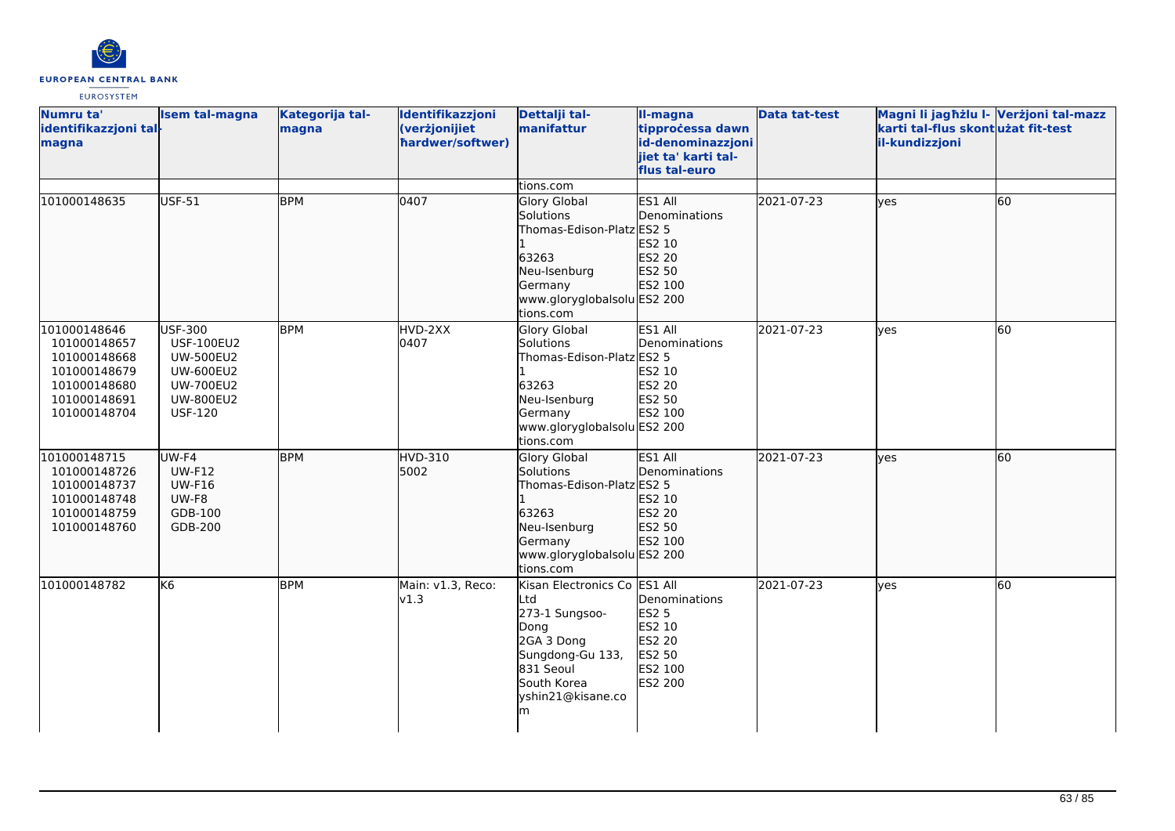

| Numru ta'<br>identifikazzjoni tal-<br>magna                                                                  | <b>Isem tal-magna</b>                                                                                                                 | Kategorija tal-<br>magna | Identifikazzjoni<br>(verżjonijiet<br>hardwer/softwer) | Dettalji tal-<br>manifattur                                                                                                                            | II-magna<br>tipprocessa dawn<br>id-denominazzjoni<br>jiet ta' karti tal-<br>flus tal-euro | <b>Data tat-test</b> | Magni li jagħżlu I- Verżjoni tal-mazz<br>karti tal-flus skont użat fit-test<br>il-kundizzjoni |    |
|--------------------------------------------------------------------------------------------------------------|---------------------------------------------------------------------------------------------------------------------------------------|--------------------------|-------------------------------------------------------|--------------------------------------------------------------------------------------------------------------------------------------------------------|-------------------------------------------------------------------------------------------|----------------------|-----------------------------------------------------------------------------------------------|----|
| 101000148635                                                                                                 | <b>USF-51</b>                                                                                                                         | <b>BPM</b>               | 0407                                                  | tions.com<br>Glory Global<br>Solutions<br>Thomas-Edison-Platz ES2 5                                                                                    | ES1 All<br>Denominations<br>ES2 10                                                        | 2021-07-23           | lyes                                                                                          | 60 |
|                                                                                                              |                                                                                                                                       |                          |                                                       | 63263<br>Neu-Isenburg<br>Germany<br>www.gloryglobalsolu ES2 200<br>tions.com                                                                           | ES2 20<br>ES2 50<br>ES2 100                                                               |                      |                                                                                               |    |
| 101000148646<br>101000148657<br>101000148668<br>101000148679<br>101000148680<br>101000148691<br>101000148704 | <b>USF-300</b><br><b>USF-100EU2</b><br><b>UW-500EU2</b><br><b>UW-600EU2</b><br><b>UW-700EU2</b><br><b>UW-800EU2</b><br><b>USF-120</b> | <b>BPM</b>               | HVD-2XX<br>0407                                       | Glory Global<br>Solutions<br>Thomas-Edison-Platz ES2 5<br>63263<br>Neu-Isenburg<br>Germany<br>www.gloryglobalsolu ES2 200<br>tions.com                 | ES1 All<br>Denominations<br>ES2 10<br>ES2 20<br>ES2 50<br>ES2 100                         | 2021-07-23           | lves                                                                                          | 60 |
| 101000148715<br>101000148726<br>101000148737<br>101000148748<br>101000148759<br>101000148760                 | $UW-F4$<br><b>UW-F12</b><br><b>UW-F16</b><br>UW-F8<br>GDB-100<br>GDB-200                                                              | <b>BPM</b>               | <b>HVD-310</b><br>5002                                | Glory Global<br>Solutions<br>Thomas-Edison-Platz ES2 5<br>63263<br>Neu-Isenburg<br>Germany<br>www.gloryglobalsolu ES2 200<br>tions.com                 | ES1 All<br>Denominations<br>ES2 10<br>ES2 20<br>ES2 50<br>ES2 100                         | 2021-07-23           | lyes                                                                                          | 60 |
| 101000148782                                                                                                 | lK6                                                                                                                                   | <b>BPM</b>               | Main: v1.3, Reco:<br>v1.3                             | Kisan Electronics Co ES1 All<br>Ltd<br>273-1 Sungsoo-<br>Dong<br>2GA 3 Dong<br>Sungdong-Gu 133,<br>831 Seoul<br>South Korea<br>yshin21@kisane.co<br>lm | Denominations<br><b>ES2 5</b><br>ES2 10<br><b>ES2 20</b><br>ES2 50<br>ES2 100<br>ES2 200  | 2021-07-23           | lyes                                                                                          | 60 |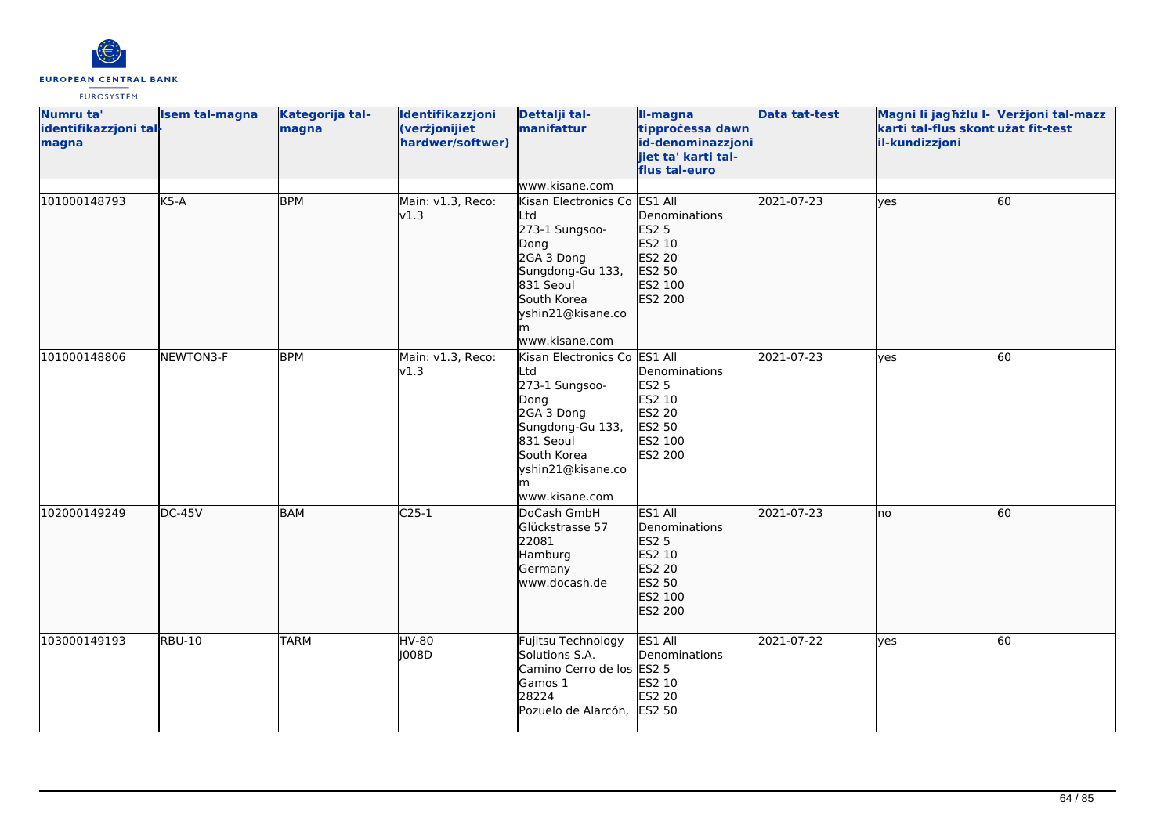

| Numru ta'<br>identifikazzjoni tal-<br>magna | <b>Isem tal-magna</b> | Kategorija tal-<br>magna | Identifikazzjoni<br>(verżjonijiet<br>hardwer/softwer) | Dettalji tal-<br>manifattur                                                                                                                                             | II-magna<br>tipprocessa dawn<br>id-denominazzjoni<br>jiet ta' karti tal-<br>flus tal-euro    | <b>Data tat-test</b> | Magni li jagħżlu I- Verżjoni tal-mazz<br>karti tal-flus skontużat fit-test<br>il-kundizzjoni |    |
|---------------------------------------------|-----------------------|--------------------------|-------------------------------------------------------|-------------------------------------------------------------------------------------------------------------------------------------------------------------------------|----------------------------------------------------------------------------------------------|----------------------|----------------------------------------------------------------------------------------------|----|
|                                             |                       |                          |                                                       | www.kisane.com                                                                                                                                                          |                                                                                              |                      |                                                                                              |    |
| 101000148793                                | $K5-A$                | <b>BPM</b>               | Main: v1.3, Reco:<br>v1.3                             | Kisan Electronics Co<br>Ltd<br>273-1 Sungsoo-<br>Dong<br>2GA 3 Dong<br>Sungdong-Gu 133,<br>831 Seoul<br>South Korea<br>yshin21@kisane.co<br>m<br>www.kisane.com         | ES1 All<br>Denominations<br><b>ES2 5</b><br>ES2 10<br>ES2 20<br>ES2 50<br>ES2 100<br>ES2 200 | 2021-07-23           | lyes                                                                                         | 60 |
| 101000148806                                | NEWTON3-F             | <b>BPM</b>               | Main: v1.3, Reco:<br>v1.3                             | Kisan Electronics Co ES1 All<br>Ltd<br>273-1 Sungsoo-<br>Dong<br>2GA 3 Dong<br>Sungdong-Gu 133,<br>831 Seoul<br>South Korea<br>yshin21@kisane.co<br>m<br>www.kisane.com | Denominations<br><b>ES2 5</b><br>ES2 10<br>ES2 20<br>ES2 50<br>ES2 100<br><b>ES2 200</b>     | 2021-07-23           | <b>ves</b>                                                                                   | 60 |
| 102000149249                                | $DC-45V$              | <b>BAM</b>               | $C25-1$                                               | DoCash GmbH<br>Glückstrasse 57<br>22081<br>Hamburg<br>Germany<br>www.docash.de                                                                                          | ES1 All<br>Denominations<br><b>ES2 5</b><br>ES2 10<br>ES2 20<br>ES2 50<br>ES2 100<br>ES2 200 | 2021-07-23           | Ino                                                                                          | 60 |
| 103000149193                                | <b>RBU-10</b>         | <b>TARM</b>              | <b>HV-80</b><br>008D                                  | Fujitsu Technology<br>Solutions S.A.<br>Camino Cerro de los ES2 5<br>Gamos 1<br>28224<br>Pozuelo de Alarcón,                                                            | ES1 All<br>Denominations<br>ES2 10<br><b>ES2 20</b><br><b>ES2 50</b>                         | 2021-07-22           | <b>ves</b>                                                                                   | 60 |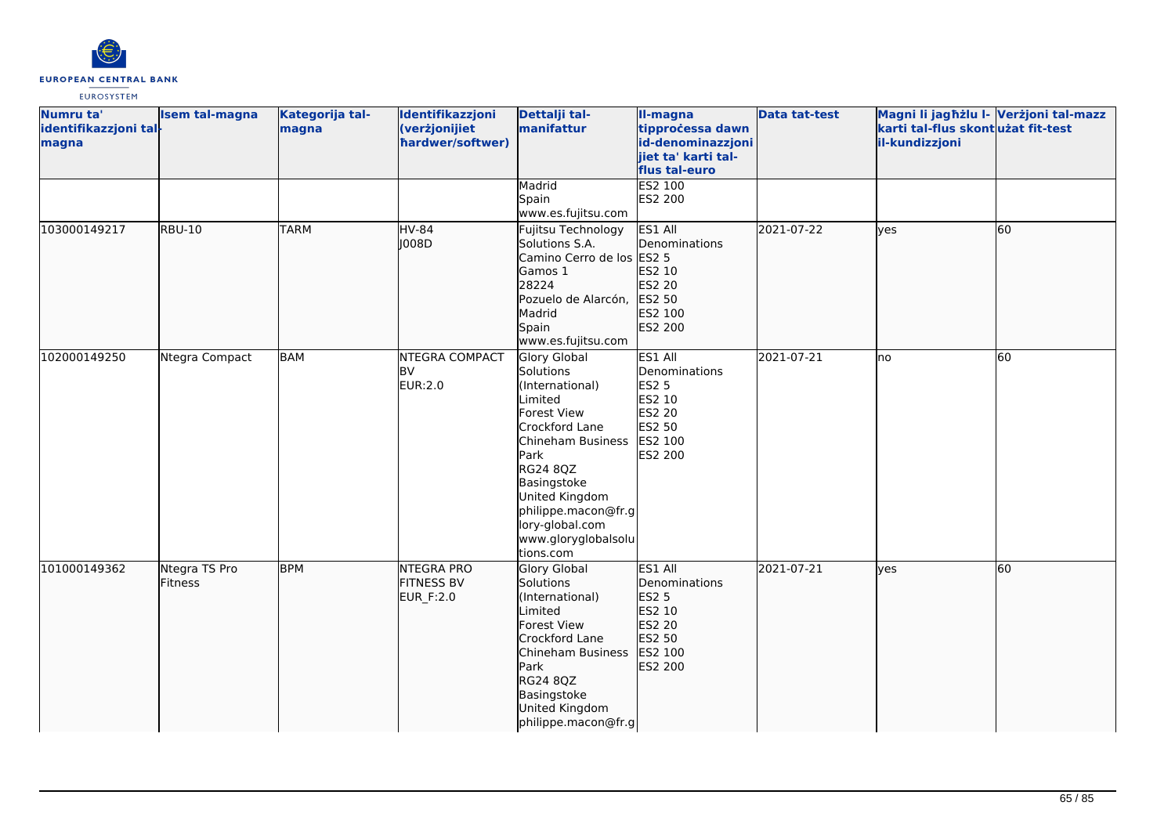

| Numru ta'<br>identifikazzjoni tal-<br>magna | <b>Isem tal-magna</b>           | Kategorija tal-<br>magna | Identifikazzjoni<br>(verżjonijiet<br>hardwer/softwer) | Dettalji tal-<br>manifattur                                                                                                                                                                                                                      | II-magna<br>tipprocessa dawn<br>id-denominazzjoni<br>jiet ta' karti tal-<br>flus tal-euro    | <b>Data tat-test</b> | Magni li jagħżlu I- Verżjoni tal-mazz<br>karti tal-flus skont użat fit-test<br>il-kundizzjoni |    |
|---------------------------------------------|---------------------------------|--------------------------|-------------------------------------------------------|--------------------------------------------------------------------------------------------------------------------------------------------------------------------------------------------------------------------------------------------------|----------------------------------------------------------------------------------------------|----------------------|-----------------------------------------------------------------------------------------------|----|
|                                             |                                 |                          |                                                       | Madrid<br>Spain<br>www.es.fujitsu.com                                                                                                                                                                                                            | ES2 100<br>ES2 200                                                                           |                      |                                                                                               |    |
| 103000149217                                | <b>RBU-10</b>                   | <b>TARM</b>              | <b>HV-84</b><br>  008D                                | Fujitsu Technology<br>Solutions S.A.<br>Camino Cerro de los ES2 5<br>Gamos 1<br>28224<br>Pozuelo de Alarcón,<br>Madrid<br>Spain<br>www.es.fujitsu.com                                                                                            | ES1 All<br>Denominations<br>ES2 10<br>ES2 20<br>ES2 50<br>ES2 100<br>ES2 200                 | 2021-07-22           | lyes                                                                                          | 60 |
| 102000149250                                | Ntegra Compact                  | <b>BAM</b>               | <b>NTEGRA COMPACT</b><br><b>BV</b><br>EUR:2.0         | Glory Global<br>Solutions<br>(International)<br>Limited<br>Forest View<br>Crockford Lane<br>Chineham Business<br>Park<br>RG24 8QZ<br>Basingstoke<br>United Kingdom<br>philippe.macon@fr.g<br>lory-global.com<br>www.gloryglobalsolu<br>tions.com | ES1 All<br>Denominations<br><b>ES2 5</b><br>ES2 10<br>ES2 20<br>ES2 50<br>ES2 100<br>ES2 200 | 2021-07-21           | lno                                                                                           | 60 |
| 101000149362                                | Ntegra TS Pro<br><b>Fitness</b> | <b>BPM</b>               | <b>NTEGRA PRO</b><br><b>FITNESS BV</b><br>EUR_F:2.0   | Glory Global<br>Solutions<br>(International)<br>Limited<br>Forest View<br>Crockford Lane<br>Chineham Business<br>Park<br>RG24 8QZ<br>Basingstoke<br>United Kingdom<br>philippe.macon@fr.g                                                        | ES1 All<br>Denominations<br><b>ES2 5</b><br>ES2 10<br>ES2 20<br>ES2 50<br>ES2 100<br>ES2 200 | 2021-07-21           | lyes                                                                                          | 60 |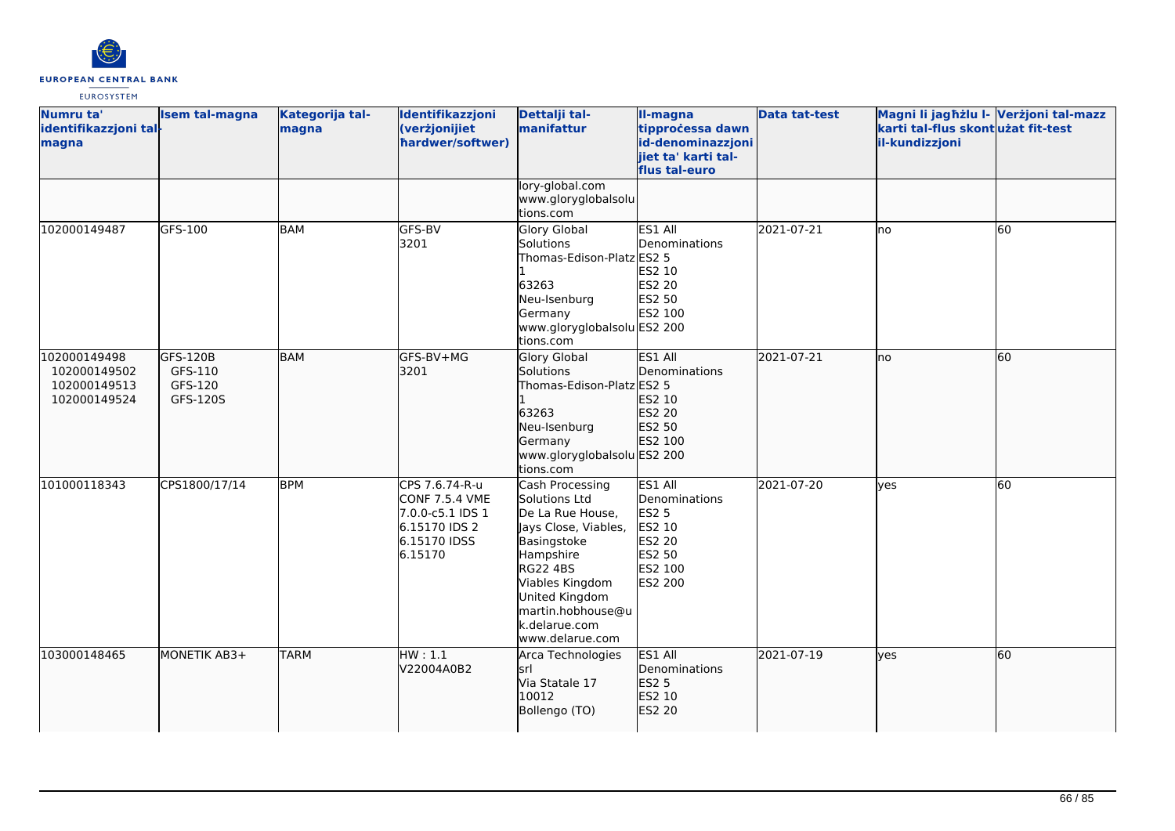

| Numru ta'<br>identifikazzjoni tal-<br>magna                  | <b>Isem tal-magna</b>                      | Kategorija tal-<br>magna | Identifikazzjoni<br>(verżjonijiet<br>hardwer/softwer)                                                   | Dettalji tal-<br>manifattur                                                                                                                                                                                               | II-magna<br>tipprocessa dawn<br>id-denominazzjoni<br>jiet ta' karti tal-<br>flus tal-euro    | <b>Data tat-test</b> | Magni li jagħżlu I- Verżjoni tal-mazz<br>karti tal-flus skontużat fit-test<br>il-kundizzjoni |    |
|--------------------------------------------------------------|--------------------------------------------|--------------------------|---------------------------------------------------------------------------------------------------------|---------------------------------------------------------------------------------------------------------------------------------------------------------------------------------------------------------------------------|----------------------------------------------------------------------------------------------|----------------------|----------------------------------------------------------------------------------------------|----|
|                                                              |                                            |                          |                                                                                                         | lory-global.com<br>www.gloryglobalsolu<br>tions.com                                                                                                                                                                       |                                                                                              |                      |                                                                                              |    |
| 102000149487                                                 | GFS-100                                    | <b>BAM</b>               | GFS-BV<br>3201                                                                                          | <b>Glory Global</b><br>Solutions<br>Thomas-Edison-Platz ES2 5<br>63263<br>Neu-Isenburg<br>Germany<br>www.gloryglobalsolu ES2 200<br>tions.com                                                                             | ES1 All<br>Denominations<br>ES2 10<br>ES2 20<br>ES2 50<br>ES2 100                            | 2021-07-21           | Ino                                                                                          | 60 |
| 102000149498<br>102000149502<br>102000149513<br>102000149524 | GFS-120B<br>GFS-110<br>GFS-120<br>GFS-120S | <b>BAM</b>               | GFS-BV+MG<br>3201                                                                                       | <b>Glory Global</b><br>Solutions<br>Thomas-Edison-Platz ES2 5<br>63263<br>Neu-Isenburg<br>Germany<br>www.gloryglobalsolu ES2 200<br>tions.com                                                                             | ES1 All<br>Denominations<br>ES2 10<br>ES2 20<br>ES2 50<br>ES2 100                            | 2021-07-21           | Ino                                                                                          | 60 |
| 101000118343                                                 | CPS1800/17/14                              | <b>BPM</b>               | CPS 7.6.74-R-u<br><b>CONF 7.5.4 VME</b><br>7.0.0-c5.1 IDS 1<br>6.15170 IDS 2<br>6.15170 IDSS<br>6.15170 | Cash Processing<br>Solutions Ltd<br>De La Rue House,<br>Jays Close, Viables,<br>Basingstoke<br>Hampshire<br><b>RG22 4BS</b><br>Viables Kingdom<br>United Kingdom<br>martin.hobhouse@u<br>k.delarue.com<br>www.delarue.com | ES1 All<br>Denominations<br><b>ES2 5</b><br>ES2 10<br>ES2 20<br>ES2 50<br>ES2 100<br>ES2 200 | 2021-07-20           | ves                                                                                          | 60 |
| 103000148465                                                 | MONETIK AB3+                               | <b>TARM</b>              | HW:1.1<br>V22004A0B2                                                                                    | Arca Technologies<br>lsrl<br>Via Statale 17<br>10012<br>Bollengo (TO)                                                                                                                                                     | ES1 All<br>Denominations<br><b>ES2 5</b><br>ES2 10<br>ES2 20                                 | 2021-07-19           | <b>l</b> ves                                                                                 | 60 |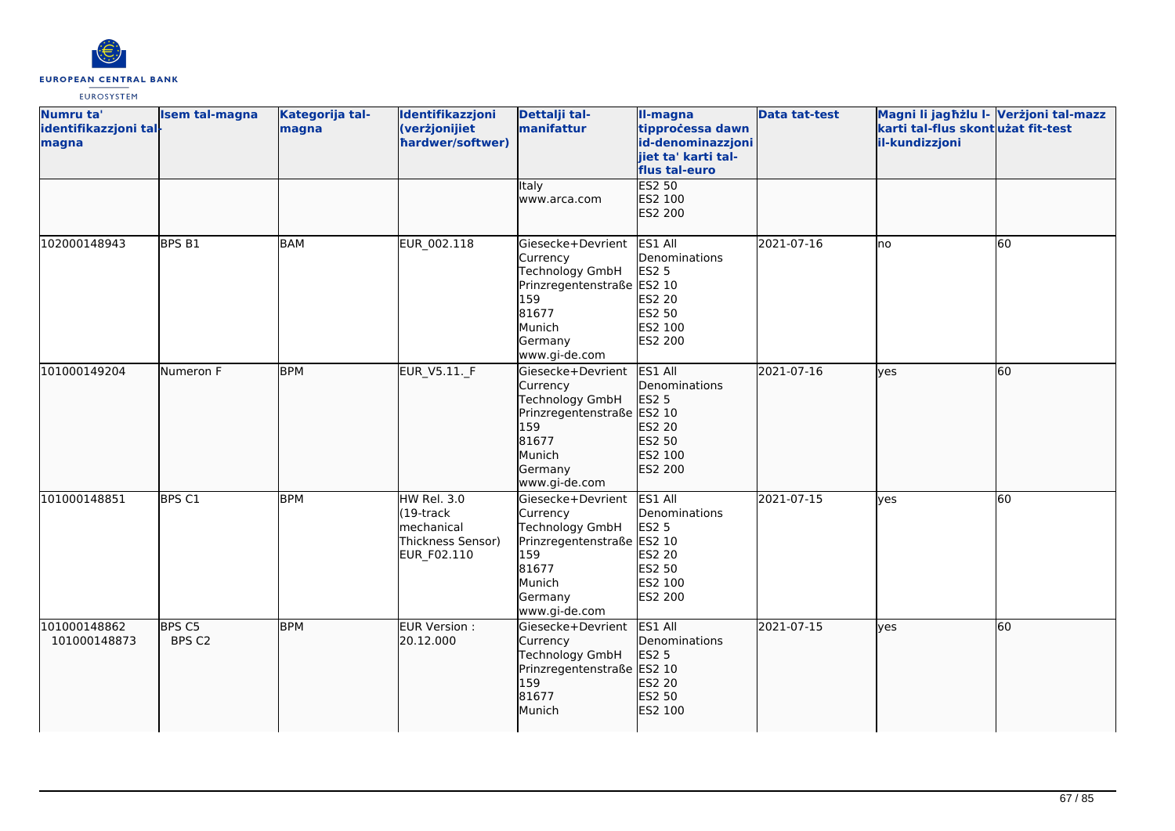

| Numru ta'<br>identifikazzjoni tal-<br>magna | <b>Isem tal-magna</b> | Kategorija tal-<br>magna | Identifikazzjoni<br>(verżjonijiet<br>hardwer/softwer)                                 | Dettalji tal-<br>manifattur                                                                                                                 | II-magna<br>tipprocessa dawn<br>id-denominazzjoni<br>jiet ta' karti tal-<br>flus tal-euro    | <b>Data tat-test</b> | Magni li jagħżlu I- Verżjoni tal-mazz<br>karti tal-flus skont użat fit-test<br>il-kundizzjoni |    |
|---------------------------------------------|-----------------------|--------------------------|---------------------------------------------------------------------------------------|---------------------------------------------------------------------------------------------------------------------------------------------|----------------------------------------------------------------------------------------------|----------------------|-----------------------------------------------------------------------------------------------|----|
|                                             |                       |                          |                                                                                       | Italy<br>www.arca.com                                                                                                                       | <b>ES2 50</b><br>ES2 100<br>ES2 200                                                          |                      |                                                                                               |    |
| 102000148943                                | BPS B1                | <b>BAM</b>               | EUR_002.118                                                                           | Giesecke+Devrient<br>Currency<br><b>Technology GmbH</b><br>Prinzregentenstraße ES2 10<br>159<br>81677<br>Munich<br>Germany<br>www.gi-de.com | ES1 All<br>Denominations<br><b>ES2 5</b><br>ES2 20<br>ES2 50<br>ES2 100<br>ES2 200           | 2021-07-16           | lno                                                                                           | 60 |
| 101000149204                                | Numeron F             | <b>BPM</b>               | EUR_V5.11._F                                                                          | Giesecke+Devrient<br>Currency<br>Technology GmbH<br>Prinzregentenstraße ES2 10<br>159<br>81677<br>Munich<br>Germany<br>www.gi-de.com        | ES1 All<br>Denominations<br><b>ES2 5</b><br>ES2 20<br>ES2 50<br>ES2 100<br>ES2 200           | 2021-07-16           | lyes                                                                                          | 60 |
| 101000148851                                | BPS C1                | <b>BPM</b>               | <b>HW Rel. 3.0</b><br>$(19$ -track<br>lmechanical<br>Thickness Sensor)<br>EUR_F02.110 | Giesecke+Devrient<br>Currency<br>Technology GmbH<br>Prinzregentenstraße<br>159<br>81677<br>Munich<br>Germany<br>www.gi-de.com               | ES1 All<br>Denominations<br><b>ES2 5</b><br>ES2 10<br>ES2 20<br>ES2 50<br>ES2 100<br>ES2 200 | 2021-07-15           | yes                                                                                           | 60 |
| 101000148862<br>101000148873                | BPS C5<br>BPS C2      | <b>BPM</b>               | EUR Version :<br>20.12.000                                                            | Giesecke+Devrient<br>Currency<br><b>Technology GmbH</b><br>Prinzregentenstraße ES2 10<br>159<br>81677<br>Munich                             | ES1 All<br>Denominations<br>ES2 5<br>ES2 20<br>ES2 50<br>ES2 100                             | 2021-07-15           | lves                                                                                          | 60 |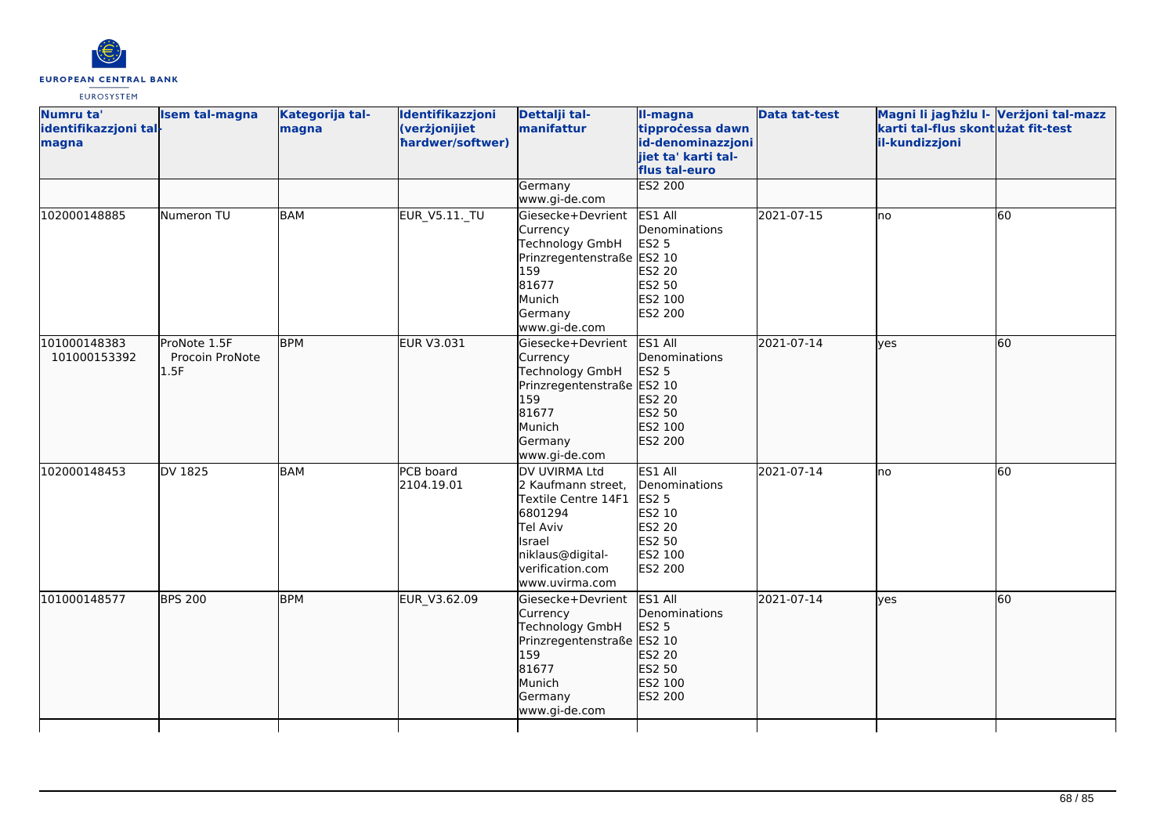

| Numru ta'<br>identifikazzjoni tal-<br>magna | <b>Isem tal-magna</b>                   | Kategorija tal-<br>magna | Identifikazzjoni<br>(verżjonijiet<br>hardwer/softwer) | Dettalji tal-<br>manifattur                                                                                                                           | II-magna<br>tipprocessa dawn<br>id-denominazzjoni<br>jiet ta' karti tal-<br>flus tal-euro           | <b>Data tat-test</b> | Magni li jagħżlu I- Verżjoni tal-mazz<br>karti tal-flus skontużat fit-test<br>il-kundizzjoni |    |
|---------------------------------------------|-----------------------------------------|--------------------------|-------------------------------------------------------|-------------------------------------------------------------------------------------------------------------------------------------------------------|-----------------------------------------------------------------------------------------------------|----------------------|----------------------------------------------------------------------------------------------|----|
|                                             |                                         |                          |                                                       | Germany<br>www.gi-de.com                                                                                                                              | <b>ES2 200</b>                                                                                      |                      |                                                                                              |    |
| 102000148885                                | Numeron TU                              | <b>BAM</b>               | <b>EUR_V5.11._TU</b>                                  | Giesecke+Devrient<br>Currency<br>Technology GmbH<br>Prinzregentenstraße ES2 10<br>159<br>81677<br>Munich<br>Germany<br>www.gi-de.com                  | ES1 All<br>Denominations<br><b>ES2 5</b><br>ES2 20<br>ES2 50<br>ES2 100<br><b>ES2 200</b>           | 2021-07-15           | lno                                                                                          | 60 |
| 101000148383<br>101000153392                | ProNote 1.5F<br>Procoin ProNote<br>1.5F | <b>BPM</b>               | EUR V3.031                                            | Giesecke+Devrient<br>Currency<br>Technology GmbH<br>Prinzregentenstraße ES2 10<br>159<br>81677<br>Munich<br>Germany<br>www.gi-de.com                  | ES1 All<br><b>I</b> Denominations<br><b>ES2 5</b><br>ES2 20<br>ES2 50<br>ES2 100<br>ES2 200         | 2021-07-14           | lves                                                                                         | 60 |
| 102000148453                                | DV 1825                                 | <b>BAM</b>               | PCB board<br>2104.19.01                               | DV UVIRMA Ltd<br>2 Kaufmann street,<br>Textile Centre 14F1<br>6801294<br>Tel Aviv<br>Israel<br>niklaus@digital-<br>verification.com<br>www.uvirma.com | ES1 All<br>Denominations<br><b>ES2 5</b><br>ES2 10<br>ES2 20<br>ES2 50<br>ES2 100<br><b>ES2 200</b> | 2021-07-14           | lno                                                                                          | 60 |
| 101000148577                                | <b>BPS 200</b>                          | <b>BPM</b>               | EUR V3.62.09                                          | Giesecke+Devrient<br>Currency<br>Technology GmbH<br>Prinzregentenstraße ES2 10<br>159<br>81677<br>Munich<br>Germany<br>www.gi-de.com                  | ES1 All<br>Denominations<br>ES2 5<br>ES2 20<br>ES2 50<br>ES2 100<br>ES2 200                         | 2021-07-14           | <b>l</b> ves                                                                                 | 60 |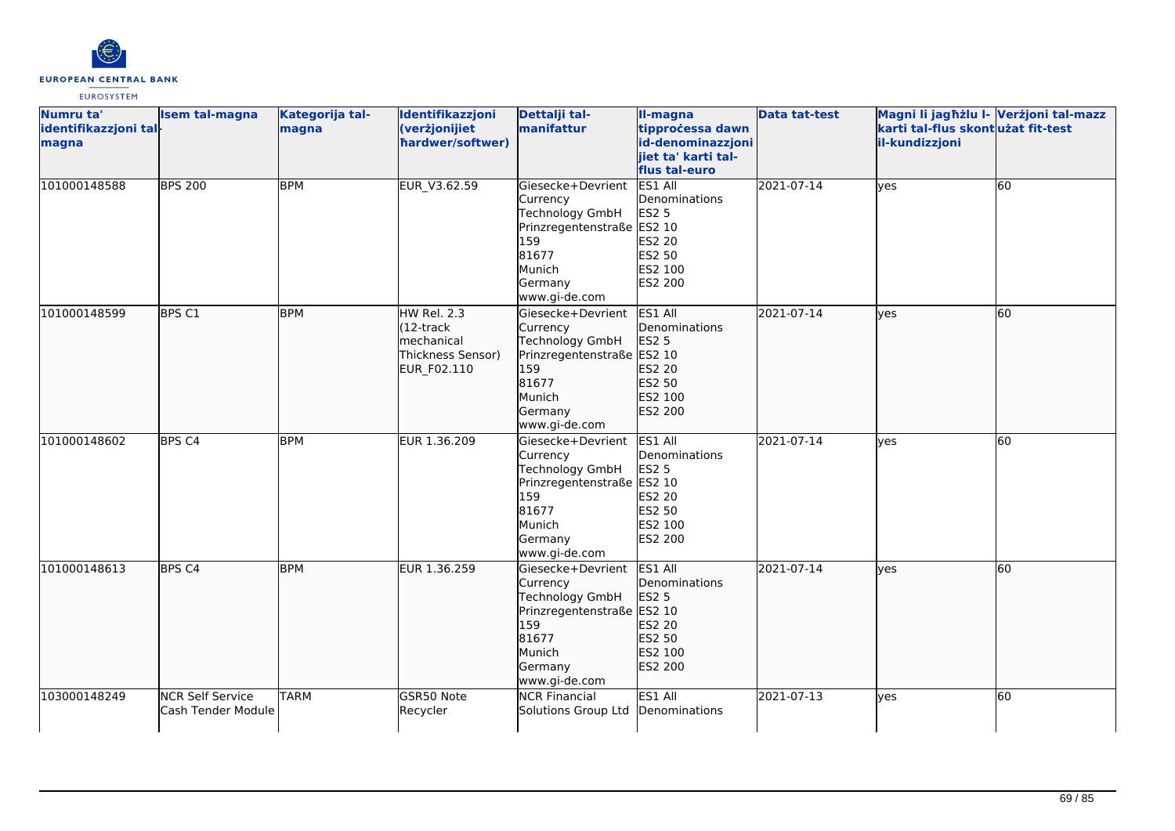

| Numru ta'<br>identifikazzjoni tal-<br>magna | <b>Isem tal-magna</b>                         | Kategorija tal-<br>magna | Identifikazzjoni<br>(verżjonijiet<br>hardwer/softwer)                                  | Dettalji tal-<br>manifattur                                                                                                          | II-magna<br>tipprocessa dawn<br>id-denominazzjoni<br>jiet ta' karti tal-<br>flus tal-euro | <b>Data tat-test</b> | Magni li jagħżlu l- Verżjoni tal-mazz<br>karti tal-flus skont użat fit-test<br>il-kundizzjoni |    |
|---------------------------------------------|-----------------------------------------------|--------------------------|----------------------------------------------------------------------------------------|--------------------------------------------------------------------------------------------------------------------------------------|-------------------------------------------------------------------------------------------|----------------------|-----------------------------------------------------------------------------------------------|----|
| 101000148588                                | <b>BPS 200</b>                                | <b>BPM</b>               | EUR_V3.62.59                                                                           | Giesecke+Devrient<br>Currency<br>Technology GmbH<br>Prinzregentenstraße ES2 10<br>159<br>81677<br>Munich<br>Germany<br>www.gi-de.com | ES1 All<br>Denominations<br><b>ES2 5</b><br>ES2 20<br>ES2 50<br>ES2 100<br>ES2 200        | 2021-07-14           | yes                                                                                           | 60 |
| 101000148599                                | BPS C1                                        | <b>BPM</b>               | HW Rel. 2.3<br>$(12 -$ track<br><b>Imechanical</b><br>Thickness Sensor)<br>EUR_F02.110 | Giesecke+Devrient<br>Currency<br>Technology GmbH<br>Prinzregentenstraße ES2 10<br>159<br>81677<br>Munich<br>Germany<br>www.gi-de.com | ES1 All<br>Denominations<br><b>ES2 5</b><br>ES2 20<br>ES2 50<br>ES2 100<br>ES2 200        | 2021-07-14           | lyes                                                                                          | 60 |
| 101000148602                                | BPS <sub>C4</sub>                             | <b>BPM</b>               | EUR 1.36.209                                                                           | Giesecke+Devrient<br>Currency<br>Technology GmbH<br>Prinzregentenstraße ES2 10<br>159<br>81677<br>Munich<br>Germany<br>www.gi-de.com | ES1 All<br>Denominations<br>ES2 5<br>ES2 20<br>ES2 50<br>ES2 100<br><b>ES2 200</b>        | 2021-07-14           | lyes                                                                                          | 60 |
| 101000148613                                | BPS <sub>C4</sub>                             | <b>BPM</b>               | EUR 1.36.259                                                                           | Giesecke+Devrient<br>Currency<br>Technology GmbH<br>Prinzregentenstraße<br>159<br>81677<br>Munich<br>Germany<br>www.gi-de.com        | ES1 All<br>Denominations<br>ES2 5<br>ES2 10<br>ES2 20<br>ES2 50<br>ES2 100<br>ES2 200     | 2021-07-14           | lyes                                                                                          | 60 |
| 103000148249                                | <b>NCR Self Service</b><br>Cash Tender Module | <b>TARM</b>              | GSR50 Note<br>Recycler                                                                 | <b>NCR Financial</b><br>Solutions Group Ltd                                                                                          | ES1 All<br>Denominations                                                                  | 2021-07-13           | lyes                                                                                          | 60 |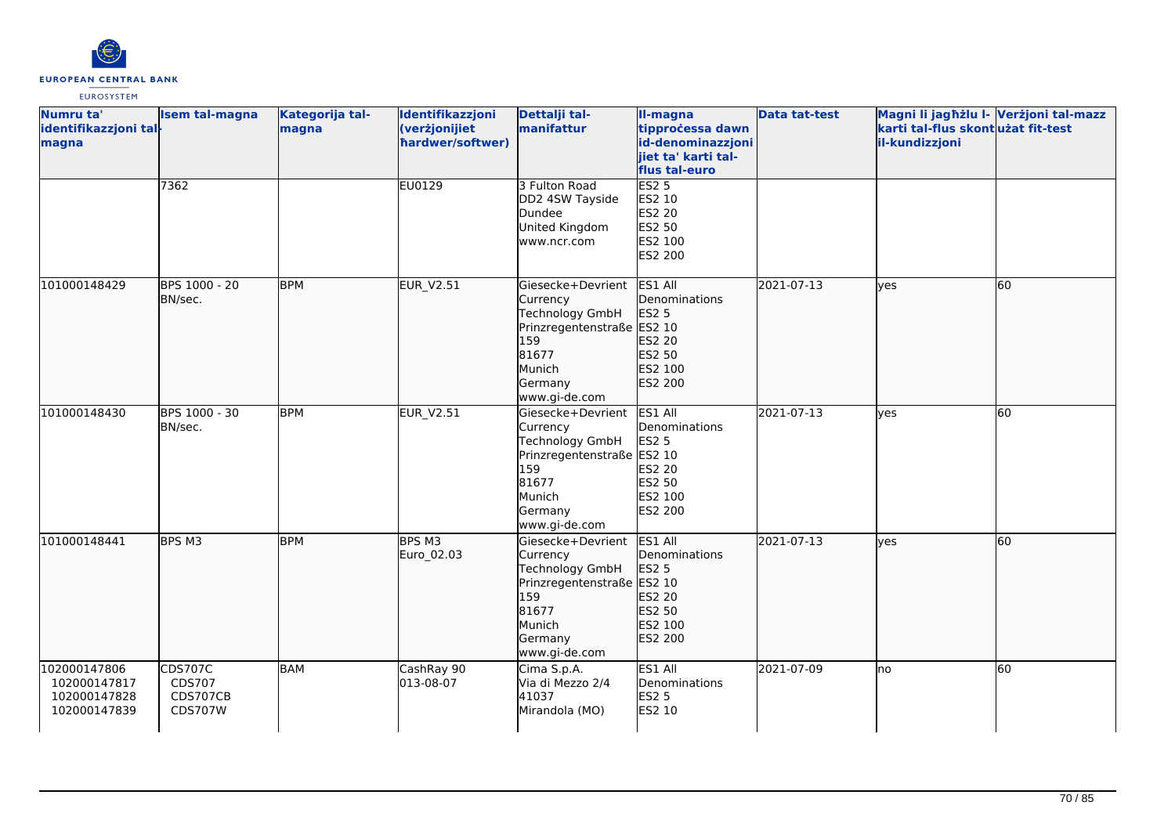

| Numru ta'<br>identifikazzjoni tal-<br>magna                  | <b>Isem tal-magna</b>                                  | Kategorija tal-<br>magna | Identifikazzjoni<br>(verżjonijiet<br>hardwer/softwer) | Dettalji tal-<br>manifattur                                                                                                          | II-magna<br>tipprocessa dawn<br>id-denominazzjoni<br>jiet ta' karti tal-<br>flus tal-euro | <b>Data tat-test</b> | Magni li jagħżlu I- Verżjoni tal-mazz<br>karti tal-flus skont użat fit-test<br>il-kundizzjoni |    |
|--------------------------------------------------------------|--------------------------------------------------------|--------------------------|-------------------------------------------------------|--------------------------------------------------------------------------------------------------------------------------------------|-------------------------------------------------------------------------------------------|----------------------|-----------------------------------------------------------------------------------------------|----|
|                                                              | 7362                                                   |                          | EU0129                                                | 3 Fulton Road<br>DD2 4SW Tayside<br>Dundee<br>United Kingdom<br>www.ncr.com                                                          | <b>ES2 5</b><br>ES2 10<br>ES2 20<br>ES2 50<br>ES2 100<br>ES2 200                          |                      |                                                                                               |    |
| 101000148429                                                 | BPS 1000 - 20<br>BN/sec.                               | <b>BPM</b>               | EUR_V2.51                                             | Giesecke+Devrient<br>Currency<br>Technology GmbH<br>Prinzregentenstraße<br>159<br>81677<br>Munich<br>Germany<br>www.gi-de.com        | ES1 All<br>Denominations<br>ES2 5<br>ES2 10<br>ES2 20<br>ES2 50<br>ES2 100<br>ES2 200     | 2021-07-13           | lyes                                                                                          | 60 |
| 101000148430                                                 | BPS 1000 - 30<br>BN/sec.                               | <b>BPM</b>               | <b>EUR_V2.51</b>                                      | Giesecke+Devrient<br>Currency<br>Technology GmbH<br>Prinzregentenstraße ES2 10<br>159<br>81677<br>Munich<br>Germany<br>www.gi-de.com | ES1 All<br>Denominations<br><b>ES2 5</b><br>ES2 20<br>ES2 50<br>ES2 100<br><b>ES2 200</b> | 2021-07-13           | yes                                                                                           | 60 |
| 101000148441                                                 | BPS M3                                                 | <b>BPM</b>               | BPS M3<br>Euro_02.03                                  | Giesecke+Devrient<br>Currency<br>Technology GmbH<br>Prinzregentenstraße ES2 10<br>159<br>81677<br>Munich<br>Germany<br>www.gi-de.com | ES1 All<br>Denominations<br>ES2 5<br>ES2 20<br>ES2 50<br>ES2 100<br>ES2 200               | 2021-07-13           | <b>l</b> ves                                                                                  | 60 |
| 102000147806<br>102000147817<br>102000147828<br>102000147839 | <b>CDS707C</b><br>CDS707<br>CDS707CB<br><b>CDS707W</b> | <b>BAM</b>               | CashRay 90<br>013-08-07                               | Cima S.p.A.<br>Via di Mezzo 2/4<br>41037<br>Mirandola (MO)                                                                           | ES1 All<br>Denominations<br><b>ES2 5</b><br>ES2 10                                        | 2021-07-09           | lno                                                                                           | 60 |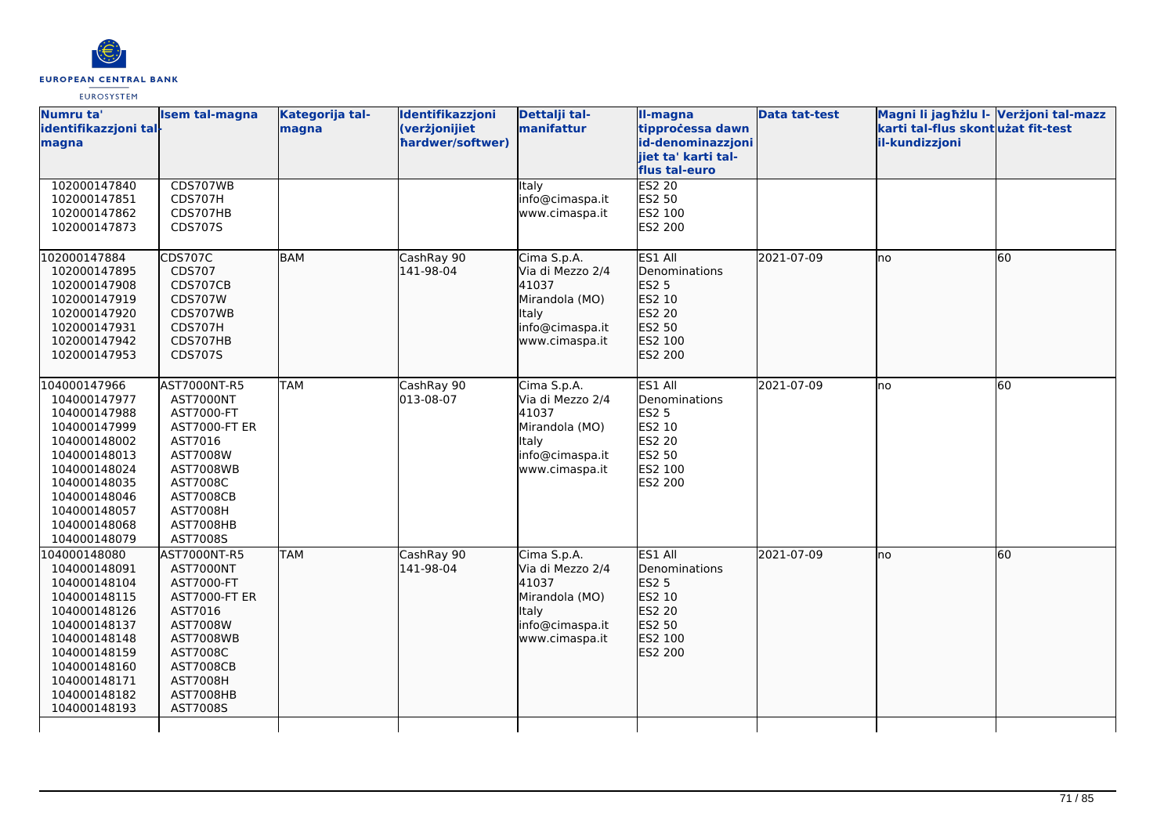

| Numru ta'<br>identifikazzjoni tal-<br>magna | <b>Isem tal-magna</b>        | Kategorija tal-<br>magna | Identifikazzjoni<br>(verżjonijiet<br>hardwer/softwer) | Dettalji tal-<br>manifattur       | II-magna<br>tipprocessa dawn<br>id-denominazzjoni<br>jiet ta' karti tal- | <b>Data tat-test</b> | Magni li jagħżlu I- Verżjoni tal-mazz<br>karti tal-flus skontużat fit-test<br>il-kundizzjoni |    |
|---------------------------------------------|------------------------------|--------------------------|-------------------------------------------------------|-----------------------------------|--------------------------------------------------------------------------|----------------------|----------------------------------------------------------------------------------------------|----|
| 102000147840                                | CDS707WB                     |                          |                                                       | Italy                             | flus tal-euro<br><b>ES2 20</b>                                           |                      |                                                                                              |    |
| 102000147851                                | <b>CDS707H</b>               |                          |                                                       | info@cimaspa.it                   | ES2 50                                                                   |                      |                                                                                              |    |
| 102000147862                                | CDS707HB                     |                          |                                                       | www.cimaspa.it                    | ES2 100                                                                  |                      |                                                                                              |    |
| 102000147873                                | CDS707S                      |                          |                                                       |                                   | ES2 200                                                                  |                      |                                                                                              |    |
|                                             |                              |                          |                                                       |                                   |                                                                          |                      |                                                                                              |    |
| 102000147884                                | <b>CDS707C</b>               | <b>BAM</b>               | CashRay 90                                            | Cima S.p.A.                       | ES1 All                                                                  | 2021-07-09           | Ino                                                                                          | 60 |
| 102000147895                                | CDS707                       |                          | 141-98-04                                             | Via di Mezzo 2/4                  | Denominations                                                            |                      |                                                                                              |    |
| 102000147908                                | CDS707CB                     |                          |                                                       | 41037                             | ES2 5<br>ES2 10                                                          |                      |                                                                                              |    |
| 102000147919<br>102000147920                | <b>CDS707W</b><br>CDS707WB   |                          |                                                       | Mirandola (MO)<br>Italy           | ES2 20                                                                   |                      |                                                                                              |    |
| 102000147931                                | CDS707H                      |                          |                                                       | info@cimaspa.it                   | ES2 50                                                                   |                      |                                                                                              |    |
| 102000147942                                | CDS707HB                     |                          |                                                       | www.cimaspa.it                    | ES2 100                                                                  |                      |                                                                                              |    |
| 102000147953                                | CDS707S                      |                          |                                                       |                                   | ES2 200                                                                  |                      |                                                                                              |    |
|                                             |                              |                          |                                                       |                                   |                                                                          |                      |                                                                                              |    |
| 104000147966                                | AST7000NT-R5                 | <b>TAM</b>               | CashRay 90                                            | Cima S.p.A.                       | ES1 All                                                                  | 2021-07-09           | Ino                                                                                          | 60 |
| 104000147977                                | AST7000NT                    |                          | 013-08-07                                             | Via di Mezzo 2/4                  | Denominations                                                            |                      |                                                                                              |    |
| 104000147988                                | AST7000-FT                   |                          |                                                       | 41037                             | <b>ES2 5</b>                                                             |                      |                                                                                              |    |
| 104000147999                                | AST7000-FT ER                |                          |                                                       | Mirandola (MO)                    | ES2 10                                                                   |                      |                                                                                              |    |
| 104000148002                                | AST7016                      |                          |                                                       | <b>Italy</b>                      | <b>ES2 20</b><br>ES2 50                                                  |                      |                                                                                              |    |
| 104000148013<br>104000148024                | AST7008W<br><b>AST7008WB</b> |                          |                                                       | info@cimaspa.it<br>www.cimaspa.it | ES2 100                                                                  |                      |                                                                                              |    |
| 104000148035                                | AST7008C                     |                          |                                                       |                                   | ES2 200                                                                  |                      |                                                                                              |    |
| 104000148046                                | <b>AST7008CB</b>             |                          |                                                       |                                   |                                                                          |                      |                                                                                              |    |
| 104000148057                                | <b>AST7008H</b>              |                          |                                                       |                                   |                                                                          |                      |                                                                                              |    |
| 104000148068                                | AST7008HB                    |                          |                                                       |                                   |                                                                          |                      |                                                                                              |    |
| 104000148079                                | AST7008S                     |                          |                                                       |                                   |                                                                          |                      |                                                                                              |    |
| 104000148080                                | AST7000NT-R5                 | <b>TAM</b>               | CashRay 90                                            | Cima S.p.A.                       | ES1 All                                                                  | 2021-07-09           | lno                                                                                          | 60 |
| 104000148091                                | AST7000NT                    |                          | 141-98-04                                             | Via di Mezzo 2/4                  | Denominations                                                            |                      |                                                                                              |    |
| 104000148104                                | AST7000-FT                   |                          |                                                       | 41037                             | ES2 5                                                                    |                      |                                                                                              |    |
| 104000148115                                | <b>AST7000-FT ER</b>         |                          |                                                       | Mirandola (MO)                    | ES2 10                                                                   |                      |                                                                                              |    |
| 104000148126                                | AST7016                      |                          |                                                       | <b>Italy</b>                      | ES2 20                                                                   |                      |                                                                                              |    |
| 104000148137                                | AST7008W                     |                          |                                                       | info@cimaspa.it                   | ES2 50                                                                   |                      |                                                                                              |    |
| 104000148148                                | <b>AST7008WB</b>             |                          |                                                       | www.cimaspa.it                    | ES2 100                                                                  |                      |                                                                                              |    |
| 104000148159<br>104000148160                | AST7008C<br><b>AST7008CB</b> |                          |                                                       |                                   | ES2 200                                                                  |                      |                                                                                              |    |
| 104000148171                                | <b>AST7008H</b>              |                          |                                                       |                                   |                                                                          |                      |                                                                                              |    |
| 104000148182                                | AST7008HB                    |                          |                                                       |                                   |                                                                          |                      |                                                                                              |    |
| 104000148193                                | AST7008S                     |                          |                                                       |                                   |                                                                          |                      |                                                                                              |    |
|                                             |                              |                          |                                                       |                                   |                                                                          |                      |                                                                                              |    |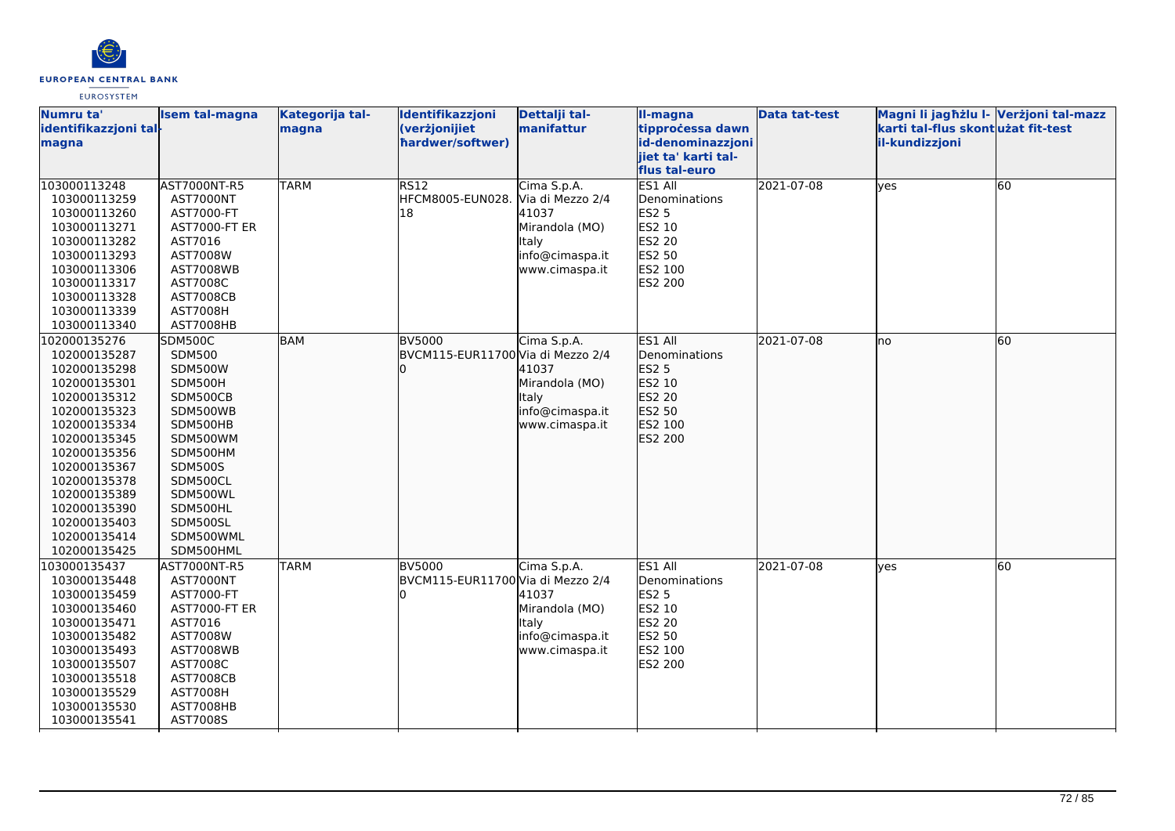

| il-kundizzjoni<br>magna<br>iiet ta' karti tal-<br>flus tal-euro<br>ES1 All<br>103000113248<br><b>TARM</b><br>RS12<br>Cima S.p.A.<br>2021-07-08<br>60<br>AST7000NT-R5<br>lyes<br>HFCM8005-EUN028. Via di Mezzo 2/4<br>Denominations<br>103000113259<br>AST7000NT<br>18<br>41037<br><b>ES2 5</b><br>103000113260<br>AST7000-FT<br>ES2 10<br>103000113271<br>Mirandola (MO)<br><b>AST7000-FT ER</b><br><b>ES2 20</b><br>103000113282<br>AST7016<br>Italy<br>info@cimaspa.it<br>ES2 50<br>103000113293<br>AST7008W<br>ES2 100<br>103000113306<br>www.cimaspa.it<br><b>AST7008WB</b><br>ES2 200<br>103000113317<br>AST7008C<br>103000113328<br><b>AST7008CB</b><br><b>AST7008H</b><br>103000113339<br>103000113340<br>AST7008HB<br><b>BAM</b><br><b>BV5000</b><br>Cima S.p.A.<br>ES1 All<br>2021-07-08<br>60<br>102000135276<br>SDM500C<br>lno<br><b>SDM500</b><br>BVCM115-EUR11700 Via di Mezzo 2/4<br>Denominations<br>102000135287<br>41037<br>ES2 5<br>102000135298<br><b>SDM500W</b><br>Mirandola (MO)<br>ES2 10<br>102000135301<br>SDM500H<br>ES2 20<br>102000135312<br>SDM500CB<br>Italy<br>ES2 50<br>SDM500WB<br>102000135323<br>info@cimaspa.it<br>ES2 100<br>102000135334<br>SDM500HB<br>www.cimaspa.it<br>SDM500WM<br>ES2 200<br>102000135345<br>102000135356<br>SDM500HM<br>102000135367<br><b>SDM500S</b><br>SDM500CL<br>102000135378<br>102000135389<br>SDM500WL<br>SDM500HL<br>102000135390<br>SDM500SL<br>102000135403<br>102000135414<br>SDM500WML<br>102000135425<br>SDM500HML<br>ES1 All<br><b>TARM</b><br>Cima S.p.A.<br>2021-07-08<br>60<br>103000135437<br>AST7000NT-R5<br><b>BV5000</b><br>lves<br>BVCM115-EUR11700 Via di Mezzo 2/4<br>Denominations<br>103000135448<br>AST7000NT<br><b>ES2 5</b><br>103000135459<br>AST7000-FT<br>41037<br>Mirandola (MO)<br>ES2 10<br>103000135460<br>AST7000-FT ER<br>ES2 20<br>103000135471<br>AST7016<br>Italy | Numru ta'<br>identifikazzjoni tal- | <b>Isem tal-magna</b> | Kategorija tal-<br>magna | Identifikazzjoni<br>(verżjonijiet | Dettalji tal-<br>manifattur | II-magna<br>tipprocessa dawn | <b>Data tat-test</b> | Magni li jagħżlu I- Verżjoni tal-mazz<br>karti tal-flus skontużat fit-test |  |
|------------------------------------------------------------------------------------------------------------------------------------------------------------------------------------------------------------------------------------------------------------------------------------------------------------------------------------------------------------------------------------------------------------------------------------------------------------------------------------------------------------------------------------------------------------------------------------------------------------------------------------------------------------------------------------------------------------------------------------------------------------------------------------------------------------------------------------------------------------------------------------------------------------------------------------------------------------------------------------------------------------------------------------------------------------------------------------------------------------------------------------------------------------------------------------------------------------------------------------------------------------------------------------------------------------------------------------------------------------------------------------------------------------------------------------------------------------------------------------------------------------------------------------------------------------------------------------------------------------------------------------------------------------------------------------------------------------------------------------------------------------------------------------------------------------------------------------------------------------------------|------------------------------------|-----------------------|--------------------------|-----------------------------------|-----------------------------|------------------------------|----------------------|----------------------------------------------------------------------------|--|
|                                                                                                                                                                                                                                                                                                                                                                                                                                                                                                                                                                                                                                                                                                                                                                                                                                                                                                                                                                                                                                                                                                                                                                                                                                                                                                                                                                                                                                                                                                                                                                                                                                                                                                                                                                                                                                                                        |                                    |                       |                          | hardwer/softwer)                  |                             | id-denominazzjoni            |                      |                                                                            |  |
|                                                                                                                                                                                                                                                                                                                                                                                                                                                                                                                                                                                                                                                                                                                                                                                                                                                                                                                                                                                                                                                                                                                                                                                                                                                                                                                                                                                                                                                                                                                                                                                                                                                                                                                                                                                                                                                                        |                                    |                       |                          |                                   |                             |                              |                      |                                                                            |  |
|                                                                                                                                                                                                                                                                                                                                                                                                                                                                                                                                                                                                                                                                                                                                                                                                                                                                                                                                                                                                                                                                                                                                                                                                                                                                                                                                                                                                                                                                                                                                                                                                                                                                                                                                                                                                                                                                        |                                    |                       |                          |                                   |                             |                              |                      |                                                                            |  |
|                                                                                                                                                                                                                                                                                                                                                                                                                                                                                                                                                                                                                                                                                                                                                                                                                                                                                                                                                                                                                                                                                                                                                                                                                                                                                                                                                                                                                                                                                                                                                                                                                                                                                                                                                                                                                                                                        |                                    |                       |                          |                                   |                             |                              |                      |                                                                            |  |
|                                                                                                                                                                                                                                                                                                                                                                                                                                                                                                                                                                                                                                                                                                                                                                                                                                                                                                                                                                                                                                                                                                                                                                                                                                                                                                                                                                                                                                                                                                                                                                                                                                                                                                                                                                                                                                                                        |                                    |                       |                          |                                   |                             |                              |                      |                                                                            |  |
|                                                                                                                                                                                                                                                                                                                                                                                                                                                                                                                                                                                                                                                                                                                                                                                                                                                                                                                                                                                                                                                                                                                                                                                                                                                                                                                                                                                                                                                                                                                                                                                                                                                                                                                                                                                                                                                                        |                                    |                       |                          |                                   |                             |                              |                      |                                                                            |  |
|                                                                                                                                                                                                                                                                                                                                                                                                                                                                                                                                                                                                                                                                                                                                                                                                                                                                                                                                                                                                                                                                                                                                                                                                                                                                                                                                                                                                                                                                                                                                                                                                                                                                                                                                                                                                                                                                        |                                    |                       |                          |                                   |                             |                              |                      |                                                                            |  |
|                                                                                                                                                                                                                                                                                                                                                                                                                                                                                                                                                                                                                                                                                                                                                                                                                                                                                                                                                                                                                                                                                                                                                                                                                                                                                                                                                                                                                                                                                                                                                                                                                                                                                                                                                                                                                                                                        |                                    |                       |                          |                                   |                             |                              |                      |                                                                            |  |
|                                                                                                                                                                                                                                                                                                                                                                                                                                                                                                                                                                                                                                                                                                                                                                                                                                                                                                                                                                                                                                                                                                                                                                                                                                                                                                                                                                                                                                                                                                                                                                                                                                                                                                                                                                                                                                                                        |                                    |                       |                          |                                   |                             |                              |                      |                                                                            |  |
|                                                                                                                                                                                                                                                                                                                                                                                                                                                                                                                                                                                                                                                                                                                                                                                                                                                                                                                                                                                                                                                                                                                                                                                                                                                                                                                                                                                                                                                                                                                                                                                                                                                                                                                                                                                                                                                                        |                                    |                       |                          |                                   |                             |                              |                      |                                                                            |  |
|                                                                                                                                                                                                                                                                                                                                                                                                                                                                                                                                                                                                                                                                                                                                                                                                                                                                                                                                                                                                                                                                                                                                                                                                                                                                                                                                                                                                                                                                                                                                                                                                                                                                                                                                                                                                                                                                        |                                    |                       |                          |                                   |                             |                              |                      |                                                                            |  |
|                                                                                                                                                                                                                                                                                                                                                                                                                                                                                                                                                                                                                                                                                                                                                                                                                                                                                                                                                                                                                                                                                                                                                                                                                                                                                                                                                                                                                                                                                                                                                                                                                                                                                                                                                                                                                                                                        |                                    |                       |                          |                                   |                             |                              |                      |                                                                            |  |
|                                                                                                                                                                                                                                                                                                                                                                                                                                                                                                                                                                                                                                                                                                                                                                                                                                                                                                                                                                                                                                                                                                                                                                                                                                                                                                                                                                                                                                                                                                                                                                                                                                                                                                                                                                                                                                                                        |                                    |                       |                          |                                   |                             |                              |                      |                                                                            |  |
|                                                                                                                                                                                                                                                                                                                                                                                                                                                                                                                                                                                                                                                                                                                                                                                                                                                                                                                                                                                                                                                                                                                                                                                                                                                                                                                                                                                                                                                                                                                                                                                                                                                                                                                                                                                                                                                                        |                                    |                       |                          |                                   |                             |                              |                      |                                                                            |  |
|                                                                                                                                                                                                                                                                                                                                                                                                                                                                                                                                                                                                                                                                                                                                                                                                                                                                                                                                                                                                                                                                                                                                                                                                                                                                                                                                                                                                                                                                                                                                                                                                                                                                                                                                                                                                                                                                        |                                    |                       |                          |                                   |                             |                              |                      |                                                                            |  |
|                                                                                                                                                                                                                                                                                                                                                                                                                                                                                                                                                                                                                                                                                                                                                                                                                                                                                                                                                                                                                                                                                                                                                                                                                                                                                                                                                                                                                                                                                                                                                                                                                                                                                                                                                                                                                                                                        |                                    |                       |                          |                                   |                             |                              |                      |                                                                            |  |
|                                                                                                                                                                                                                                                                                                                                                                                                                                                                                                                                                                                                                                                                                                                                                                                                                                                                                                                                                                                                                                                                                                                                                                                                                                                                                                                                                                                                                                                                                                                                                                                                                                                                                                                                                                                                                                                                        |                                    |                       |                          |                                   |                             |                              |                      |                                                                            |  |
|                                                                                                                                                                                                                                                                                                                                                                                                                                                                                                                                                                                                                                                                                                                                                                                                                                                                                                                                                                                                                                                                                                                                                                                                                                                                                                                                                                                                                                                                                                                                                                                                                                                                                                                                                                                                                                                                        |                                    |                       |                          |                                   |                             |                              |                      |                                                                            |  |
|                                                                                                                                                                                                                                                                                                                                                                                                                                                                                                                                                                                                                                                                                                                                                                                                                                                                                                                                                                                                                                                                                                                                                                                                                                                                                                                                                                                                                                                                                                                                                                                                                                                                                                                                                                                                                                                                        |                                    |                       |                          |                                   |                             |                              |                      |                                                                            |  |
|                                                                                                                                                                                                                                                                                                                                                                                                                                                                                                                                                                                                                                                                                                                                                                                                                                                                                                                                                                                                                                                                                                                                                                                                                                                                                                                                                                                                                                                                                                                                                                                                                                                                                                                                                                                                                                                                        |                                    |                       |                          |                                   |                             |                              |                      |                                                                            |  |
|                                                                                                                                                                                                                                                                                                                                                                                                                                                                                                                                                                                                                                                                                                                                                                                                                                                                                                                                                                                                                                                                                                                                                                                                                                                                                                                                                                                                                                                                                                                                                                                                                                                                                                                                                                                                                                                                        |                                    |                       |                          |                                   |                             |                              |                      |                                                                            |  |
|                                                                                                                                                                                                                                                                                                                                                                                                                                                                                                                                                                                                                                                                                                                                                                                                                                                                                                                                                                                                                                                                                                                                                                                                                                                                                                                                                                                                                                                                                                                                                                                                                                                                                                                                                                                                                                                                        |                                    |                       |                          |                                   |                             |                              |                      |                                                                            |  |
|                                                                                                                                                                                                                                                                                                                                                                                                                                                                                                                                                                                                                                                                                                                                                                                                                                                                                                                                                                                                                                                                                                                                                                                                                                                                                                                                                                                                                                                                                                                                                                                                                                                                                                                                                                                                                                                                        |                                    |                       |                          |                                   |                             |                              |                      |                                                                            |  |
|                                                                                                                                                                                                                                                                                                                                                                                                                                                                                                                                                                                                                                                                                                                                                                                                                                                                                                                                                                                                                                                                                                                                                                                                                                                                                                                                                                                                                                                                                                                                                                                                                                                                                                                                                                                                                                                                        |                                    |                       |                          |                                   |                             |                              |                      |                                                                            |  |
|                                                                                                                                                                                                                                                                                                                                                                                                                                                                                                                                                                                                                                                                                                                                                                                                                                                                                                                                                                                                                                                                                                                                                                                                                                                                                                                                                                                                                                                                                                                                                                                                                                                                                                                                                                                                                                                                        |                                    |                       |                          |                                   |                             |                              |                      |                                                                            |  |
|                                                                                                                                                                                                                                                                                                                                                                                                                                                                                                                                                                                                                                                                                                                                                                                                                                                                                                                                                                                                                                                                                                                                                                                                                                                                                                                                                                                                                                                                                                                                                                                                                                                                                                                                                                                                                                                                        |                                    |                       |                          |                                   |                             |                              |                      |                                                                            |  |
|                                                                                                                                                                                                                                                                                                                                                                                                                                                                                                                                                                                                                                                                                                                                                                                                                                                                                                                                                                                                                                                                                                                                                                                                                                                                                                                                                                                                                                                                                                                                                                                                                                                                                                                                                                                                                                                                        |                                    |                       |                          |                                   |                             |                              |                      |                                                                            |  |
|                                                                                                                                                                                                                                                                                                                                                                                                                                                                                                                                                                                                                                                                                                                                                                                                                                                                                                                                                                                                                                                                                                                                                                                                                                                                                                                                                                                                                                                                                                                                                                                                                                                                                                                                                                                                                                                                        |                                    |                       |                          |                                   |                             |                              |                      |                                                                            |  |
|                                                                                                                                                                                                                                                                                                                                                                                                                                                                                                                                                                                                                                                                                                                                                                                                                                                                                                                                                                                                                                                                                                                                                                                                                                                                                                                                                                                                                                                                                                                                                                                                                                                                                                                                                                                                                                                                        |                                    |                       |                          |                                   |                             |                              |                      |                                                                            |  |
|                                                                                                                                                                                                                                                                                                                                                                                                                                                                                                                                                                                                                                                                                                                                                                                                                                                                                                                                                                                                                                                                                                                                                                                                                                                                                                                                                                                                                                                                                                                                                                                                                                                                                                                                                                                                                                                                        |                                    |                       |                          |                                   |                             |                              |                      |                                                                            |  |
|                                                                                                                                                                                                                                                                                                                                                                                                                                                                                                                                                                                                                                                                                                                                                                                                                                                                                                                                                                                                                                                                                                                                                                                                                                                                                                                                                                                                                                                                                                                                                                                                                                                                                                                                                                                                                                                                        |                                    |                       |                          |                                   |                             |                              |                      |                                                                            |  |
|                                                                                                                                                                                                                                                                                                                                                                                                                                                                                                                                                                                                                                                                                                                                                                                                                                                                                                                                                                                                                                                                                                                                                                                                                                                                                                                                                                                                                                                                                                                                                                                                                                                                                                                                                                                                                                                                        |                                    |                       |                          |                                   |                             |                              |                      |                                                                            |  |
|                                                                                                                                                                                                                                                                                                                                                                                                                                                                                                                                                                                                                                                                                                                                                                                                                                                                                                                                                                                                                                                                                                                                                                                                                                                                                                                                                                                                                                                                                                                                                                                                                                                                                                                                                                                                                                                                        |                                    |                       |                          |                                   |                             |                              |                      |                                                                            |  |
| ES2 50<br>103000135482<br>AST7008W<br>info@cimaspa.it                                                                                                                                                                                                                                                                                                                                                                                                                                                                                                                                                                                                                                                                                                                                                                                                                                                                                                                                                                                                                                                                                                                                                                                                                                                                                                                                                                                                                                                                                                                                                                                                                                                                                                                                                                                                                  |                                    |                       |                          |                                   |                             |                              |                      |                                                                            |  |
| ES2 100<br>103000135493<br><b>AST7008WB</b><br>www.cimaspa.it                                                                                                                                                                                                                                                                                                                                                                                                                                                                                                                                                                                                                                                                                                                                                                                                                                                                                                                                                                                                                                                                                                                                                                                                                                                                                                                                                                                                                                                                                                                                                                                                                                                                                                                                                                                                          |                                    |                       |                          |                                   |                             |                              |                      |                                                                            |  |
| 103000135507<br>AST7008C<br>ES2 200                                                                                                                                                                                                                                                                                                                                                                                                                                                                                                                                                                                                                                                                                                                                                                                                                                                                                                                                                                                                                                                                                                                                                                                                                                                                                                                                                                                                                                                                                                                                                                                                                                                                                                                                                                                                                                    |                                    |                       |                          |                                   |                             |                              |                      |                                                                            |  |
| 103000135518<br><b>AST7008CB</b>                                                                                                                                                                                                                                                                                                                                                                                                                                                                                                                                                                                                                                                                                                                                                                                                                                                                                                                                                                                                                                                                                                                                                                                                                                                                                                                                                                                                                                                                                                                                                                                                                                                                                                                                                                                                                                       |                                    |                       |                          |                                   |                             |                              |                      |                                                                            |  |
| 103000135529<br><b>AST7008H</b>                                                                                                                                                                                                                                                                                                                                                                                                                                                                                                                                                                                                                                                                                                                                                                                                                                                                                                                                                                                                                                                                                                                                                                                                                                                                                                                                                                                                                                                                                                                                                                                                                                                                                                                                                                                                                                        |                                    |                       |                          |                                   |                             |                              |                      |                                                                            |  |
| AST7008HB<br>103000135530                                                                                                                                                                                                                                                                                                                                                                                                                                                                                                                                                                                                                                                                                                                                                                                                                                                                                                                                                                                                                                                                                                                                                                                                                                                                                                                                                                                                                                                                                                                                                                                                                                                                                                                                                                                                                                              |                                    |                       |                          |                                   |                             |                              |                      |                                                                            |  |
| 103000135541<br>AST7008S                                                                                                                                                                                                                                                                                                                                                                                                                                                                                                                                                                                                                                                                                                                                                                                                                                                                                                                                                                                                                                                                                                                                                                                                                                                                                                                                                                                                                                                                                                                                                                                                                                                                                                                                                                                                                                               |                                    |                       |                          |                                   |                             |                              |                      |                                                                            |  |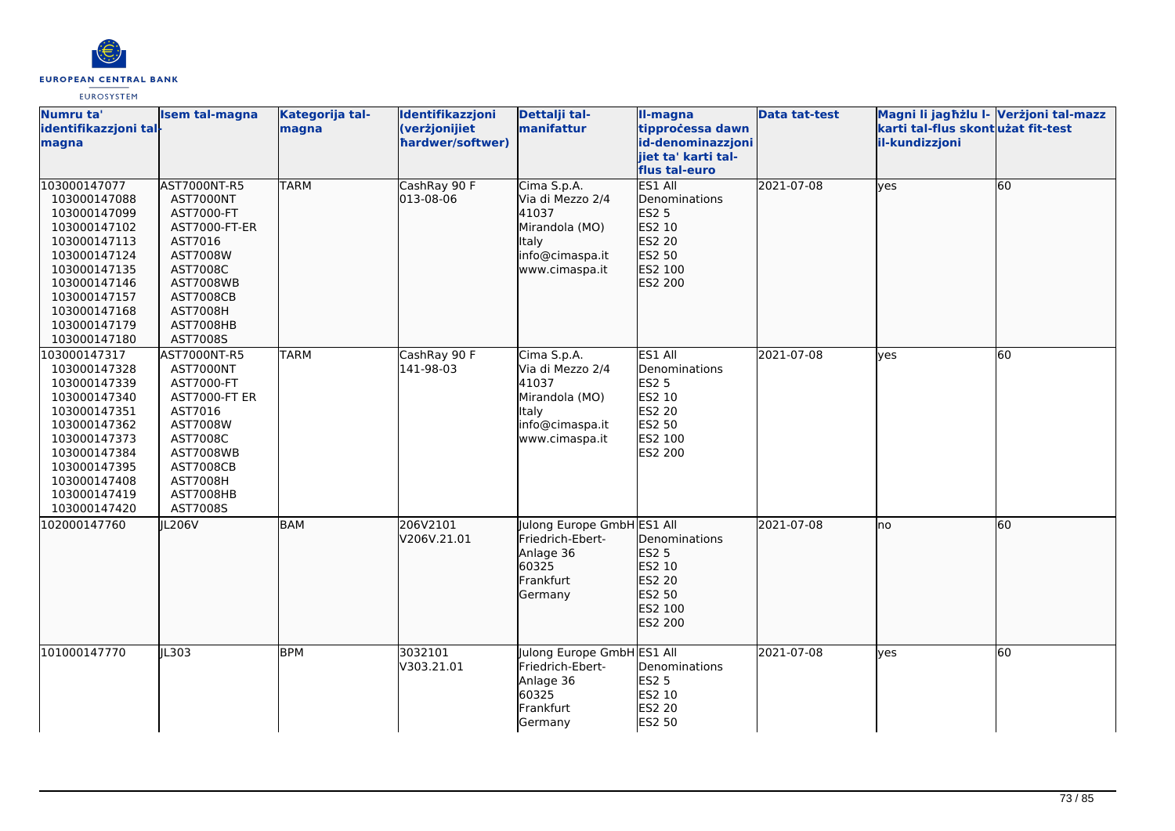

| Numru ta'<br>identifikazzjoni tal-<br>magna                                                                                                                                                  | <b>Isem tal-magna</b>                                                                                                                                                           | Kategorija tal-<br>magna | Identifikazzjoni<br>(verżjonijiet<br>hardwer/softwer) | Dettalji tal-<br>manifattur                                                                                     | Il-magna<br>tipprocessa dawn<br>id-denominazzjoni<br>jiet ta' karti tal-<br>flus tal-euro    | <b>Data tat-test</b> | Magni li jagħżlu I- Verżjoni tal-mazz<br>karti tal-flus skontużat fit-test<br>il-kundizzjoni |    |
|----------------------------------------------------------------------------------------------------------------------------------------------------------------------------------------------|---------------------------------------------------------------------------------------------------------------------------------------------------------------------------------|--------------------------|-------------------------------------------------------|-----------------------------------------------------------------------------------------------------------------|----------------------------------------------------------------------------------------------|----------------------|----------------------------------------------------------------------------------------------|----|
| 103000147077<br>103000147088<br>103000147099<br>103000147102<br>103000147113<br>103000147124<br>103000147135<br>103000147146<br>103000147157<br>103000147168<br>103000147179<br>103000147180 | AST7000NT-R5<br>AST7000NT<br>AST7000-FT<br>AST7000-FT-ER<br>AST7016<br>AST7008W<br>AST7008C<br><b>AST7008WB</b><br><b>AST7008CB</b><br><b>AST7008H</b><br>AST7008HB<br>AST7008S | <b>TARM</b>              | CashRay 90 F<br>013-08-06                             | Cima S.p.A.<br>Via di Mezzo 2/4<br>41037<br>Mirandola (MO)<br><b>Italy</b><br>info@cimaspa.it<br>www.cimaspa.it | ES1 All<br>Denominations<br><b>ES2 5</b><br>ES2 10<br>ES2 20<br>ES2 50<br>ES2 100<br>ES2 200 | 2021-07-08           | lyes                                                                                         | 60 |
| 103000147317<br>103000147328<br>103000147339<br>103000147340<br>103000147351<br>103000147362<br>103000147373<br>103000147384<br>103000147395<br>103000147408<br>103000147419<br>103000147420 | AST7000NT-R5<br>AST7000NT<br>AST7000-FT<br>AST7000-FT ER<br>AST7016<br>AST7008W<br>AST7008C<br><b>AST7008WB</b><br><b>AST7008CB</b><br>AST7008H<br>AST7008HB<br>AST7008S        | <b>TARM</b>              | CashRay 90 F<br>141-98-03                             | Cima S.p.A.<br>Via di Mezzo 2/4<br>41037<br>Mirandola (MO)<br>Italy<br>info@cimaspa.it<br>www.cimaspa.it        | ES1 All<br>Denominations<br><b>ES2 5</b><br>ES2 10<br>ES2 20<br>ES2 50<br>ES2 100<br>ES2 200 | 2021-07-08           | lyes                                                                                         | 60 |
| 102000147760                                                                                                                                                                                 | JL206V                                                                                                                                                                          | <b>BAM</b>               | 206V2101<br>V206V.21.01                               | Julong Europe GmbH ES1 All<br>Friedrich-Ebert-<br>Anlage 36<br>60325<br>Frankfurt<br>Germany                    | Denominations<br><b>ES2 5</b><br>ES2 10<br>ES2 20<br>ES2 50<br>ES2 100<br>ES2 200            | 2021-07-08           | lno                                                                                          | 60 |
| 101000147770                                                                                                                                                                                 | IL303                                                                                                                                                                           | <b>BPM</b>               | 3032101<br>V303.21.01                                 | Julong Europe GmbH ES1 All<br>Friedrich-Ebert-<br>Anlage 36<br>60325<br>Frankfurt<br>Germany                    | Denominations<br><b>ES2 5</b><br>ES2 10<br>ES2 20<br>ES2 50                                  | 2021-07-08           | lyes                                                                                         | 60 |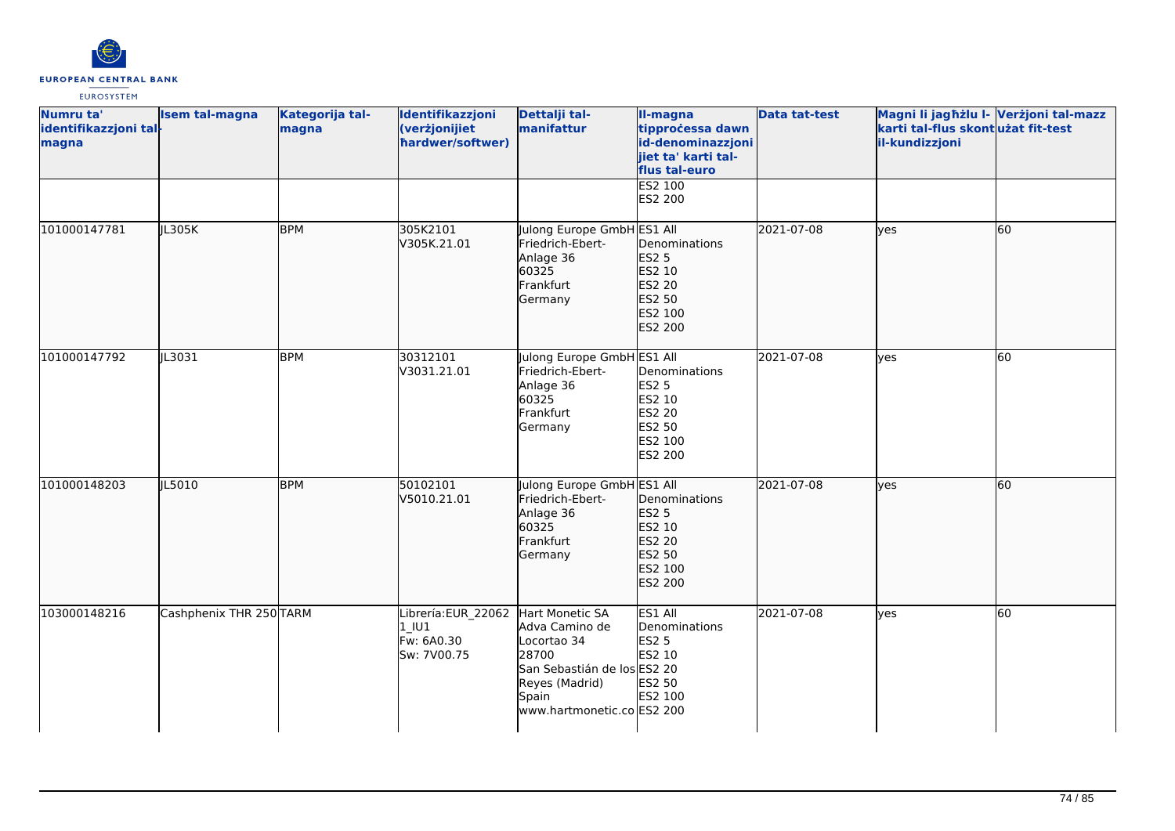

| Numru ta'<br>identifikazzjoni tal-<br>magna | <b>Isem tal-magna</b>   | Kategorija tal-<br>magna | Identifikazzjoni<br>(verżjonijiet<br>hardwer/softwer)      | Dettalji tal-<br>manifattur                                                                                                                       | II-magna<br>tipprocessa dawn<br>id-denominazzjoni<br>jiet ta' karti tal-<br>flus tal-euro | <b>Data tat-test</b> | Magni li jagħżlu I- Verżjoni tal-mazz<br>karti tal-flus skont użat fit-test<br>il-kundizzjoni |    |
|---------------------------------------------|-------------------------|--------------------------|------------------------------------------------------------|---------------------------------------------------------------------------------------------------------------------------------------------------|-------------------------------------------------------------------------------------------|----------------------|-----------------------------------------------------------------------------------------------|----|
|                                             |                         |                          |                                                            |                                                                                                                                                   | ES2 100<br>ES2 200                                                                        |                      |                                                                                               |    |
| 101000147781                                | JL305K                  | <b>BPM</b>               | 305K2101<br>V305K.21.01                                    | Julong Europe GmbH ES1 All<br>Friedrich-Ebert-<br>Anlage 36<br>60325<br>Frankfurt<br>Germany                                                      | Denominations<br><b>ES2 5</b><br>ES2 10<br>ES2 20<br>ES2 50<br>ES2 100<br>ES2 200         | 2021-07-08           | lyes                                                                                          | 60 |
| 101000147792                                | JL3031                  | <b>BPM</b>               | 30312101<br>V3031.21.01                                    | Julong Europe GmbH ES1 All<br>Friedrich-Ebert-<br>Anlage 36<br>60325<br>Frankfurt<br>Germany                                                      | Denominations<br><b>ES2 5</b><br>ES2 10<br>ES2 20<br>ES2 50<br>ES2 100<br><b>ES2 200</b>  | 2021-07-08           | <b>ves</b>                                                                                    | 60 |
| 101000148203                                | JL5010                  | <b>BPM</b>               | 50102101<br>V5010.21.01                                    | Julong Europe GmbH ES1 All<br>Friedrich-Ebert-<br>Anlage 36<br>60325<br>Frankfurt<br>Germany                                                      | Denominations<br>ES2 5<br>ES2 10<br>ES2 20<br>ES2 50<br>ES2 100<br>ES2 200                | 2021-07-08           | lyes                                                                                          | 60 |
| 103000148216                                | Cashphenix THR 250 TARM |                          | Librería: EUR 22062<br>$1$ U1<br>Fw: 6A0.30<br>Sw: 7V00.75 | Hart Monetic SA<br>Adva Camino de<br>Locortao 34<br>28700<br>San Sebastián de los ES2 20<br>Reyes (Madrid)<br>Spain<br>www.hartmonetic.co ES2 200 | ES1 All<br>Denominations<br><b>ES2 5</b><br>ES2 10<br>ES2 50<br>ES2 100                   | 2021-07-08           | lyes                                                                                          | 60 |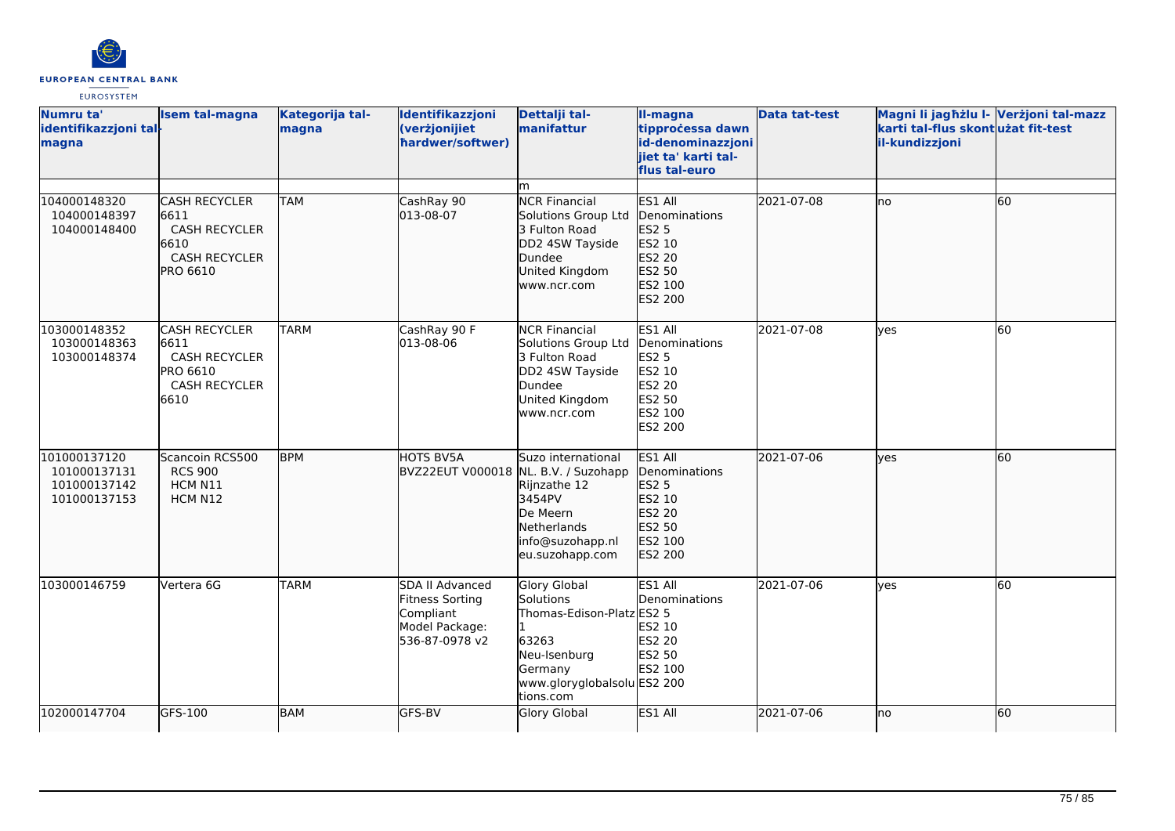

| Numru ta'<br>identifikazzjoni tal-<br>magna                  | <b>Isem tal-magna</b>                                                                                   | Kategorija tal-<br>magna | Identifikazzjoni<br>(verżjonijiet<br>hardwer/softwer)                                      | Dettalji tal-<br>manifattur                                                                                                            | II-magna<br>tipprocessa dawn<br>id-denominazzjoni<br>jiet ta' karti tal-<br>flus tal-euro    | <b>Data tat-test</b> | Magni li jagħżlu I- Verżjoni tal-mazz<br>karti tal-flus skontużat fit-test<br>il-kundizzjoni |    |
|--------------------------------------------------------------|---------------------------------------------------------------------------------------------------------|--------------------------|--------------------------------------------------------------------------------------------|----------------------------------------------------------------------------------------------------------------------------------------|----------------------------------------------------------------------------------------------|----------------------|----------------------------------------------------------------------------------------------|----|
|                                                              |                                                                                                         |                          |                                                                                            | m                                                                                                                                      |                                                                                              |                      |                                                                                              |    |
| 104000148320<br>104000148397<br>104000148400                 | <b>CASH RECYCLER</b><br>6611<br><b>CASH RECYCLER</b><br>6610<br><b>CASH RECYCLER</b><br><b>PRO 6610</b> | <b>TAM</b>               | CashRay 90<br>013-08-07                                                                    | <b>NCR Financial</b><br>Solutions Group Ltd<br>3 Fulton Road<br>DD2 4SW Tayside<br>Dundee<br>United Kingdom<br>www.ncr.com             | ES1 All<br>Denominations<br>ES2 5<br>ES2 10<br>ES2 20<br>ES2 50<br>ES2 100<br>ES2 200        | 2021-07-08           | lno                                                                                          | 60 |
| 103000148352<br>103000148363<br>103000148374                 | <b>CASH RECYCLER</b><br>6611<br>CASH RECYCLER<br><b>PRO 6610</b><br><b>CASH RECYCLER</b><br>6610        | <b>TARM</b>              | CashRay 90 F<br>013-08-06                                                                  | <b>NCR Financial</b><br>Solutions Group Ltd<br>3 Fulton Road<br>DD2 4SW Tayside<br>Dundee<br>United Kingdom<br>www.ncr.com             | ES1 All<br>Denominations<br>ES2 5<br>ES2 10<br>ES2 20<br>ES2 50<br>ES2 100<br><b>ES2 200</b> | 2021-07-08           | lves                                                                                         | 60 |
| 101000137120<br>101000137131<br>101000137142<br>101000137153 | Scancoin RCS500<br><b>RCS 900</b><br>HCM N11<br>HCM N12                                                 | <b>BPM</b>               | HOTS BV5A<br>BVZ22EUT V000018 NL. B.V. / Suzohapp                                          | Suzo international<br>Rijnzathe 12<br>3454PV<br>De Meern<br>Netherlands<br>info@suzohapp.nl<br>eu.suzohapp.com                         | ES1 All<br>Denominations<br><b>ES2 5</b><br>ES2 10<br>ES2 20<br>ES2 50<br>ES2 100<br>ES2 200 | 2021-07-06           | ves                                                                                          | 60 |
| 103000146759                                                 | Vertera 6G                                                                                              | <b>TARM</b>              | SDA II Advanced<br><b>Fitness Sorting</b><br>Compliant<br>Model Package:<br>536-87-0978 v2 | Glory Global<br>Solutions<br>Thomas-Edison-Platz ES2 5<br>63263<br>Neu-Isenburg<br>Germany<br>www.gloryglobalsolu ES2 200<br>tions.com | ES1 All<br>Denominations<br>ES2 10<br><b>ES2 20</b><br>ES2 50<br>ES2 100                     | 2021-07-06           | ves                                                                                          | 60 |
| 102000147704                                                 | GFS-100                                                                                                 | <b>BAM</b>               | GFS-BV                                                                                     | Glory Global                                                                                                                           | ES1 All                                                                                      | 2021-07-06           | no                                                                                           | 60 |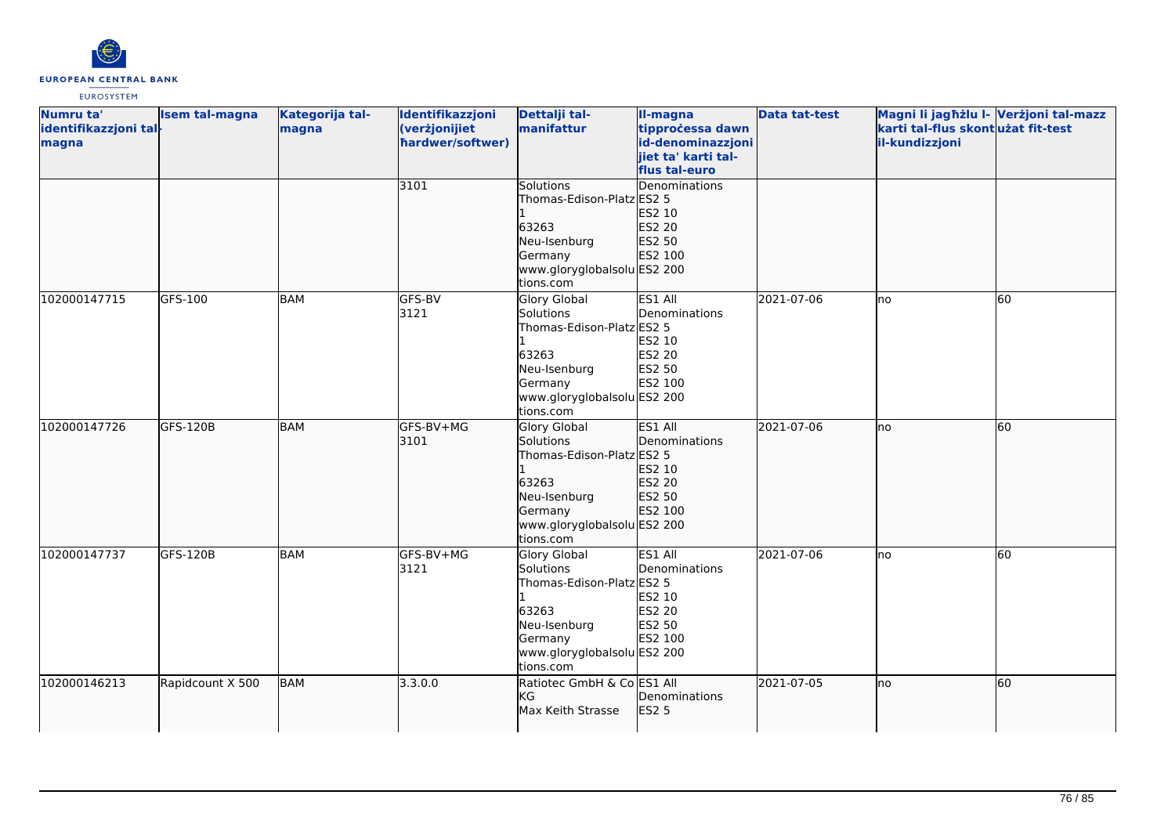

| Numru ta'                      | <b>Isem tal-magna</b> | Kategorija tal- | Identifikazzjoni                  | Dettalji tal-               | II-magna                              | <b>Data tat-test</b> | Magni li jagħżlu I- Verżjoni tal-mazz               |    |
|--------------------------------|-----------------------|-----------------|-----------------------------------|-----------------------------|---------------------------------------|----------------------|-----------------------------------------------------|----|
| identifikazzjoni tal-<br>magna |                       | magna           | (verżjonijiet<br>hardwer/softwer) | manifattur                  | tipprocessa dawn<br>id-denominazzjoni |                      | karti tal-flus skontużat fit-test<br>il-kundizzjoni |    |
|                                |                       |                 |                                   |                             | jiet ta' karti tal-                   |                      |                                                     |    |
|                                |                       |                 |                                   |                             | flus tal-euro                         |                      |                                                     |    |
|                                |                       |                 | 3101                              | Solutions                   | Denominations                         |                      |                                                     |    |
|                                |                       |                 |                                   | Thomas-Edison-Platz ES2 5   |                                       |                      |                                                     |    |
|                                |                       |                 |                                   |                             | ES2 10                                |                      |                                                     |    |
|                                |                       |                 |                                   | 63263                       | ES2 20                                |                      |                                                     |    |
|                                |                       |                 |                                   | Neu-Isenburg                | ES2 50                                |                      |                                                     |    |
|                                |                       |                 |                                   | Germany                     | ES2 100                               |                      |                                                     |    |
|                                |                       |                 |                                   | www.gloryglobalsolu ES2 200 |                                       |                      |                                                     |    |
|                                |                       |                 |                                   | tions.com                   |                                       |                      |                                                     |    |
| 102000147715                   | GFS-100               | <b>BAM</b>      | GFS-BV                            | Glory Global                | ES1 All                               | 2021-07-06           | lno                                                 | 60 |
|                                |                       |                 | 3121                              | Solutions                   | Denominations                         |                      |                                                     |    |
|                                |                       |                 |                                   | Thomas-Edison-Platz ES2 5   |                                       |                      |                                                     |    |
|                                |                       |                 |                                   | 63263                       | ES2 10                                |                      |                                                     |    |
|                                |                       |                 |                                   | Neu-Isenburg                | ES2 20<br>ES2 50                      |                      |                                                     |    |
|                                |                       |                 |                                   | Germany                     | ES2 100                               |                      |                                                     |    |
|                                |                       |                 |                                   | www.gloryglobalsolu ES2 200 |                                       |                      |                                                     |    |
|                                |                       |                 |                                   | tions.com                   |                                       |                      |                                                     |    |
| 102000147726                   | GFS-120B              | <b>BAM</b>      | GFS-BV+MG                         | Glory Global                | ES1 All                               | 2021-07-06           | Ino                                                 | 60 |
|                                |                       |                 | 3101                              | Solutions                   | Denominations                         |                      |                                                     |    |
|                                |                       |                 |                                   | Thomas-Edison-Platz ES2 5   |                                       |                      |                                                     |    |
|                                |                       |                 |                                   |                             | ES2 10                                |                      |                                                     |    |
|                                |                       |                 |                                   | 63263                       | <b>ES2 20</b>                         |                      |                                                     |    |
|                                |                       |                 |                                   | Neu-Isenburg                | ES2 50                                |                      |                                                     |    |
|                                |                       |                 |                                   | Germany                     | ES2 100                               |                      |                                                     |    |
|                                |                       |                 |                                   | www.gloryglobalsolu ES2 200 |                                       |                      |                                                     |    |
|                                |                       |                 |                                   | tions.com                   |                                       |                      |                                                     |    |
| 102000147737                   | GFS-120B              | BAM             | GFS-BV+MG                         | <b>Glory Global</b>         | ES1 All                               | 2021-07-06           | lno                                                 | 60 |
|                                |                       |                 | 3121                              | Solutions                   | Denominations                         |                      |                                                     |    |
|                                |                       |                 |                                   | Thomas-Edison-Platz ES2 5   |                                       |                      |                                                     |    |
|                                |                       |                 |                                   | 63263                       | ES2 10<br>ES2 20                      |                      |                                                     |    |
|                                |                       |                 |                                   | Neu-Isenburg                | ES2 50                                |                      |                                                     |    |
|                                |                       |                 |                                   | Germany                     | ES2 100                               |                      |                                                     |    |
|                                |                       |                 |                                   | www.gloryglobalsolu ES2 200 |                                       |                      |                                                     |    |
|                                |                       |                 |                                   | tions.com                   |                                       |                      |                                                     |    |
| 102000146213                   | Rapidcount X 500      | <b>BAM</b>      | 3.3.0.0                           | Ratiotec GmbH & Co ES1 All  |                                       | 2021-07-05           | lno                                                 | 60 |
|                                |                       |                 |                                   | <b>I</b> KG                 | Denominations                         |                      |                                                     |    |
|                                |                       |                 |                                   | Max Keith Strasse           | <b>ES2 5</b>                          |                      |                                                     |    |
|                                |                       |                 |                                   |                             |                                       |                      |                                                     |    |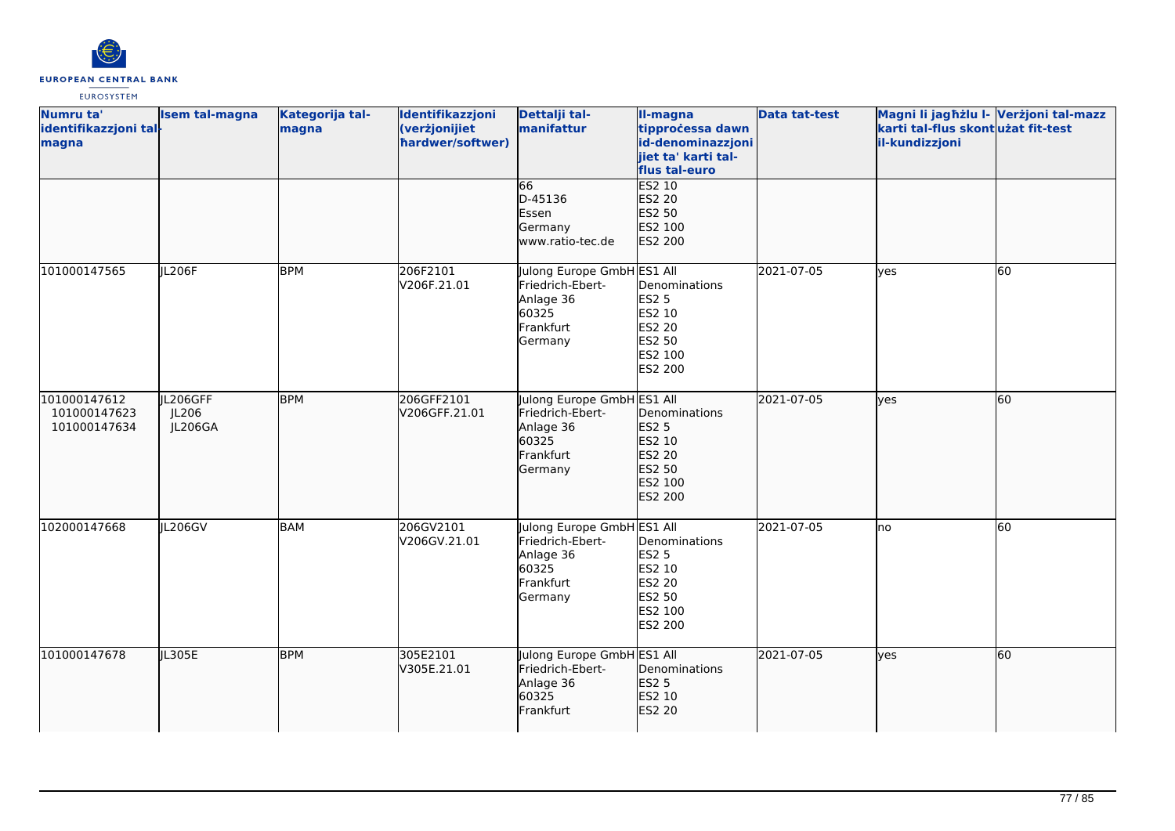

| Numru ta'<br>identifikazzjoni tal-<br>magna  | <b>Isem tal-magna</b>        | Kategorija tal-<br>magna | Identifikazzjoni<br>(verżjonijiet<br>hardwer/softwer) | Dettalji tal-<br>manifattur                                                                  | II-magna<br>tipprocessa dawn<br>id-denominazzjoni<br>jiet ta' karti tal-<br>flus tal-euro | <b>Data tat-test</b> | Magni li jagħżlu I- Verżjoni tal-mazz<br>karti tal-flus skontużat fit-test<br>il-kundizzjoni |    |
|----------------------------------------------|------------------------------|--------------------------|-------------------------------------------------------|----------------------------------------------------------------------------------------------|-------------------------------------------------------------------------------------------|----------------------|----------------------------------------------------------------------------------------------|----|
|                                              |                              |                          |                                                       | 66<br>D-45136<br>Essen<br>Germany<br>www.ratio-tec.de                                        | <b>ES2 10</b><br>ES2 20<br>ES2 50<br>ES2 100<br>ES2 200                                   |                      |                                                                                              |    |
| 101000147565                                 | JL206F                       | <b>BPM</b>               | 206F2101<br>V206F.21.01                               | Julong Europe GmbH ES1 All<br>Friedrich-Ebert-<br>Anlage 36<br>60325<br>Frankfurt<br>Germany | Denominations<br><b>ES2 5</b><br>ES2 10<br>ES2 20<br>ES2 50<br>ES2 100<br>ES2 200         | 2021-07-05           | yes                                                                                          | 60 |
| 101000147612<br>101000147623<br>101000147634 | JL206GFF<br>JL206<br>JL206GA | <b>BPM</b>               | 206GFF2101<br>V206GFF.21.01                           | Julong Europe GmbH ES1 All<br>Friedrich-Ebert-<br>Anlage 36<br>60325<br>Frankfurt<br>Germany | Denominations<br><b>ES2 5</b><br>ES2 10<br>ES2 20<br>ES2 50<br>ES2 100<br>ES2 200         | 2021-07-05           | lyes                                                                                         | 60 |
| 102000147668                                 | JL206GV                      | <b>BAM</b>               | 206GV2101<br>V206GV.21.01                             | Julong Europe GmbH ES1 All<br>Friedrich-Ebert-<br>Anlage 36<br>60325<br>Frankfurt<br>Germany | Denominations<br><b>ES2 5</b><br>ES2 10<br>ES2 20<br>ES2 50<br>ES2 100<br>ES2 200         | 2021-07-05           | lno                                                                                          | 60 |
| 101000147678                                 | JL305E                       | <b>BPM</b>               | 305E2101<br>V305E.21.01                               | Julong Europe GmbH ES1 All<br>Friedrich-Ebert-<br>Anlage 36<br>60325<br>Frankfurt            | Denominations<br>ES2 5<br>ES2 10<br>ES2 20                                                | 2021-07-05           | lyes                                                                                         | 60 |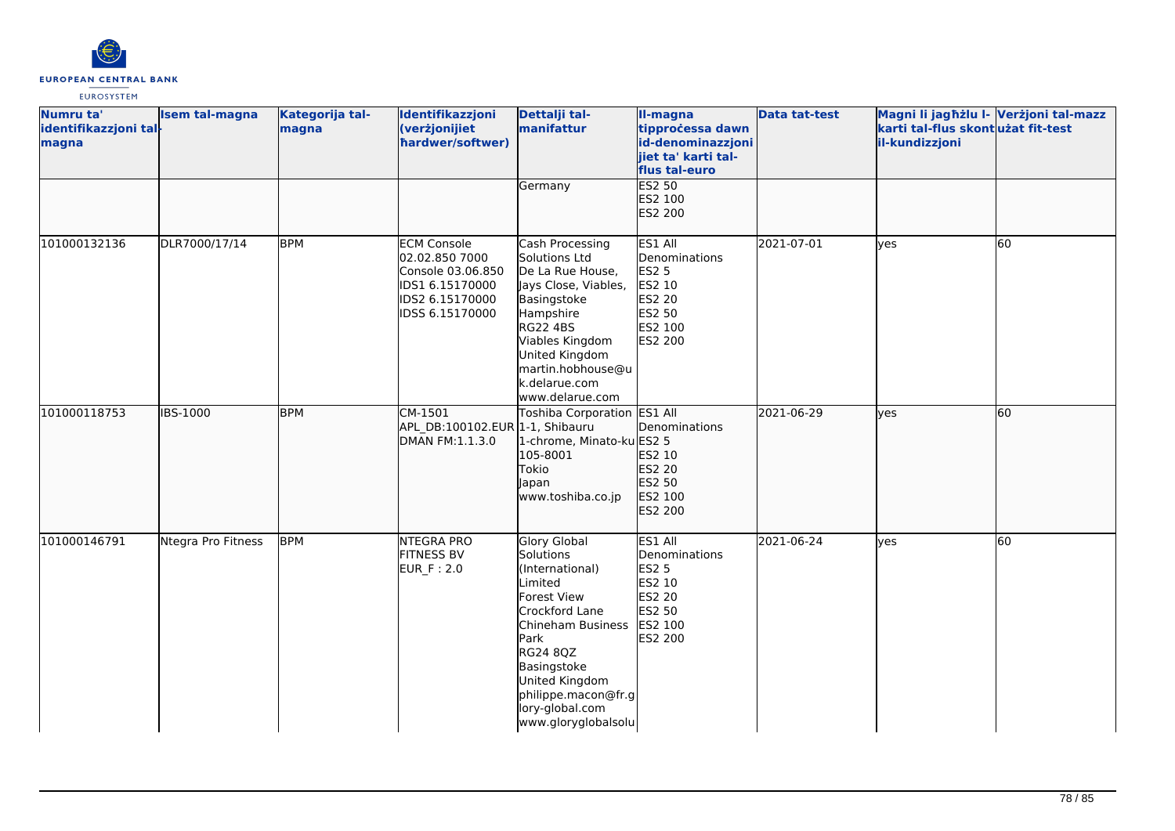

| Numru ta'<br>identifikazzjoni tal-<br>magna | <b>Isem tal-magna</b> | Kategorija tal-<br>magna | Identifikazzjoni<br>(verżjonijiet<br>hardwer/softwer)                                                              | Dettalji tal-<br>manifattur                                                                                                                                                                                                                             | II-magna<br>tipprocessa dawn<br>id-denominazzjoni<br>jiet ta' karti tal-<br>flus tal-euro    | Data tat-test | Magni li jagħżlu I- Verżjoni tal-mazz<br>karti tal-flus skontużat fit-test<br>il-kundizzjoni |    |
|---------------------------------------------|-----------------------|--------------------------|--------------------------------------------------------------------------------------------------------------------|---------------------------------------------------------------------------------------------------------------------------------------------------------------------------------------------------------------------------------------------------------|----------------------------------------------------------------------------------------------|---------------|----------------------------------------------------------------------------------------------|----|
|                                             |                       |                          |                                                                                                                    | Germany                                                                                                                                                                                                                                                 | <b>ES2 50</b><br>ES2 100<br>ES2 200                                                          |               |                                                                                              |    |
| 101000132136                                | DLR7000/17/14         | <b>BPM</b>               | <b>ECM Console</b><br>02.02.850 7000<br>Console 03.06.850<br>IDS1 6.15170000<br>IDS2 6.15170000<br>IDSS 6.15170000 | Cash Processing<br>Solutions Ltd<br>De La Rue House,<br>Jays Close, Viables,<br>Basingstoke<br>Hampshire<br><b>RG22 4BS</b><br>Viables Kingdom<br>United Kingdom<br>martin.hobhouse@u<br>k.delarue.com<br>www.delarue.com                               | ES1 All<br>Denominations<br><b>ES2 5</b><br>ES2 10<br>ES2 20<br>ES2 50<br>ES2 100<br>ES2 200 | 2021-07-01    | yes                                                                                          | 60 |
| 101000118753                                | <b>IBS-1000</b>       | <b>BPM</b>               | CM-1501<br>APL_DB:100102.EUR 1-1, Shibauru<br>DMAN FM:1.1.3.0                                                      | Toshiba Corporation ES1 All<br>1-chrome, Minato-ku ES2 5<br>105-8001<br>Tokio<br>Japan<br>www.toshiba.co.jp                                                                                                                                             | Denominations<br>ES2 10<br>ES2 20<br>ES2 50<br>ES2 100<br>ES2 200                            | 2021-06-29    | lyes                                                                                         | 60 |
| 101000146791                                | Ntegra Pro Fitness    | <b>BPM</b>               | <b>NTEGRA PRO</b><br><b>FITNESS BV</b><br>EUR_F: 2.0                                                               | <b>Glory Global</b><br>Solutions<br>(International)<br><i>imited</i><br>Forest View<br>Crockford Lane<br>Chineham Business<br>Park<br><b>RG24 8QZ</b><br>Basingstoke<br>United Kingdom<br>philippe.macon@fr.g<br>lory-global.com<br>www.gloryglobalsolu | ES1 All<br>Denominations<br><b>ES2 5</b><br>ES2 10<br>ES2 20<br>ES2 50<br>ES2 100<br>ES2 200 | 2021-06-24    | yes                                                                                          | 60 |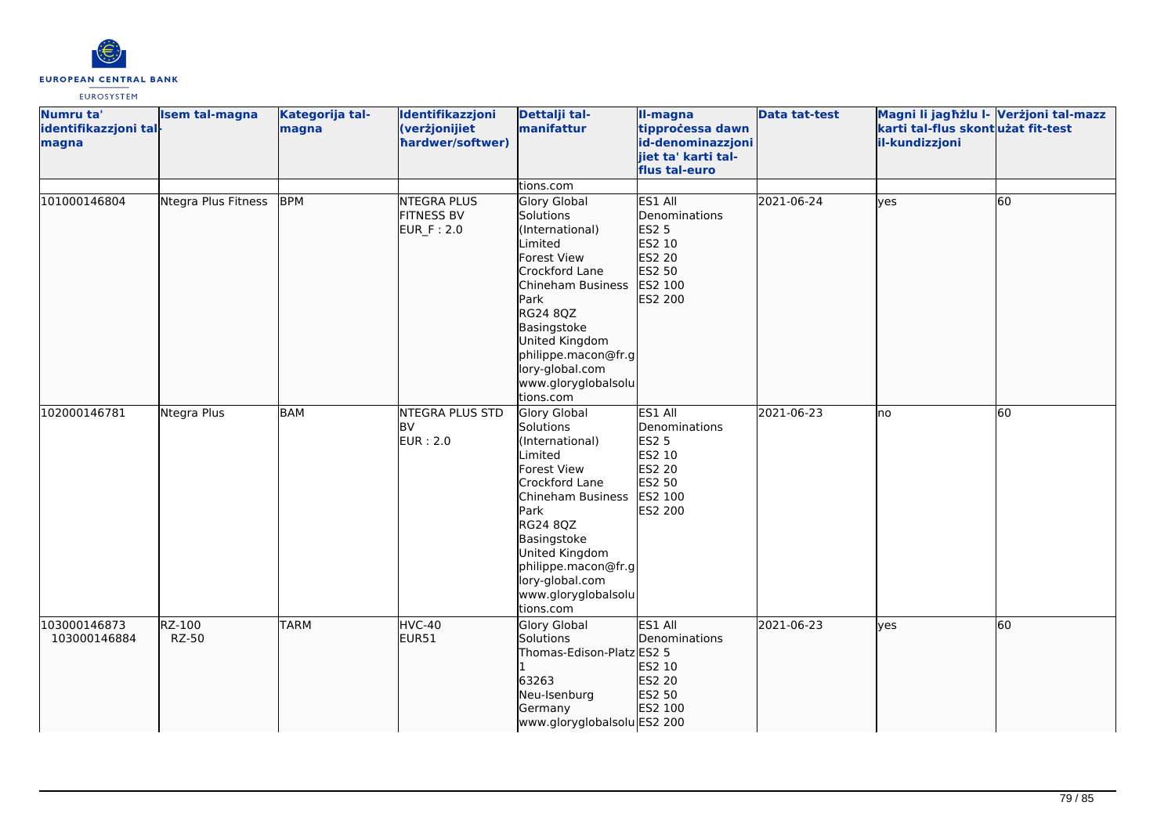

| Numru ta'<br>identifikazzjoni tal-<br>magna | <b>Isem tal-magna</b> | Kategorija tal-<br>magna | Identifikazzjoni<br>(verżjonijiet<br>hardwer/softwer) | Dettalji tal-<br>manifattur                                                                                                                                                                                                                                                    | II-magna<br>tipprocessa dawn<br>id-denominazzjoni<br>jiet ta' karti tal-<br>flus tal-euro    | <b>Data tat-test</b> | Magni li jagħżlu I- Verżjoni tal-mazz<br>karti tal-flus skont użat fit-test<br>il-kundizzjoni |                 |
|---------------------------------------------|-----------------------|--------------------------|-------------------------------------------------------|--------------------------------------------------------------------------------------------------------------------------------------------------------------------------------------------------------------------------------------------------------------------------------|----------------------------------------------------------------------------------------------|----------------------|-----------------------------------------------------------------------------------------------|-----------------|
|                                             |                       |                          |                                                       | tions.com                                                                                                                                                                                                                                                                      |                                                                                              |                      |                                                                                               |                 |
| 101000146804                                | Ntegra Plus Fitness   | <b>BPM</b>               | <b>NTEGRA PLUS</b><br><b>FITNESS BV</b><br>EUR_F: 2.0 | <b>Glory Global</b><br>Solutions<br>(International)<br>Limited<br><b>Forest View</b><br>Crockford Lane<br>Chineham Business<br>Park<br><b>RG24 8QZ</b><br>Basingstoke<br>United Kingdom<br>philippe.macon@fr.g<br>lory-global.com<br>www.gloryglobalsolu<br>tions.com          | ES1 All<br>Denominations<br><b>ES2 5</b><br>ES2 10<br>ES2 20<br>ES2 50<br>ES2 100<br>ES2 200 | 2021-06-24           | lves                                                                                          | 60              |
| 102000146781                                | Ntegra Plus           | <b>BAM</b>               | NTEGRA PLUS STD<br><b>BV</b><br><b>EUR</b> : 2.0      | <b>Glory Global</b><br>Solutions<br>(International)<br>Limited<br><b>Forest View</b><br>Crockford Lane<br>Chineham Business<br><b>I</b> Park<br><b>RG24 8QZ</b><br>Basingstoke<br>United Kingdom<br>philippe.macon@fr.g<br>lory-global.com<br>www.gloryglobalsolu<br>tions.com | ES1 All<br>Denominations<br><b>ES2 5</b><br>ES2 10<br>ES2 20<br>ES2 50<br>ES2 100<br>ES2 200 | 2021-06-23           | Ino                                                                                           | $\overline{60}$ |
| 103000146873<br>103000146884                | RZ-100<br>RZ-50       | <b>TARM</b>              | HVC-40<br>EUR51                                       | Glory Global<br>Solutions<br>Thomas-Edison-Platz ES2 5<br>63263<br>Neu-Isenburg<br>Germany<br>www.gloryglobalsolu ES2 200                                                                                                                                                      | ES1 All<br>Denominations<br>ES2 10<br>ES2 20<br>ES2 50<br>ES2 100                            | 2021-06-23           | lyes                                                                                          | 60              |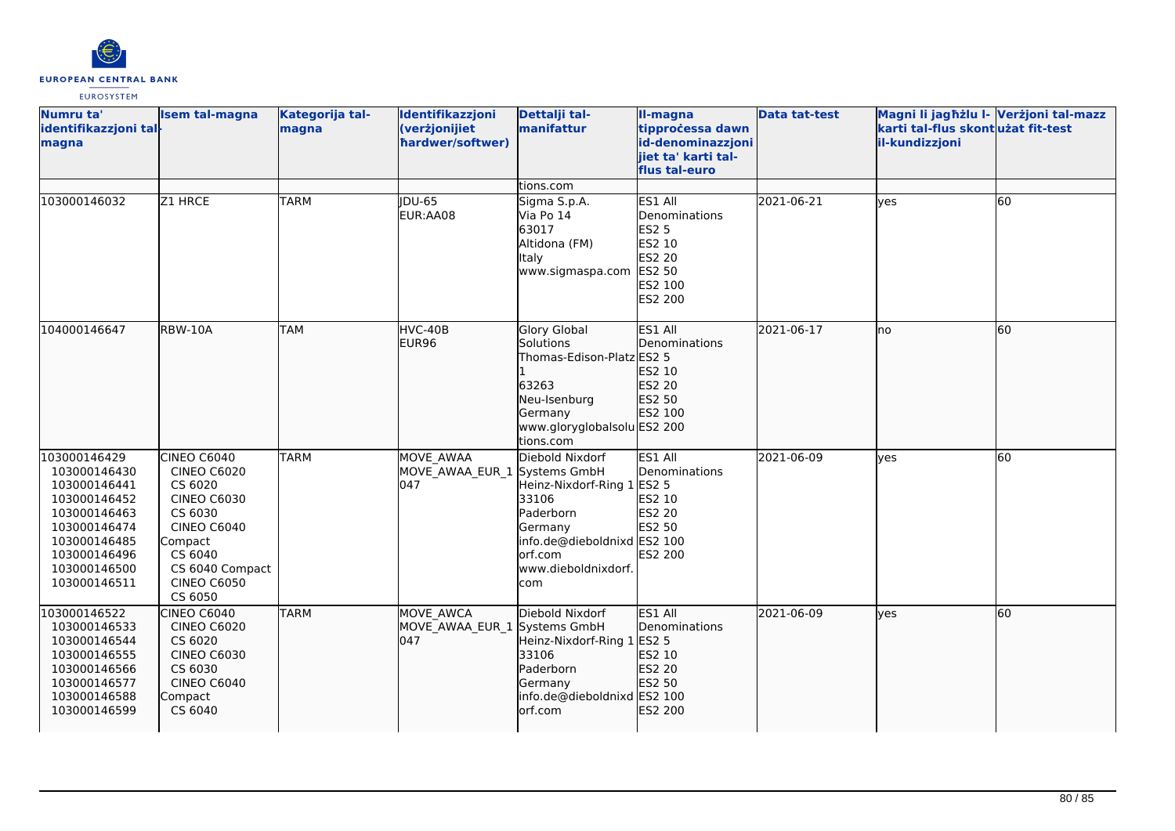

| Numru ta'<br>identifikazzjoni tal-<br>magna                                                                                                                  | <b>Isem tal-magna</b>                                                                                                                                                         | Kategorija tal-<br>magna | Identifikazzjoni<br>(verżjonijiet<br>hardwer/softwer) | Dettalji tal-<br>manifattur                                                                                                                                             | II-magna<br>tipprocessa dawn<br>id-denominazzjoni<br>jiet ta' karti tal-<br>flus tal-euro    | <b>Data tat-test</b> | Magni li jagħżlu I- Verżjoni tal-mazz<br>karti tal-flus skont użat fit-test<br>il-kundizzjoni |                 |
|--------------------------------------------------------------------------------------------------------------------------------------------------------------|-------------------------------------------------------------------------------------------------------------------------------------------------------------------------------|--------------------------|-------------------------------------------------------|-------------------------------------------------------------------------------------------------------------------------------------------------------------------------|----------------------------------------------------------------------------------------------|----------------------|-----------------------------------------------------------------------------------------------|-----------------|
| 103000146032                                                                                                                                                 | Z1 HRCE                                                                                                                                                                       | <b>TARM</b>              | <b>IDU-65</b><br>EUR:AA08                             | tions.com<br>Sigma S.p.A.<br>Via Po 14<br>63017<br>Altidona (FM)<br>Italy<br>www.sigmaspa.com                                                                           | ES1 All<br>Denominations<br><b>ES2 5</b><br>ES2 10<br>ES2 20<br>ES2 50<br>ES2 100<br>ES2 200 | 2021-06-21           | yes                                                                                           | $\overline{60}$ |
| 104000146647                                                                                                                                                 | RBW-10A                                                                                                                                                                       | <b>TAM</b>               | HVC-40B<br>EUR96                                      | <b>Glory Global</b><br>Solutions<br>Thomas-Edison-Platz ES2 5<br>63263<br>Neu-Isenburg<br>Germany<br>www.gloryglobalsolu ES2 200<br>tions.com                           | ES1 All<br><b>Denominations</b><br>ES2 10<br>ES2 20<br>ES2 50<br>ES2 100                     | 2021-06-17           | lno                                                                                           | 60              |
| 103000146429<br>103000146430<br>103000146441<br>103000146452<br>103000146463<br>103000146474<br>103000146485<br>103000146496<br>103000146500<br>103000146511 | CINEO C6040<br><b>CINEO C6020</b><br>CS 6020<br><b>CINEO C6030</b><br>CS 6030<br><b>CINEO C6040</b><br>Compact<br>CS 6040<br>CS 6040 Compact<br><b>CINEO C6050</b><br>CS 6050 | <b>TARM</b>              | <b>MOVE AWAA</b><br>MOVE_AWAA_EUR_1<br>047            | Diebold Nixdorf<br>Systems GmbH<br>Heinz-Nixdorf-Ring 1 ES2 5<br>33106<br>Paderborn<br>Germany<br>info.de@dieboldnixd ES2 100<br>lorf.com<br>www.dieboldnixdorf.<br>com | ES1 All<br>Denominations<br>ES2 10<br>ES2 20<br>ES2 50<br>ES2 200                            | 2021-06-09           | lves                                                                                          | 60              |
| 103000146522<br>103000146533<br>103000146544<br>103000146555<br>103000146566<br>103000146577<br>103000146588<br>103000146599                                 | <b>CINEO C6040</b><br><b>CINEO C6020</b><br>CS 6020<br><b>CINEO C6030</b><br>CS 6030<br><b>CINEO C6040</b><br>Compact<br>CS 6040                                              | <b>TARM</b>              | MOVE AWCA<br>MOVE AWAA EUR 1 Systems GmbH<br>047      | Diebold Nixdorf<br>Heinz-Nixdorf-Ring 1 ES2 5<br>33106<br>Paderborn<br>Germany<br>info.de@dieboldnixd ES2 100<br>orf.com                                                | ES1 All<br>Denominations<br>ES2 10<br>ES2 20<br>ES2 50<br>ES2 200                            | 2021-06-09           | lves                                                                                          | 60              |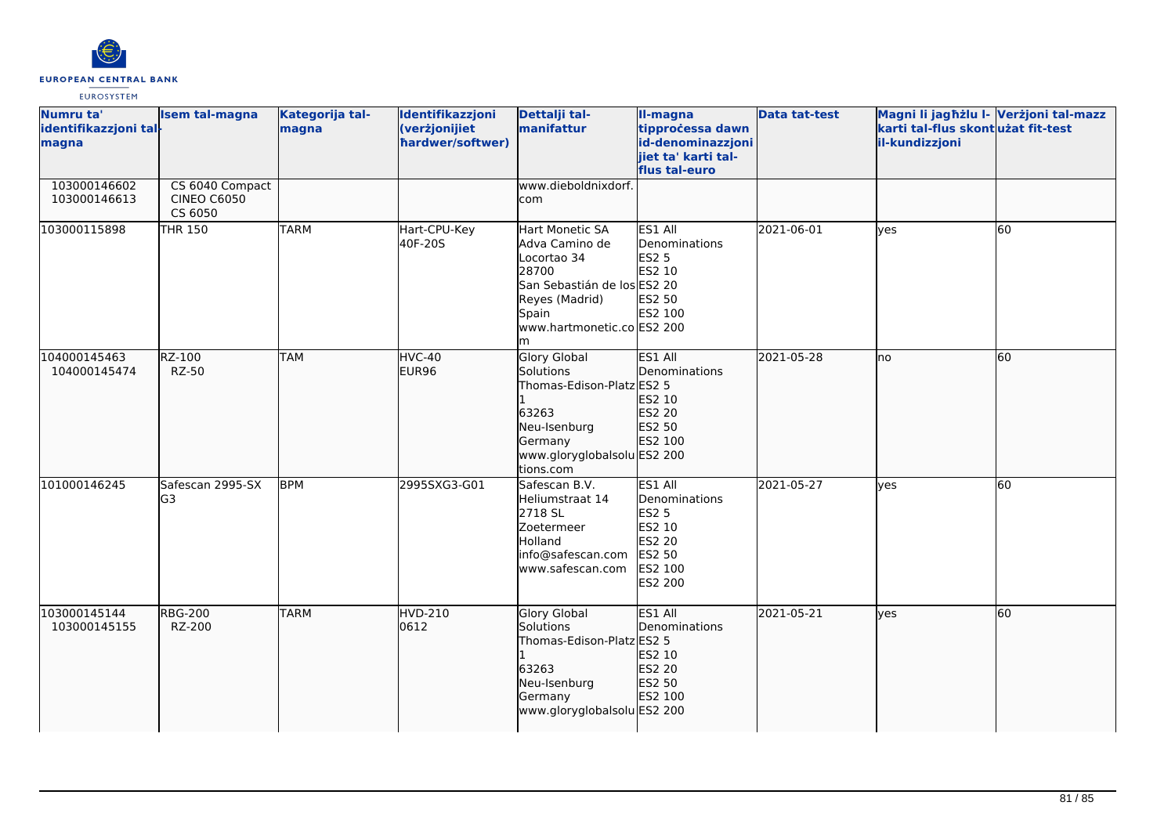

| Numru ta'<br>identifikazzjoni tal-<br>magna | <b>Isem tal-magna</b>                            | Kategorija tal-<br>magna | Identifikazzjoni<br>(verżjonijiet<br>hardwer/softwer) | Dettalji tal-<br>manifattur                                                                                                                              | II-magna<br>tipprocessa dawn<br>id-denominazzjoni<br>jiet ta' karti tal-<br>flus tal-euro           | <b>Data tat-test</b> | Magni li jagħżlu I- Verżjoni tal-mazz<br>karti tal-flus skontużat fit-test<br>il-kundizzjoni |    |
|---------------------------------------------|--------------------------------------------------|--------------------------|-------------------------------------------------------|----------------------------------------------------------------------------------------------------------------------------------------------------------|-----------------------------------------------------------------------------------------------------|----------------------|----------------------------------------------------------------------------------------------|----|
| 103000146602<br>103000146613                | CS 6040 Compact<br><b>CINEO C6050</b><br>CS 6050 |                          |                                                       | www.dieboldnixdorf.<br>com                                                                                                                               |                                                                                                     |                      |                                                                                              |    |
| 103000115898                                | <b>THR 150</b>                                   | <b>TARM</b>              | Hart-CPU-Key<br>40F-20S                               | Hart Monetic SA<br>Adva Camino de<br>Locortao 34<br>28700<br>San Sebastián de los ES2 20<br>Reyes (Madrid)<br>Spain<br>www.hartmonetic.co ES2 200<br>lm. | ES1 All<br>Denominations<br><b>ES2 5</b><br>ES2 10<br>ES2 50<br>ES2 100                             | 2021-06-01           | <b>l</b> ves                                                                                 | 60 |
| 104000145463<br>104000145474                | RZ-100<br><b>RZ-50</b>                           | <b>TAM</b>               | HVC-40<br>EUR96                                       | <b>Glory Global</b><br>Solutions<br>Thomas-Edison-Platz ES2 5<br>63263<br>Neu-Isenburg<br>Germany<br>www.gloryglobalsolu ES2 200<br>tions.com            | ES1 All<br>Denominations<br>ES2 10<br>ES2 20<br>ES2 50<br>ES2 100                                   | 2021-05-28           | lno                                                                                          | 60 |
| 101000146245                                | Safescan 2995-SX<br>lG3                          | <b>BPM</b>               | 2995SXG3-G01                                          | Safescan B.V.<br>Heliumstraat 14<br>2718 SL<br><b>Zoetermeer</b><br>Holland<br>info@safescan.com<br>www.safescan.com                                     | ES1 All<br>Denominations<br><b>ES2 5</b><br>ES2 10<br><b>ES2 20</b><br>ES2 50<br>ES2 100<br>ES2 200 | 2021-05-27           | lyes                                                                                         | 60 |
| 103000145144<br>103000145155                | <b>RBG-200</b><br>RZ-200                         | <b>TARM</b>              | <b>HVD-210</b><br>0612                                | <b>Glory Global</b><br>Solutions<br>Thomas-Edison-Platz ES2 5<br>63263<br>Neu-Isenburg<br>Germany<br>www.gloryglobalsolu ES2 200                         | ES1 All<br>Denominations<br>ES2 10<br>ES2 20<br>ES2 50<br>ES2 100                                   | 2021-05-21           | lyes                                                                                         | 60 |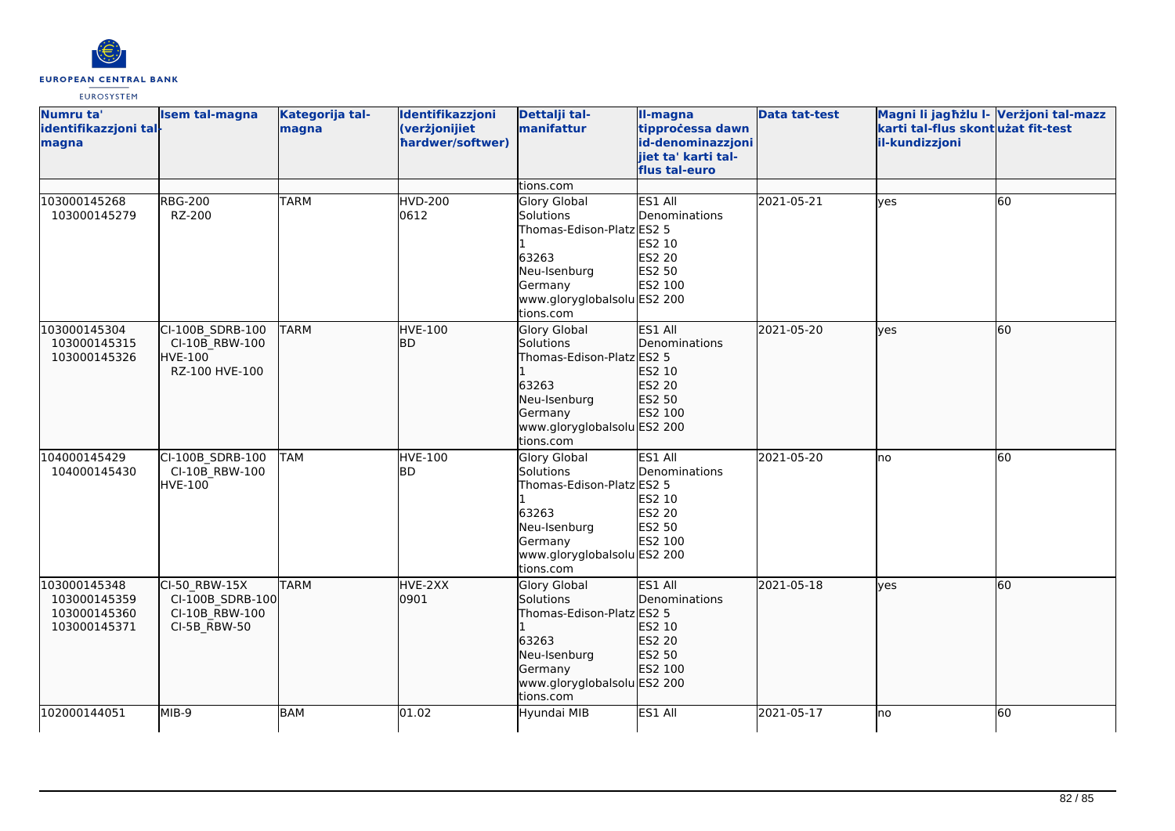

| Numru ta'<br>identifikazzjoni tal-<br>magna                  | <b>Isem tal-magna</b>                                               | Kategorija tal-<br>magna | Identifikazzjoni<br>(verżjonijiet<br>hardwer/softwer) | Dettalji tal-<br>manifattur                                                                                                                                | II-magna<br>tipprocessa dawn<br>id-denominazzjoni<br>jiet ta' karti tal-<br>flus tal-euro | <b>Data tat-test</b> | Magni li jagħżlu I- Verżjoni tal-mazz<br>karti tal-flus skont użat fit-test<br>il-kundizzjoni |    |
|--------------------------------------------------------------|---------------------------------------------------------------------|--------------------------|-------------------------------------------------------|------------------------------------------------------------------------------------------------------------------------------------------------------------|-------------------------------------------------------------------------------------------|----------------------|-----------------------------------------------------------------------------------------------|----|
| 103000145268<br>103000145279                                 | <b>RBG-200</b><br>RZ-200                                            | <b>TARM</b>              | <b>HVD-200</b><br>0612                                | tions.com<br><b>Glory Global</b><br>Solutions<br>Thomas-Edison-Platz ES2 5<br>63263<br>Neu-Isenburg<br>Germany<br>www.gloryglobalsolu ES2 200<br>tions.com | ES1 All<br>Denominations<br>ES2 10<br>ES2 20<br>ES2 50<br>ES2 100                         | 2021-05-21           | yes                                                                                           | 60 |
| 103000145304<br>103000145315<br>103000145326                 | CI-100B SDRB-100<br>CI-10B RBW-100<br>HVE-100<br>RZ-100 HVE-100     | <b>TARM</b>              | HVE-100<br>lbd.                                       | <b>Glory Global</b><br>Solutions<br>Thomas-Edison-Platz ES2 5<br>63263<br>Neu-Isenburg<br>Germany<br>www.gloryglobalsolu ES2 200<br>tions.com              | ES1 All<br><b>Denominations</b><br>ES2 10<br>ES2 20<br>ES2 50<br>ES2 100                  | 2021-05-20           | lyes                                                                                          | 60 |
| 104000145429<br>104000145430                                 | CI-100B SDRB-100<br>CI-10B RBW-100<br>HVE-100                       | <b>TAM</b>               | <b>HVE-100</b><br>BD                                  | <b>Glory Global</b><br>Solutions<br>Thomas-Edison-Platz ES2 5<br>63263<br>Neu-Isenburg<br>Germany<br>www.gloryglobalsolu ES2 200<br>tions.com              | ES1 All<br>Denominations<br>ES2 10<br><b>ES2 20</b><br>ES2 50<br>ES2 100                  | 2021-05-20           | Ino                                                                                           | 60 |
| 103000145348<br>103000145359<br>103000145360<br>103000145371 | CI-50 RBW-15X<br>CI-100B_SDRB-100<br>CI-10B RBW-100<br>CI-5B_RBW-50 | <b>TARM</b>              | HVE-2XX<br>0901                                       | Glory Global<br>Solutions<br>Thomas-Edison-Platz ES2 5<br>63263<br>Neu-Isenburg<br>Germany<br>www.gloryglobalsolu ES2 200<br>tions.com                     | ES1 All<br>Denominations<br>ES2 10<br>ES2 20<br>ES2 50<br>ES2 100                         | 2021-05-18           | lves                                                                                          | 60 |
| 102000144051                                                 | MIB-9                                                               | BAM                      | 01.02                                                 | Hyundai MIB                                                                                                                                                | ES1 All                                                                                   | 2021-05-17           | lno                                                                                           | 60 |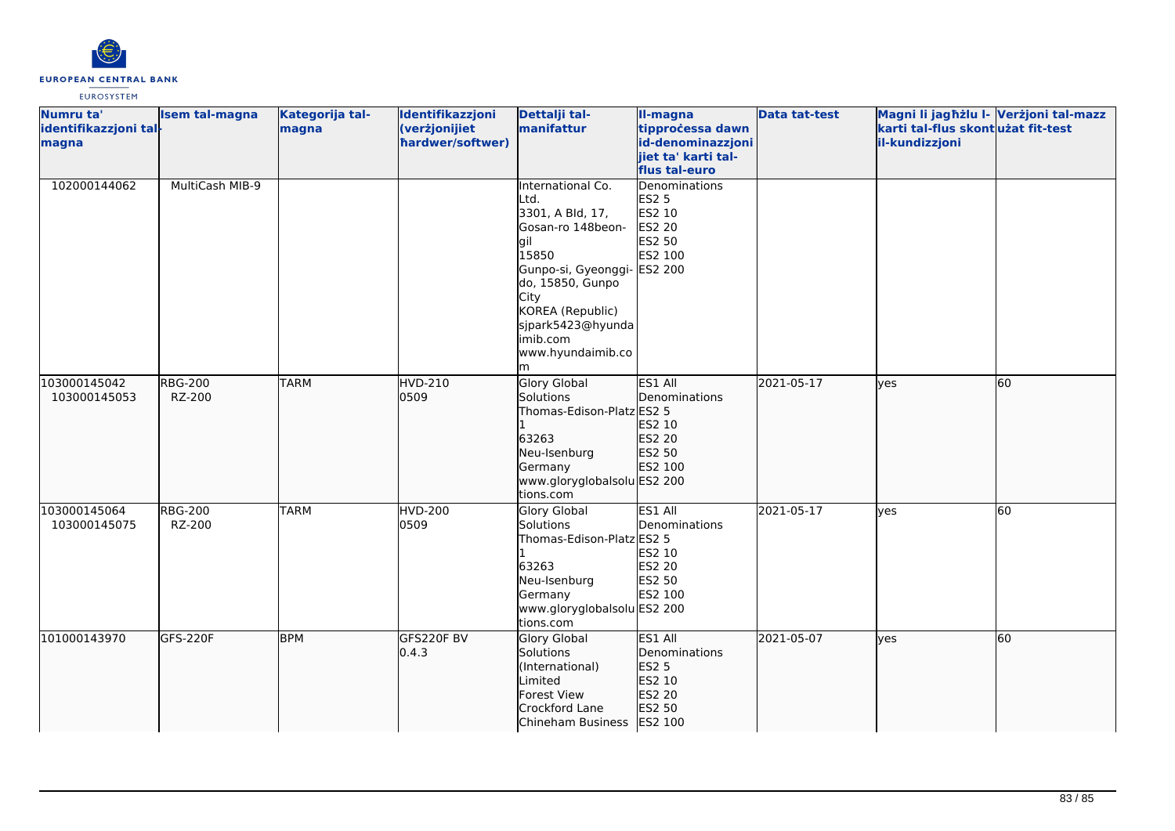

| Numru ta'<br>identifikazzjoni tal-<br>magna | <b>Isem tal-magna</b>    | Kategorija tal-<br>magna | Identifikazzjoni<br>(verżjonijiet<br>hardwer/softwer) | Dettalji tal-<br>manifattur                                                                                                                                                                                                   | II-magna<br>tipprocessa dawn<br>id-denominazzjoni<br>jiet ta' karti tal-<br>flus tal-euro | <b>Data tat-test</b> | Magni li jagħżlu I- Verżjoni tal-mazz<br>karti tal-flus skont użat fit-test<br>il-kundizzjoni |    |
|---------------------------------------------|--------------------------|--------------------------|-------------------------------------------------------|-------------------------------------------------------------------------------------------------------------------------------------------------------------------------------------------------------------------------------|-------------------------------------------------------------------------------------------|----------------------|-----------------------------------------------------------------------------------------------|----|
| 102000144062                                | MultiCash MIB-9          |                          |                                                       | International Co.<br>Ltd.<br>3301, A Bld, 17,<br>Gosan-ro 148beon-<br>gil.<br>15850<br>Gunpo-si, Gyeonggi- ES2 200<br>do, 15850, Gunpo<br>City<br>KOREA (Republic)<br>sjpark5423@hyunda<br>imib.com<br>www.hyundaimib.co<br>m | Denominations<br><b>ES2 5</b><br>ES2 10<br><b>ES2 20</b><br>ES2 50<br>ES2 100             |                      |                                                                                               |    |
| 103000145042<br>103000145053                | <b>RBG-200</b><br>RZ-200 | <b>TARM</b>              | HVD-210<br>0509                                       | <b>Glory Global</b><br>Solutions<br>Thomas-Edison-Platz ES2 5<br>63263<br>Neu-Isenburg<br>Germany<br>www.gloryglobalsolu ES2 200<br>tions.com                                                                                 | ES1 All<br>Denominations<br>ES2 10<br>ES2 20<br>ES2 50<br>ES2 100                         | 2021-05-17           | lyes                                                                                          | 60 |
| 103000145064<br>103000145075                | <b>RBG-200</b><br>RZ-200 | <b>TARM</b>              | <b>HVD-200</b><br>0509                                | Glory Global<br>Solutions<br>Thomas-Edison-Platz ES2 5<br>63263<br>Neu-Isenburg<br>Germany<br>www.gloryglobalsolu ES2 200<br>tions.com                                                                                        | ES1 All<br>Denominations<br>ES2 10<br><b>ES2 20</b><br>ES2 50<br>ES2 100                  | 2021-05-17           | ves                                                                                           | 60 |
| 101000143970                                | GFS-220F                 | <b>BPM</b>               | GFS220F BV<br> 0.4.3                                  | <b>Glory Global</b><br>Solutions<br>(International)<br>Limited<br>Forest View<br>Crockford Lane<br>Chineham Business                                                                                                          | ES1 All<br>Denominations<br>ES2 5<br>ES2 10<br>ES2 20<br>ES2 50<br>ES2 100                | 2021-05-07           | lyes                                                                                          | 60 |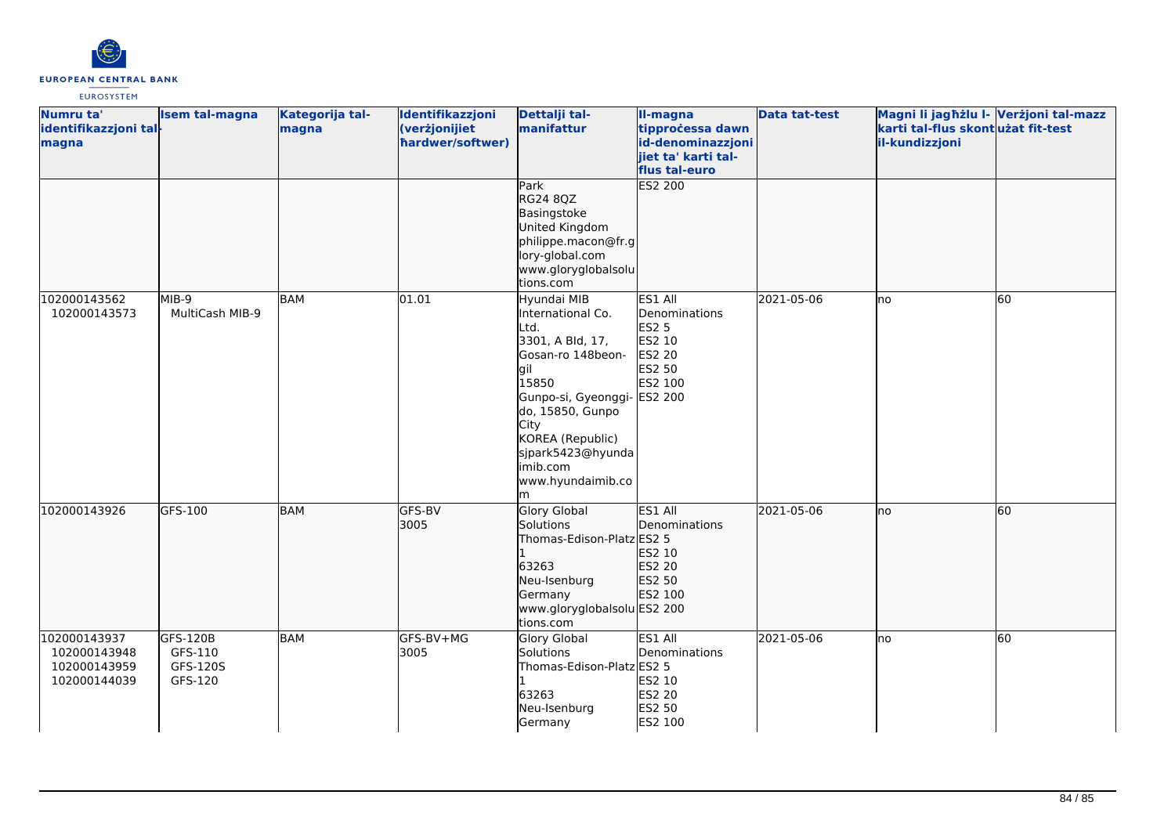

| Numru ta'<br>identifikazzjoni tal-<br>magna                  | <b>Isem tal-magna</b>                      | Kategorija tal-<br>magna | Identifikazzjoni<br>(verżjonijiet<br>hardwer/softwer) | Dettalji tal-<br>manifattur                                                                                                                                                                                                          | <b>Il-magna</b><br>tipprocessa dawn<br>id-denominazzjoni<br>jiet ta' karti tal-                            | <b>Data tat-test</b> | Magni li jagħżlu I- Verżjoni tal-mazz<br>karti tal-flus skontużat fit-test<br>il-kundizzjoni |    |
|--------------------------------------------------------------|--------------------------------------------|--------------------------|-------------------------------------------------------|--------------------------------------------------------------------------------------------------------------------------------------------------------------------------------------------------------------------------------------|------------------------------------------------------------------------------------------------------------|----------------------|----------------------------------------------------------------------------------------------|----|
|                                                              |                                            |                          |                                                       | Park<br><b>RG24 8QZ</b><br>Basingstoke<br>United Kingdom<br>philippe.macon@fr.g<br>lory-global.com<br>www.gloryglobalsolu<br>tions.com                                                                                               | flus tal-euro<br><b>ES2 200</b>                                                                            |                      |                                                                                              |    |
| 102000143562<br>102000143573                                 | MIB-9<br>MultiCash MIB-9                   | <b>BAM</b>               | 01.01                                                 | Hyundai MIB<br>International Co.<br>Ltd.<br>3301, A Bld, 17,<br>Gosan-ro 148beon-<br>lgil<br>15850<br>Gunpo-si, Gyeonggi-<br>do, 15850, Gunpo<br>City<br>KOREA (Republic)<br>sjpark5423@hyunda<br>imib.com<br>www.hyundaimib.co<br>m | ES1 All<br>Denominations<br><b>ES2 5</b><br>ES2 10<br><b>ES2 20</b><br>ES2 50<br>ES2 100<br><b>ES2 200</b> | 2021-05-06           | lno                                                                                          | 60 |
| 102000143926                                                 | GFS-100                                    | <b>BAM</b>               | GFS-BV<br>3005                                        | <b>Glory Global</b><br>Solutions<br>Thomas-Edison-Platz ES2 5<br>63263<br>Neu-Isenburg<br>Germany<br>www.gloryglobalsolu ES2 200<br>tions.com                                                                                        | ES1 All<br>Denominations<br>ES2 10<br>ES2 20<br>ES2 50<br>ES2 100                                          | 2021-05-06           | lno                                                                                          | 60 |
| 102000143937<br>102000143948<br>102000143959<br>102000144039 | GFS-120B<br>GFS-110<br>GFS-120S<br>GFS-120 | <b>BAM</b>               | GFS-BV+MG<br>3005                                     | <b>Glory Global</b><br>Solutions<br>Thomas-Edison-Platz ES2 5<br>63263<br>Neu-Isenburg<br>Germany                                                                                                                                    | ES1 All<br>Denominations<br>ES2 10<br>ES2 20<br>ES2 50<br>ES2 100                                          | 2021-05-06           | lno                                                                                          | 60 |